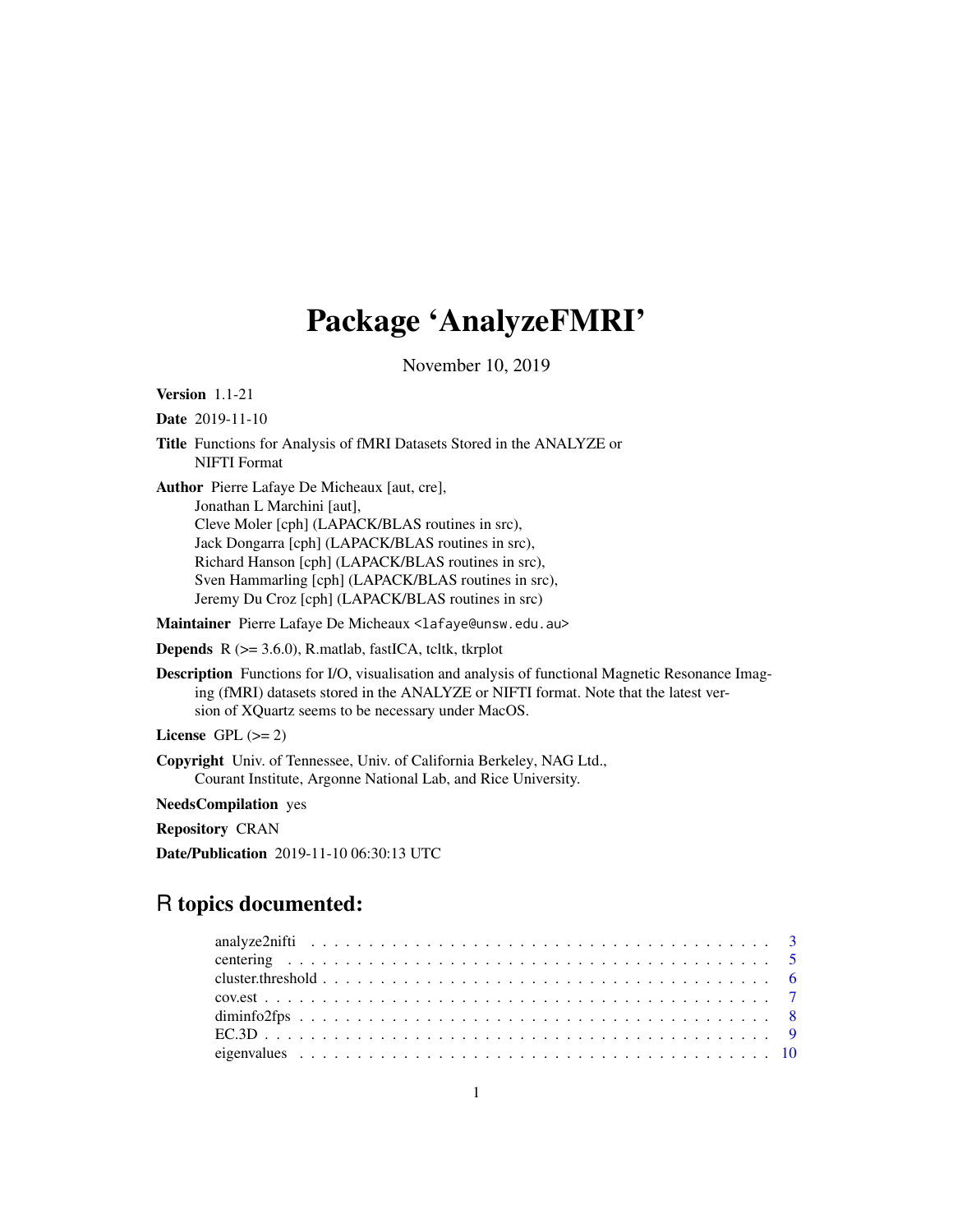# Package 'AnalyzeFMRI'

November 10, 2019

<span id="page-0-0"></span>Version 1.1-21

Date 2019-11-10

Title Functions for Analysis of fMRI Datasets Stored in the ANALYZE or NIFTI Format

Author Pierre Lafaye De Micheaux [aut, cre], Jonathan L Marchini [aut], Cleve Moler [cph] (LAPACK/BLAS routines in src), Jack Dongarra [cph] (LAPACK/BLAS routines in src), Richard Hanson [cph] (LAPACK/BLAS routines in src), Sven Hammarling [cph] (LAPACK/BLAS routines in src), Jeremy Du Croz [cph] (LAPACK/BLAS routines in src)

Maintainer Pierre Lafaye De Micheaux <lafaye@unsw.edu.au>

**Depends**  $R$  ( $> = 3.6.0$ ), R.matlab, fastICA, tcltk, tkrplot

Description Functions for I/O, visualisation and analysis of functional Magnetic Resonance Imaging (fMRI) datasets stored in the ANALYZE or NIFTI format. Note that the latest version of XQuartz seems to be necessary under MacOS.

```
License GPL (>= 2)
```
Copyright Univ. of Tennessee, Univ. of California Berkeley, NAG Ltd., Courant Institute, Argonne National Lab, and Rice University.

NeedsCompilation yes

Repository CRAN

Date/Publication 2019-11-10 06:30:13 UTC

# R topics documented: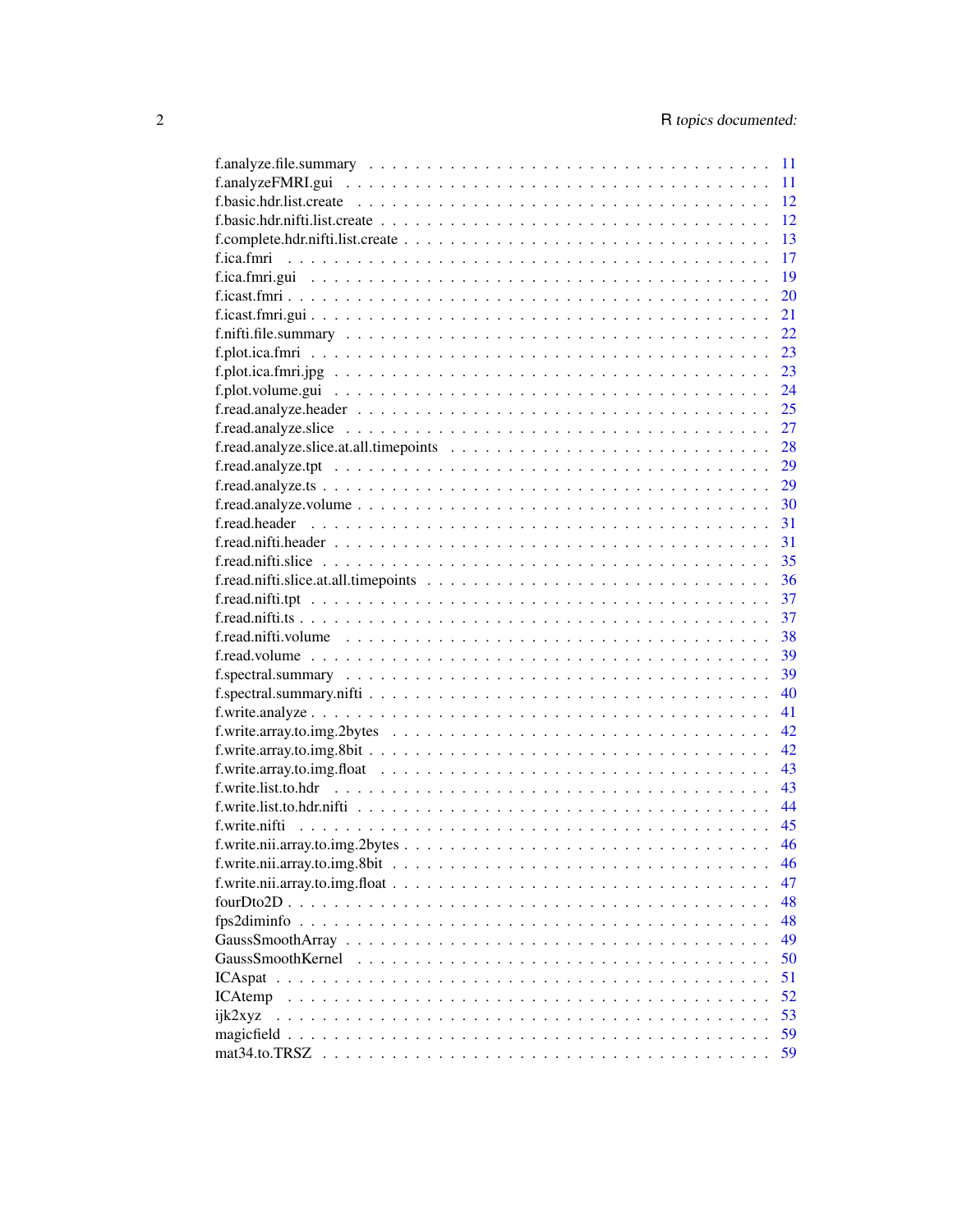|                                                                                                                 | $-11$ |
|-----------------------------------------------------------------------------------------------------------------|-------|
|                                                                                                                 | 11    |
|                                                                                                                 | 12    |
|                                                                                                                 | 12    |
|                                                                                                                 | 13    |
|                                                                                                                 | 17    |
|                                                                                                                 | 19    |
|                                                                                                                 | 20    |
|                                                                                                                 | 21    |
|                                                                                                                 | 22    |
|                                                                                                                 | 23    |
|                                                                                                                 | 23    |
|                                                                                                                 | 24    |
|                                                                                                                 | 25    |
|                                                                                                                 | 27    |
|                                                                                                                 | 28    |
| f.read.analyze.tpt $\ldots \ldots \ldots \ldots \ldots \ldots \ldots \ldots \ldots \ldots \ldots \ldots \ldots$ | 29    |
|                                                                                                                 | 29    |
|                                                                                                                 | 30    |
|                                                                                                                 | 31    |
|                                                                                                                 | 31    |
|                                                                                                                 | 35    |
|                                                                                                                 | 36    |
|                                                                                                                 | 37    |
|                                                                                                                 | 37    |
|                                                                                                                 |       |
|                                                                                                                 | 38    |
|                                                                                                                 | 39    |
|                                                                                                                 | 39    |
|                                                                                                                 | 40    |
|                                                                                                                 | 41    |
|                                                                                                                 | 42.   |
|                                                                                                                 | 42    |
|                                                                                                                 | 43    |
|                                                                                                                 | 43    |
|                                                                                                                 | 44    |
|                                                                                                                 | 45    |
|                                                                                                                 | 46    |
|                                                                                                                 | 46    |
|                                                                                                                 | 47    |
|                                                                                                                 | 48    |
|                                                                                                                 | 48    |
|                                                                                                                 | 49    |
|                                                                                                                 | 50    |
|                                                                                                                 | 51    |
| <b>ICAtemp</b>                                                                                                  | 52    |
| ijk2xyz                                                                                                         | 53    |
|                                                                                                                 | 59    |
| mat34.to.TRSZ                                                                                                   | 59    |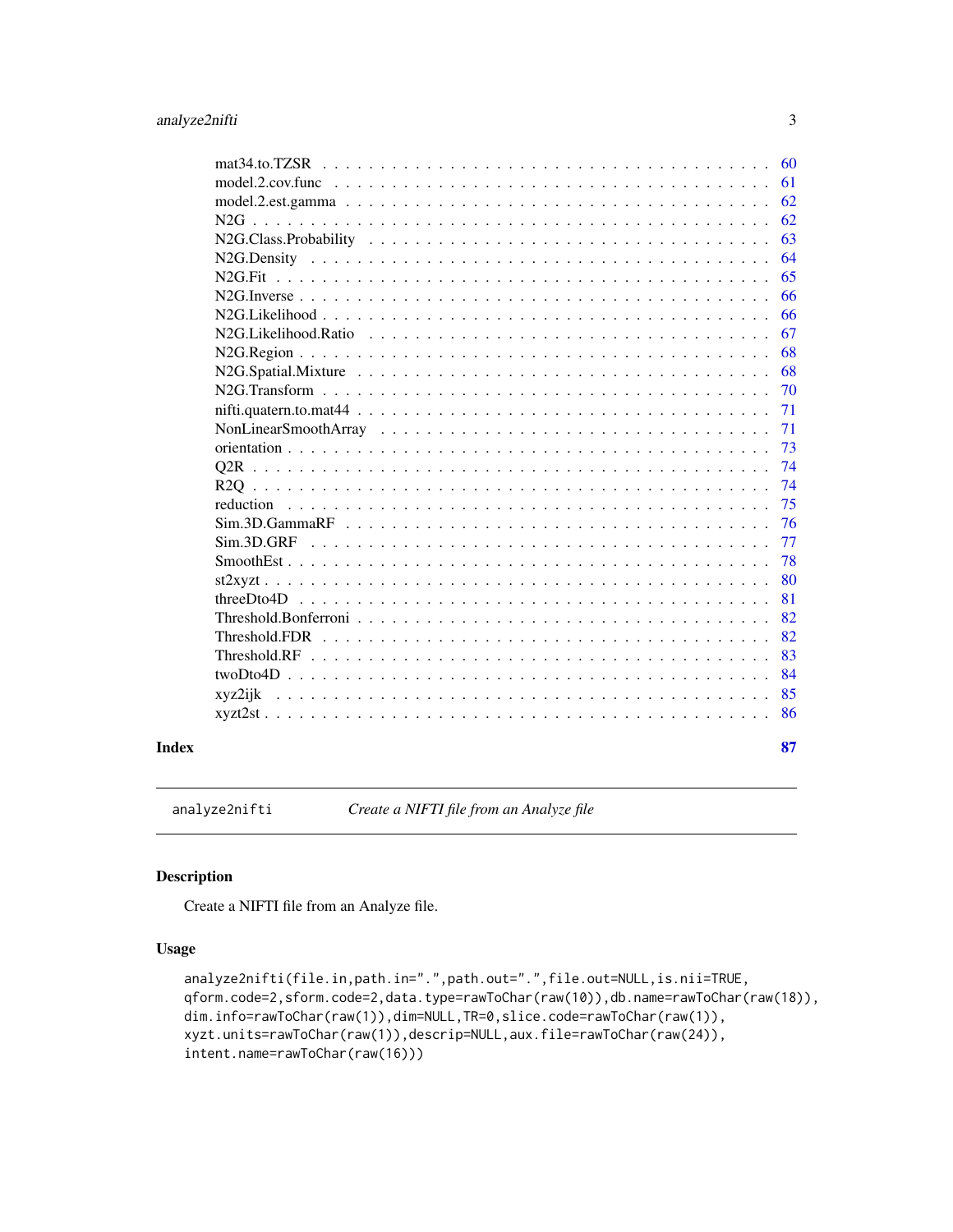<span id="page-2-0"></span>

|       |                                                                                                                                       | 60 |
|-------|---------------------------------------------------------------------------------------------------------------------------------------|----|
|       |                                                                                                                                       | 61 |
|       |                                                                                                                                       | 62 |
|       |                                                                                                                                       | 62 |
|       |                                                                                                                                       | 63 |
|       |                                                                                                                                       | 64 |
|       | $N2G$ . Fit                                                                                                                           | 65 |
|       |                                                                                                                                       | 66 |
|       |                                                                                                                                       | 66 |
|       | N <sub>2G</sub> .Likelihood.Ratio                                                                                                     | 67 |
|       |                                                                                                                                       | 68 |
|       |                                                                                                                                       | 68 |
|       |                                                                                                                                       | 70 |
|       |                                                                                                                                       | 71 |
|       |                                                                                                                                       | 71 |
|       |                                                                                                                                       | 73 |
|       |                                                                                                                                       | 74 |
|       |                                                                                                                                       | 74 |
|       | reduction<br><u>. Die besteht die besteht die besteht die besteht die besteht die besteht die besteht der Stadt die besteht die b</u> | 75 |
|       |                                                                                                                                       | 76 |
|       | Sim.3D.GRF                                                                                                                            | 77 |
|       |                                                                                                                                       | 78 |
|       |                                                                                                                                       | 80 |
|       | threeD to 4D                                                                                                                          | 81 |
|       |                                                                                                                                       | 82 |
|       | Threshold FDR                                                                                                                         | 82 |
|       |                                                                                                                                       | 83 |
|       |                                                                                                                                       | 84 |
|       | xyz2ijk                                                                                                                               | 85 |
|       |                                                                                                                                       | 86 |
|       |                                                                                                                                       |    |
| Index |                                                                                                                                       | 87 |

analyze2nifti *Create a NIFTI file from an Analyze file*

# Description

Create a NIFTI file from an Analyze file.

# Usage

```
analyze2nifti(file.in,path.in=".",path.out=".",file.out=NULL,is.nii=TRUE,
qform.code=2,sform.code=2,data.type=rawToChar(raw(10)),db.name=rawToChar(raw(18)),
dim.info=rawToChar(raw(1)),dim=NULL,TR=0,slice.code=rawToChar(raw(1)),
xyzt.units=rawToChar(raw(1)),descrip=NULL,aux.file=rawToChar(raw(24)),
intent.name=rawToChar(raw(16)))
```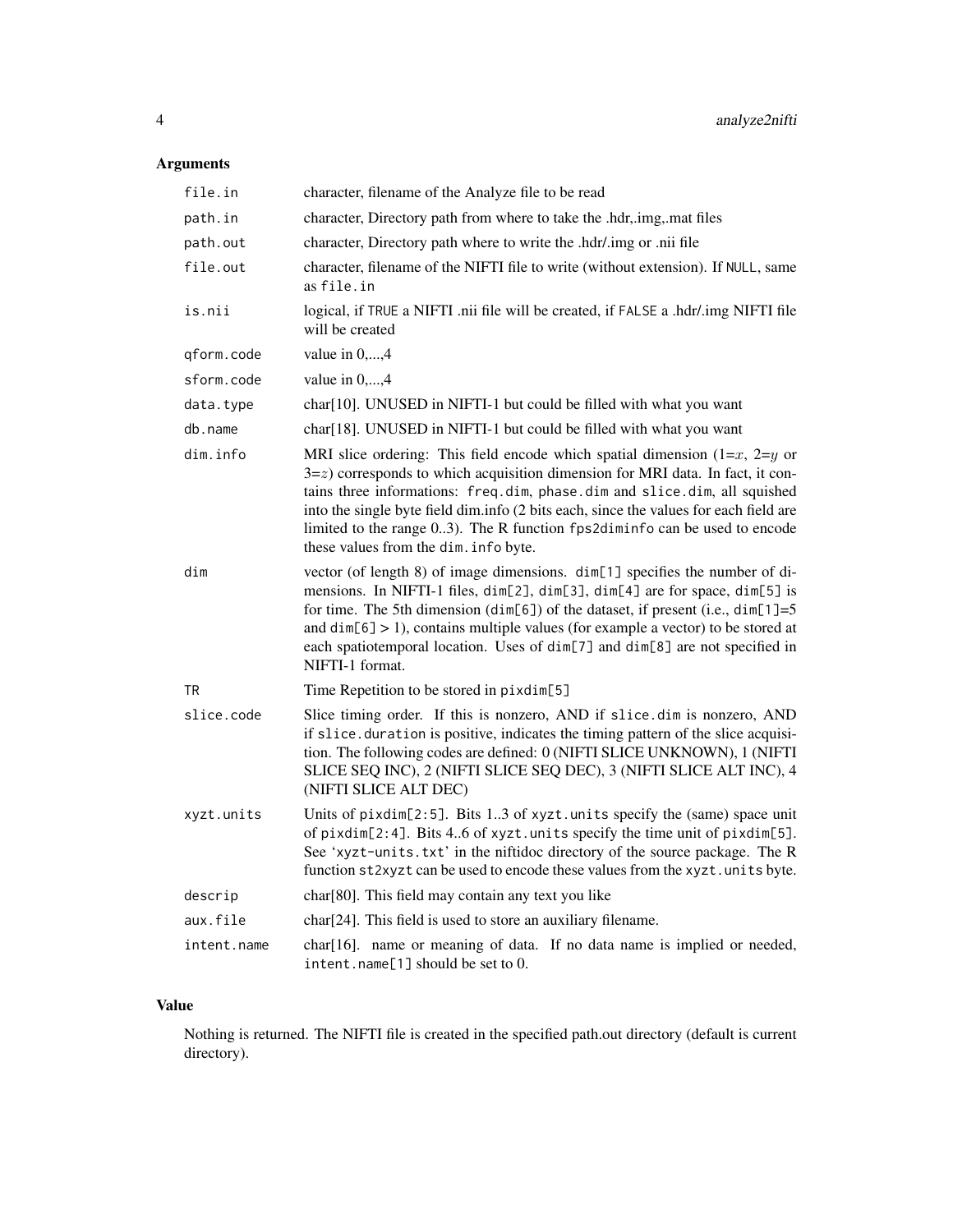# Arguments

| file.in     | character, filename of the Analyze file to be read                                                                                                                                                                                                                                                                                                                                                                                                                |
|-------------|-------------------------------------------------------------------------------------------------------------------------------------------------------------------------------------------------------------------------------------------------------------------------------------------------------------------------------------------------------------------------------------------------------------------------------------------------------------------|
| path.in     | character, Directory path from where to take the .hdr, img, mat files                                                                                                                                                                                                                                                                                                                                                                                             |
| path.out    | character, Directory path where to write the .hdr/.img or .nii file                                                                                                                                                                                                                                                                                                                                                                                               |
| file.out    | character, filename of the NIFTI file to write (without extension). If NULL, same<br>as file.in                                                                                                                                                                                                                                                                                                                                                                   |
| is.nii      | logical, if TRUE a NIFTI .nii file will be created, if FALSE a .hdr/.img NIFTI file<br>will be created                                                                                                                                                                                                                                                                                                                                                            |
| qform.code  | value in 0,,4                                                                                                                                                                                                                                                                                                                                                                                                                                                     |
| sform.code  | value in 0,,4                                                                                                                                                                                                                                                                                                                                                                                                                                                     |
| data.type   | char[10]. UNUSED in NIFTI-1 but could be filled with what you want                                                                                                                                                                                                                                                                                                                                                                                                |
| db.name     | char[18]. UNUSED in NIFTI-1 but could be filled with what you want                                                                                                                                                                                                                                                                                                                                                                                                |
| dim.info    | MRI slice ordering: This field encode which spatial dimension $(1=x, 2=y)$ or<br>$3 = z$ ) corresponds to which acquisition dimension for MRI data. In fact, it con-<br>tains three informations: freq.dim, phase.dim and slice.dim, all squished<br>into the single byte field dim.info (2 bits each, since the values for each field are<br>limited to the range 03). The R function fps2diminfo can be used to encode<br>these values from the dim. info byte. |
| dim         | vector (of length 8) of image dimensions. dim[1] specifies the number of di-<br>mensions. In NIFTI-1 files, dim[2], dim[3], dim[4] are for space, dim[5] is<br>for time. The 5th dimension (dim[6]) of the dataset, if present (i.e., dim[1]=5<br>and $dim[6] > 1$ , contains multiple values (for example a vector) to be stored at<br>each spatiotemporal location. Uses of dim[7] and dim[8] are not specified in<br>NIFTI-1 format.                           |
| TR          | Time Repetition to be stored in pixdim[5]                                                                                                                                                                                                                                                                                                                                                                                                                         |
| slice.code  | Slice timing order. If this is nonzero, AND if slice dim is nonzero, AND<br>if slice.duration is positive, indicates the timing pattern of the slice acquisi-<br>tion. The following codes are defined: 0 (NIFTI SLICE UNKNOWN), 1 (NIFTI<br>SLICE SEQ INC), 2 (NIFTI SLICE SEQ DEC), 3 (NIFTI SLICE ALT INC), 4<br>(NIFTI SLICE ALT DEC)                                                                                                                         |
| xyzt.units  | Units of pixdim[2:5]. Bits 13 of xyzt.units specify the (same) space unit<br>of pixdim[2:4]. Bits 46 of xyzt.units specify the time unit of pixdim[5].<br>See 'xyzt-units.txt' in the niftidoc directory of the source package. The R<br>function st2xyzt can be used to encode these values from the xyzt.units byte.                                                                                                                                            |
| descrip     | char[80]. This field may contain any text you like                                                                                                                                                                                                                                                                                                                                                                                                                |
| aux.file    | char[24]. This field is used to store an auxiliary filename.                                                                                                                                                                                                                                                                                                                                                                                                      |
| intent.name | char[16]. name or meaning of data. If no data name is implied or needed,<br>intent.name[1] should be set to 0.                                                                                                                                                                                                                                                                                                                                                    |

# Value

Nothing is returned. The NIFTI file is created in the specified path.out directory (default is current directory).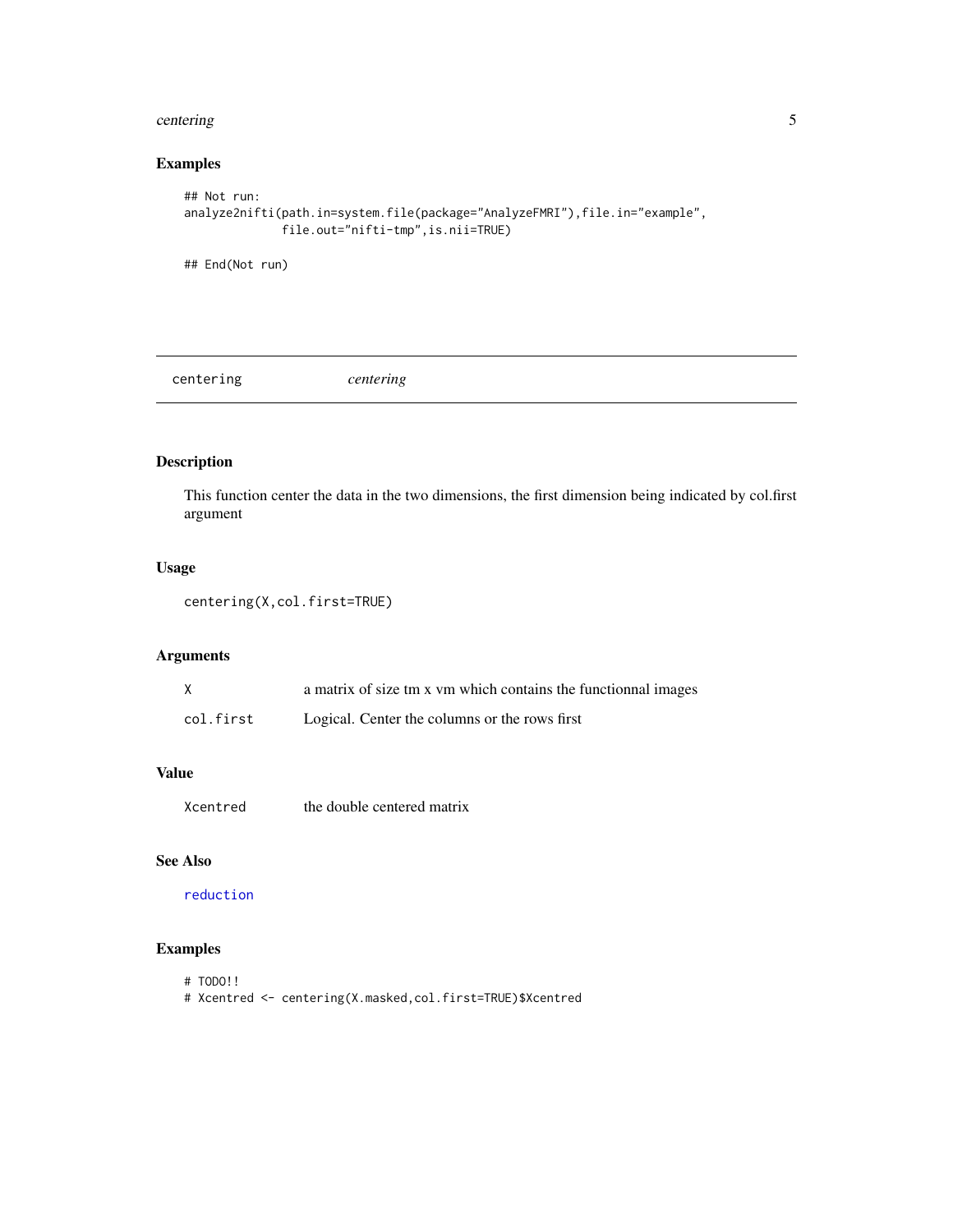#### <span id="page-4-0"></span>centering 5

# Examples

```
## Not run:
analyze2nifti(path.in=system.file(package="AnalyzeFMRI"),file.in="example",
              file.out="nifti-tmp",is.nii=TRUE)
```
## End(Not run)

centering *centering*

# Description

This function center the data in the two dimensions, the first dimension being indicated by col.first argument

# Usage

```
centering(X,col.first=TRUE)
```
# Arguments

|           | a matrix of size tm x vm which contains the functionnal images |
|-----------|----------------------------------------------------------------|
| col.first | Logical. Center the columns or the rows first                  |

# Value

Xcentred the double centered matrix

# See Also

[reduction](#page-74-1)

- # TODO!!
- # Xcentred <- centering(X.masked,col.first=TRUE)\$Xcentred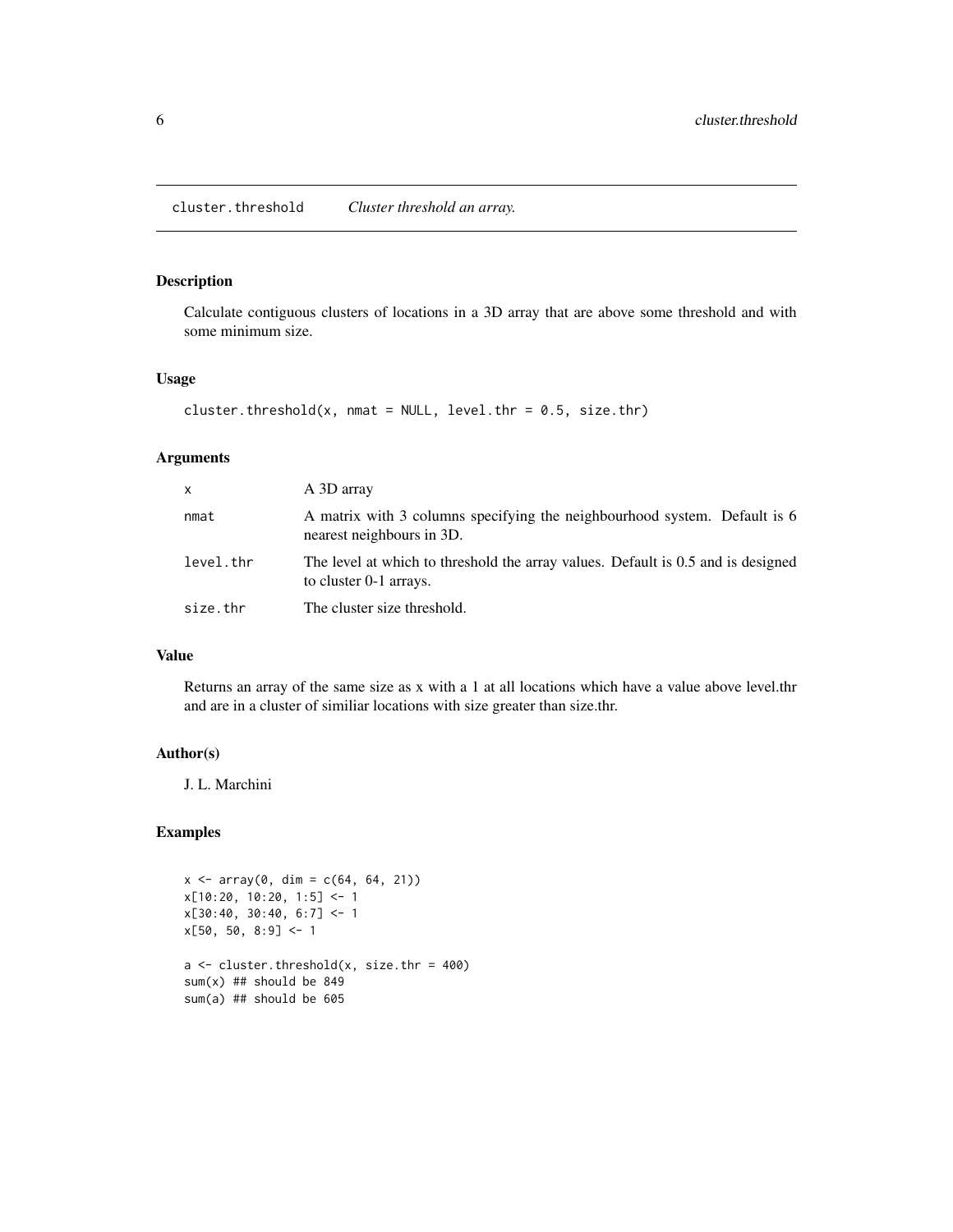# <span id="page-5-0"></span>Description

Calculate contiguous clusters of locations in a 3D array that are above some threshold and with some minimum size.

#### Usage

```
cluster.threshold(x, nmat = NULL, level.thr = 0.5, size.thr)
```
### Arguments

| x         | A 3D array                                                                                                 |
|-----------|------------------------------------------------------------------------------------------------------------|
| nmat      | A matrix with 3 columns specifying the neighbourhood system. Default is 6<br>nearest neighbours in 3D.     |
| level.thr | The level at which to threshold the array values. Default is 0.5 and is designed<br>to cluster 0-1 arrays. |
| size.thr  | The cluster size threshold.                                                                                |

# Value

Returns an array of the same size as x with a 1 at all locations which have a value above level.thr and are in a cluster of similiar locations with size greater than size.thr.

#### Author(s)

J. L. Marchini

```
x \le -\arctan(0, \, \text{dim} = \text{c}(64, 64, 21))x[10:20, 10:20, 1:5] <- 1
x[30:40, 30:40, 6:7] < -1x[50, 50, 8:9] < -1a \leftarrow cluster.threshold(x, size.thr = 400)
sum(x) ## should be 849
sum(a) ## should be 605
```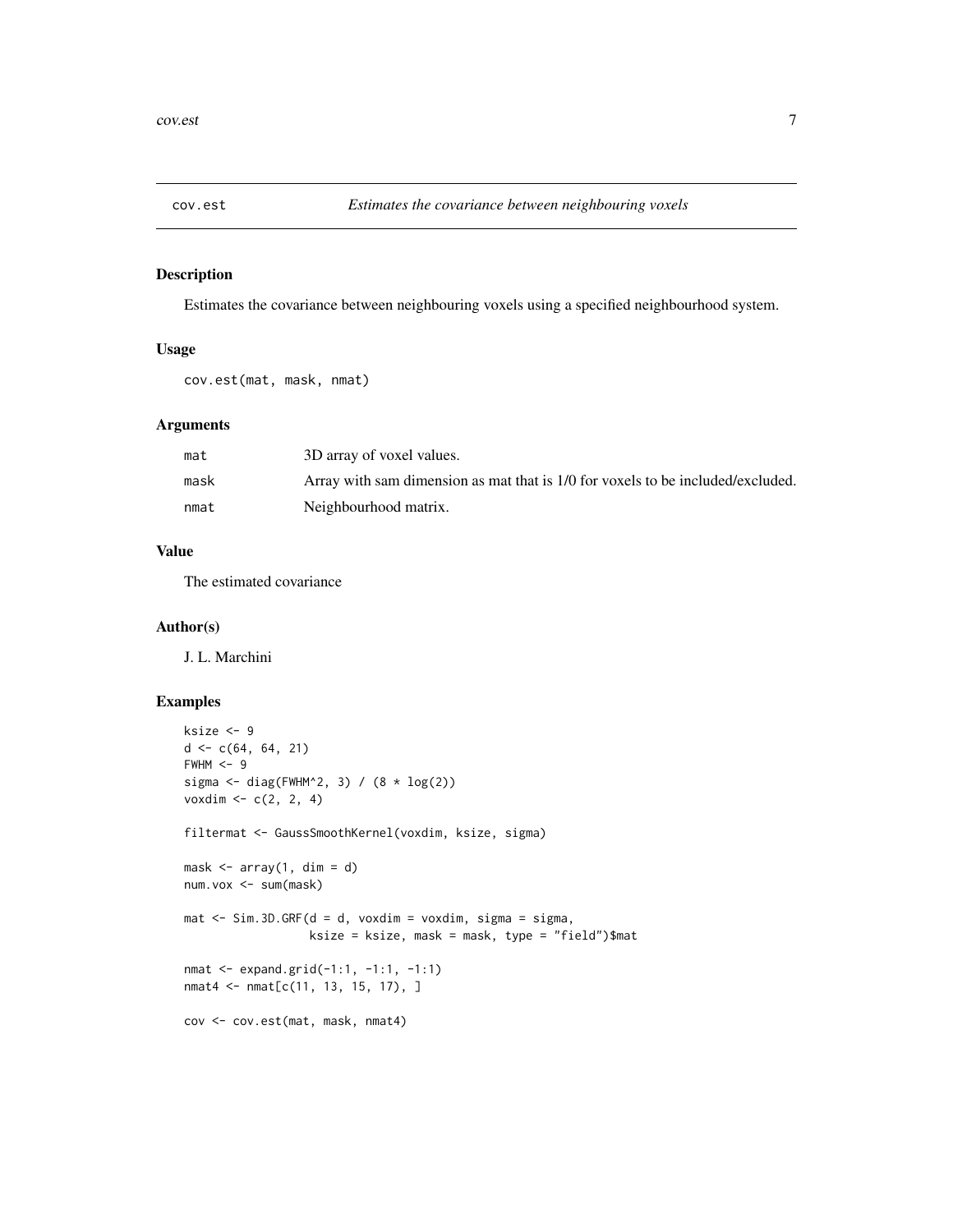<span id="page-6-0"></span>

# Description

Estimates the covariance between neighbouring voxels using a specified neighbourhood system.

#### Usage

```
cov.est(mat, mask, nmat)
```
# Arguments

| mat  | 3D array of voxel values.                                                       |
|------|---------------------------------------------------------------------------------|
| mask | Array with sam dimension as mat that is 1/0 for voxels to be included/excluded. |
| nmat | Neighbourhood matrix.                                                           |

# Value

The estimated covariance

# Author(s)

J. L. Marchini

```
ksize <- 9
d \leq c(64, 64, 21)FWHM < -9sigma <- diag(FWHM^2, 3) / (8 * log(2))voxdim <- c(2, 2, 4)
filtermat <- GaussSmoothKernel(voxdim, ksize, sigma)
mask \leftarrow array(1, dim = d)num.vox <- sum(mask)
mat \le Sim.3D.GRF(d = d, voxdim = voxdim, sigma = sigma,
                  ksize = ksize, mask = mask, type = "field")$mat
nmat <- expand.grid(-1:1, -1:1, -1:1)
nmat4 <- nmat[c(11, 13, 15, 17), ]
cov <- cov.est(mat, mask, nmat4)
```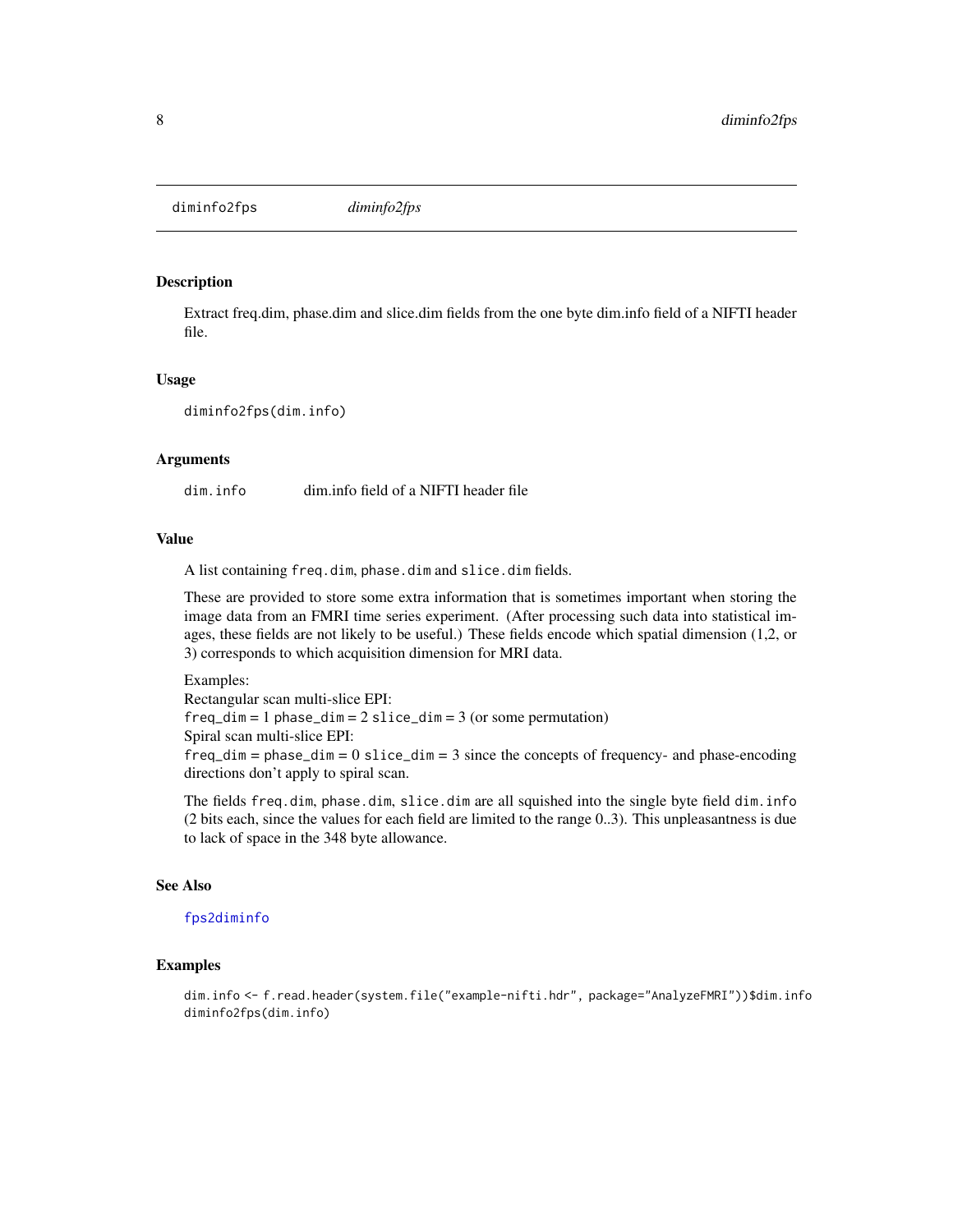<span id="page-7-0"></span>diminfo2fps *diminfo2fps*

# **Description**

Extract freq.dim, phase.dim and slice.dim fields from the one byte dim.info field of a NIFTI header file.

#### Usage

diminfo2fps(dim.info)

#### Arguments

dim.info dim.info field of a NIFTI header file

#### Value

A list containing freq.dim, phase.dim and slice.dim fields.

These are provided to store some extra information that is sometimes important when storing the image data from an FMRI time series experiment. (After processing such data into statistical images, these fields are not likely to be useful.) These fields encode which spatial dimension (1,2, or 3) corresponds to which acquisition dimension for MRI data.

Examples: Rectangular scan multi-slice EPI:  $freq\_dim = 1$  phase\_dim = 2 slice\_dim = 3 (or some permutation) Spiral scan multi-slice EPI:  $freq\_dim = phase\_dim = 0$  slice\_dim = 3 since the concepts of frequency- and phase-encoding directions don't apply to spiral scan.

The fields freq.dim, phase.dim, slice.dim are all squished into the single byte field dim.info (2 bits each, since the values for each field are limited to the range 0..3). This unpleasantness is due to lack of space in the 348 byte allowance.

#### See Also

#### [fps2diminfo](#page-47-1)

# **Examples**

dim.info <- f.read.header(system.file("example-nifti.hdr", package="AnalyzeFMRI"))\$dim.info diminfo2fps(dim.info)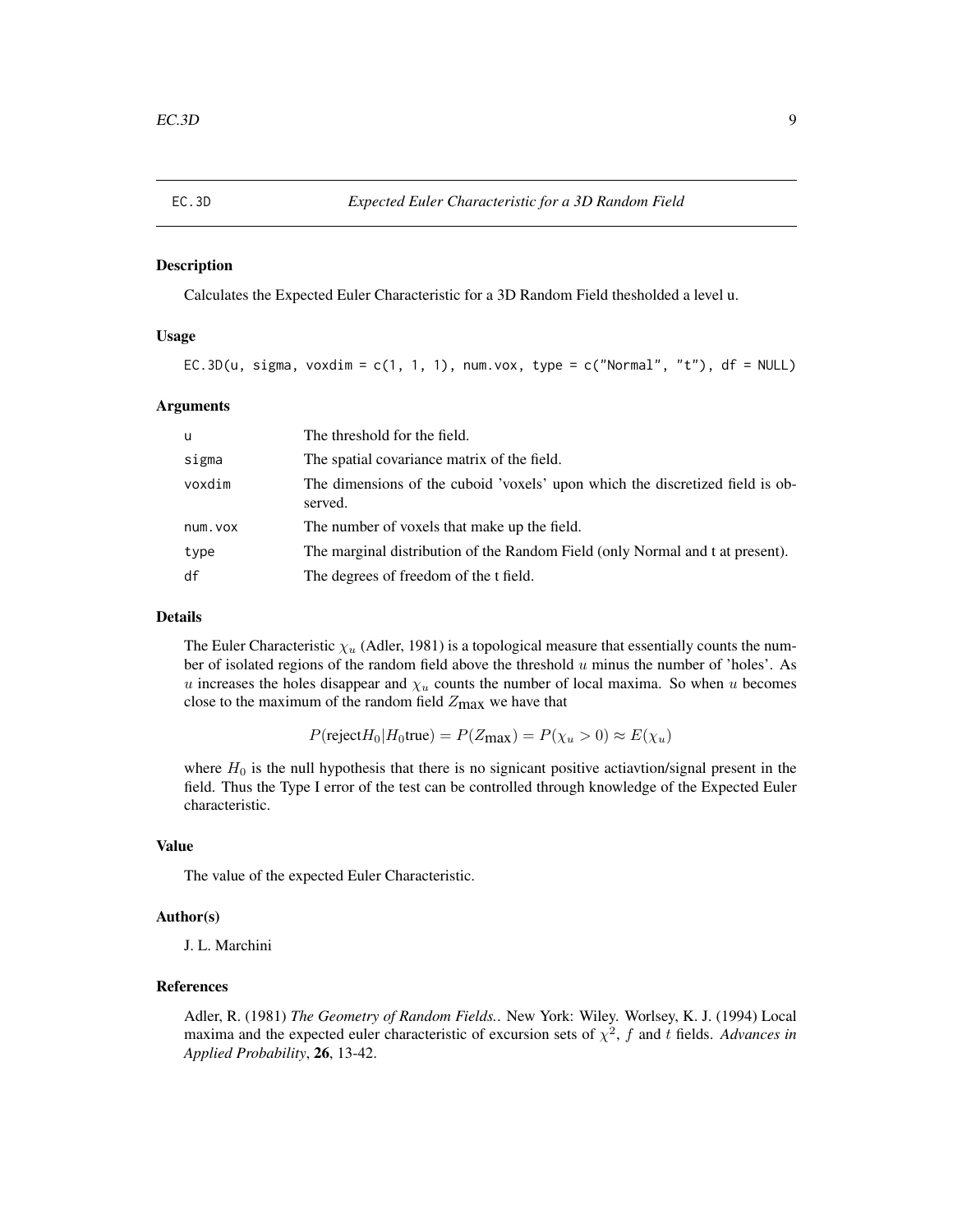#### <span id="page-8-0"></span>Description

Calculates the Expected Euler Characteristic for a 3D Random Field thesholded a level u.

#### Usage

EC.3D(u, sigma, voxdim = c(1, 1, 1), num.vox, type = c("Normal", "t"), df = NULL)

#### Arguments

| u       | The threshold for the field.                                                             |
|---------|------------------------------------------------------------------------------------------|
| sigma   | The spatial covariance matrix of the field.                                              |
| voxdim  | The dimensions of the cuboid 'voxels' upon which the discretized field is ob-<br>served. |
| num.vox | The number of voxels that make up the field.                                             |
| type    | The marginal distribution of the Random Field (only Normal and t at present).            |
| df      | The degrees of freedom of the t field.                                                   |

#### Details

The Euler Characteristic  $\chi_u$  (Adler, 1981) is a topological measure that essentially counts the number of isolated regions of the random field above the threshold  $u$  minus the number of 'holes'. As u increases the holes disappear and  $\chi_u$  counts the number of local maxima. So when u becomes close to the maximum of the random field  $Z_{\text{max}}$  we have that

$$
P(\text{reject}H_0|H_0|\text{true}) = P(Z_{\text{max}}) = P(\chi_u > 0) \approx E(\chi_u)
$$

where  $H_0$  is the null hypothesis that there is no signicant positive actiavtion/signal present in the field. Thus the Type I error of the test can be controlled through knowledge of the Expected Euler characteristic.

# Value

The value of the expected Euler Characteristic.

#### Author(s)

J. L. Marchini

#### References

Adler, R. (1981) *The Geometry of Random Fields.*. New York: Wiley. Worlsey, K. J. (1994) Local maxima and the expected euler characteristic of excursion sets of  $\chi^2$ , f and t fields. *Advances in Applied Probability*, 26, 13-42.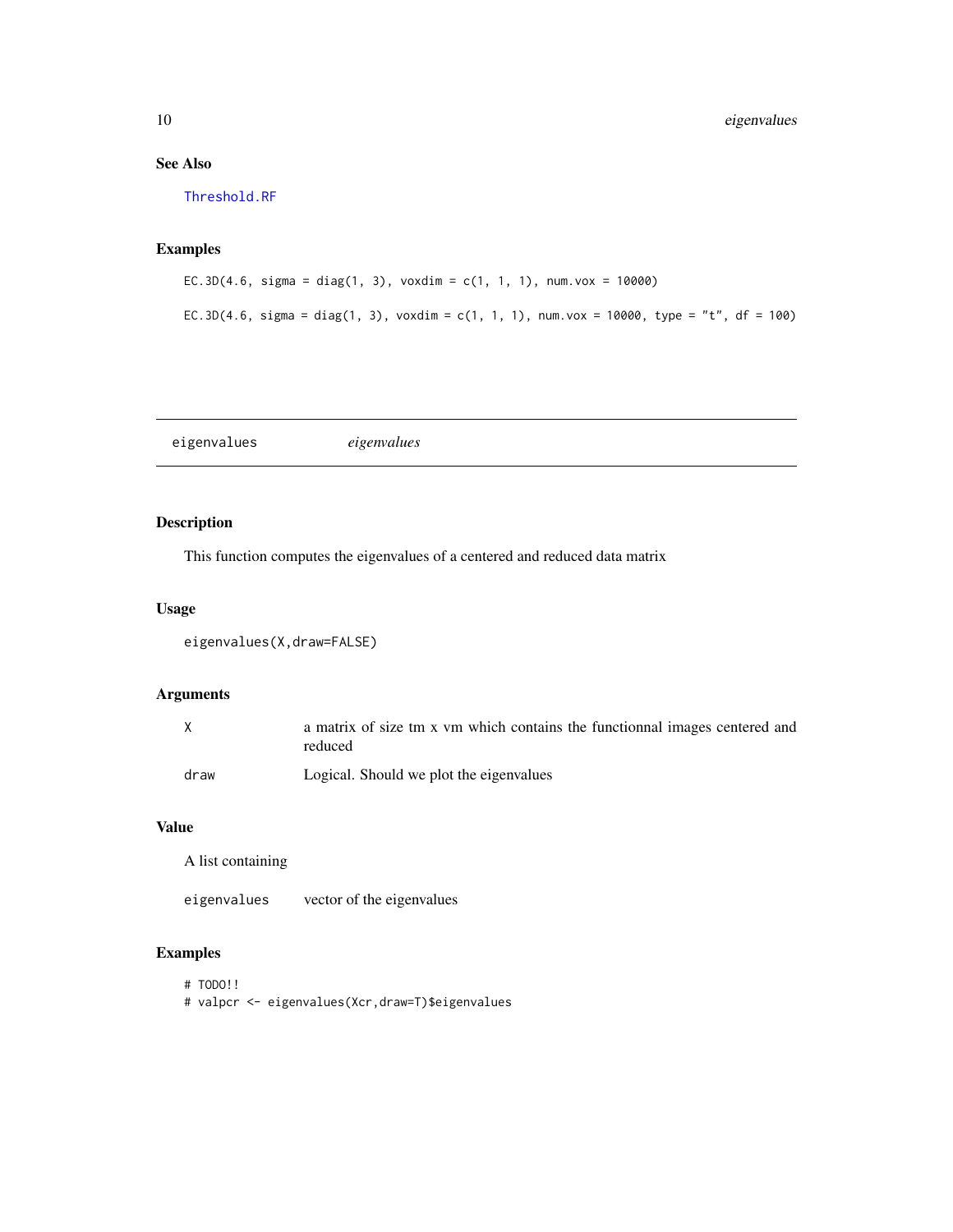# See Also

[Threshold.RF](#page-82-1)

# Examples

```
EC.3D(4.6, sigma = diag(1, 3), voxdim = c(1, 1, 1), num.vox = 10000)
EC.3D(4.6, sigma = diag(1, 3), voxdim = c(1, 1, 1), num.vox = 10000, type = "t", df = 100)
```
eigenvalues *eigenvalues*

# Description

This function computes the eigenvalues of a centered and reduced data matrix

#### Usage

```
eigenvalues(X,draw=FALSE)
```
#### Arguments

|      | a matrix of size tm x vm which contains the functionnal images centered and<br>reduced |
|------|----------------------------------------------------------------------------------------|
| draw | Logical. Should we plot the eigenvalues                                                |

#### Value

A list containing

eigenvalues vector of the eigenvalues

- # TODO!!
- # valpcr <- eigenvalues(Xcr,draw=T)\$eigenvalues

<span id="page-9-0"></span>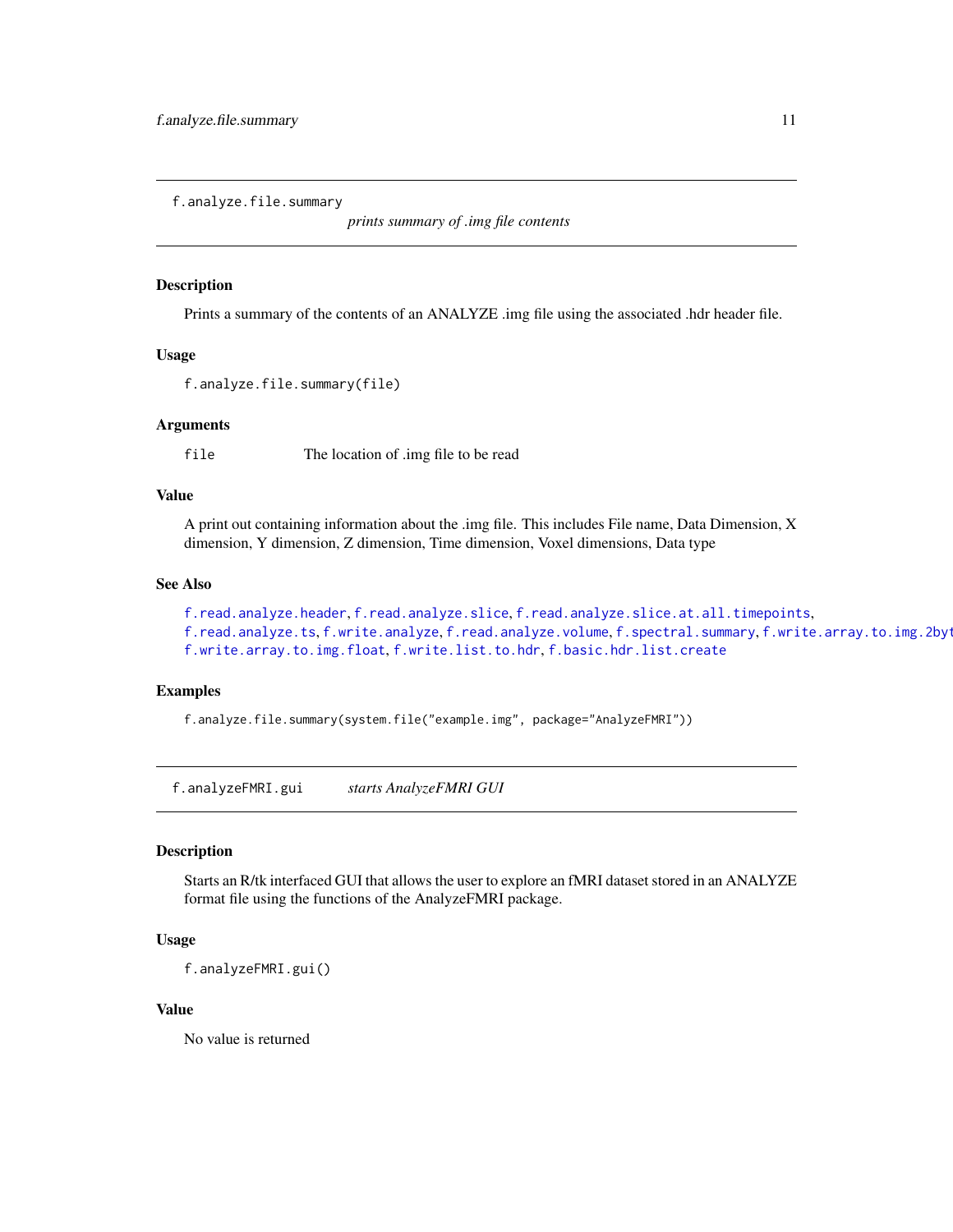<span id="page-10-1"></span><span id="page-10-0"></span>f.analyze.file.summary

*prints summary of .img file contents*

#### Description

Prints a summary of the contents of an ANALYZE .img file using the associated .hdr header file.

#### Usage

```
f.analyze.file.summary(file)
```
#### Arguments

file The location of .img file to be read

# Value

A print out containing information about the .img file. This includes File name, Data Dimension, X dimension, Y dimension, Z dimension, Time dimension, Voxel dimensions, Data type

#### See Also

```
f.read.analyze.header, f.read.analyze.slice, f.read.analyze.slice.at.all.timepoints,
f.read.analyze.tsf.write.analyzef.read.analyze.volumef.spectral.summary, f.write.array.to.img.2byt
f.write.array.to.img.float, f.write.list.to.hdr, f.basic.hdr.list.create
```
# Examples

f.analyze.file.summary(system.file("example.img", package="AnalyzeFMRI"))

f.analyzeFMRI.gui *starts AnalyzeFMRI GUI*

#### Description

Starts an R/tk interfaced GUI that allows the user to explore an fMRI dataset stored in an ANALYZE format file using the functions of the AnalyzeFMRI package.

#### Usage

f.analyzeFMRI.gui()

#### Value

No value is returned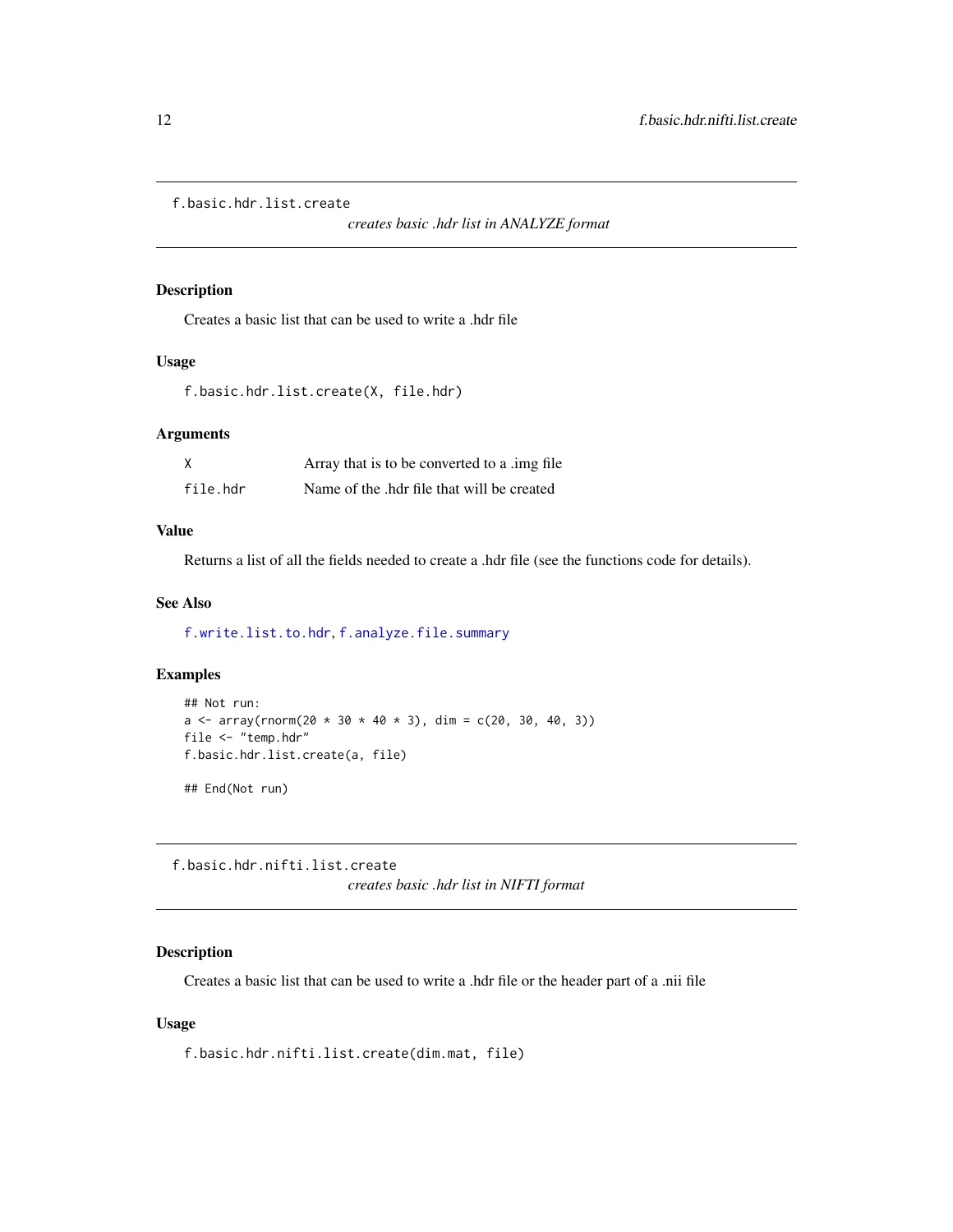<span id="page-11-1"></span><span id="page-11-0"></span>f.basic.hdr.list.create

*creates basic .hdr list in ANALYZE format*

#### Description

Creates a basic list that can be used to write a .hdr file

#### Usage

```
f.basic.hdr.list.create(X, file.hdr)
```
#### Arguments

| χ        | Array that is to be converted to a limg file. |
|----------|-----------------------------------------------|
| file.hdr | Name of the .hdr file that will be created    |

# Value

Returns a list of all the fields needed to create a .hdr file (see the functions code for details).

#### See Also

[f.write.list.to.hdr](#page-42-2), [f.analyze.file.summary](#page-10-1)

# Examples

```
## Not run:
a \le array(rnorm(20 * 30 * 40 * 3), dim = c(20, 30, 40, 3))
file <- "temp.hdr"
f.basic.hdr.list.create(a, file)
```
## End(Not run)

<span id="page-11-2"></span>f.basic.hdr.nifti.list.create *creates basic .hdr list in NIFTI format*

# Description

Creates a basic list that can be used to write a .hdr file or the header part of a .nii file

#### Usage

f.basic.hdr.nifti.list.create(dim.mat, file)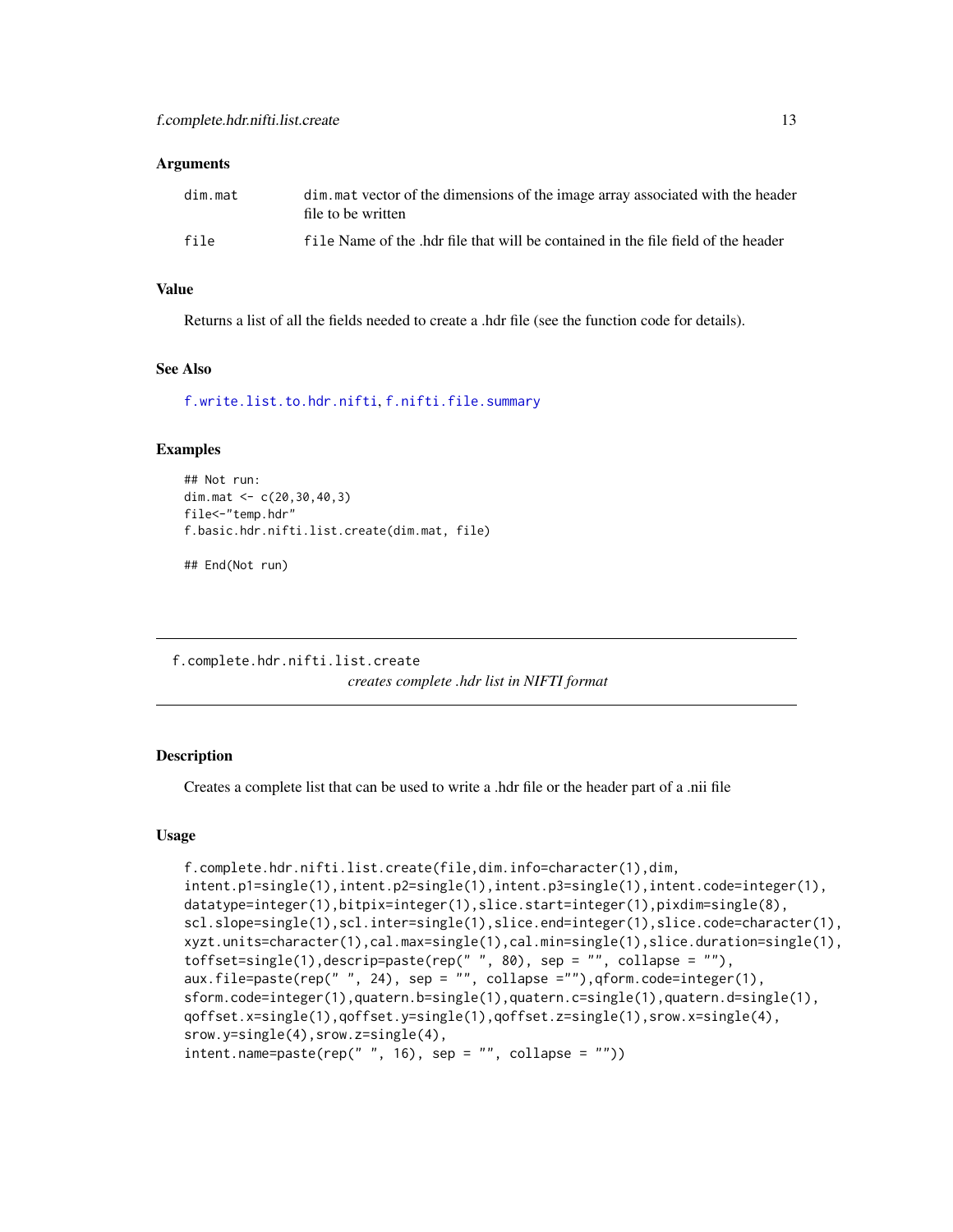#### <span id="page-12-0"></span>**Arguments**

| dim.mat | dim mat vector of the dimensions of the image array associated with the header<br>file to be written |
|---------|------------------------------------------------------------------------------------------------------|
| file    | file Name of the .hdr file that will be contained in the file field of the header                    |

#### Value

Returns a list of all the fields needed to create a .hdr file (see the function code for details).

#### See Also

[f.write.list.to.hdr.nifti](#page-43-1), [f.nifti.file.summary](#page-21-1)

#### Examples

```
## Not run:
dim.mat <- c(20,30,40,3)
file<-"temp.hdr"
f.basic.hdr.nifti.list.create(dim.mat, file)
```
## End(Not run)

f.complete.hdr.nifti.list.create *creates complete .hdr list in NIFTI format*

#### **Description**

Creates a complete list that can be used to write a .hdr file or the header part of a .nii file

#### Usage

```
f.complete.hdr.nifti.list.create(file,dim.info=character(1),dim,
intent.p1=single(1),intent.p2=single(1),intent.p3=single(1),intent.code=integer(1),
datatype=integer(1),bitpix=integer(1),slice.start=integer(1),pixdim=single(8),
scl.slope=single(1),scl.inter=single(1),slice.end=integer(1),slice.code=character(1),
xyzt.units=character(1),cal.max=single(1),cal.min=single(1),slice.duration=single(1),
toffset=single(1),descrip=paste(rep(" ", 80), sep = "", collapse = ""),
aux.file=paste(rep(" ", 24), sep = "", collapse =""),qform.code=integer(1),
sform.code=integer(1),quatern.b=single(1),quatern.c=single(1),quatern.d=single(1),
qoffset.x=single(1),qoffset.y=single(1),qoffset.z=single(1),srow.x=single(4),
srow.y=single(4),srow.z=single(4),
intent.name = paste(rep(" " , 16), sep = "", collapse = "")
```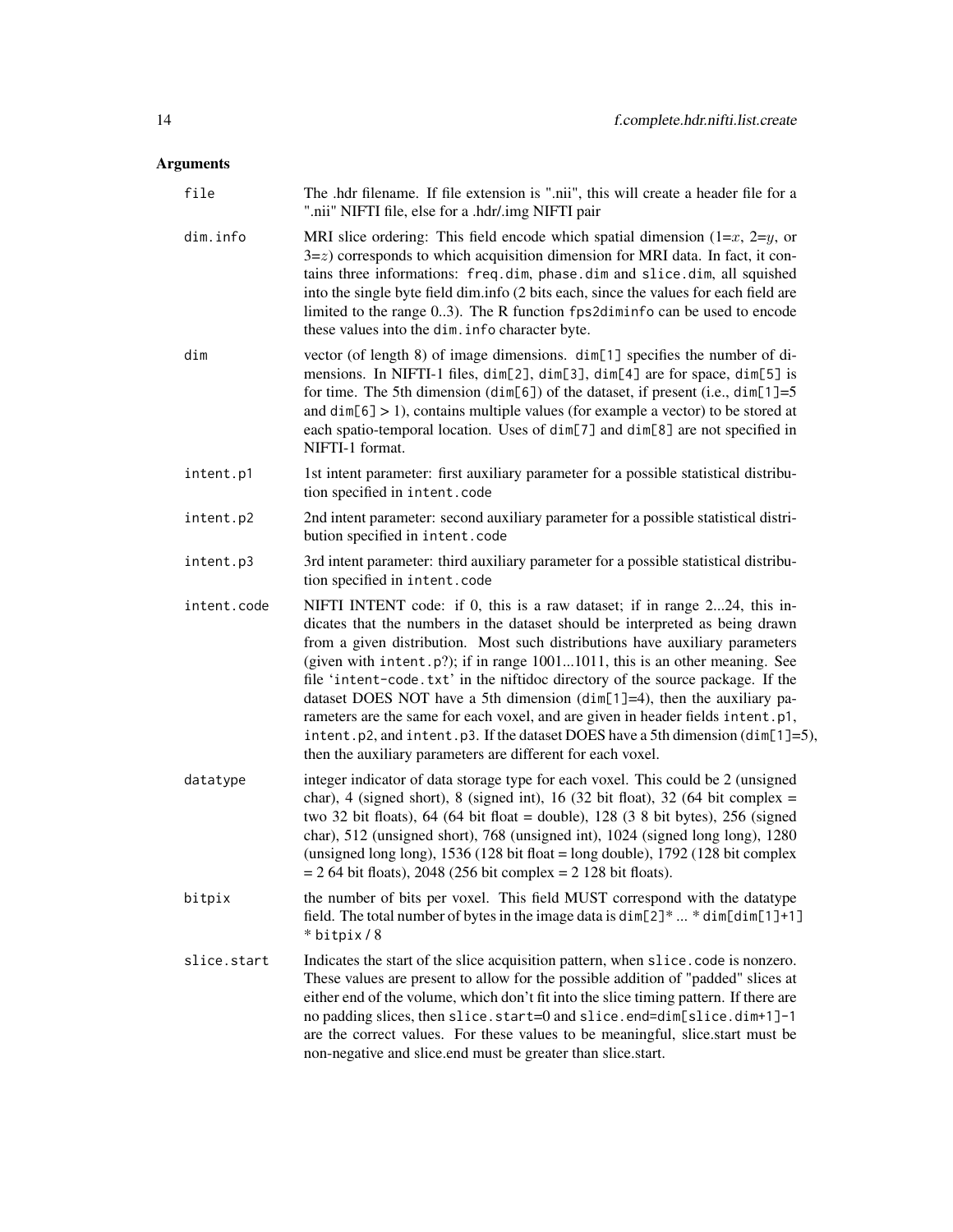# Arguments

| file        | The .hdr filename. If file extension is ".nii", this will create a header file for a<br>".nii" NIFTI file, else for a .hdr/.img NIFTI pair                                                                                                                                                                                                                                                                                                                                                                                                                                                                                                                                                                                            |
|-------------|---------------------------------------------------------------------------------------------------------------------------------------------------------------------------------------------------------------------------------------------------------------------------------------------------------------------------------------------------------------------------------------------------------------------------------------------------------------------------------------------------------------------------------------------------------------------------------------------------------------------------------------------------------------------------------------------------------------------------------------|
| dim.info    | MRI slice ordering: This field encode which spatial dimension $(1=x, 2=y, 0x)$<br>$3 = z$ ) corresponds to which acquisition dimension for MRI data. In fact, it con-<br>tains three informations: freq.dim, phase.dim and slice.dim, all squished<br>into the single byte field dim.info (2 bits each, since the values for each field are<br>limited to the range 03). The R function fps2diminfo can be used to encode<br>these values into the dim. info character byte.                                                                                                                                                                                                                                                          |
| dim         | vector (of length 8) of image dimensions. dim[1] specifies the number of di-<br>mensions. In NIFTI-1 files, dim[2], dim[3], dim[4] are for space, dim[5] is<br>for time. The 5th dimension (dim[6]) of the dataset, if present (i.e., dim[1]=5<br>and $dim[6] > 1$ , contains multiple values (for example a vector) to be stored at<br>each spatio-temporal location. Uses of dim[7] and dim[8] are not specified in<br>NIFTI-1 format.                                                                                                                                                                                                                                                                                              |
| intent.p1   | 1st intent parameter: first auxiliary parameter for a possible statistical distribu-<br>tion specified in intent.code                                                                                                                                                                                                                                                                                                                                                                                                                                                                                                                                                                                                                 |
| intent.p2   | 2nd intent parameter: second auxiliary parameter for a possible statistical distri-<br>bution specified in intent.code                                                                                                                                                                                                                                                                                                                                                                                                                                                                                                                                                                                                                |
| intent.p3   | 3rd intent parameter: third auxiliary parameter for a possible statistical distribu-<br>tion specified in intent.code                                                                                                                                                                                                                                                                                                                                                                                                                                                                                                                                                                                                                 |
| intent.code | NIFTI INTENT code: if 0, this is a raw dataset; if in range 224, this in-<br>dicates that the numbers in the dataset should be interpreted as being drawn<br>from a given distribution. Most such distributions have auxiliary parameters<br>(given with intent. $p$ ?); if in range $10011011$ , this is an other meaning. See<br>file 'intent-code.txt' in the niftidoc directory of the source package. If the<br>dataset DOES NOT have a 5th dimension ( $dim[1]=4$ ), then the auxiliary pa-<br>rameters are the same for each voxel, and are given in header fields intent.p1,<br>intent.p2, and intent.p3. If the dataset DOES have a 5th dimension (dim[1]=5),<br>then the auxiliary parameters are different for each voxel. |
| datatype    | integer indicator of data storage type for each voxel. This could be 2 (unsigned<br>char), 4 (signed short), 8 (signed int), 16 (32 bit float), 32 (64 bit complex $=$<br>two 32 bit floats), 64 (64 bit float = double), 128 (3 8 bit bytes), 256 (signed<br>char), 512 (unsigned short), 768 (unsigned int), 1024 (signed long long), 1280<br>(unsigned long long), $1536(128 \text{ bit float} = \text{long double})$ , $1792(128 \text{ bit complex})$<br>$= 264$ bit floats), 2048 (256 bit complex $= 2128$ bit floats).                                                                                                                                                                                                        |
| bitpix      | the number of bits per voxel. This field MUST correspond with the datatype<br>field. The total number of bytes in the image data is $\dim[2]^* \dots * \dim[\dim[1]+1]$<br>* bitpix / 8                                                                                                                                                                                                                                                                                                                                                                                                                                                                                                                                               |
| slice.start | Indicates the start of the slice acquisition pattern, when slice code is nonzero.<br>These values are present to allow for the possible addition of "padded" slices at<br>either end of the volume, which don't fit into the slice timing pattern. If there are<br>no padding slices, then slice.start=0 and slice.end=dim[slice.dim+1]-1<br>are the correct values. For these values to be meaningful, slice.start must be<br>non-negative and slice.end must be greater than slice.start.                                                                                                                                                                                                                                           |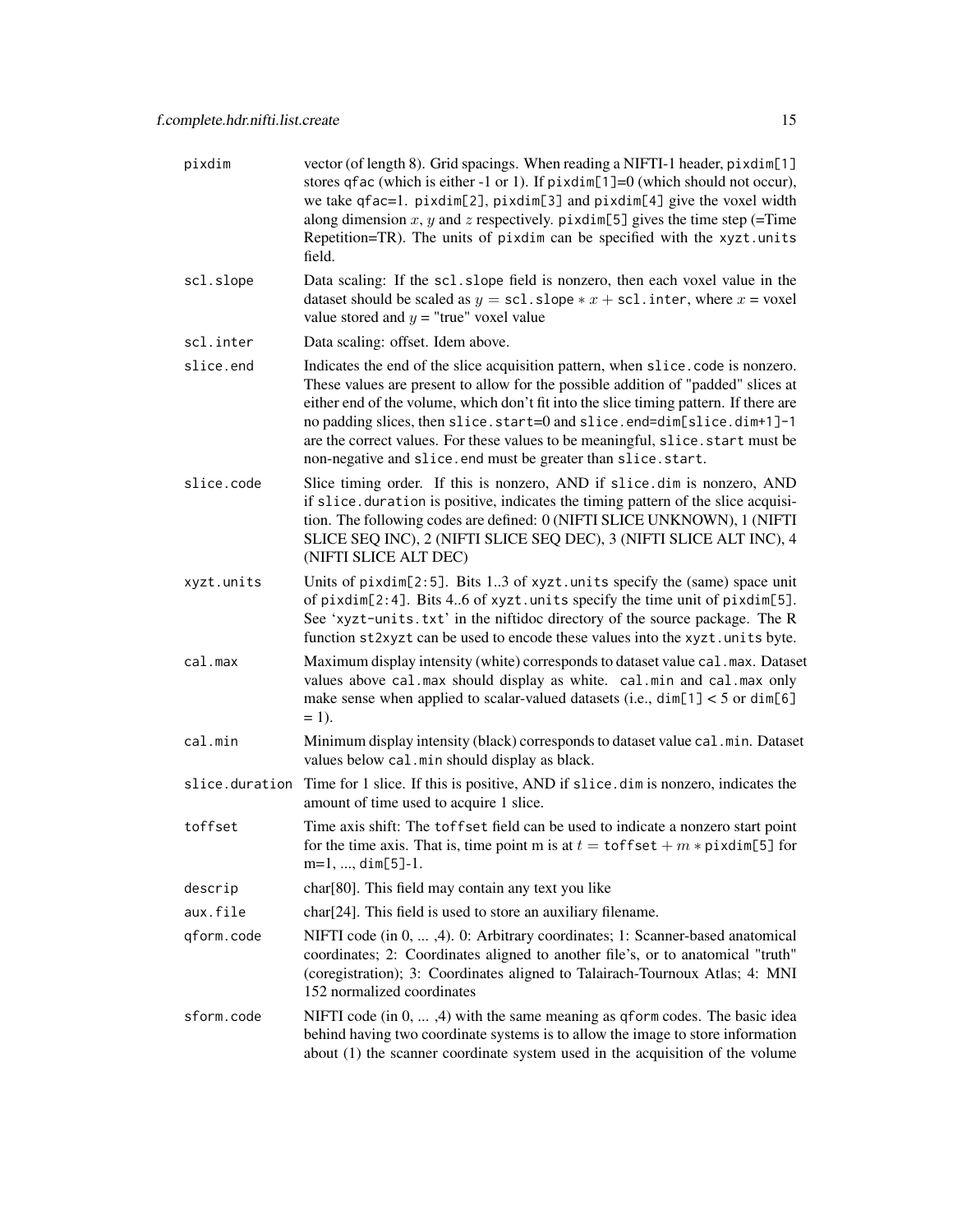| pixdim         | vector (of length 8). Grid spacings. When reading a NIFTI-1 header, pixdim[1]<br>stores qfac (which is either -1 or 1). If $\pi$ ixdim[1]=0 (which should not occur),<br>we take qfac=1. pixdim[2], pixdim[3] and pixdim[4] give the voxel width<br>along dimension x, y and z respectively. pixdim[5] gives the time step (=Time<br>Repetition=TR). The units of pixdim can be specified with the xyzt.units<br>field.                                                                     |
|----------------|---------------------------------------------------------------------------------------------------------------------------------------------------------------------------------------------------------------------------------------------------------------------------------------------------------------------------------------------------------------------------------------------------------------------------------------------------------------------------------------------|
| scl.slope      | Data scaling: If the sc1.slope field is nonzero, then each voxel value in the<br>dataset should be scaled as $y = \text{sc1}.\text{slope} * x + \text{sc1}.\text{inter}, \text{where } x = \text{voxel}$<br>value stored and $y =$ "true" voxel value                                                                                                                                                                                                                                       |
| scl.inter      | Data scaling: offset. Idem above.                                                                                                                                                                                                                                                                                                                                                                                                                                                           |
| slice.end      | Indicates the end of the slice acquisition pattern, when slice code is nonzero.<br>These values are present to allow for the possible addition of "padded" slices at<br>either end of the volume, which don't fit into the slice timing pattern. If there are<br>no padding slices, then slice.start=0 and slice.end=dim[slice.dim+1]-1<br>are the correct values. For these values to be meaningful, slice . start must be<br>non-negative and slice.end must be greater than slice.start. |
| slice.code     | Slice timing order. If this is nonzero, AND if slice dim is nonzero, AND<br>if slice. duration is positive, indicates the timing pattern of the slice acquisi-<br>tion. The following codes are defined: 0 (NIFTI SLICE UNKNOWN), 1 (NIFTI<br>SLICE SEQ INC), 2 (NIFTI SLICE SEQ DEC), 3 (NIFTI SLICE ALT INC), 4<br>(NIFTI SLICE ALT DEC)                                                                                                                                                  |
| xyzt.units     | Units of pixdim[2:5]. Bits 13 of xyzt.units specify the (same) space unit<br>of pixdim[2:4]. Bits 46 of xyzt.units specify the time unit of pixdim[5].<br>See 'xyzt-units.txt' in the niftidoc directory of the source package. The R<br>function st2xyzt can be used to encode these values into the xyzt. units byte.                                                                                                                                                                     |
| cal.max        | Maximum display intensity (white) corresponds to dataset value cal. max. Dataset<br>values above cal.max should display as white. cal.min and cal.max only<br>make sense when applied to scalar-valued datasets (i.e., $dim[1] < 5$ or $dim[6]$<br>$= 1$ .                                                                                                                                                                                                                                  |
| cal.min        | Minimum display intensity (black) corresponds to dataset value cal.min. Dataset<br>values below cal.min should display as black.                                                                                                                                                                                                                                                                                                                                                            |
| slice.duration | Time for 1 slice. If this is positive, AND if slice . dim is nonzero, indicates the<br>amount of time used to acquire 1 slice.                                                                                                                                                                                                                                                                                                                                                              |
| toffset        | Time axis shift: The toffset field can be used to indicate a nonzero start point<br>for the time axis. That is, time point m is at $t = \text{toffset} + m * \text{pixelim}[5]$ for<br>$m=1, , dim[5]-1.$                                                                                                                                                                                                                                                                                   |
| descrip        | char[80]. This field may contain any text you like                                                                                                                                                                                                                                                                                                                                                                                                                                          |
| aux.file       | char <sup>[24]</sup> . This field is used to store an auxiliary filename.                                                                                                                                                                                                                                                                                                                                                                                                                   |
| qform.code     | NIFTI code (in 0, , 4). 0: Arbitrary coordinates; 1: Scanner-based anatomical<br>coordinates; 2: Coordinates aligned to another file's, or to anatomical "truth"<br>(coregistration); 3: Coordinates aligned to Talairach-Tournoux Atlas; 4: MNI<br>152 normalized coordinates                                                                                                                                                                                                              |
| sform.code     | NIFTI code $(in 0, , 4)$ with the same meaning as q form codes. The basic idea<br>behind having two coordinate systems is to allow the image to store information<br>about $(1)$ the scanner coordinate system used in the acquisition of the volume                                                                                                                                                                                                                                        |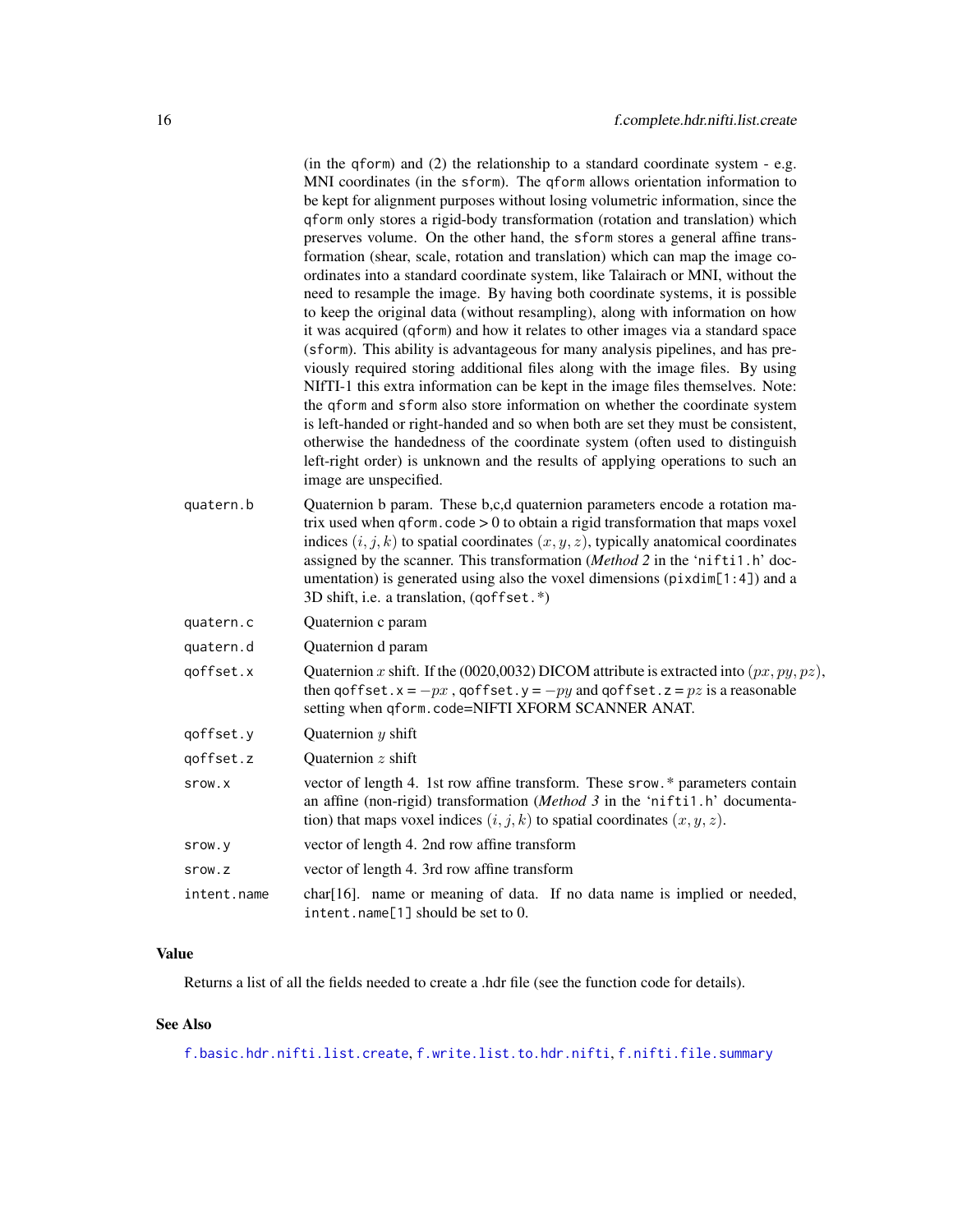|             | (in the qform) and $(2)$ the relationship to a standard coordinate system - e.g.<br>MNI coordinates (in the sform). The qform allows orientation information to<br>be kept for alignment purposes without losing volumetric information, since the<br>qform only stores a rigid-body transformation (rotation and translation) which<br>preserves volume. On the other hand, the sform stores a general affine trans-<br>formation (shear, scale, rotation and translation) which can map the image co-<br>ordinates into a standard coordinate system, like Talairach or MNI, without the<br>need to resample the image. By having both coordinate systems, it is possible<br>to keep the original data (without resampling), along with information on how<br>it was acquired (qform) and how it relates to other images via a standard space<br>(sform). This ability is advantageous for many analysis pipelines, and has pre-<br>viously required storing additional files along with the image files. By using<br>NIfTI-1 this extra information can be kept in the image files themselves. Note:<br>the qform and sform also store information on whether the coordinate system<br>is left-handed or right-handed and so when both are set they must be consistent,<br>otherwise the handedness of the coordinate system (often used to distinguish<br>left-right order) is unknown and the results of applying operations to such an |
|-------------|----------------------------------------------------------------------------------------------------------------------------------------------------------------------------------------------------------------------------------------------------------------------------------------------------------------------------------------------------------------------------------------------------------------------------------------------------------------------------------------------------------------------------------------------------------------------------------------------------------------------------------------------------------------------------------------------------------------------------------------------------------------------------------------------------------------------------------------------------------------------------------------------------------------------------------------------------------------------------------------------------------------------------------------------------------------------------------------------------------------------------------------------------------------------------------------------------------------------------------------------------------------------------------------------------------------------------------------------------------------------------------------------------------------------------------------------|
|             | image are unspecified.                                                                                                                                                                                                                                                                                                                                                                                                                                                                                                                                                                                                                                                                                                                                                                                                                                                                                                                                                                                                                                                                                                                                                                                                                                                                                                                                                                                                                       |
| quatern.b   | Quaternion b param. These b,c,d quaternion parameters encode a rotation ma-<br>trix used when $q$ form. $\c{code} > 0$ to obtain a rigid transformation that maps voxel<br>indices $(i, j, k)$ to spatial coordinates $(x, y, z)$ , typically anatomical coordinates<br>assigned by the scanner. This transformation (Method 2 in the 'nifti1.h' doc-<br>umentation) is generated using also the voxel dimensions ( $\pi$ ixdim[1:4]) and a<br>3D shift, i.e. a translation, (qoffset.*)                                                                                                                                                                                                                                                                                                                                                                                                                                                                                                                                                                                                                                                                                                                                                                                                                                                                                                                                                     |
| quatern.c   | Quaternion c param                                                                                                                                                                                                                                                                                                                                                                                                                                                                                                                                                                                                                                                                                                                                                                                                                                                                                                                                                                                                                                                                                                                                                                                                                                                                                                                                                                                                                           |
| quatern.d   | Quaternion d param                                                                                                                                                                                                                                                                                                                                                                                                                                                                                                                                                                                                                                                                                                                                                                                                                                                                                                                                                                                                                                                                                                                                                                                                                                                                                                                                                                                                                           |
| qoffset.x   | Quaternion x shift. If the (0020,0032) DICOM attribute is extracted into $(px, py, pz)$ ,<br>then $q$ offset. $x = -px$ , $q$ offset. $y = -py$ and $q$ offset. $z = pz$ is a reasonable<br>setting when qform.code=NIFTI XFORM SCANNER ANAT.                                                                                                                                                                                                                                                                                                                                                                                                                                                                                                                                                                                                                                                                                                                                                                                                                                                                                                                                                                                                                                                                                                                                                                                                |
| qoffset.y   | Quaternion $y$ shift                                                                                                                                                                                                                                                                                                                                                                                                                                                                                                                                                                                                                                                                                                                                                                                                                                                                                                                                                                                                                                                                                                                                                                                                                                                                                                                                                                                                                         |
| qoffset.z   | Quaternion z shift                                                                                                                                                                                                                                                                                                                                                                                                                                                                                                                                                                                                                                                                                                                                                                                                                                                                                                                                                                                                                                                                                                                                                                                                                                                                                                                                                                                                                           |
| srow.x      | vector of length 4. 1st row affine transform. These srow.* parameters contain<br>an affine (non-rigid) transformation ( $Method 3$ in the 'niftil.h' documenta-<br>tion) that maps voxel indices $(i, j, k)$ to spatial coordinates $(x, y, z)$ .                                                                                                                                                                                                                                                                                                                                                                                                                                                                                                                                                                                                                                                                                                                                                                                                                                                                                                                                                                                                                                                                                                                                                                                            |
| srow.y      | vector of length 4. 2nd row affine transform                                                                                                                                                                                                                                                                                                                                                                                                                                                                                                                                                                                                                                                                                                                                                                                                                                                                                                                                                                                                                                                                                                                                                                                                                                                                                                                                                                                                 |
| srow.z      | vector of length 4. 3rd row affine transform                                                                                                                                                                                                                                                                                                                                                                                                                                                                                                                                                                                                                                                                                                                                                                                                                                                                                                                                                                                                                                                                                                                                                                                                                                                                                                                                                                                                 |
| intent.name | char[16]. name or meaning of data. If no data name is implied or needed,<br>intent.name[1] should be set to 0.                                                                                                                                                                                                                                                                                                                                                                                                                                                                                                                                                                                                                                                                                                                                                                                                                                                                                                                                                                                                                                                                                                                                                                                                                                                                                                                               |

# Value

Returns a list of all the fields needed to create a .hdr file (see the function code for details).

# See Also

[f.basic.hdr.nifti.list.create](#page-11-2), [f.write.list.to.hdr.nifti](#page-43-1), [f.nifti.file.summary](#page-21-1)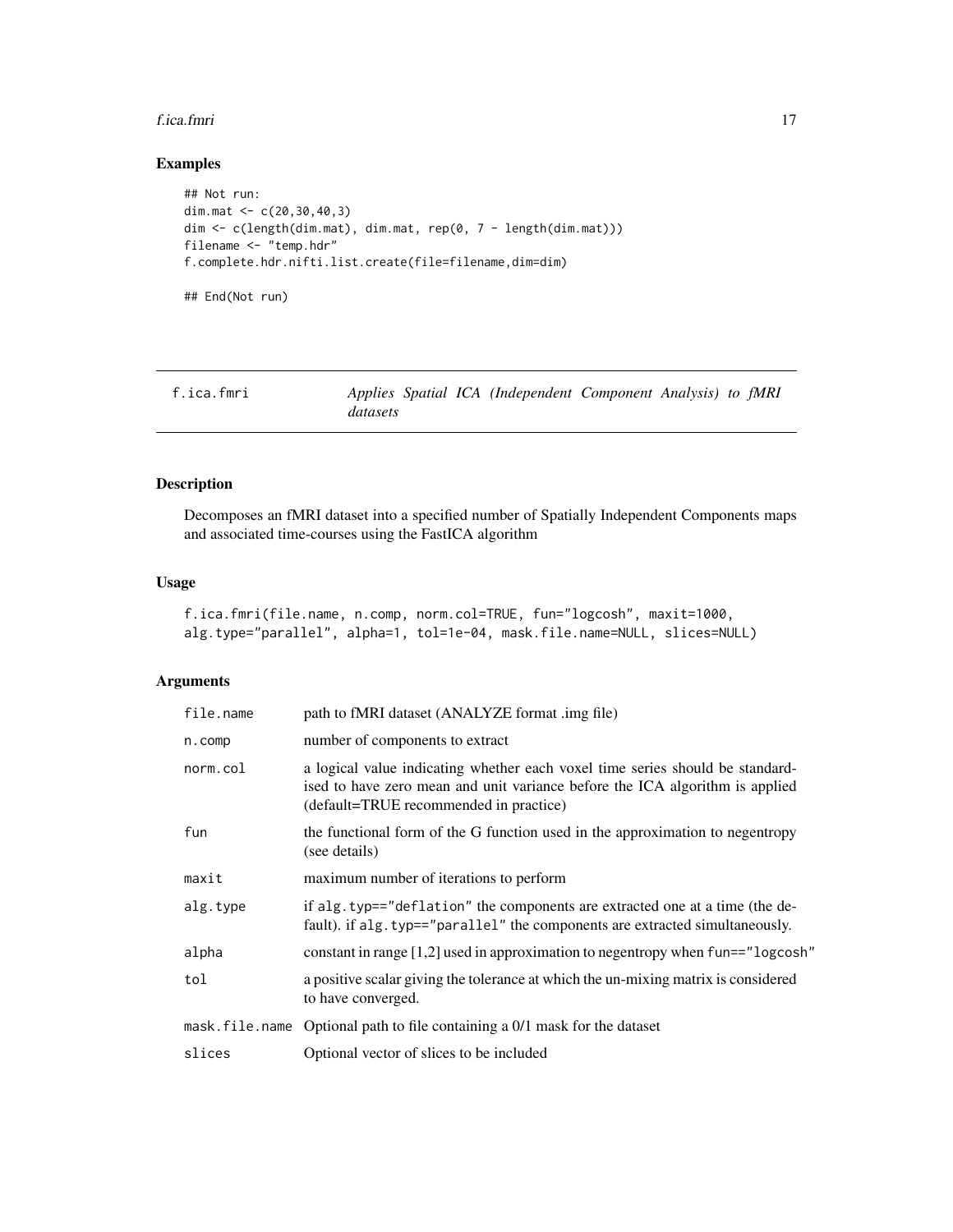#### <span id="page-16-0"></span>f.ica.fmri 17

# Examples

```
## Not run:
dim.mat <- c(20,30,40,3)
dim <- c(length(dim.mat), dim.mat, rep(0, 7 - length(dim.mat)))
filename <- "temp.hdr"
f.complete.hdr.nifti.list.create(file=filename,dim=dim)
## End(Not run)
```
<span id="page-16-1"></span>

| f.ica.fmri |          |  | Applies Spatial ICA (Independent Component Analysis) to fMRI |  |  |
|------------|----------|--|--------------------------------------------------------------|--|--|
|            | datasets |  |                                                              |  |  |

# Description

Decomposes an fMRI dataset into a specified number of Spatially Independent Components maps and associated time-courses using the FastICA algorithm

#### Usage

```
f.ica.fmri(file.name, n.comp, norm.col=TRUE, fun="logcosh", maxit=1000,
alg.type="parallel", alpha=1, tol=1e-04, mask.file.name=NULL, slices=NULL)
```
#### Arguments

| file.name | path to fMRI dataset (ANALYZE format .img file)                                                                                                                                                         |
|-----------|---------------------------------------------------------------------------------------------------------------------------------------------------------------------------------------------------------|
| $n.$ comp | number of components to extract                                                                                                                                                                         |
| norm.col  | a logical value indicating whether each voxel time series should be standard-<br>ised to have zero mean and unit variance before the ICA algorithm is applied<br>(default=TRUE recommended in practice) |
| fun       | the functional form of the G function used in the approximation to negentropy<br>(see details)                                                                                                          |
| maxit     | maximum number of iterations to perform                                                                                                                                                                 |
| alg.type  | if alg.typ=="deflation" the components are extracted one at a time (the de-<br>fault). if alg. typ=="parallel" the components are extracted simultaneously.                                             |
| alpha     | constant in range [1,2] used in approximation to negentropy when fun=="logcosh"                                                                                                                         |
| tol       | a positive scalar giving the tolerance at which the un-mixing matrix is considered<br>to have converged.                                                                                                |
|           | mask. $file$ . name Optional path to file containing a $0/1$ mask for the dataset                                                                                                                       |
| slices    | Optional vector of slices to be included                                                                                                                                                                |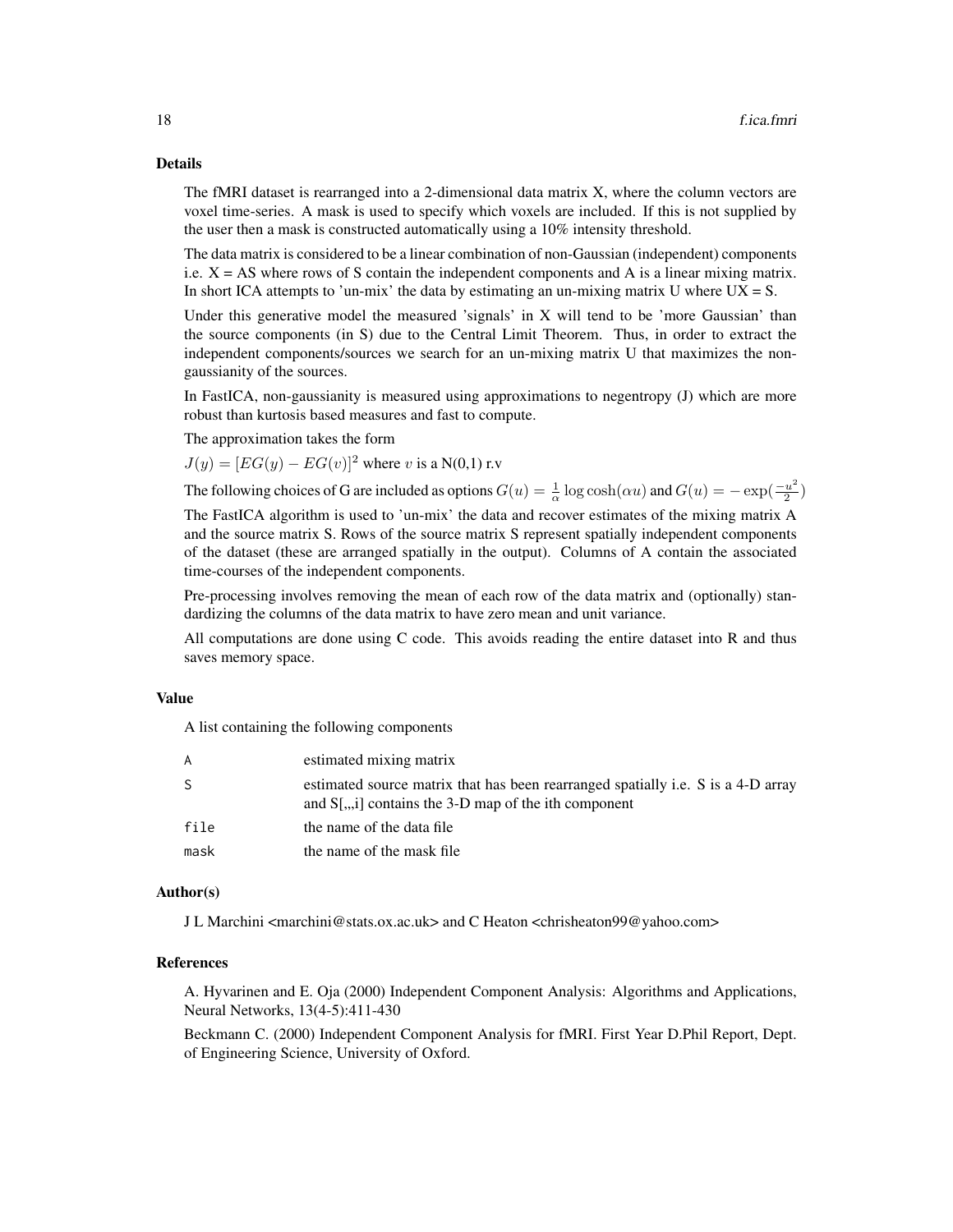#### Details

The fMRI dataset is rearranged into a 2-dimensional data matrix X, where the column vectors are voxel time-series. A mask is used to specify which voxels are included. If this is not supplied by the user then a mask is constructed automatically using a 10% intensity threshold.

The data matrix is considered to be a linear combination of non-Gaussian (independent) components i.e.  $X = AS$  where rows of S contain the independent components and A is a linear mixing matrix. In short ICA attempts to 'un-mix' the data by estimating an un-mixing matrix U where  $UX = S$ .

Under this generative model the measured 'signals' in X will tend to be 'more Gaussian' than the source components (in S) due to the Central Limit Theorem. Thus, in order to extract the independent components/sources we search for an un-mixing matrix U that maximizes the nongaussianity of the sources.

In FastICA, non-gaussianity is measured using approximations to negentropy (J) which are more robust than kurtosis based measures and fast to compute.

The approximation takes the form

 $J(y) = [EG(y) - EG(v)]^2$  where v is a N(0,1) r.v.

The following choices of G are included as options  $G(u) = \frac{1}{\alpha} \log \cosh(\alpha u)$  and  $G(u) = -\exp(\frac{-u^2}{2})$  $\frac{u^2}{2})$ 

The FastICA algorithm is used to 'un-mix' the data and recover estimates of the mixing matrix A and the source matrix S. Rows of the source matrix S represent spatially independent components of the dataset (these are arranged spatially in the output). Columns of A contain the associated time-courses of the independent components.

Pre-processing involves removing the mean of each row of the data matrix and (optionally) standardizing the columns of the data matrix to have zero mean and unit variance.

All computations are done using C code. This avoids reading the entire dataset into R and thus saves memory space.

#### Value

A list containing the following components

| A    | estimated mixing matrix                                                                                                                      |
|------|----------------------------------------------------------------------------------------------------------------------------------------------|
| -S   | estimated source matrix that has been rearranged spatially i.e. S is a 4-D array<br>and $S$ [,,,i] contains the 3-D map of the ith component |
| file | the name of the data file                                                                                                                    |
| mask | the name of the mask file                                                                                                                    |

#### Author(s)

J L Marchini <marchini@stats.ox.ac.uk> and C Heaton <chrisheaton99@yahoo.com>

# References

A. Hyvarinen and E. Oja (2000) Independent Component Analysis: Algorithms and Applications, Neural Networks, 13(4-5):411-430

Beckmann C. (2000) Independent Component Analysis for fMRI. First Year D.Phil Report, Dept. of Engineering Science, University of Oxford.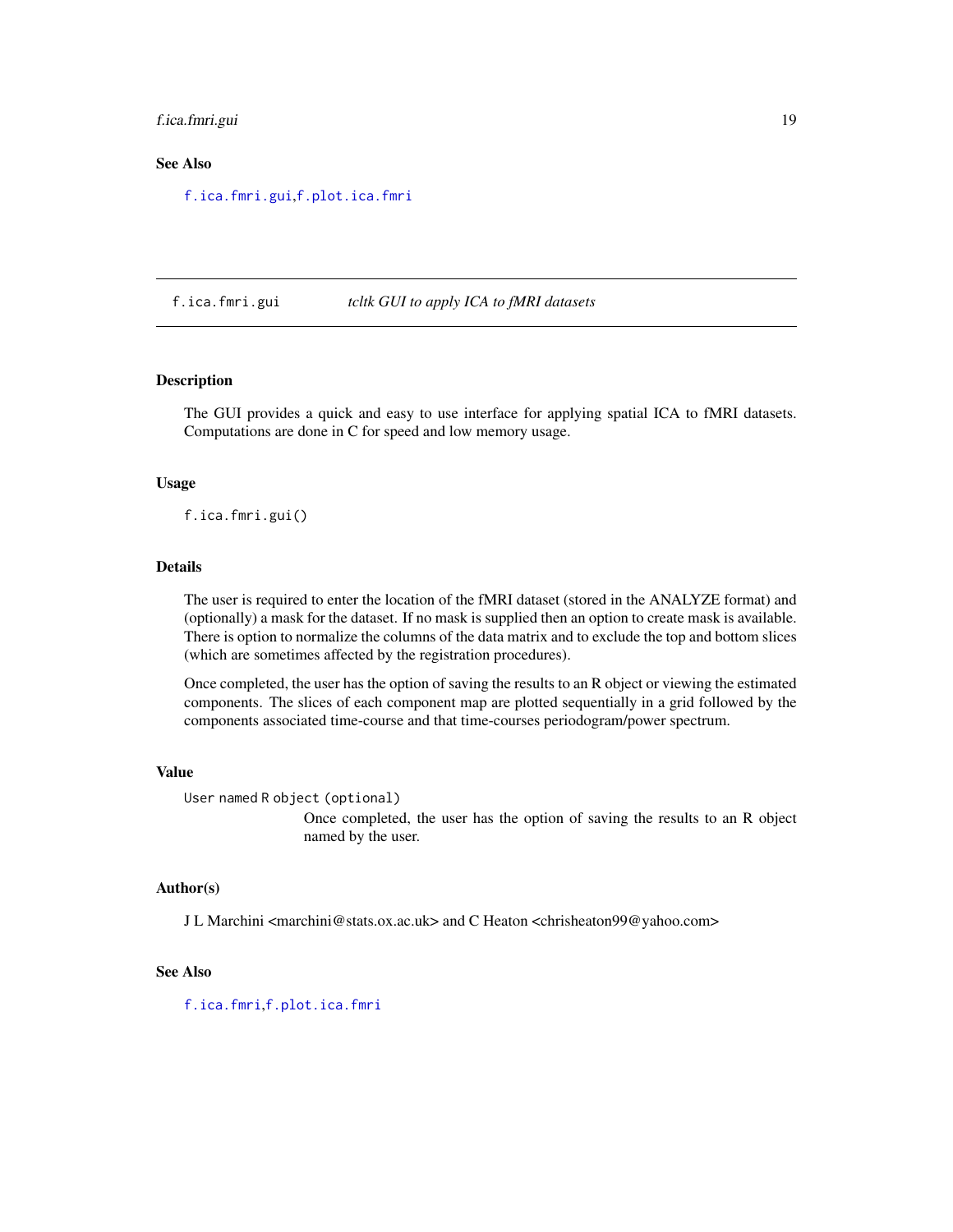#### <span id="page-18-0"></span>f.ica.fmri.gui 19

#### See Also

[f.ica.fmri.gui](#page-18-1),[f.plot.ica.fmri](#page-22-1)

#### <span id="page-18-1"></span>f.ica.fmri.gui *tcltk GUI to apply ICA to fMRI datasets*

#### Description

The GUI provides a quick and easy to use interface for applying spatial ICA to fMRI datasets. Computations are done in C for speed and low memory usage.

#### Usage

f.ica.fmri.gui()

#### Details

The user is required to enter the location of the fMRI dataset (stored in the ANALYZE format) and (optionally) a mask for the dataset. If no mask is supplied then an option to create mask is available. There is option to normalize the columns of the data matrix and to exclude the top and bottom slices (which are sometimes affected by the registration procedures).

Once completed, the user has the option of saving the results to an R object or viewing the estimated components. The slices of each component map are plotted sequentially in a grid followed by the components associated time-course and that time-courses periodogram/power spectrum.

#### Value

```
User named R object (optional)
```
Once completed, the user has the option of saving the results to an R object named by the user.

# Author(s)

J L Marchini <marchini@stats.ox.ac.uk> and C Heaton <chrisheaton99@yahoo.com>

#### See Also

[f.ica.fmri](#page-16-1),[f.plot.ica.fmri](#page-22-1)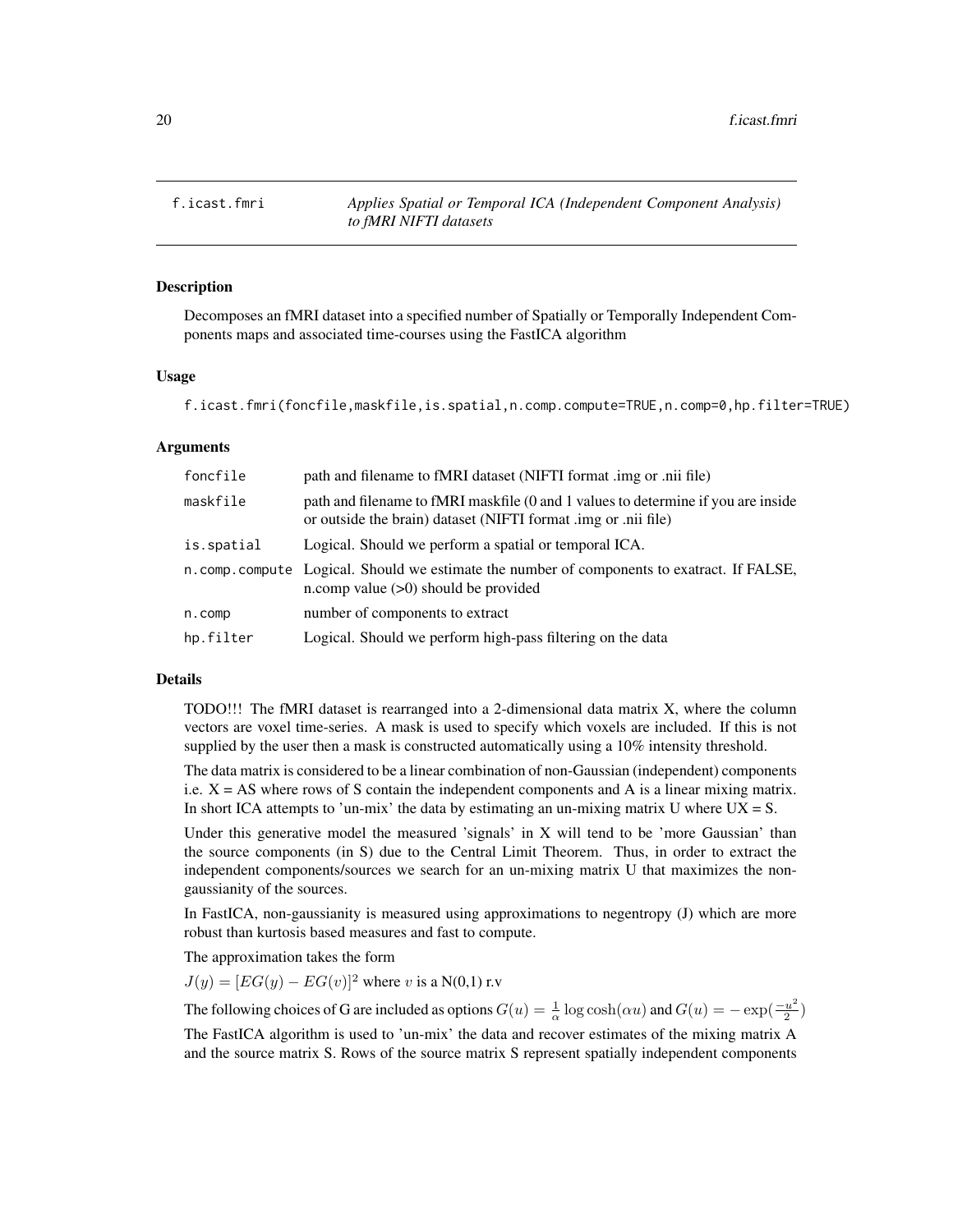<span id="page-19-1"></span><span id="page-19-0"></span>f.icast.fmri *Applies Spatial or Temporal ICA (Independent Component Analysis) to fMRI NIFTI datasets*

#### **Description**

Decomposes an fMRI dataset into a specified number of Spatially or Temporally Independent Components maps and associated time-courses using the FastICA algorithm

#### Usage

```
f.icast.fmri(foncfile,maskfile,is.spatial,n.comp.compute=TRUE,n.comp=0,hp.filter=TRUE)
```
#### Arguments

| foncfile   | path and filename to fMRI dataset (NIFTI format .img or .nii file)                                                                                  |
|------------|-----------------------------------------------------------------------------------------------------------------------------------------------------|
| maskfile   | path and filename to fMRI maskfile (0 and 1 values to determine if you are inside<br>or outside the brain) dataset (NIFTI format .img or .nii file) |
| is.spatial | Logical. Should we perform a spatial or temporal ICA.                                                                                               |
|            | n.comp.compute Logical. Should we estimate the number of components to exatract. If FALSE,<br>n.comp value $(>0)$ should be provided                |
| n.comp     | number of components to extract                                                                                                                     |
| hp.filter  | Logical. Should we perform high-pass filtering on the data                                                                                          |

#### Details

TODO!!! The fMRI dataset is rearranged into a 2-dimensional data matrix X, where the column vectors are voxel time-series. A mask is used to specify which voxels are included. If this is not supplied by the user then a mask is constructed automatically using a 10% intensity threshold.

The data matrix is considered to be a linear combination of non-Gaussian (independent) components i.e.  $X = AS$  where rows of S contain the independent components and A is a linear mixing matrix. In short ICA attempts to 'un-mix' the data by estimating an un-mixing matrix U where  $UX = S$ .

Under this generative model the measured 'signals' in X will tend to be 'more Gaussian' than the source components (in S) due to the Central Limit Theorem. Thus, in order to extract the independent components/sources we search for an un-mixing matrix U that maximizes the nongaussianity of the sources.

In FastICA, non-gaussianity is measured using approximations to negentropy (J) which are more robust than kurtosis based measures and fast to compute.

The approximation takes the form

 $J(y) = [EG(y) - EG(v)]^2$  where v is a N(0,1) r.v

The following choices of G are included as options  $G(u) = \frac{1}{\alpha} \log \cosh(\alpha u)$  and  $G(u) = -\exp(\frac{-u^2}{2})$  $\frac{u^2}{2})$ 

The FastICA algorithm is used to 'un-mix' the data and recover estimates of the mixing matrix A and the source matrix S. Rows of the source matrix S represent spatially independent components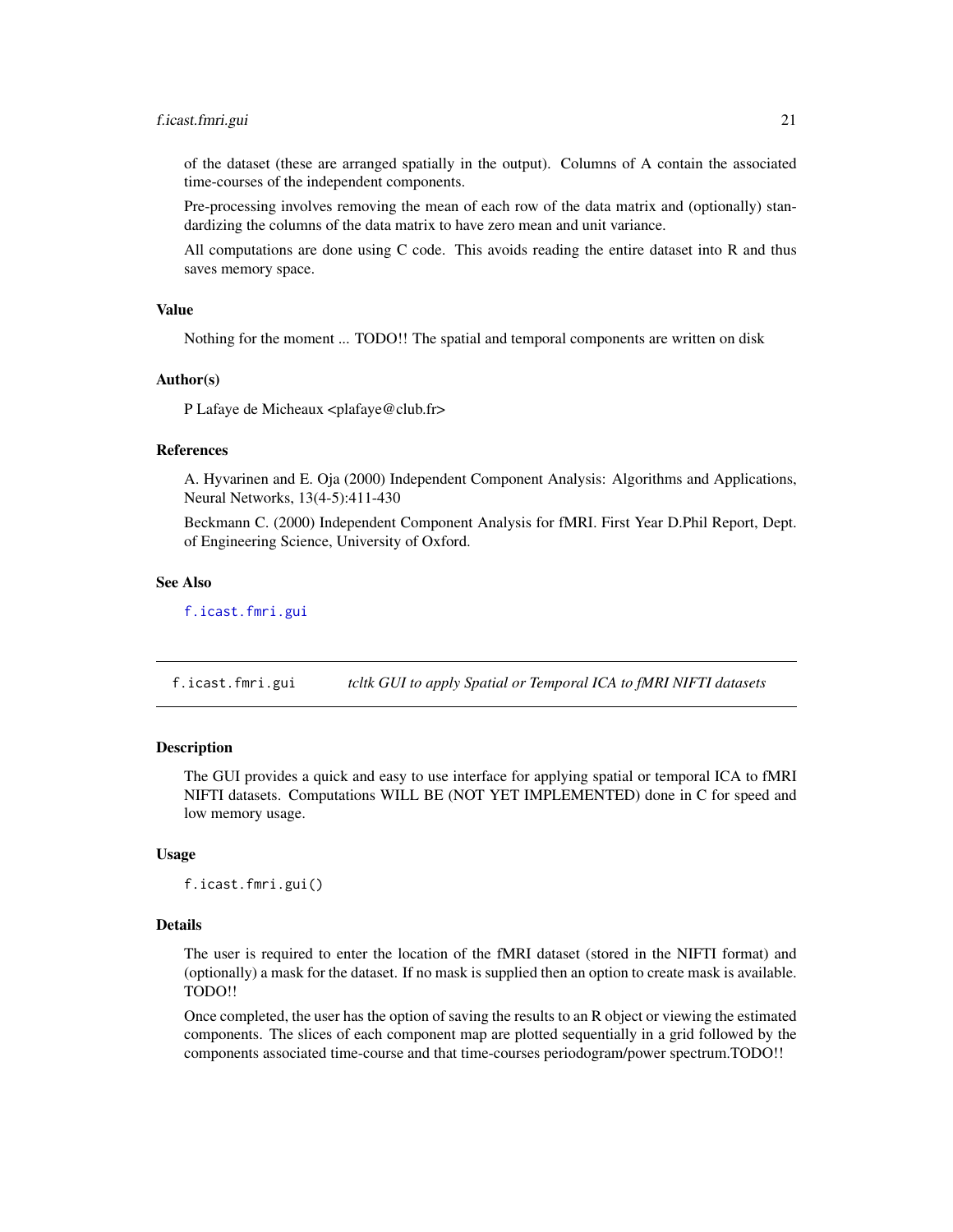#### <span id="page-20-0"></span>f.icast.fmri.gui 21

of the dataset (these are arranged spatially in the output). Columns of A contain the associated time-courses of the independent components.

Pre-processing involves removing the mean of each row of the data matrix and (optionally) standardizing the columns of the data matrix to have zero mean and unit variance.

All computations are done using C code. This avoids reading the entire dataset into R and thus saves memory space.

# Value

Nothing for the moment ... TODO!! The spatial and temporal components are written on disk

#### Author(s)

P Lafaye de Micheaux <plafaye@club.fr>

#### References

A. Hyvarinen and E. Oja (2000) Independent Component Analysis: Algorithms and Applications, Neural Networks, 13(4-5):411-430

Beckmann C. (2000) Independent Component Analysis for fMRI. First Year D.Phil Report, Dept. of Engineering Science, University of Oxford.

#### See Also

[f.icast.fmri.gui](#page-20-1)

<span id="page-20-1"></span>f.icast.fmri.gui *tcltk GUI to apply Spatial or Temporal ICA to fMRI NIFTI datasets*

#### **Description**

The GUI provides a quick and easy to use interface for applying spatial or temporal ICA to fMRI NIFTI datasets. Computations WILL BE (NOT YET IMPLEMENTED) done in C for speed and low memory usage.

#### Usage

f.icast.fmri.gui()

#### Details

The user is required to enter the location of the fMRI dataset (stored in the NIFTI format) and (optionally) a mask for the dataset. If no mask is supplied then an option to create mask is available. TODO!!

Once completed, the user has the option of saving the results to an R object or viewing the estimated components. The slices of each component map are plotted sequentially in a grid followed by the components associated time-course and that time-courses periodogram/power spectrum.TODO!!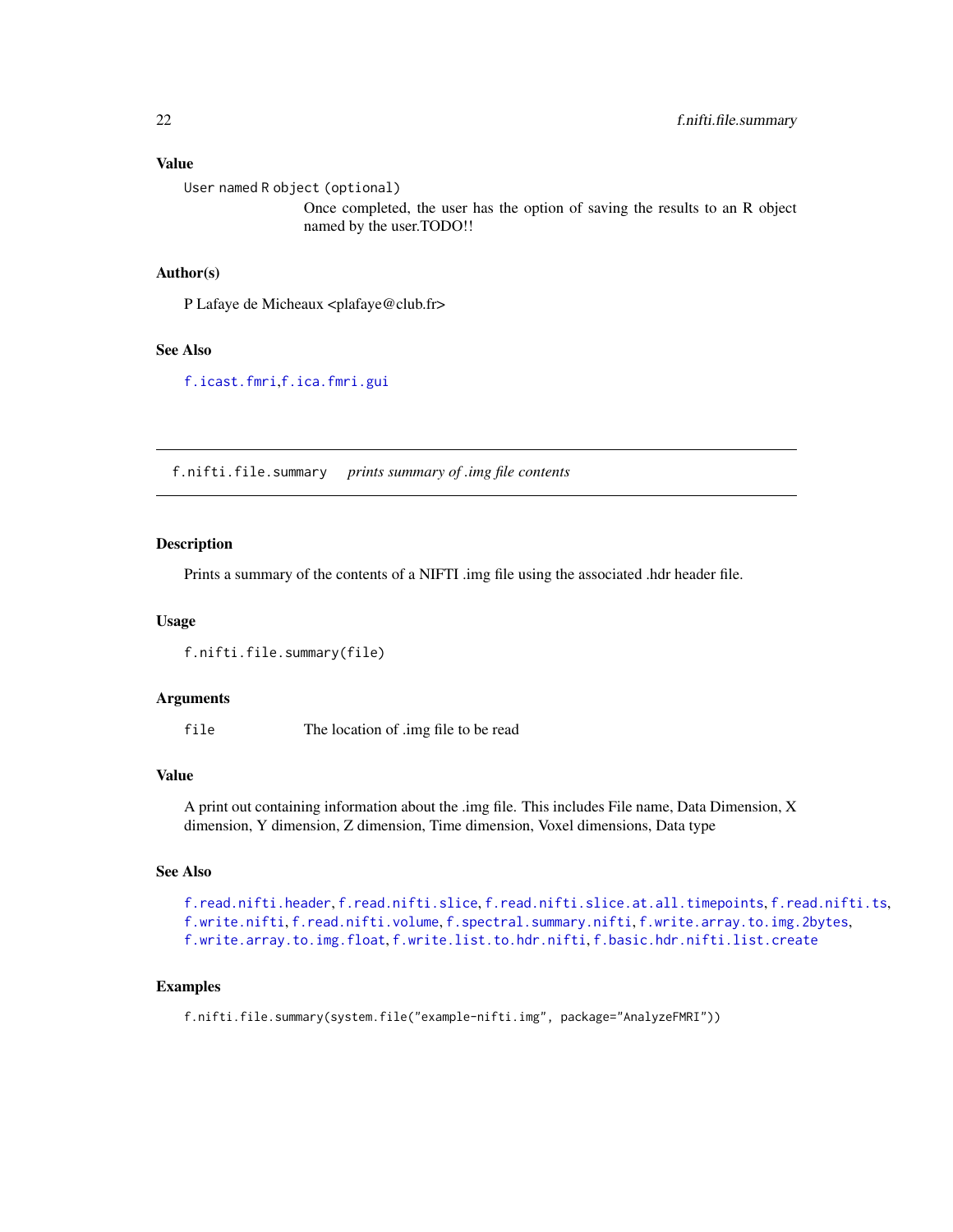#### <span id="page-21-0"></span>Value

User named R object (optional)

Once completed, the user has the option of saving the results to an R object named by the user.TODO!!

# Author(s)

P Lafaye de Micheaux <plafaye@club.fr>

# See Also

[f.icast.fmri](#page-19-1),[f.ica.fmri.gui](#page-18-1)

<span id="page-21-1"></span>f.nifti.file.summary *prints summary of .img file contents*

#### Description

Prints a summary of the contents of a NIFTI .img file using the associated .hdr header file.

#### Usage

f.nifti.file.summary(file)

#### Arguments

file The location of .img file to be read

#### Value

A print out containing information about the .img file. This includes File name, Data Dimension, X dimension, Y dimension, Z dimension, Time dimension, Voxel dimensions, Data type

#### See Also

```
f.read.nifti.header, f.read.nifti.slice, f.read.nifti.slice.at.all.timepoints, f.read.nifti.ts,
f.write.nifti, f.read.nifti.volume, f.spectral.summary.nifti, f.write.array.to.img.2bytes,
f.write.array.to.img.float, f.write.list.to.hdr.nifti, f.basic.hdr.nifti.list.create
```
# Examples

f.nifti.file.summary(system.file("example-nifti.img", package="AnalyzeFMRI"))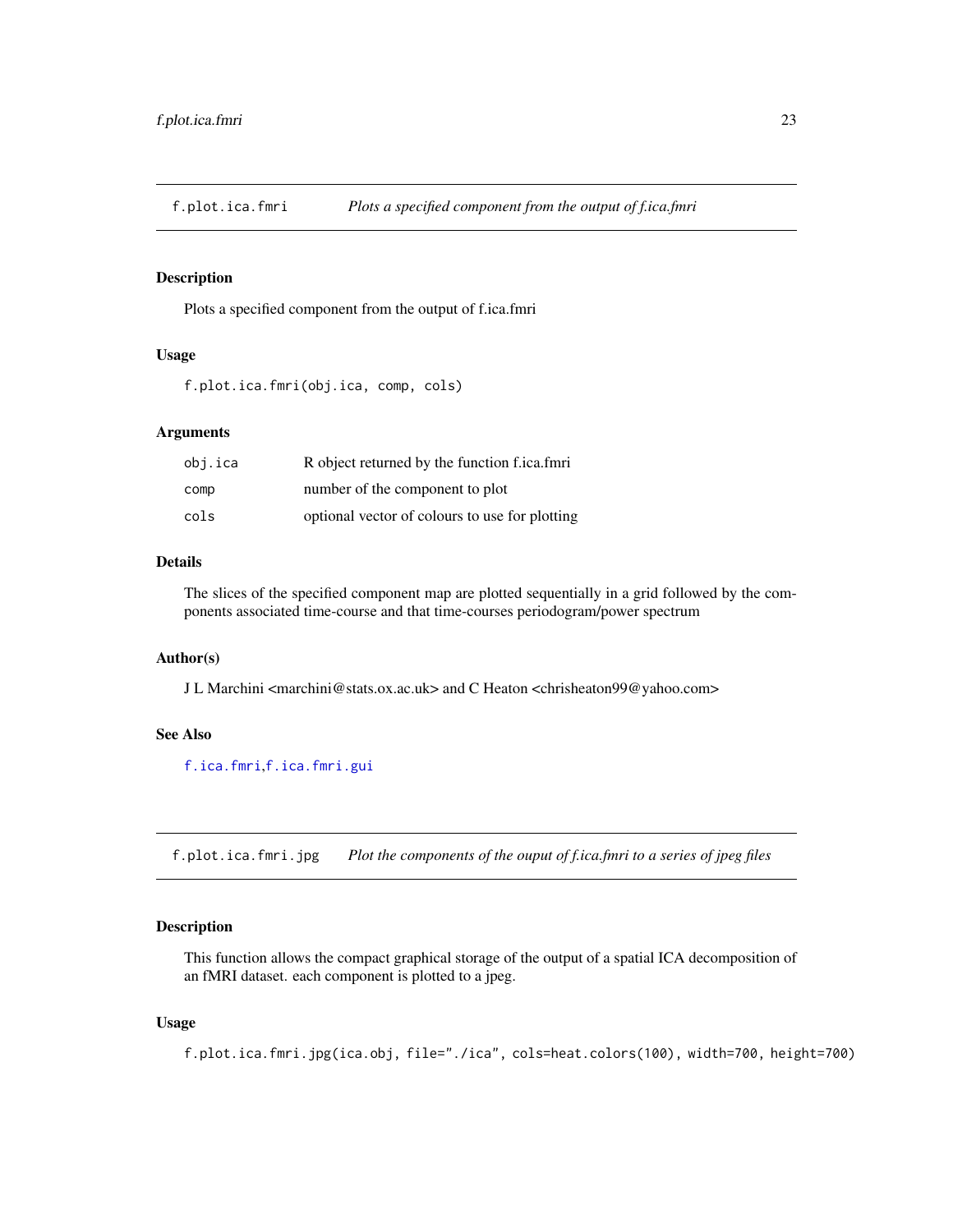<span id="page-22-1"></span><span id="page-22-0"></span>f.plot.ica.fmri *Plots a specified component from the output of f.ica.fmri*

#### Description

Plots a specified component from the output of f.ica.fmri

#### Usage

f.plot.ica.fmri(obj.ica, comp, cols)

#### Arguments

| obj.ica | R object returned by the function f.ica.fmri   |
|---------|------------------------------------------------|
| comp    | number of the component to plot                |
| cols    | optional vector of colours to use for plotting |

#### Details

The slices of the specified component map are plotted sequentially in a grid followed by the components associated time-course and that time-courses periodogram/power spectrum

# Author(s)

J L Marchini <marchini@stats.ox.ac.uk> and C Heaton <chrisheaton99@yahoo.com>

# See Also

[f.ica.fmri](#page-16-1),[f.ica.fmri.gui](#page-18-1)

f.plot.ica.fmri.jpg *Plot the components of the ouput of f.ica.fmri to a series of jpeg files*

# Description

This function allows the compact graphical storage of the output of a spatial ICA decomposition of an fMRI dataset. each component is plotted to a jpeg.

#### Usage

f.plot.ica.fmri.jpg(ica.obj, file="./ica", cols=heat.colors(100), width=700, height=700)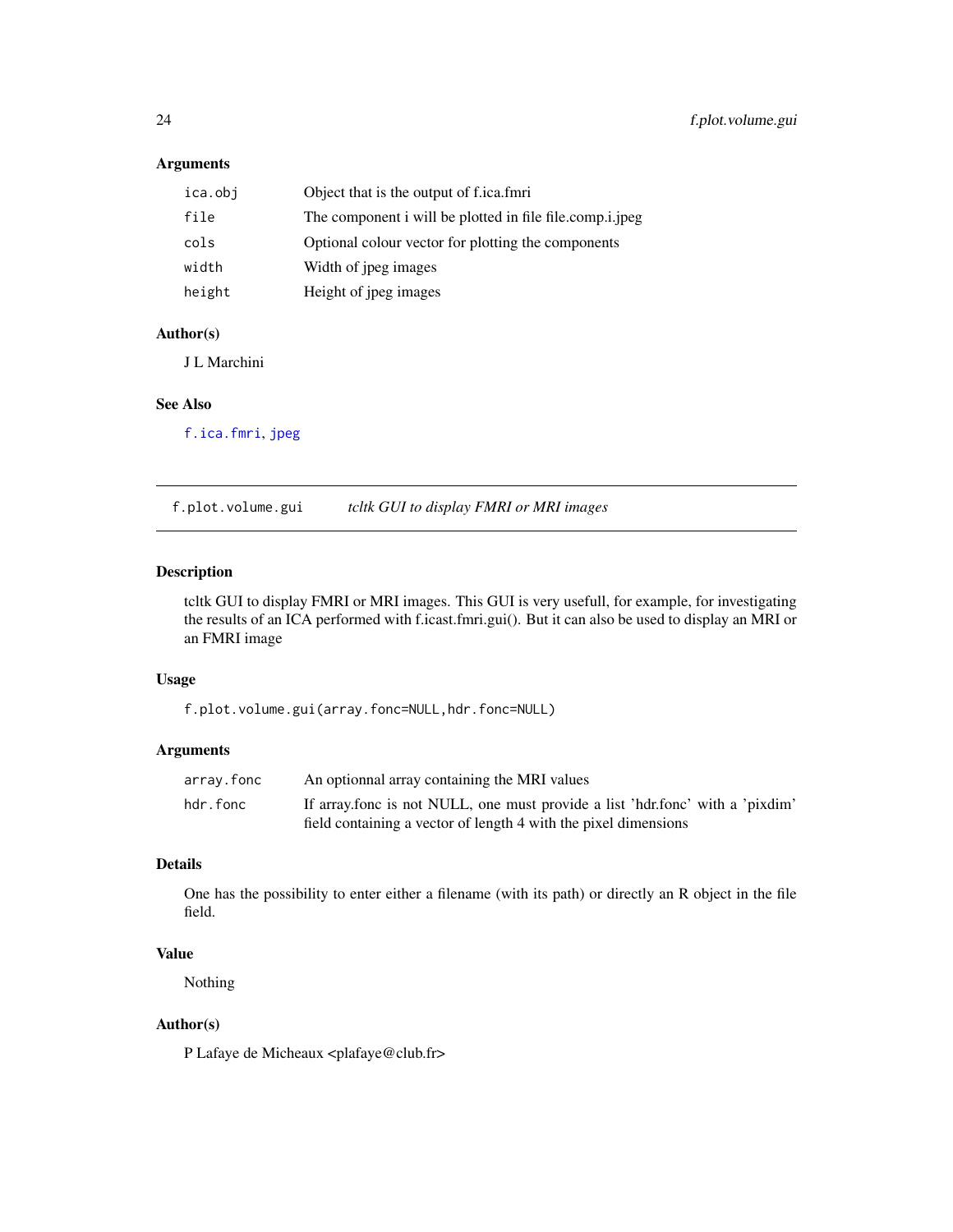# <span id="page-23-0"></span>Arguments

| ica.obj | Object that is the output of f.ica.fmri                  |
|---------|----------------------------------------------------------|
| file    | The component i will be plotted in file file.comp.i.jpeg |
| cols    | Optional colour vector for plotting the components       |
| width   | Width of jpeg images                                     |
| height  | Height of jpeg images                                    |

# Author(s)

J L Marchini

# See Also

[f.ica.fmri](#page-16-1), [jpeg](#page-0-0)

f.plot.volume.gui *tcltk GUI to display FMRI or MRI images*

# Description

tcltk GUI to display FMRI or MRI images. This GUI is very usefull, for example, for investigating the results of an ICA performed with f.icast.fmri.gui(). But it can also be used to display an MRI or an FMRI image

#### Usage

f.plot.volume.gui(array.fonc=NULL,hdr.fonc=NULL)

#### Arguments

| array.fonc | An optionnal array containing the MRI values                                                                                                     |
|------------|--------------------------------------------------------------------------------------------------------------------------------------------------|
| hdr.fonc   | If array fonc is not NULL, one must provide a list 'hdr fonc' with a 'pixdim'<br>field containing a vector of length 4 with the pixel dimensions |

# Details

One has the possibility to enter either a filename (with its path) or directly an R object in the file field.

# Value

Nothing

# Author(s)

P Lafaye de Micheaux <plafaye@club.fr>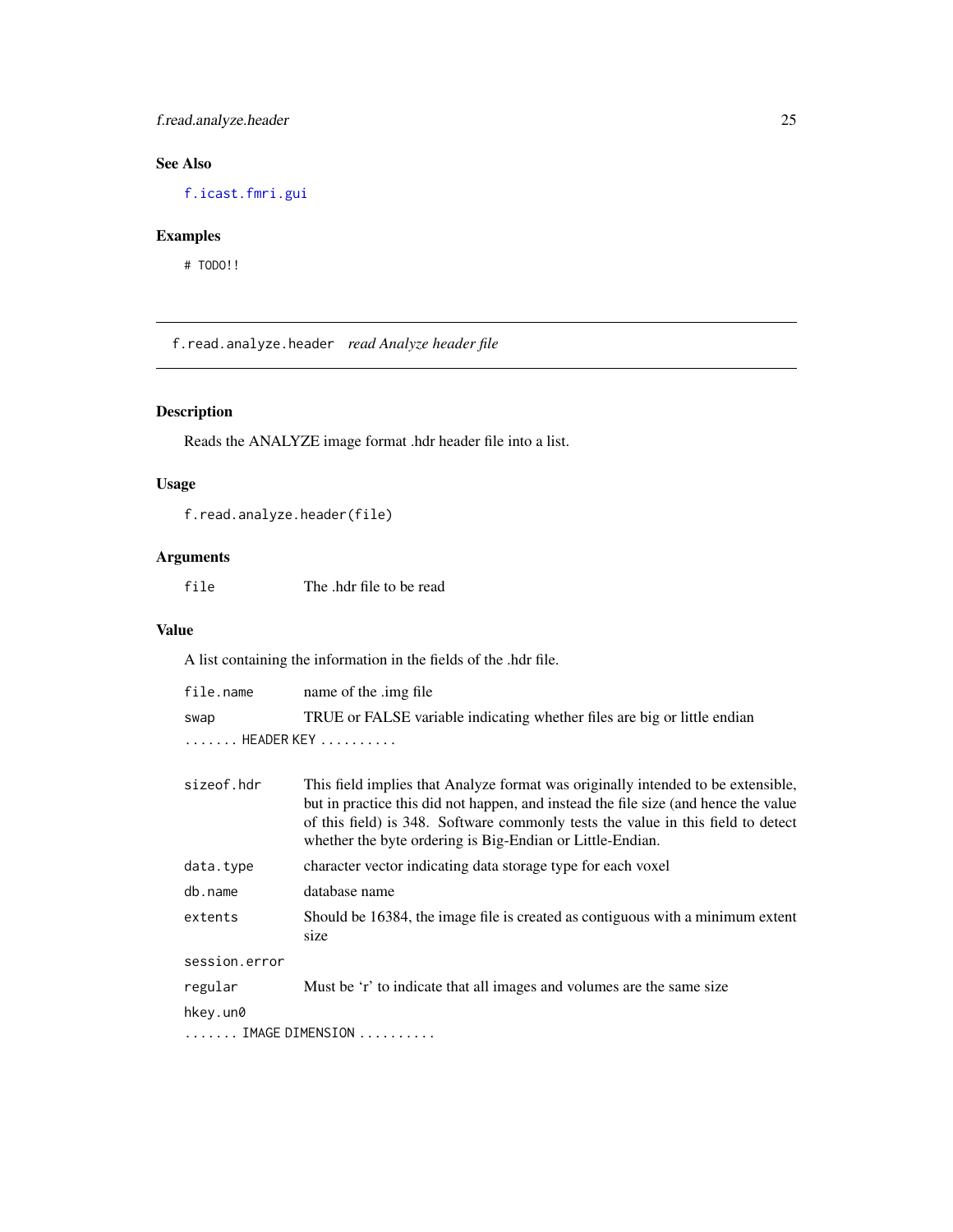# <span id="page-24-0"></span>f.read.analyze.header 25

# See Also

[f.icast.fmri.gui](#page-20-1)

# Examples

# TODO!!

<span id="page-24-1"></span>f.read.analyze.header *read Analyze header file*

# Description

Reads the ANALYZE image format .hdr header file into a list.

# Usage

```
f.read.analyze.header(file)
```
# Arguments

file The .hdr file to be read

#### Value

A list containing the information in the fields of the .hdr file.

| file.name     | name of the .img file                                                                                                                                                                                                                                                                                                    |  |  |
|---------------|--------------------------------------------------------------------------------------------------------------------------------------------------------------------------------------------------------------------------------------------------------------------------------------------------------------------------|--|--|
| swap          | TRUE or FALSE variable indicating whether files are big or little endian                                                                                                                                                                                                                                                 |  |  |
| HEADER KEY    |                                                                                                                                                                                                                                                                                                                          |  |  |
| sizeof.hdr    | This field implies that Analyze format was originally intended to be extensible,<br>but in practice this did not happen, and instead the file size (and hence the value<br>of this field) is 348. Software commonly tests the value in this field to detect<br>whether the byte ordering is Big-Endian or Little-Endian. |  |  |
| data.type     | character vector indicating data storage type for each voxel                                                                                                                                                                                                                                                             |  |  |
| db.name       | database name                                                                                                                                                                                                                                                                                                            |  |  |
| extents       | Should be 16384, the image file is created as contiguous with a minimum extent<br>size                                                                                                                                                                                                                                   |  |  |
| session.error |                                                                                                                                                                                                                                                                                                                          |  |  |
| regular       | Must be 'r' to indicate that all images and volumes are the same size                                                                                                                                                                                                                                                    |  |  |
| hkey.un0      |                                                                                                                                                                                                                                                                                                                          |  |  |
|               | IMAGE DIMENSION                                                                                                                                                                                                                                                                                                          |  |  |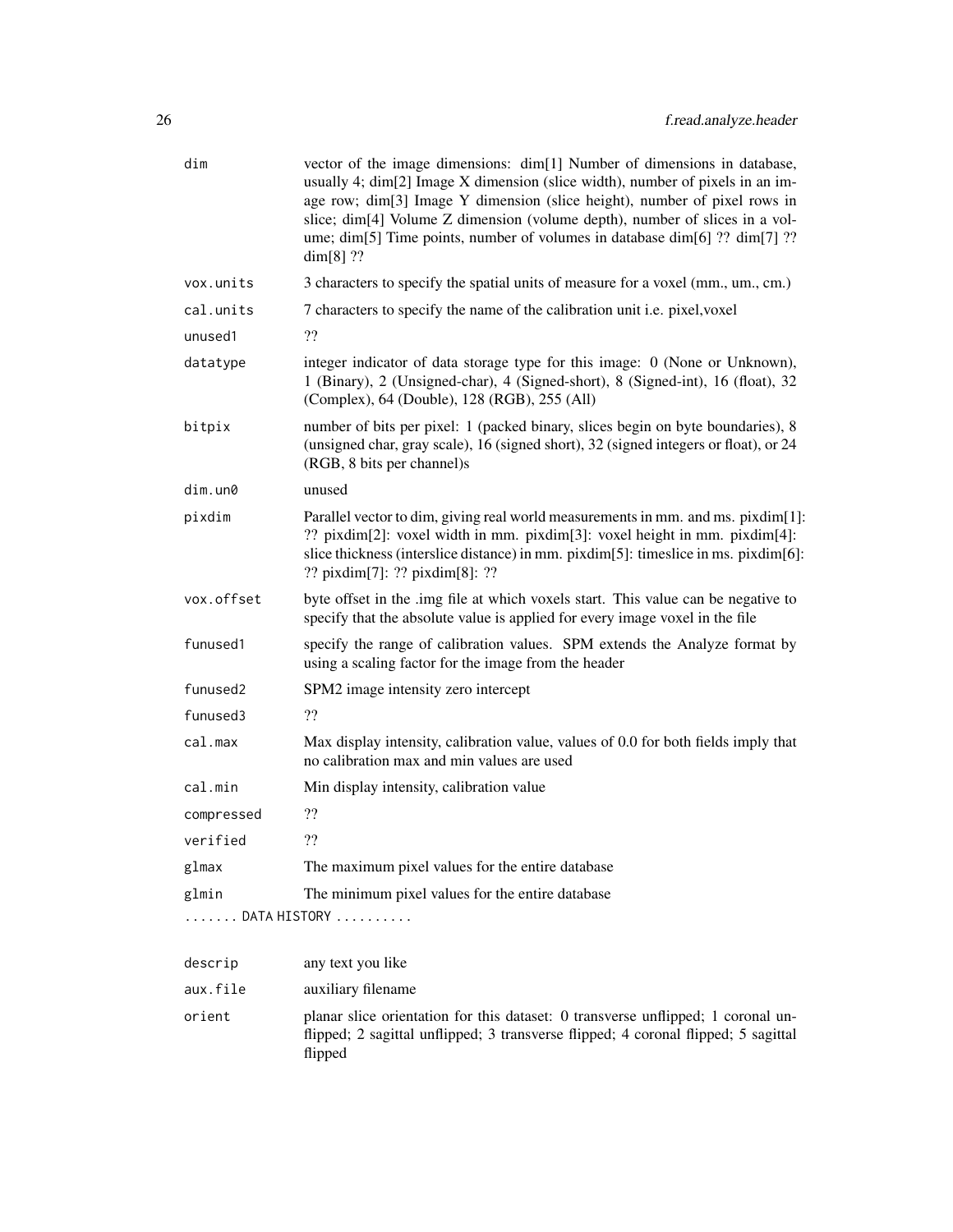| dim        | vector of the image dimensions: dim[1] Number of dimensions in database,<br>usually 4; dim[2] Image X dimension (slice width), number of pixels in an im-<br>age row; dim[3] Image Y dimension (slice height), number of pixel rows in<br>slice; dim[4] Volume Z dimension (volume depth), number of slices in a vol-<br>ume; dim[5] Time points, number of volumes in database dim[6] ?? dim[7] ??<br>$dim[8]$ ?? |
|------------|--------------------------------------------------------------------------------------------------------------------------------------------------------------------------------------------------------------------------------------------------------------------------------------------------------------------------------------------------------------------------------------------------------------------|
| vox.units  | 3 characters to specify the spatial units of measure for a voxel (mm., um., cm.)                                                                                                                                                                                                                                                                                                                                   |
| cal.units  | 7 characters to specify the name of the calibration unit i.e. pixel, voxel                                                                                                                                                                                                                                                                                                                                         |
| unused1    | ??                                                                                                                                                                                                                                                                                                                                                                                                                 |
| datatype   | integer indicator of data storage type for this image: 0 (None or Unknown),<br>1 (Binary), 2 (Unsigned-char), 4 (Signed-short), 8 (Signed-int), 16 (float), 32<br>(Complex), 64 (Double), 128 (RGB), 255 (All)                                                                                                                                                                                                     |
| bitpix     | number of bits per pixel: 1 (packed binary, slices begin on byte boundaries), 8<br>(unsigned char, gray scale), 16 (signed short), 32 (signed integers or float), or 24<br>(RGB, 8 bits per channel)s                                                                                                                                                                                                              |
| dim.un0    | unused                                                                                                                                                                                                                                                                                                                                                                                                             |
| pixdim     | Parallel vector to dim, giving real world measurements in mm. and ms. pixdim[1]:<br>?? pixdim[2]: voxel width in mm. pixdim[3]: voxel height in mm. pixdim[4]:<br>slice thickness (interslice distance) in mm. pixdim[5]: timeslice in ms. pixdim[6]:<br>?? pixdim[7]: ?? pixdim[8]: ??                                                                                                                            |
| vox.offset | byte offset in the .img file at which voxels start. This value can be negative to<br>specify that the absolute value is applied for every image voxel in the file                                                                                                                                                                                                                                                  |
| funused1   | specify the range of calibration values. SPM extends the Analyze format by<br>using a scaling factor for the image from the header                                                                                                                                                                                                                                                                                 |
| funused2   | SPM2 image intensity zero intercept                                                                                                                                                                                                                                                                                                                                                                                |
| funused3   | ??                                                                                                                                                                                                                                                                                                                                                                                                                 |
| cal.max    | Max display intensity, calibration value, values of 0.0 for both fields imply that<br>no calibration max and min values are used                                                                                                                                                                                                                                                                                   |
| cal.min    | Min display intensity, calibration value                                                                                                                                                                                                                                                                                                                                                                           |
| compressed | ??                                                                                                                                                                                                                                                                                                                                                                                                                 |
| verified   | ??                                                                                                                                                                                                                                                                                                                                                                                                                 |
| glmax      | The maximum pixel values for the entire database                                                                                                                                                                                                                                                                                                                                                                   |
| glmin      | The minimum pixel values for the entire database                                                                                                                                                                                                                                                                                                                                                                   |
|            | DATA HISTORY                                                                                                                                                                                                                                                                                                                                                                                                       |
| descrip    | any text you like                                                                                                                                                                                                                                                                                                                                                                                                  |
| aux.file   | auxiliary filename                                                                                                                                                                                                                                                                                                                                                                                                 |
| orient     | planar slice orientation for this dataset: 0 transverse unflipped; 1 coronal un-<br>flipped; 2 sagittal unflipped; 3 transverse flipped; 4 coronal flipped; 5 sagittal<br>flipped                                                                                                                                                                                                                                  |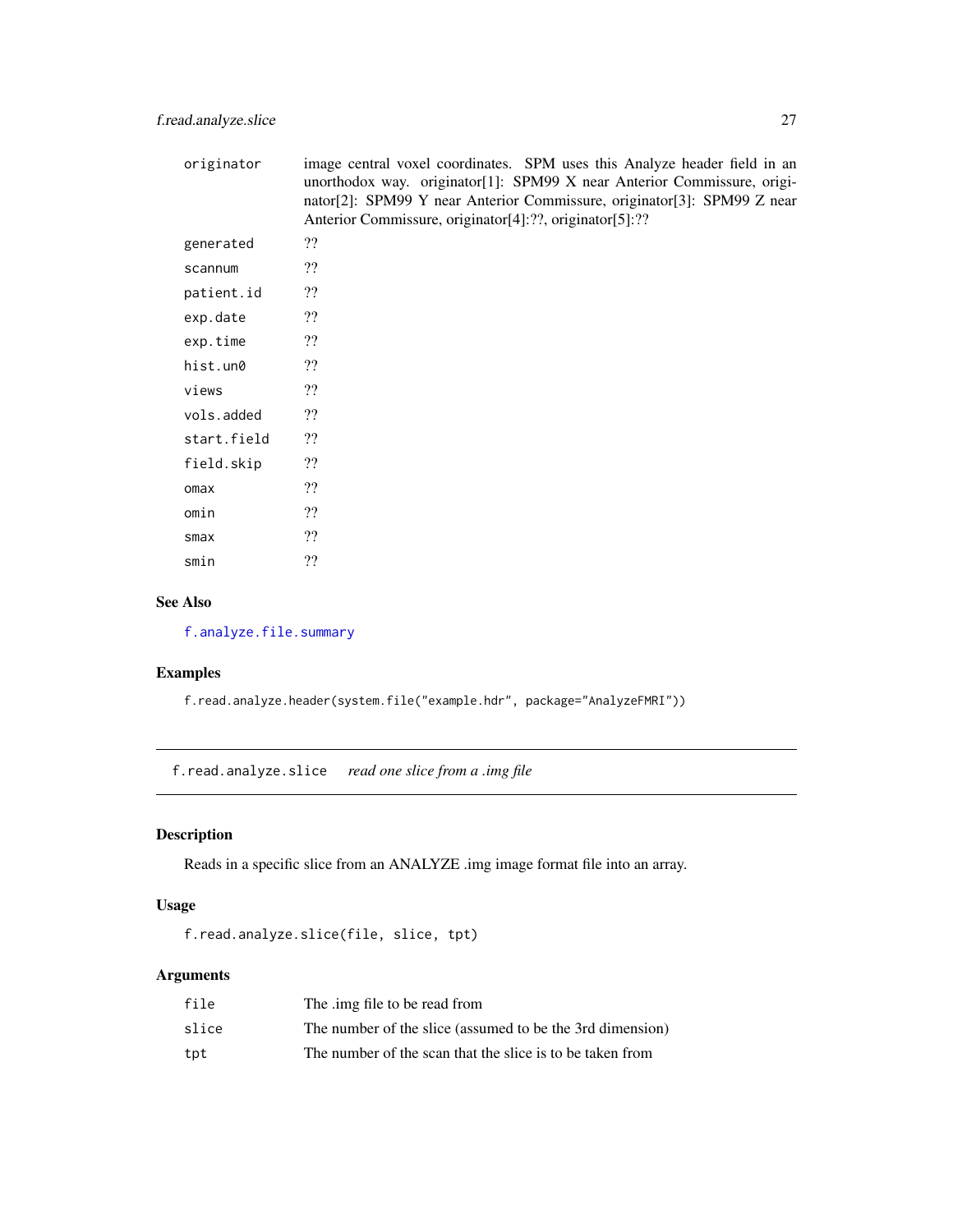<span id="page-26-0"></span>

| originator  | image central voxel coordinates. SPM uses this Analyze header field in an<br>unorthodox way. originator[1]: SPM99 X near Anterior Commissure, origi-<br>nator[2]: SPM99 Y near Anterior Commissure, originator[3]: SPM99 Z near<br>Anterior Commissure, originator[4]:??, originator[5]:?? |
|-------------|--------------------------------------------------------------------------------------------------------------------------------------------------------------------------------------------------------------------------------------------------------------------------------------------|
| generated   | ??                                                                                                                                                                                                                                                                                         |
| scannum     | ??                                                                                                                                                                                                                                                                                         |
| patient.id  | ??                                                                                                                                                                                                                                                                                         |
| exp.date    | ??                                                                                                                                                                                                                                                                                         |
| exp.time    | ??                                                                                                                                                                                                                                                                                         |
| hist.un0    | ??                                                                                                                                                                                                                                                                                         |
| views       | ??                                                                                                                                                                                                                                                                                         |
| vols.added  | ??                                                                                                                                                                                                                                                                                         |
| start.field | ??                                                                                                                                                                                                                                                                                         |
| field.skip  | ??                                                                                                                                                                                                                                                                                         |
| omax        | ??                                                                                                                                                                                                                                                                                         |
| omin        | ??                                                                                                                                                                                                                                                                                         |
| smax        | ??                                                                                                                                                                                                                                                                                         |
| smin        | ??                                                                                                                                                                                                                                                                                         |

# See Also

[f.analyze.file.summary](#page-10-1)

# Examples

f.read.analyze.header(system.file("example.hdr", package="AnalyzeFMRI"))

<span id="page-26-1"></span>f.read.analyze.slice *read one slice from a .img file*

# Description

Reads in a specific slice from an ANALYZE .img image format file into an array.

# Usage

```
f.read.analyze.slice(file, slice, tpt)
```
# Arguments

| file  | The .img file to be read from                             |
|-------|-----------------------------------------------------------|
| slice | The number of the slice (assumed to be the 3rd dimension) |
| tpt   | The number of the scan that the slice is to be taken from |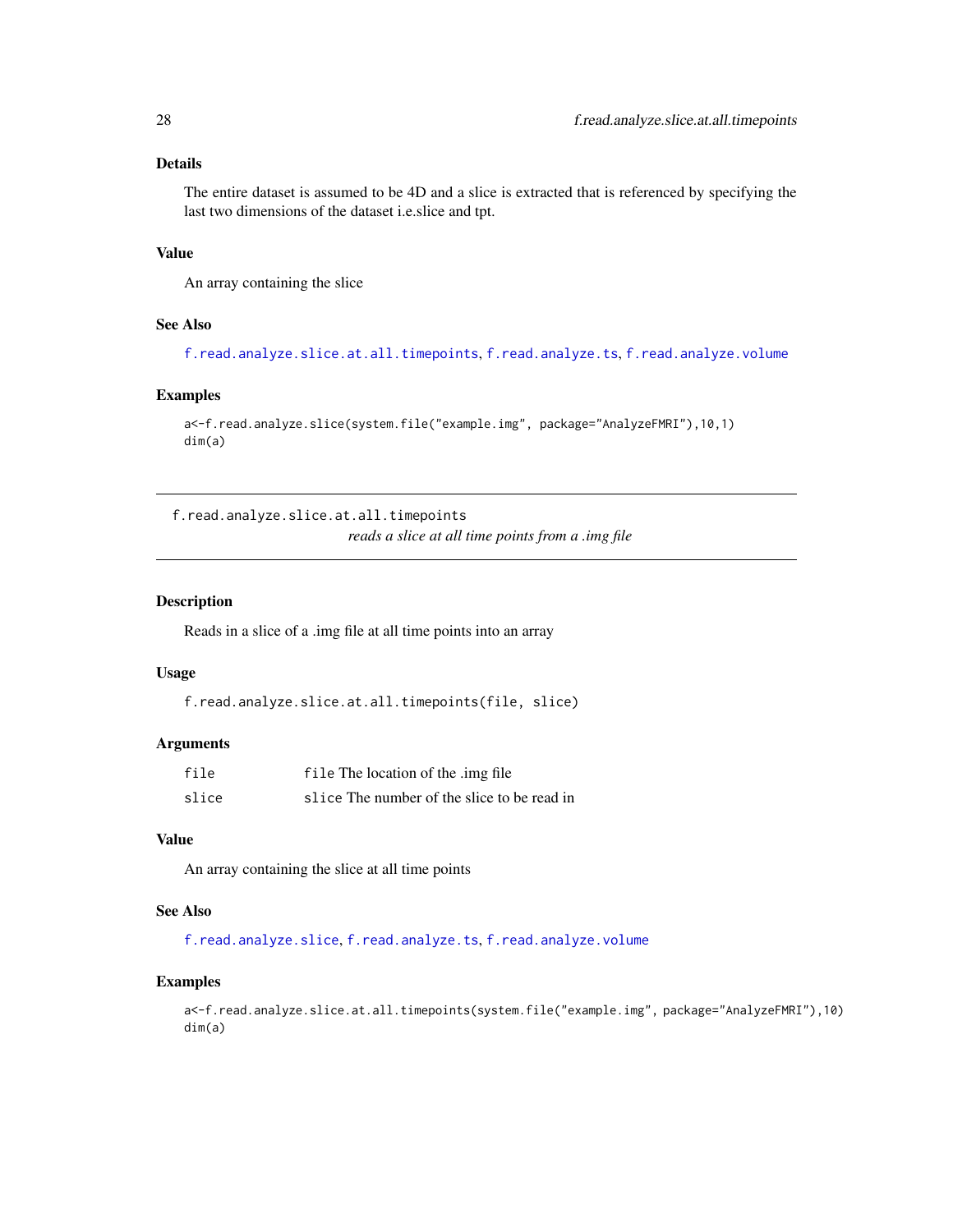# <span id="page-27-0"></span>Details

The entire dataset is assumed to be 4D and a slice is extracted that is referenced by specifying the last two dimensions of the dataset i.e.slice and tpt.

#### Value

An array containing the slice

# See Also

[f.read.analyze.slice.at.all.timepoints](#page-27-1), [f.read.analyze.ts](#page-28-1), [f.read.analyze.volume](#page-29-1)

#### Examples

```
a<-f.read.analyze.slice(system.file("example.img", package="AnalyzeFMRI"),10,1)
dim(a)
```
<span id="page-27-1"></span>f.read.analyze.slice.at.all.timepoints *reads a slice at all time points from a .img file*

#### Description

Reads in a slice of a .img file at all time points into an array

#### Usage

```
f.read.analyze.slice.at.all.timepoints(file, slice)
```
#### Arguments

| file  | file The location of the .img file          |
|-------|---------------------------------------------|
| slice | slice The number of the slice to be read in |

# Value

An array containing the slice at all time points

#### See Also

[f.read.analyze.slice](#page-26-1), [f.read.analyze.ts](#page-28-1), [f.read.analyze.volume](#page-29-1)

#### Examples

a<-f.read.analyze.slice.at.all.timepoints(system.file("example.img", package="AnalyzeFMRI"),10) dim(a)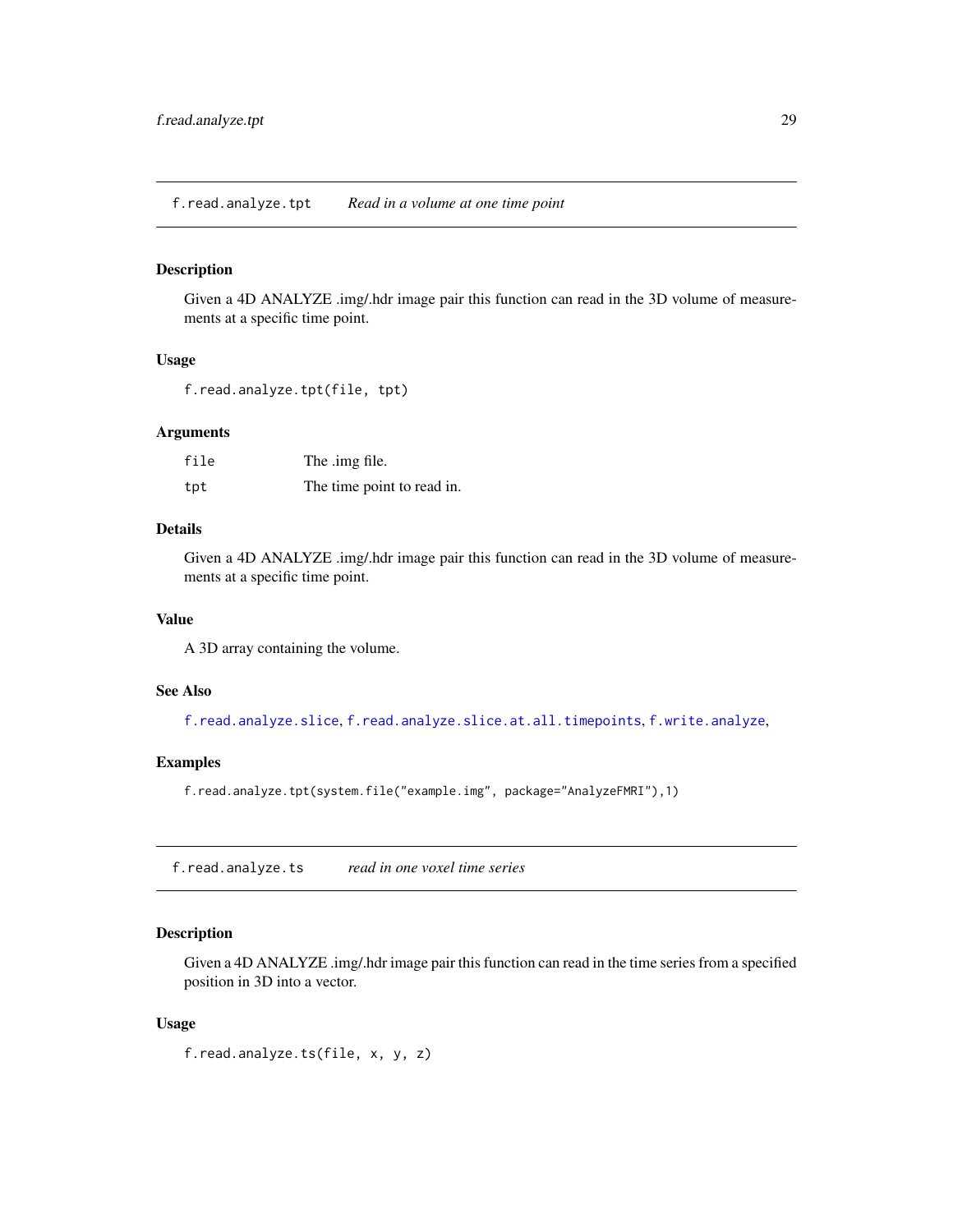<span id="page-28-0"></span>f.read.analyze.tpt *Read in a volume at one time point*

#### Description

Given a 4D ANALYZE .img/.hdr image pair this function can read in the 3D volume of measurements at a specific time point.

#### Usage

```
f.read.analyze.tpt(file, tpt)
```
#### Arguments

| file | The .img file.             |
|------|----------------------------|
| tpt  | The time point to read in. |

# Details

Given a 4D ANALYZE .img/.hdr image pair this function can read in the 3D volume of measurements at a specific time point.

#### Value

A 3D array containing the volume.

# See Also

[f.read.analyze.slice](#page-26-1), [f.read.analyze.slice.at.all.timepoints](#page-27-1), [f.write.analyze](#page-40-1),

#### Examples

f.read.analyze.tpt(system.file("example.img", package="AnalyzeFMRI"),1)

<span id="page-28-1"></span>f.read.analyze.ts *read in one voxel time series*

#### Description

Given a 4D ANALYZE .img/.hdr image pair this function can read in the time series from a specified position in 3D into a vector.

#### Usage

f.read.analyze.ts(file, x, y, z)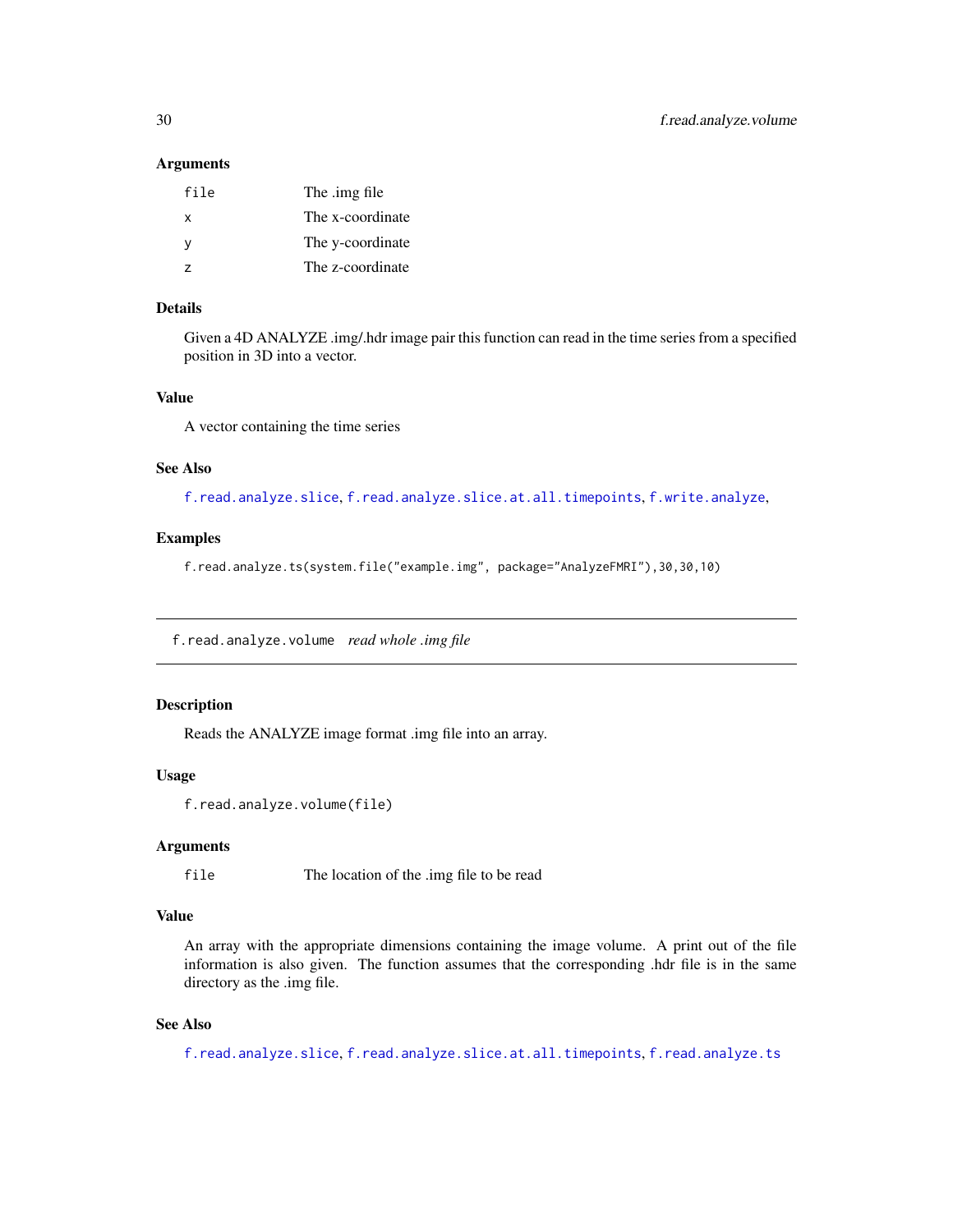#### **Arguments**

| file | The .img file    |
|------|------------------|
| x    | The x-coordinate |
| v    | The y-coordinate |
| 7    | The z-coordinate |

# Details

Given a 4D ANALYZE .img/.hdr image pair this function can read in the time series from a specified position in 3D into a vector.

#### Value

A vector containing the time series

#### See Also

[f.read.analyze.slice](#page-26-1), [f.read.analyze.slice.at.all.timepoints](#page-27-1), [f.write.analyze](#page-40-1),

# Examples

f.read.analyze.ts(system.file("example.img", package="AnalyzeFMRI"),30,30,10)

<span id="page-29-1"></span>f.read.analyze.volume *read whole .img file*

#### Description

Reads the ANALYZE image format .img file into an array.

#### Usage

```
f.read.analyze.volume(file)
```
# Arguments

file The location of the .img file to be read

#### Value

An array with the appropriate dimensions containing the image volume. A print out of the file information is also given. The function assumes that the corresponding .hdr file is in the same directory as the .img file.

# See Also

[f.read.analyze.slice](#page-26-1), [f.read.analyze.slice.at.all.timepoints](#page-27-1), [f.read.analyze.ts](#page-28-1)

<span id="page-29-0"></span>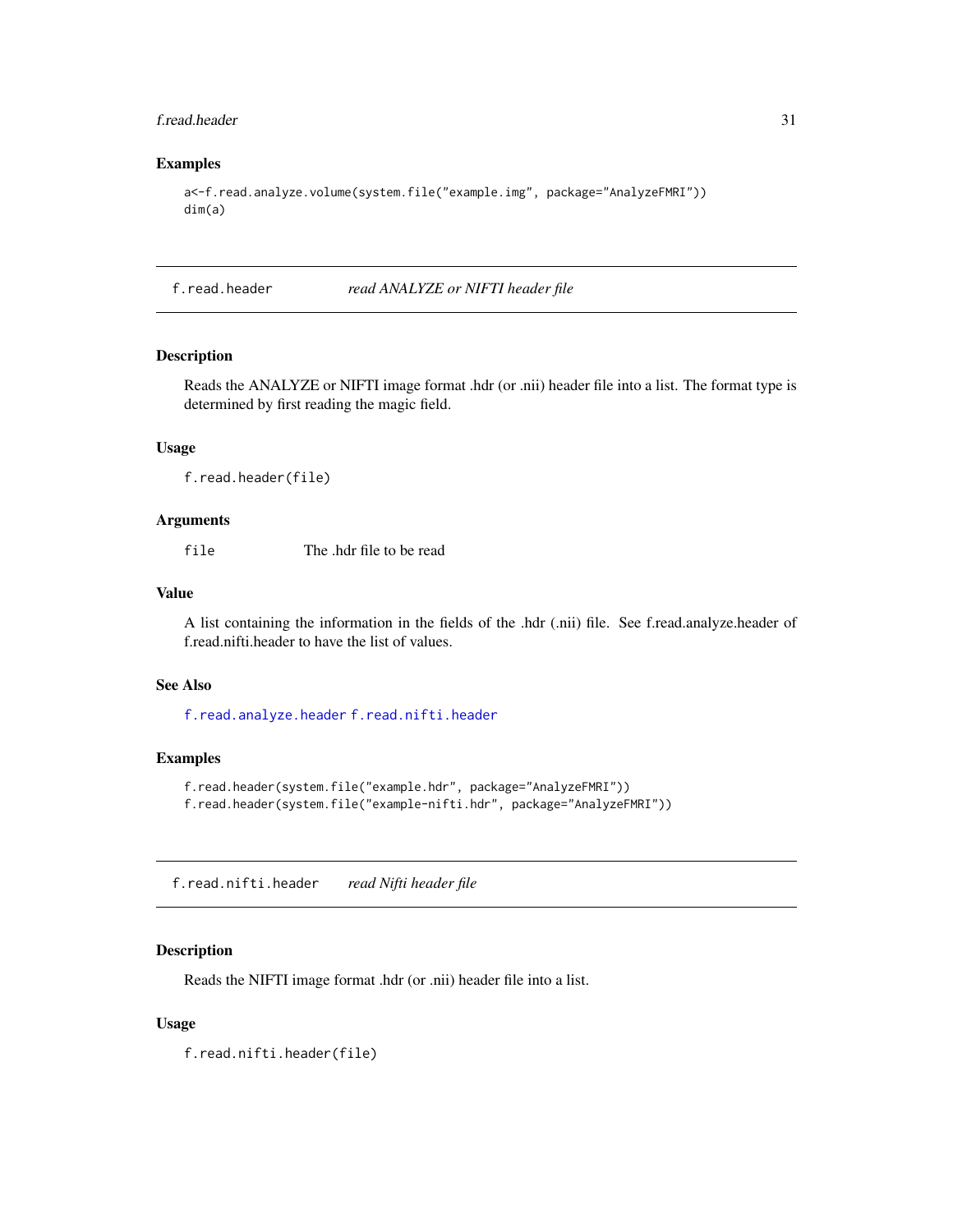#### <span id="page-30-0"></span>f.read.header 31

# Examples

```
a<-f.read.analyze.volume(system.file("example.img", package="AnalyzeFMRI"))
dim(a)
```
f.read.header *read ANALYZE or NIFTI header file*

# Description

Reads the ANALYZE or NIFTI image format .hdr (or .nii) header file into a list. The format type is determined by first reading the magic field.

#### Usage

f.read.header(file)

#### Arguments

file The .hdr file to be read

#### Value

A list containing the information in the fields of the .hdr (.nii) file. See f.read.analyze.header of f.read.nifti.header to have the list of values.

#### See Also

[f.read.analyze.header](#page-24-1) [f.read.nifti.header](#page-30-1)

#### Examples

```
f.read.header(system.file("example.hdr", package="AnalyzeFMRI"))
f.read.header(system.file("example-nifti.hdr", package="AnalyzeFMRI"))
```
<span id="page-30-1"></span>f.read.nifti.header *read Nifti header file*

#### Description

Reads the NIFTI image format .hdr (or .nii) header file into a list.

#### Usage

f.read.nifti.header(file)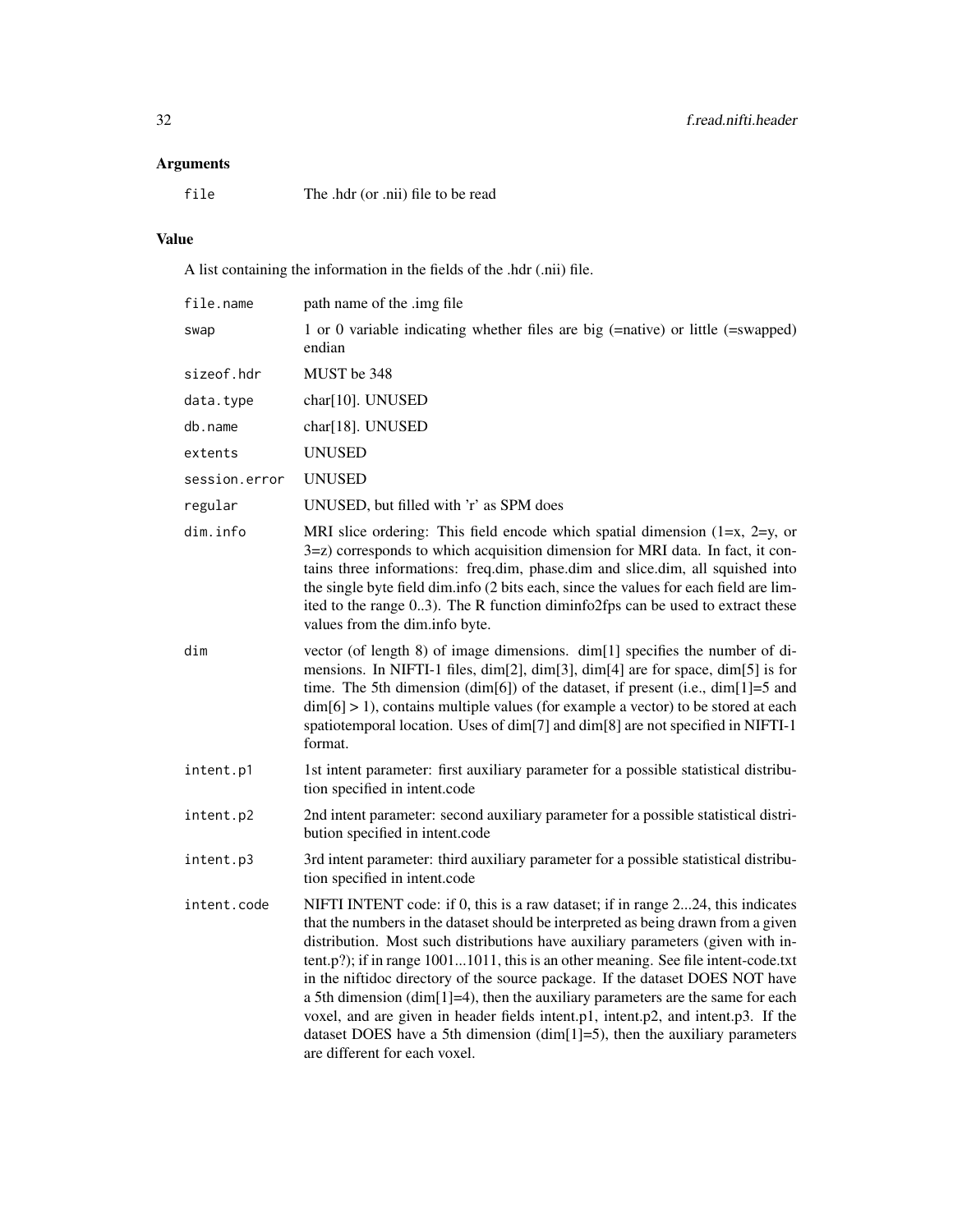# Arguments

file The .hdr (or .nii) file to be read

# Value

A list containing the information in the fields of the .hdr (.nii) file.

| file.name     | path name of the .img file                                                                                                                                                                                                                                                                                                                                                                                                                                                                                                                                                                                                                                                                                                |
|---------------|---------------------------------------------------------------------------------------------------------------------------------------------------------------------------------------------------------------------------------------------------------------------------------------------------------------------------------------------------------------------------------------------------------------------------------------------------------------------------------------------------------------------------------------------------------------------------------------------------------------------------------------------------------------------------------------------------------------------------|
| swap          | 1 or 0 variable indicating whether files are big (=native) or little (=swapped)<br>endian                                                                                                                                                                                                                                                                                                                                                                                                                                                                                                                                                                                                                                 |
| sizeof.hdr    | MUST be 348                                                                                                                                                                                                                                                                                                                                                                                                                                                                                                                                                                                                                                                                                                               |
| data.type     | char[10]. UNUSED                                                                                                                                                                                                                                                                                                                                                                                                                                                                                                                                                                                                                                                                                                          |
| db.name       | char[18]. UNUSED                                                                                                                                                                                                                                                                                                                                                                                                                                                                                                                                                                                                                                                                                                          |
| extents       | <b>UNUSED</b>                                                                                                                                                                                                                                                                                                                                                                                                                                                                                                                                                                                                                                                                                                             |
| session.error | <b>UNUSED</b>                                                                                                                                                                                                                                                                                                                                                                                                                                                                                                                                                                                                                                                                                                             |
| regular       | UNUSED, but filled with 'r' as SPM does                                                                                                                                                                                                                                                                                                                                                                                                                                                                                                                                                                                                                                                                                   |
| dim.info      | MRI slice ordering: This field encode which spatial dimension $(1=x, 2=y, or)$<br>3=z) corresponds to which acquisition dimension for MRI data. In fact, it con-<br>tains three informations: freq.dim, phase.dim and slice.dim, all squished into<br>the single byte field dim.info (2 bits each, since the values for each field are lim-<br>ited to the range 03). The R function diminfo2fps can be used to extract these<br>values from the dim.info byte.                                                                                                                                                                                                                                                           |
| dim           | vector (of length 8) of image dimensions. dim[1] specifies the number of di-<br>mensions. In NIFTI-1 files, dim[2], dim[3], dim[4] are for space, dim[5] is for<br>time. The 5th dimension (dim[6]) of the dataset, if present (i.e., dim[1]=5 and<br>$\dim[6] > 1$ , contains multiple values (for example a vector) to be stored at each<br>spatiotemporal location. Uses of dim[7] and dim[8] are not specified in NIFTI-1<br>format.                                                                                                                                                                                                                                                                                  |
| intent.p1     | 1st intent parameter: first auxiliary parameter for a possible statistical distribu-<br>tion specified in intent.code                                                                                                                                                                                                                                                                                                                                                                                                                                                                                                                                                                                                     |
| intent.p2     | 2nd intent parameter: second auxiliary parameter for a possible statistical distri-<br>bution specified in intent.code                                                                                                                                                                                                                                                                                                                                                                                                                                                                                                                                                                                                    |
| intent.p3     | 3rd intent parameter: third auxiliary parameter for a possible statistical distribu-<br>tion specified in intent.code                                                                                                                                                                                                                                                                                                                                                                                                                                                                                                                                                                                                     |
| intent.code   | NIFTI INTENT code: if 0, this is a raw dataset; if in range 224, this indicates<br>that the numbers in the dataset should be interpreted as being drawn from a given<br>distribution. Most such distributions have auxiliary parameters (given with in-<br>tent.p?); if in range 10011011, this is an other meaning. See file intent-code.txt<br>in the niftidoc directory of the source package. If the dataset DOES NOT have<br>a 5th dimension (dim[1]=4), then the auxiliary parameters are the same for each<br>voxel, and are given in header fields intent.p1, intent.p2, and intent.p3. If the<br>dataset DOES have a 5th dimension $(dim[1]=5)$ , then the auxiliary parameters<br>are different for each voxel. |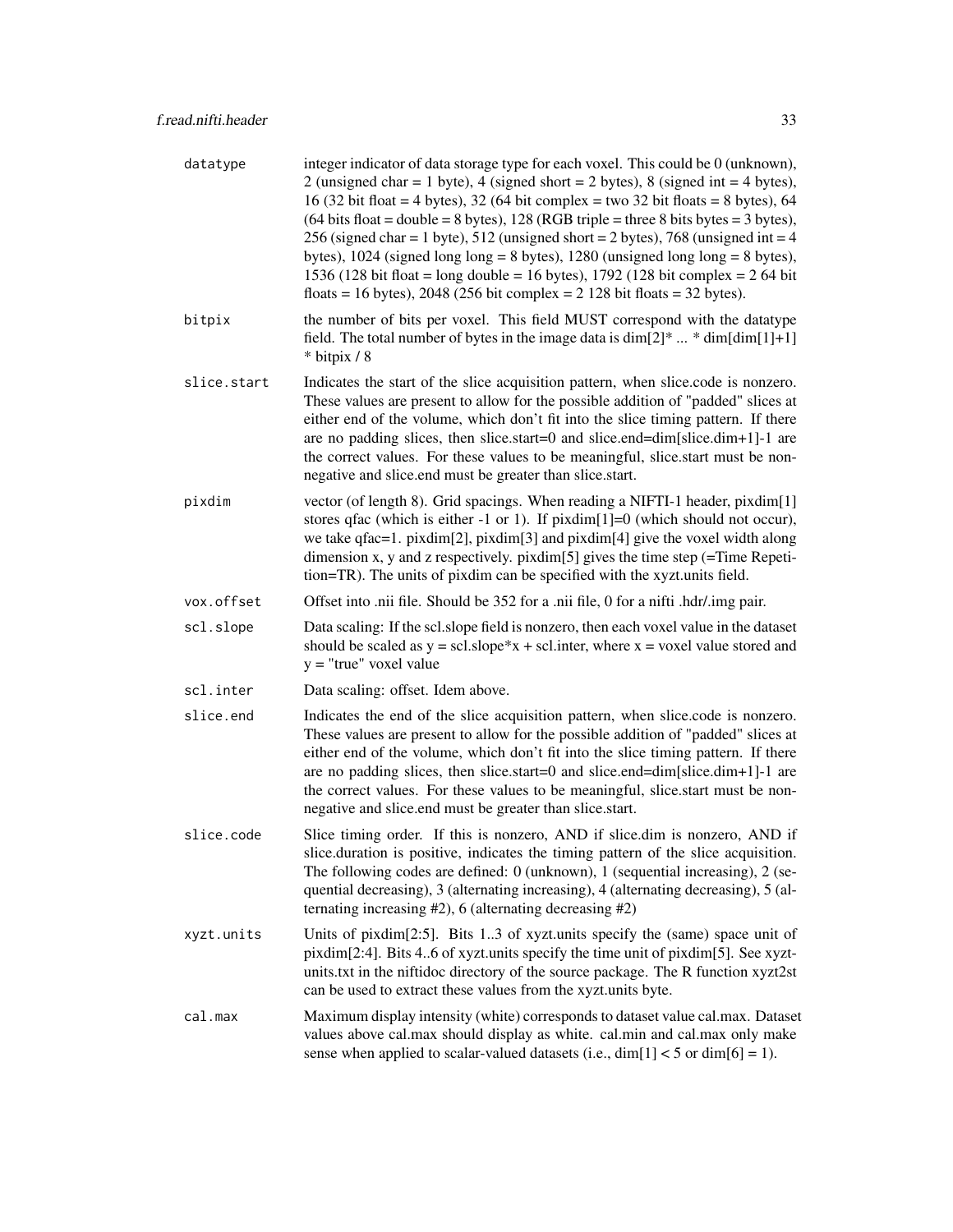| datatype    | integer indicator of data storage type for each voxel. This could be 0 (unknown),<br>2 (unsigned char = 1 byte), 4 (signed short = 2 bytes), 8 (signed int = 4 bytes),<br>16 (32 bit float = 4 bytes), 32 (64 bit complex = two 32 bit floats = 8 bytes), 64<br>$(64 \text{ bits float} = \text{double} = 8 \text{ bytes}), 128 (\text{RGB triple} = \text{three} \text{ 8 bits bytes} = 3 \text{ bytes}),$<br>256 (signed char = 1 byte), 512 (unsigned short = 2 bytes), 768 (unsigned int = 4<br>bytes), $1024$ (signed long long = 8 bytes), $1280$ (unsigned long long = 8 bytes),<br>1536 (128 bit float = long double = 16 bytes), 1792 (128 bit complex = $2\,64$ bit<br>floats = 16 bytes), 2048 (256 bit complex = $2 \frac{128 \text{ bit}}{\text{floats}} = 32 \text{ bytes}}$ ). |
|-------------|-----------------------------------------------------------------------------------------------------------------------------------------------------------------------------------------------------------------------------------------------------------------------------------------------------------------------------------------------------------------------------------------------------------------------------------------------------------------------------------------------------------------------------------------------------------------------------------------------------------------------------------------------------------------------------------------------------------------------------------------------------------------------------------------------|
| bitpix      | the number of bits per voxel. This field MUST correspond with the datatype<br>field. The total number of bytes in the image data is $\dim[2]^* \dots * \dim[\dim[1]+1]$<br>* bitpix / 8                                                                                                                                                                                                                                                                                                                                                                                                                                                                                                                                                                                                       |
| slice.start | Indicates the start of the slice acquisition pattern, when slice.code is nonzero.<br>These values are present to allow for the possible addition of "padded" slices at<br>either end of the volume, which don't fit into the slice timing pattern. If there<br>are no padding slices, then slice.start=0 and slice.end=dim[slice.dim+1]-1 are<br>the correct values. For these values to be meaningful, slice start must be non-<br>negative and slice.end must be greater than slice.start.                                                                                                                                                                                                                                                                                                  |
| pixdim      | vector (of length 8). Grid spacings. When reading a NIFTI-1 header, pixdim[1]<br>stores q fac (which is either -1 or 1). If $pixdim[1]=0$ (which should not occur),<br>we take qfac=1. pixdim[2], pixdim[3] and pixdim[4] give the voxel width along<br>dimension x, y and z respectively. pixdim[5] gives the time step $($ =Time Repeti-<br>tion=TR). The units of pixdim can be specified with the xyzt.units field.                                                                                                                                                                                                                                                                                                                                                                       |
| vox.offset  | Offset into .nii file. Should be 352 for a .nii file, 0 for a nifti .hdr/.img pair.                                                                                                                                                                                                                                                                                                                                                                                                                                                                                                                                                                                                                                                                                                           |
| scl.slope   | Data scaling: If the scl.slope field is nonzero, then each voxel value in the dataset<br>should be scaled as $y = \text{scl}.\text{slope}^*x + \text{scl}.\text{inter}, \text{where } x = \text{voxel value stored}$ and<br>$y =$ "true" voxel value                                                                                                                                                                                                                                                                                                                                                                                                                                                                                                                                          |
| scl.inter   | Data scaling: offset. Idem above.                                                                                                                                                                                                                                                                                                                                                                                                                                                                                                                                                                                                                                                                                                                                                             |
| slice.end   | Indicates the end of the slice acquisition pattern, when slice.code is nonzero.<br>These values are present to allow for the possible addition of "padded" slices at<br>either end of the volume, which don't fit into the slice timing pattern. If there<br>are no padding slices, then slice.start=0 and slice.end=dim[slice.dim+1]-1 are<br>the correct values. For these values to be meaningful, slice.start must be non-<br>negative and slice end must be greater than slice start.                                                                                                                                                                                                                                                                                                    |
| slice.code  | Slice timing order. If this is nonzero, AND if slice.dim is nonzero, AND if<br>slice.duration is positive, indicates the timing pattern of the slice acquisition.<br>The following codes are defined: 0 (unknown), 1 (sequential increasing), 2 (se-<br>quential decreasing), 3 (alternating increasing), 4 (alternating decreasing), 5 (al-<br>ternating increasing $#2$ ), 6 (alternating decreasing $#2$ )                                                                                                                                                                                                                                                                                                                                                                                 |
| xyzt.units  | Units of pixdim[2:5]. Bits 13 of xyzt.units specify the (same) space unit of<br>pixdim[2:4]. Bits 46 of xyzt.units specify the time unit of pixdim[5]. See xyzt-<br>units.txt in the niftidoc directory of the source package. The R function xyzt2st<br>can be used to extract these values from the xyzt.units byte.                                                                                                                                                                                                                                                                                                                                                                                                                                                                        |
| cal.max     | Maximum display intensity (white) corresponds to dataset value cal.max. Dataset<br>values above cal.max should display as white. cal.min and cal.max only make<br>sense when applied to scalar-valued datasets (i.e., $\dim[1] < 5$ or $\dim[6] = 1$ ).                                                                                                                                                                                                                                                                                                                                                                                                                                                                                                                                       |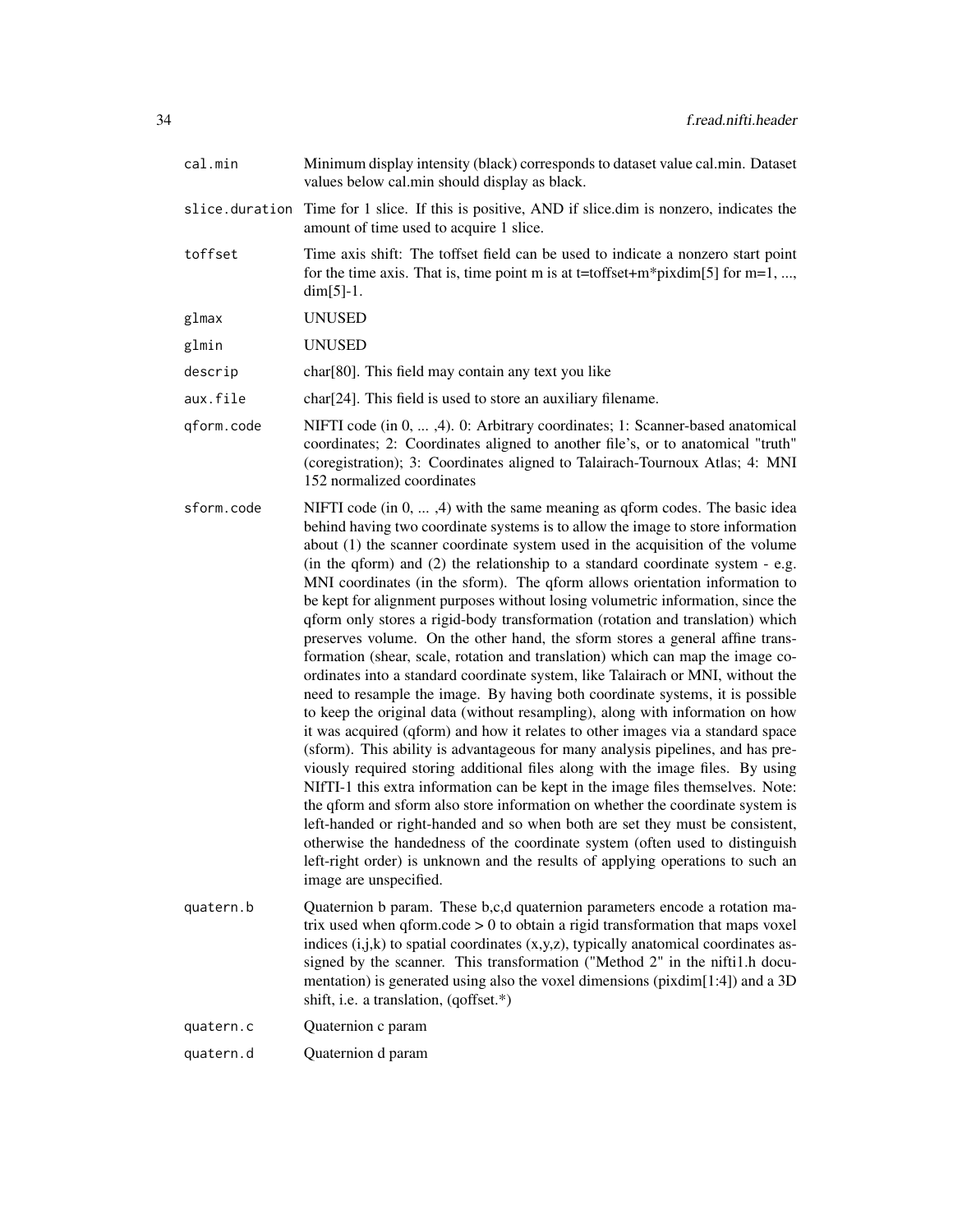| cal.min        | Minimum display intensity (black) corresponds to dataset value cal.min. Dataset<br>values below cal.min should display as black.                                                                                                                                                                                                                                                                                                                                                                                                                                                                                                                                                                                                                                                                                                                                                                                                                                                                                                                                                                                                                                                                                                                                                                                                                                                                                                                                                                                                                                                                                                                                                                                        |
|----------------|-------------------------------------------------------------------------------------------------------------------------------------------------------------------------------------------------------------------------------------------------------------------------------------------------------------------------------------------------------------------------------------------------------------------------------------------------------------------------------------------------------------------------------------------------------------------------------------------------------------------------------------------------------------------------------------------------------------------------------------------------------------------------------------------------------------------------------------------------------------------------------------------------------------------------------------------------------------------------------------------------------------------------------------------------------------------------------------------------------------------------------------------------------------------------------------------------------------------------------------------------------------------------------------------------------------------------------------------------------------------------------------------------------------------------------------------------------------------------------------------------------------------------------------------------------------------------------------------------------------------------------------------------------------------------------------------------------------------------|
| slice.duration | Time for 1 slice. If this is positive, AND if slice dim is nonzero, indicates the<br>amount of time used to acquire 1 slice.                                                                                                                                                                                                                                                                                                                                                                                                                                                                                                                                                                                                                                                                                                                                                                                                                                                                                                                                                                                                                                                                                                                                                                                                                                                                                                                                                                                                                                                                                                                                                                                            |
| toffset        | Time axis shift: The toffset field can be used to indicate a nonzero start point<br>for the time axis. That is, time point m is at t=toffset+m*pixdim[5] for m=1, ,<br>$dim[5]-1.$                                                                                                                                                                                                                                                                                                                                                                                                                                                                                                                                                                                                                                                                                                                                                                                                                                                                                                                                                                                                                                                                                                                                                                                                                                                                                                                                                                                                                                                                                                                                      |
| glmax          | <b>UNUSED</b>                                                                                                                                                                                                                                                                                                                                                                                                                                                                                                                                                                                                                                                                                                                                                                                                                                                                                                                                                                                                                                                                                                                                                                                                                                                                                                                                                                                                                                                                                                                                                                                                                                                                                                           |
| glmin          | <b>UNUSED</b>                                                                                                                                                                                                                                                                                                                                                                                                                                                                                                                                                                                                                                                                                                                                                                                                                                                                                                                                                                                                                                                                                                                                                                                                                                                                                                                                                                                                                                                                                                                                                                                                                                                                                                           |
| descrip        | char <sup>[80]</sup> . This field may contain any text you like                                                                                                                                                                                                                                                                                                                                                                                                                                                                                                                                                                                                                                                                                                                                                                                                                                                                                                                                                                                                                                                                                                                                                                                                                                                                                                                                                                                                                                                                                                                                                                                                                                                         |
| aux.file       | char <sup>[24]</sup> . This field is used to store an auxiliary filename.                                                                                                                                                                                                                                                                                                                                                                                                                                                                                                                                                                                                                                                                                                                                                                                                                                                                                                                                                                                                                                                                                                                                                                                                                                                                                                                                                                                                                                                                                                                                                                                                                                               |
| qform.code     | NIFTI code (in 0, , 4). 0: Arbitrary coordinates; 1: Scanner-based anatomical<br>coordinates; 2: Coordinates aligned to another file's, or to anatomical "truth"<br>(coregistration); 3: Coordinates aligned to Talairach-Tournoux Atlas; 4: MNI<br>152 normalized coordinates                                                                                                                                                                                                                                                                                                                                                                                                                                                                                                                                                                                                                                                                                                                                                                                                                                                                                                                                                                                                                                                                                                                                                                                                                                                                                                                                                                                                                                          |
| sform.code     | NIFTI code (in 0, , 4) with the same meaning as qform codes. The basic idea<br>behind having two coordinate systems is to allow the image to store information<br>about (1) the scanner coordinate system used in the acquisition of the volume<br>(in the qform) and (2) the relationship to a standard coordinate system - e.g.<br>MNI coordinates (in the sform). The qform allows orientation information to<br>be kept for alignment purposes without losing volumetric information, since the<br>qform only stores a rigid-body transformation (rotation and translation) which<br>preserves volume. On the other hand, the sform stores a general affine trans-<br>formation (shear, scale, rotation and translation) which can map the image co-<br>ordinates into a standard coordinate system, like Talairach or MNI, without the<br>need to resample the image. By having both coordinate systems, it is possible<br>to keep the original data (without resampling), along with information on how<br>it was acquired (qform) and how it relates to other images via a standard space<br>(sform). This ability is advantageous for many analysis pipelines, and has pre-<br>viously required storing additional files along with the image files. By using<br>NIfTI-1 this extra information can be kept in the image files themselves. Note:<br>the qform and sform also store information on whether the coordinate system is<br>left-handed or right-handed and so when both are set they must be consistent,<br>otherwise the handedness of the coordinate system (often used to distinguish<br>left-right order) is unknown and the results of applying operations to such an<br>image are unspecified. |
| quatern.b      | Quaternion b param. These b,c,d quaternion parameters encode a rotation ma-<br>trix used when $q$ form.code $> 0$ to obtain a rigid transformation that maps voxel<br>indices $(i,j,k)$ to spatial coordinates $(x,y,z)$ , typically anatomical coordinates as-<br>signed by the scanner. This transformation ("Method 2" in the nifti1.h docu-<br>mentation) is generated using also the voxel dimensions (pixdim[1:4]) and a 3D<br>shift, i.e. a translation, (qoffset.*)                                                                                                                                                                                                                                                                                                                                                                                                                                                                                                                                                                                                                                                                                                                                                                                                                                                                                                                                                                                                                                                                                                                                                                                                                                             |
| quatern.c      | Quaternion c param                                                                                                                                                                                                                                                                                                                                                                                                                                                                                                                                                                                                                                                                                                                                                                                                                                                                                                                                                                                                                                                                                                                                                                                                                                                                                                                                                                                                                                                                                                                                                                                                                                                                                                      |
| quatern.d      | Quaternion d param                                                                                                                                                                                                                                                                                                                                                                                                                                                                                                                                                                                                                                                                                                                                                                                                                                                                                                                                                                                                                                                                                                                                                                                                                                                                                                                                                                                                                                                                                                                                                                                                                                                                                                      |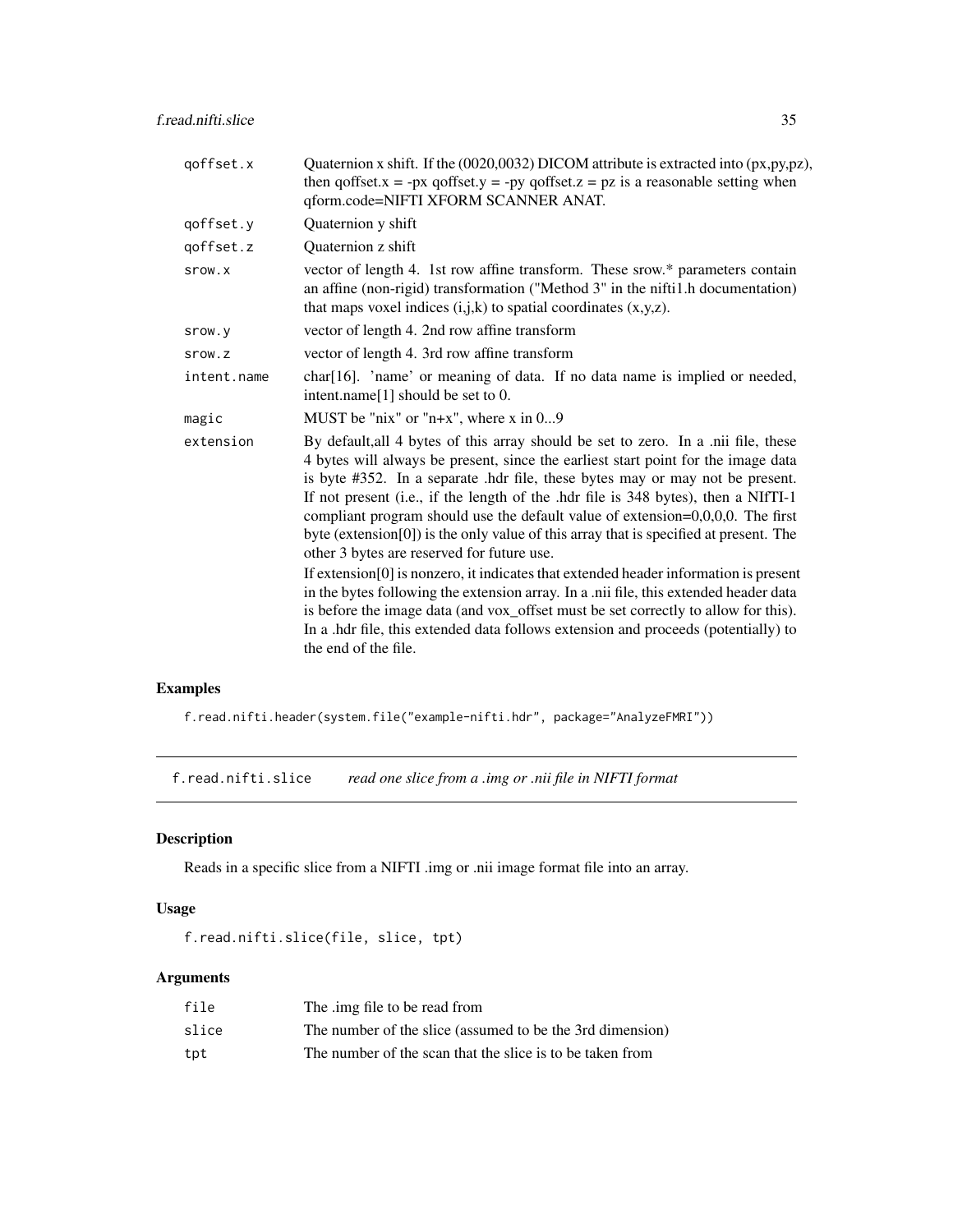<span id="page-34-0"></span>f.read.nifti.slice 35

| Quaternion x shift. If the (0020,0032) DICOM attribute is extracted into (px,py,pz),<br>then qoffset. $x = -px$ qoffset. $y = -py$ qoffset. $z = pz$ is a reasonable setting when<br>qform.code=NIFTI XFORM SCANNER ANAT.                                                                                                                                                                                                                                                                                                                                                   |
|-----------------------------------------------------------------------------------------------------------------------------------------------------------------------------------------------------------------------------------------------------------------------------------------------------------------------------------------------------------------------------------------------------------------------------------------------------------------------------------------------------------------------------------------------------------------------------|
| Quaternion y shift                                                                                                                                                                                                                                                                                                                                                                                                                                                                                                                                                          |
| Quaternion z shift                                                                                                                                                                                                                                                                                                                                                                                                                                                                                                                                                          |
| vector of length 4. 1st row affine transform. These srow.* parameters contain<br>an affine (non-rigid) transformation ("Method 3" in the nifti1.h documentation)<br>that maps voxel indices $(i,j,k)$ to spatial coordinates $(x,y,z)$ .                                                                                                                                                                                                                                                                                                                                    |
| vector of length 4. 2nd row affine transform                                                                                                                                                                                                                                                                                                                                                                                                                                                                                                                                |
| vector of length 4. 3rd row affine transform                                                                                                                                                                                                                                                                                                                                                                                                                                                                                                                                |
| char[16]. 'name' or meaning of data. If no data name is implied or needed,<br>intent.name[1] should be set to 0.                                                                                                                                                                                                                                                                                                                                                                                                                                                            |
| MUST be "nix" or "n+x", where $x$ in 09                                                                                                                                                                                                                                                                                                                                                                                                                                                                                                                                     |
| By default, all 4 bytes of this array should be set to zero. In a .nii file, these<br>4 bytes will always be present, since the earliest start point for the image data<br>is byte #352. In a separate .hdr file, these bytes may or may not be present.<br>If not present (i.e., if the length of the .hdr file is 348 bytes), then a NIfTI-1<br>compliant program should use the default value of extension= $0,0,0,0$ . The first<br>byte (extension[0]) is the only value of this array that is specified at present. The<br>other 3 bytes are reserved for future use. |
| If extension[0] is nonzero, it indicates that extended header information is present<br>in the bytes following the extension array. In a .nii file, this extended header data<br>is before the image data (and vox_offset must be set correctly to allow for this).<br>In a .hdr file, this extended data follows extension and proceeds (potentially) to<br>the end of the file.                                                                                                                                                                                           |
|                                                                                                                                                                                                                                                                                                                                                                                                                                                                                                                                                                             |

# Examples

f.read.nifti.header(system.file("example-nifti.hdr", package="AnalyzeFMRI"))

<span id="page-34-1"></span>f.read.nifti.slice *read one slice from a .img or .nii file in NIFTI format*

# Description

Reads in a specific slice from a NIFTI .img or .nii image format file into an array.

# Usage

```
f.read.nifti.slice(file, slice, tpt)
```
# Arguments

| file  | The .img file to be read from                             |
|-------|-----------------------------------------------------------|
| slice | The number of the slice (assumed to be the 3rd dimension) |
| tpt   | The number of the scan that the slice is to be taken from |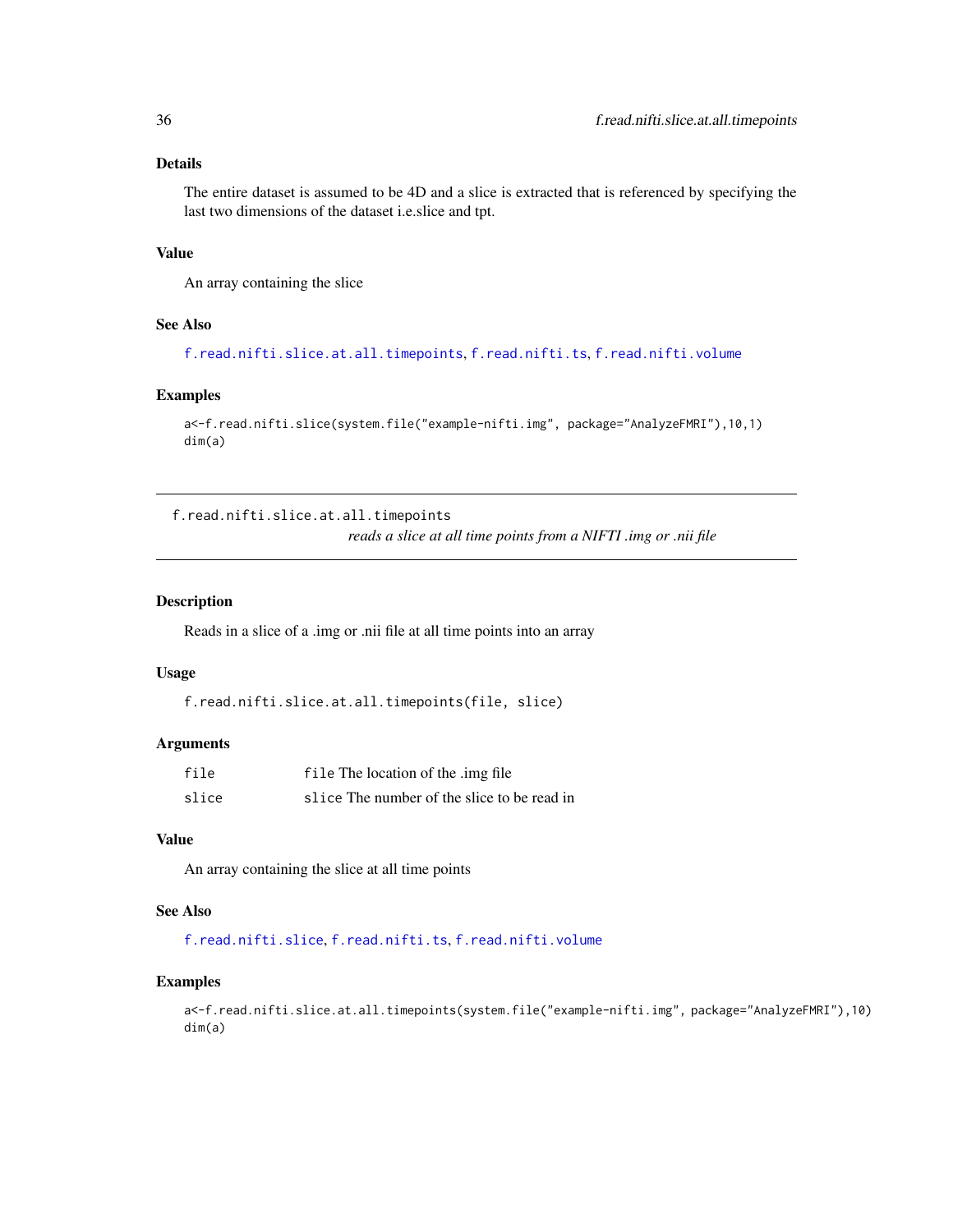# <span id="page-35-0"></span>Details

The entire dataset is assumed to be 4D and a slice is extracted that is referenced by specifying the last two dimensions of the dataset i.e.slice and tpt.

#### Value

An array containing the slice

### See Also

[f.read.nifti.slice.at.all.timepoints](#page-35-1), [f.read.nifti.ts](#page-36-1), [f.read.nifti.volume](#page-37-1)

#### Examples

```
a<-f.read.nifti.slice(system.file("example-nifti.img", package="AnalyzeFMRI"),10,1)
dim(a)
```
<span id="page-35-1"></span>f.read.nifti.slice.at.all.timepoints *reads a slice at all time points from a NIFTI .img or .nii file*

#### Description

Reads in a slice of a .img or .nii file at all time points into an array

#### Usage

```
f.read.nifti.slice.at.all.timepoints(file, slice)
```
#### Arguments

| file  | file The location of the .img file          |
|-------|---------------------------------------------|
| slice | slice The number of the slice to be read in |

#### Value

An array containing the slice at all time points

# See Also

[f.read.nifti.slice](#page-34-1), [f.read.nifti.ts](#page-36-1), [f.read.nifti.volume](#page-37-1)

#### Examples

a<-f.read.nifti.slice.at.all.timepoints(system.file("example-nifti.img", package="AnalyzeFMRI"),10) dim(a)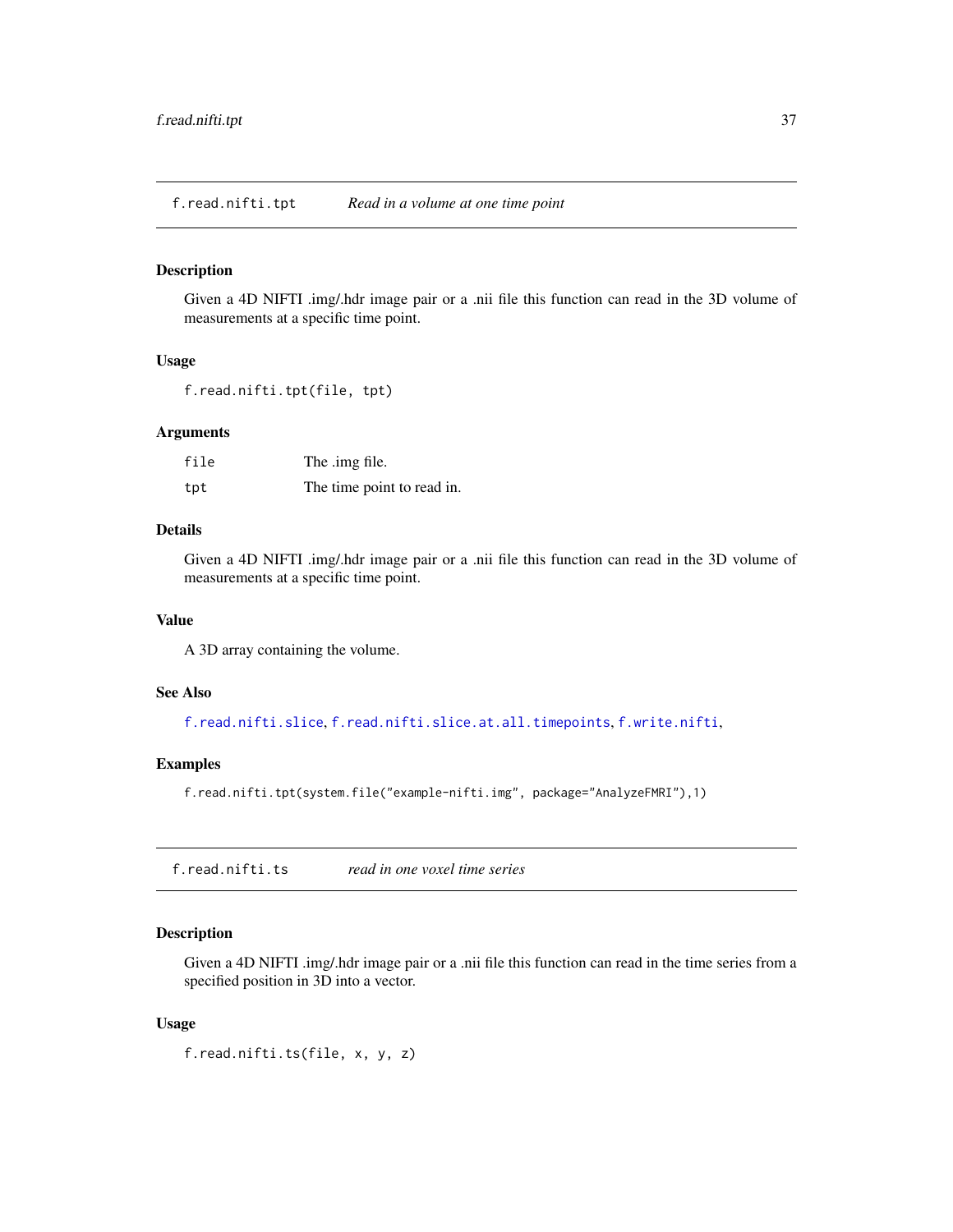f.read.nifti.tpt *Read in a volume at one time point*

#### Description

Given a 4D NIFTI .img/.hdr image pair or a .nii file this function can read in the 3D volume of measurements at a specific time point.

#### Usage

f.read.nifti.tpt(file, tpt)

#### Arguments

| file | The .img file.             |
|------|----------------------------|
| tpt  | The time point to read in. |

# Details

Given a 4D NIFTI .img/.hdr image pair or a .nii file this function can read in the 3D volume of measurements at a specific time point.

#### Value

A 3D array containing the volume.

# See Also

[f.read.nifti.slice](#page-34-0), [f.read.nifti.slice.at.all.timepoints](#page-35-0), [f.write.nifti](#page-44-0),

# Examples

f.read.nifti.tpt(system.file("example-nifti.img", package="AnalyzeFMRI"),1)

<span id="page-36-0"></span>f.read.nifti.ts *read in one voxel time series*

# Description

Given a 4D NIFTI .img/.hdr image pair or a .nii file this function can read in the time series from a specified position in 3D into a vector.

#### Usage

f.read.nifti.ts(file, x, y, z)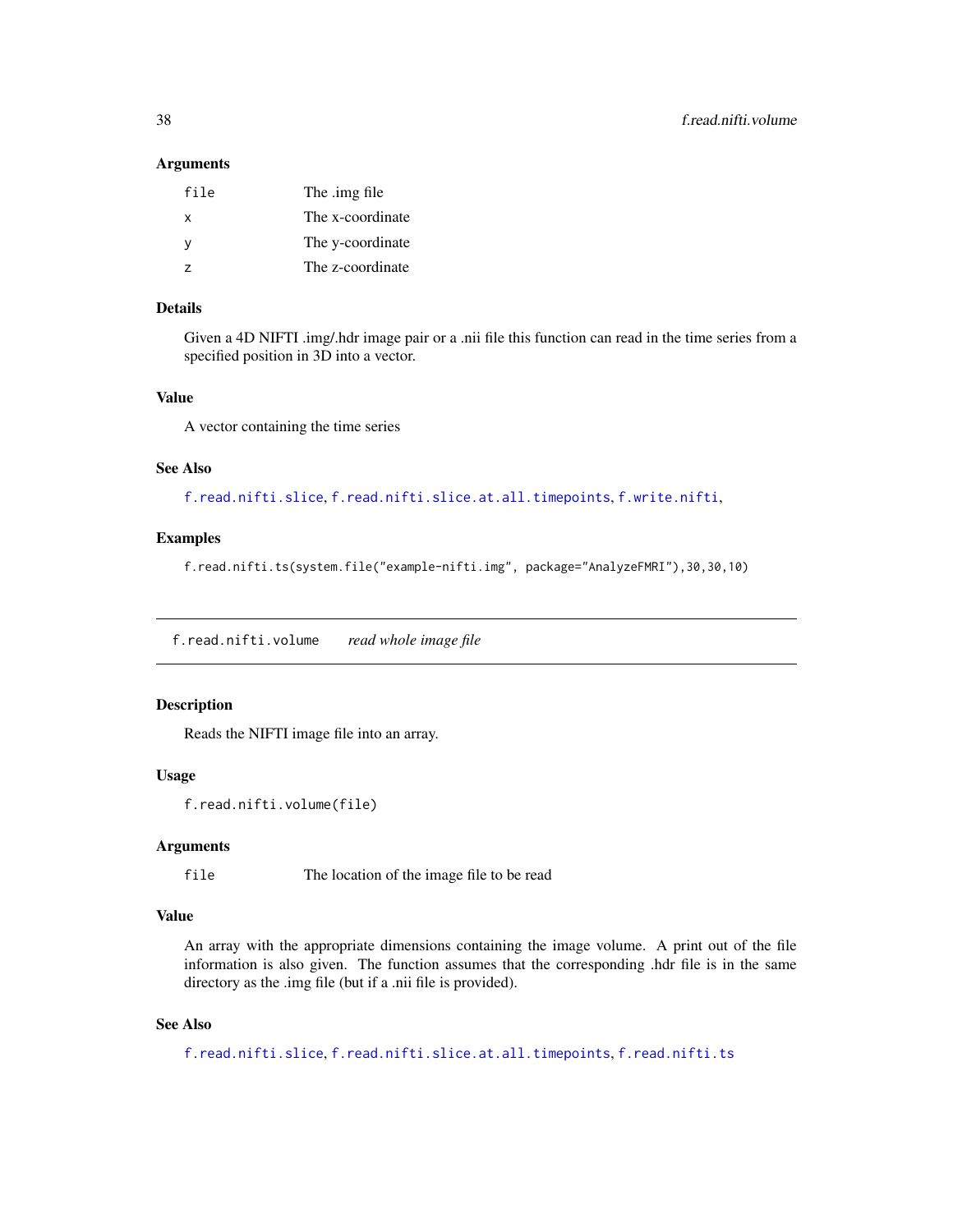#### Arguments

| file | The .img file    |
|------|------------------|
| x    | The x-coordinate |
| v    | The y-coordinate |
| 7    | The z-coordinate |

# Details

Given a 4D NIFTI .img/.hdr image pair or a .nii file this function can read in the time series from a specified position in 3D into a vector.

#### Value

A vector containing the time series

#### See Also

[f.read.nifti.slice](#page-34-0), [f.read.nifti.slice.at.all.timepoints](#page-35-0), [f.write.nifti](#page-44-0),

# Examples

f.read.nifti.ts(system.file("example-nifti.img", package="AnalyzeFMRI"),30,30,10)

f.read.nifti.volume *read whole image file*

#### Description

Reads the NIFTI image file into an array.

#### Usage

```
f.read.nifti.volume(file)
```
# Arguments

file The location of the image file to be read

# Value

An array with the appropriate dimensions containing the image volume. A print out of the file information is also given. The function assumes that the corresponding .hdr file is in the same directory as the .img file (but if a .nii file is provided).

# See Also

```
f.read.nifti.slice, f.read.nifti.slice.at.all.timepoints, f.read.nifti.ts
```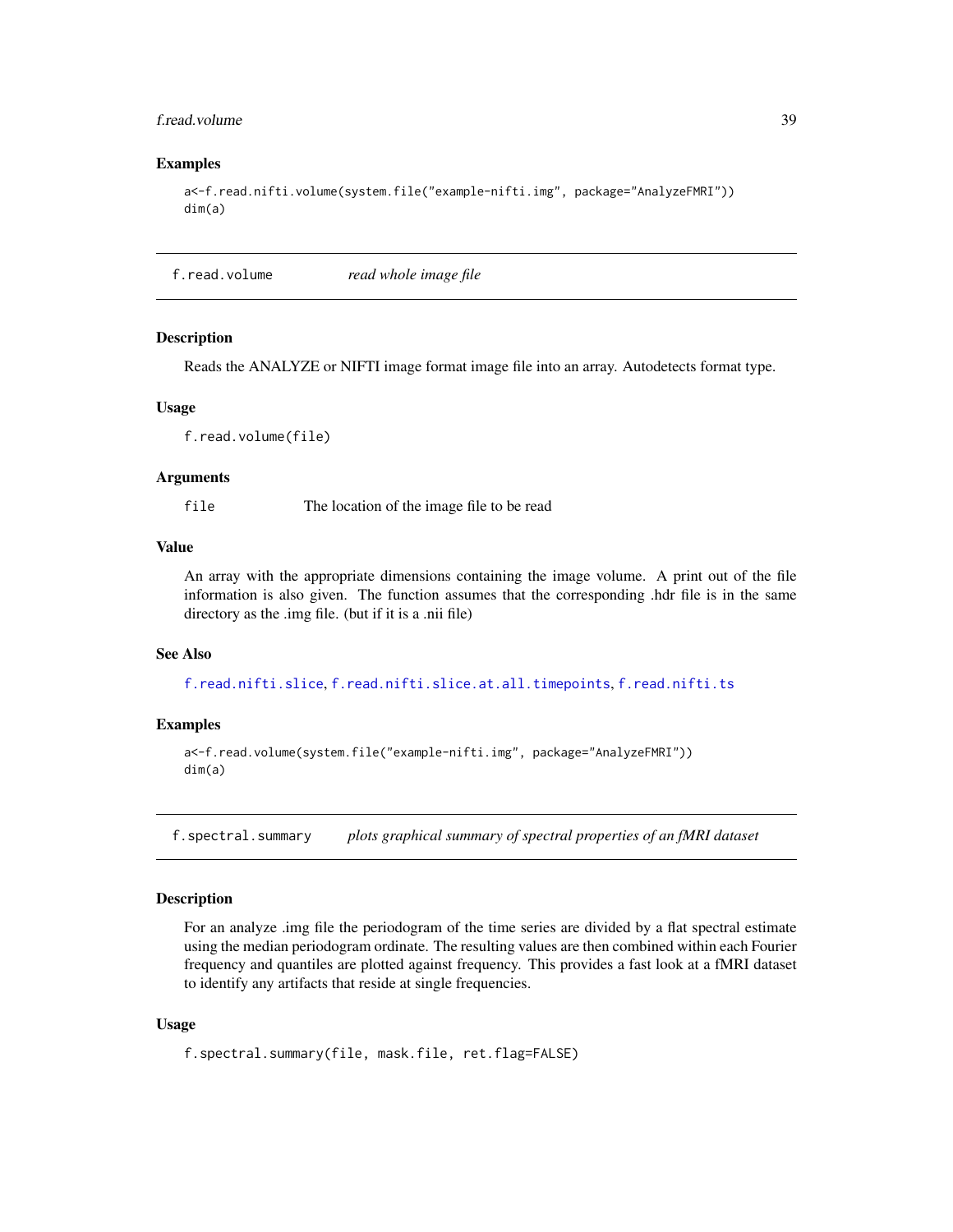# f.read.volume 39

#### Examples

```
a<-f.read.nifti.volume(system.file("example-nifti.img", package="AnalyzeFMRI"))
dim(a)
```
f.read.volume *read whole image file*

#### Description

Reads the ANALYZE or NIFTI image format image file into an array. Autodetects format type.

#### Usage

f.read.volume(file)

# Arguments

file The location of the image file to be read

# Value

An array with the appropriate dimensions containing the image volume. A print out of the file information is also given. The function assumes that the corresponding .hdr file is in the same directory as the .img file. (but if it is a .nii file)

#### See Also

[f.read.nifti.slice](#page-34-0), [f.read.nifti.slice.at.all.timepoints](#page-35-0), [f.read.nifti.ts](#page-36-0)

#### Examples

```
a<-f.read.volume(system.file("example-nifti.img", package="AnalyzeFMRI"))
dim(a)
```
f.spectral.summary *plots graphical summary of spectral properties of an fMRI dataset*

# Description

For an analyze .img file the periodogram of the time series are divided by a flat spectral estimate using the median periodogram ordinate. The resulting values are then combined within each Fourier frequency and quantiles are plotted against frequency. This provides a fast look at a fMRI dataset to identify any artifacts that reside at single frequencies.

## Usage

```
f.spectral.summary(file, mask.file, ret.flag=FALSE)
```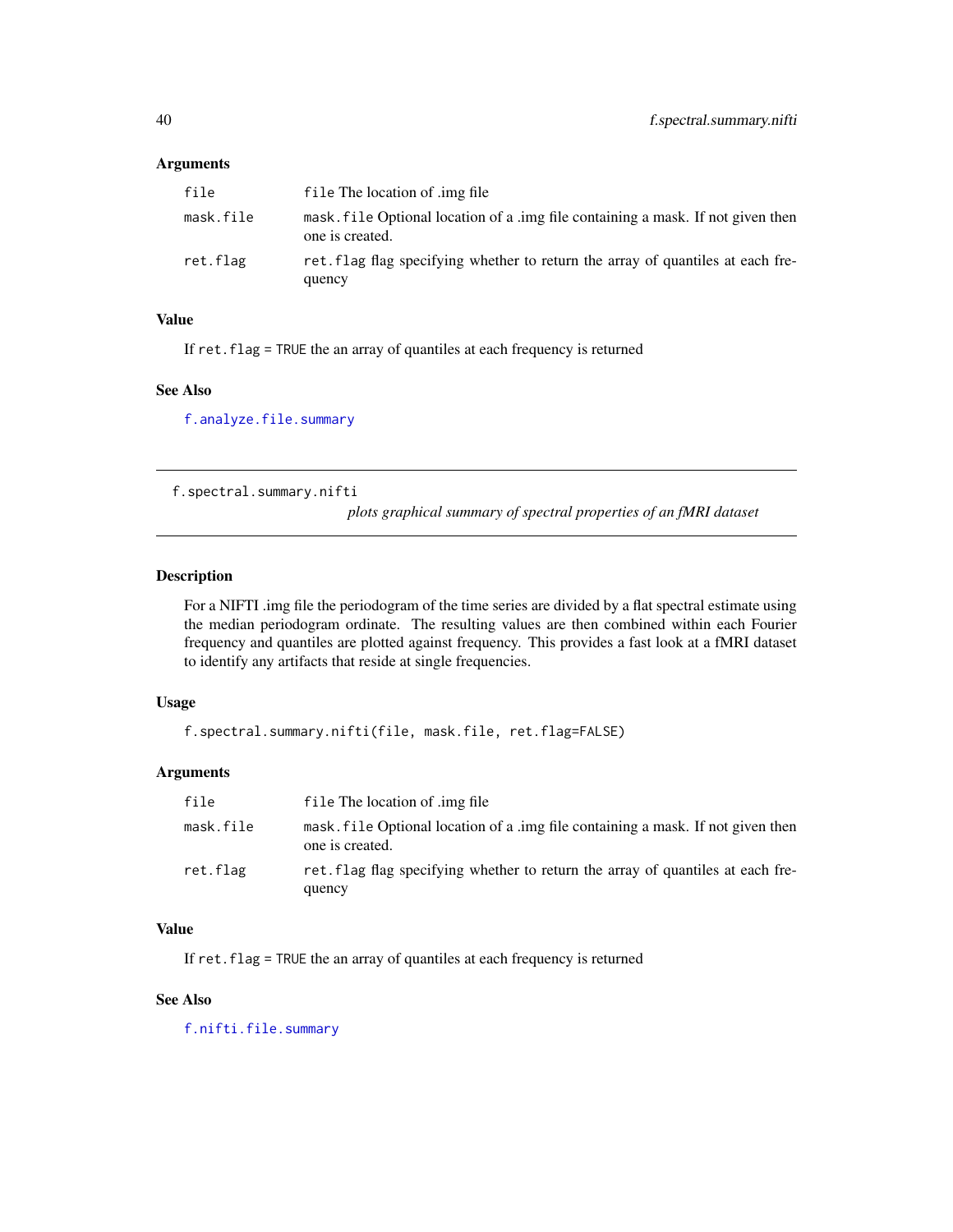# Arguments

| file      | file The location of .img file                                                                      |
|-----------|-----------------------------------------------------------------------------------------------------|
| mask.file | mask, file Optional location of a lime file containing a mask. If not given then<br>one is created. |
| ret.flag  | ret. flag flag specifying whether to return the array of quantiles at each fre-<br>quency           |

#### Value

If ret.flag = TRUE the an array of quantiles at each frequency is returned

#### See Also

[f.analyze.file.summary](#page-10-0)

f.spectral.summary.nifti

*plots graphical summary of spectral properties of an fMRI dataset*

## Description

For a NIFTI .img file the periodogram of the time series are divided by a flat spectral estimate using the median periodogram ordinate. The resulting values are then combined within each Fourier frequency and quantiles are plotted against frequency. This provides a fast look at a fMRI dataset to identify any artifacts that reside at single frequencies.

# Usage

```
f.spectral.summary.nifti(file, mask.file, ret.flag=FALSE)
```
# Arguments

| file      | file The location of .img file                                                                      |
|-----------|-----------------------------------------------------------------------------------------------------|
| mask.file | mask. file Optional location of a .img file containing a mask. If not given then<br>one is created. |
| ret.flag  | ret flag flag specifying whether to return the array of quantiles at each fre-<br>quency            |

# Value

If ret.flag = TRUE the an array of quantiles at each frequency is returned

# See Also

[f.nifti.file.summary](#page-21-0)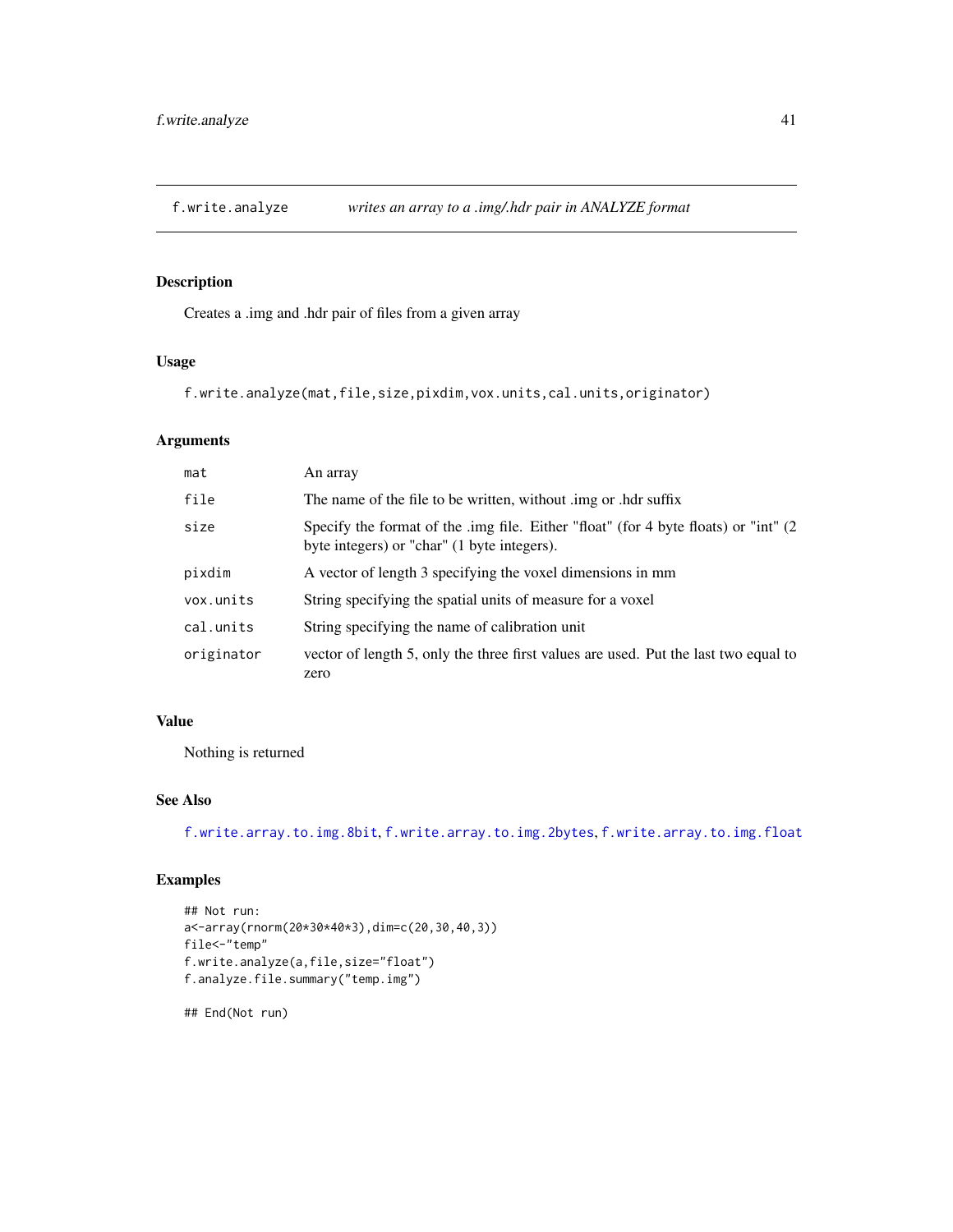<span id="page-40-0"></span>

# Description

Creates a .img and .hdr pair of files from a given array

# Usage

```
f.write.analyze(mat,file,size,pixdim,vox.units,cal.units,originator)
```
# Arguments

| mat        | An array                                                                                                                            |
|------------|-------------------------------------------------------------------------------------------------------------------------------------|
| file       | The name of the file to be written, without .img or .hdr suffix                                                                     |
| size       | Specify the format of the .img file. Either "float" (for 4 byte floats) or "int" (2)<br>byte integers) or "char" (1 byte integers). |
| pixdim     | A vector of length 3 specifying the voxel dimensions in mm                                                                          |
| vox.units  | String specifying the spatial units of measure for a voxel                                                                          |
| cal.units  | String specifying the name of calibration unit                                                                                      |
| originator | vector of length 5, only the three first values are used. Put the last two equal to<br>zero                                         |

# Value

Nothing is returned

# See Also

[f.write.array.to.img.8bit](#page-41-0), [f.write.array.to.img.2bytes](#page-41-1), [f.write.array.to.img.float](#page-42-0)

# Examples

```
## Not run:
a<-array(rnorm(20*30*40*3),dim=c(20,30,40,3))
file<-"temp"
f.write.analyze(a,file,size="float")
f.analyze.file.summary("temp.img")
```
## End(Not run)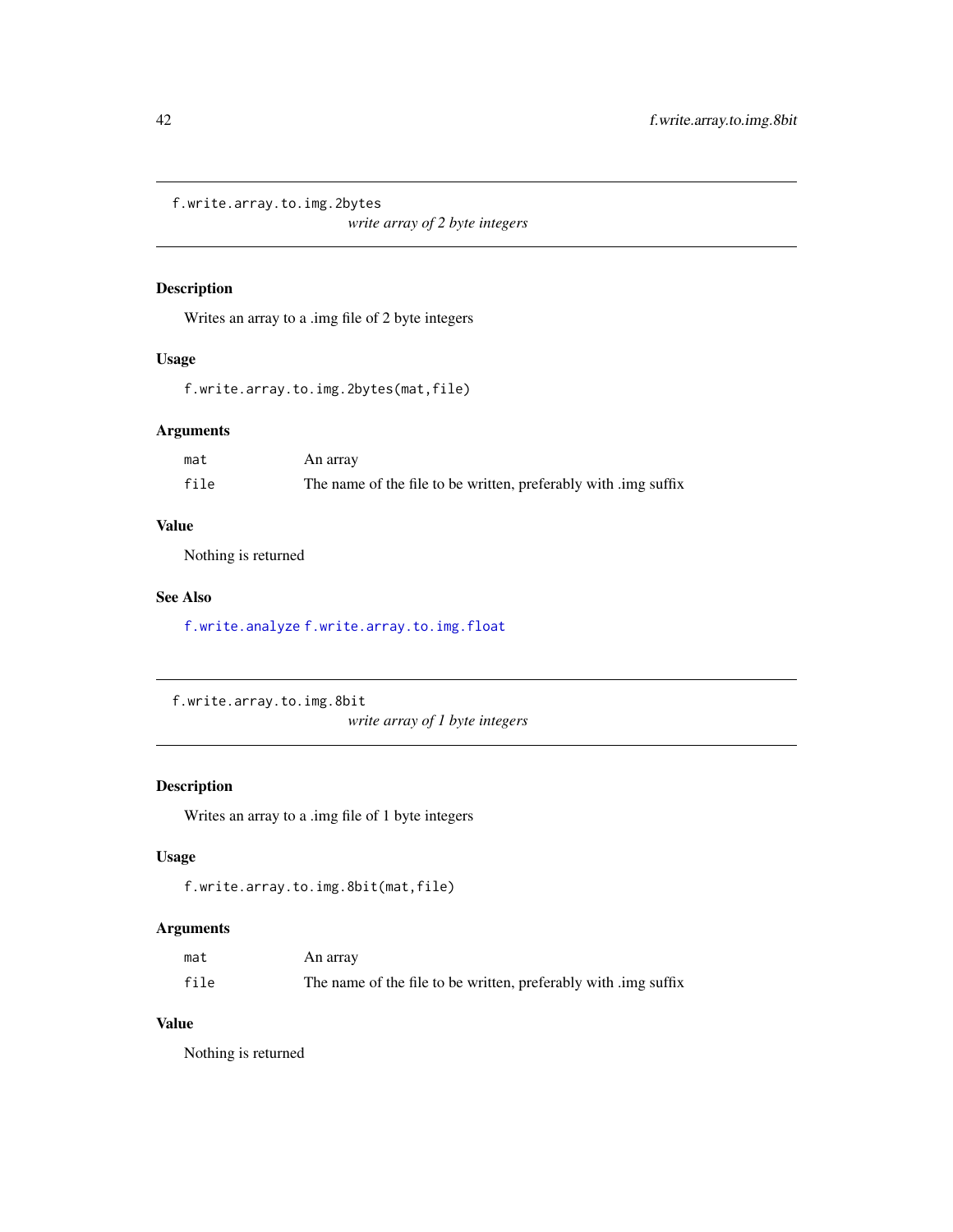<span id="page-41-1"></span>f.write.array.to.img.2bytes

*write array of 2 byte integers*

# Description

Writes an array to a .img file of 2 byte integers

# Usage

f.write.array.to.img.2bytes(mat,file)

## Arguments

| mat  | An array                                                        |
|------|-----------------------------------------------------------------|
| file | The name of the file to be written, preferably with limg suffix |

# Value

Nothing is returned

# See Also

[f.write.analyze](#page-40-0) [f.write.array.to.img.float](#page-42-0)

```
f.write.array.to.img.8bit
```
*write array of 1 byte integers*

# Description

Writes an array to a .img file of 1 byte integers

# Usage

```
f.write.array.to.img.8bit(mat,file)
```
# Arguments

| mat  | An array                                                        |  |  |
|------|-----------------------------------------------------------------|--|--|
| file | The name of the file to be written, preferably with limg suffix |  |  |

# Value

Nothing is returned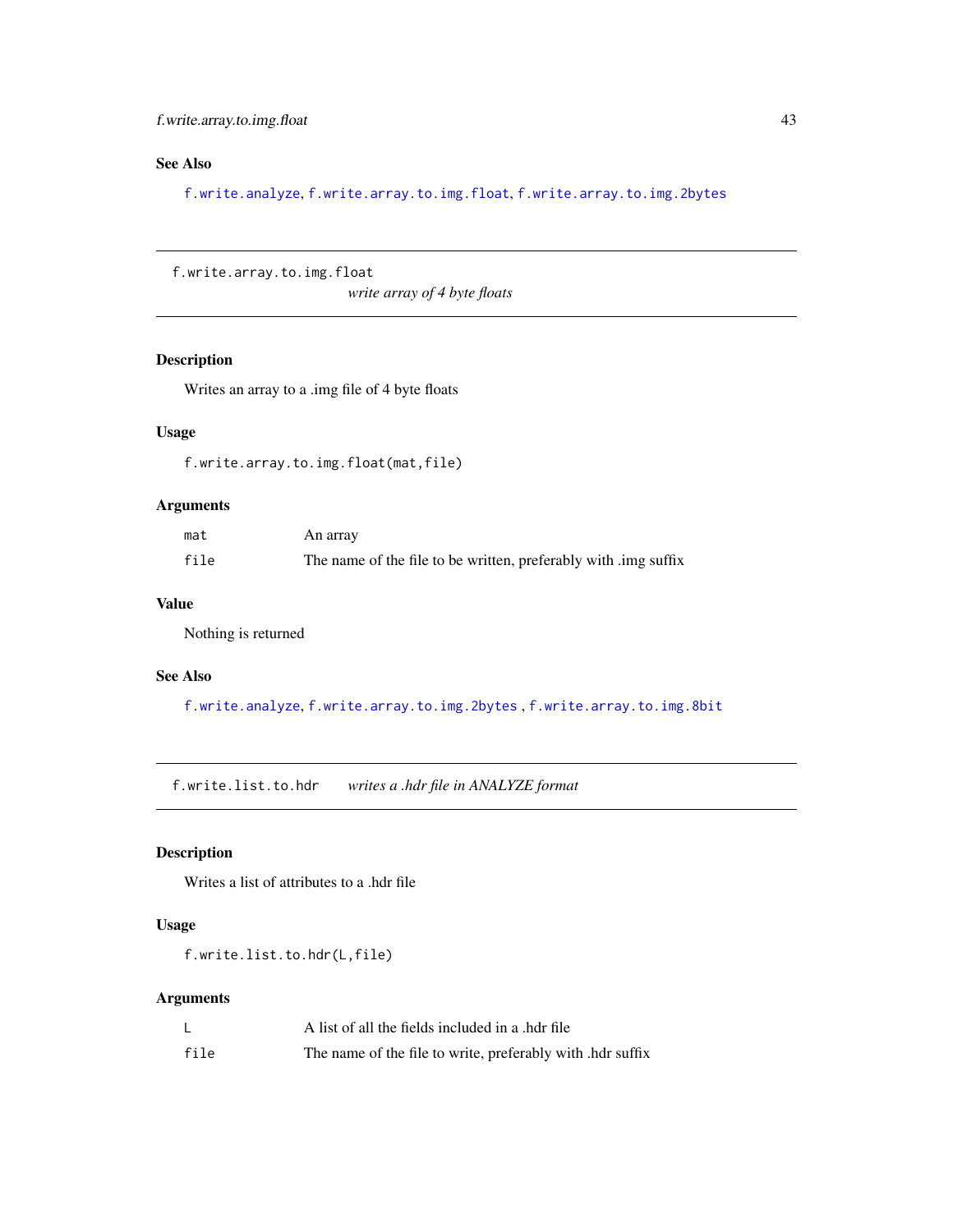f.write.array.to.img.float 43

# See Also

[f.write.analyze](#page-40-0), [f.write.array.to.img.float](#page-42-0), [f.write.array.to.img.2bytes](#page-41-1)

<span id="page-42-0"></span>f.write.array.to.img.float

*write array of 4 byte floats*

# Description

Writes an array to a .img file of 4 byte floats

# Usage

f.write.array.to.img.float(mat,file)

# Arguments

| mat  | An array                                                        |
|------|-----------------------------------------------------------------|
| file | The name of the file to be written, preferably with limg suffix |

## Value

Nothing is returned

# See Also

[f.write.analyze](#page-40-0), [f.write.array.to.img.2bytes](#page-41-1) , [f.write.array.to.img.8bit](#page-41-0)

f.write.list.to.hdr *writes a .hdr file in ANALYZE format*

# Description

Writes a list of attributes to a .hdr file

# Usage

f.write.list.to.hdr(L,file)

# Arguments

|      | A list of all the fields included in a .hdr file           |
|------|------------------------------------------------------------|
| file | The name of the file to write, preferably with .hdr suffix |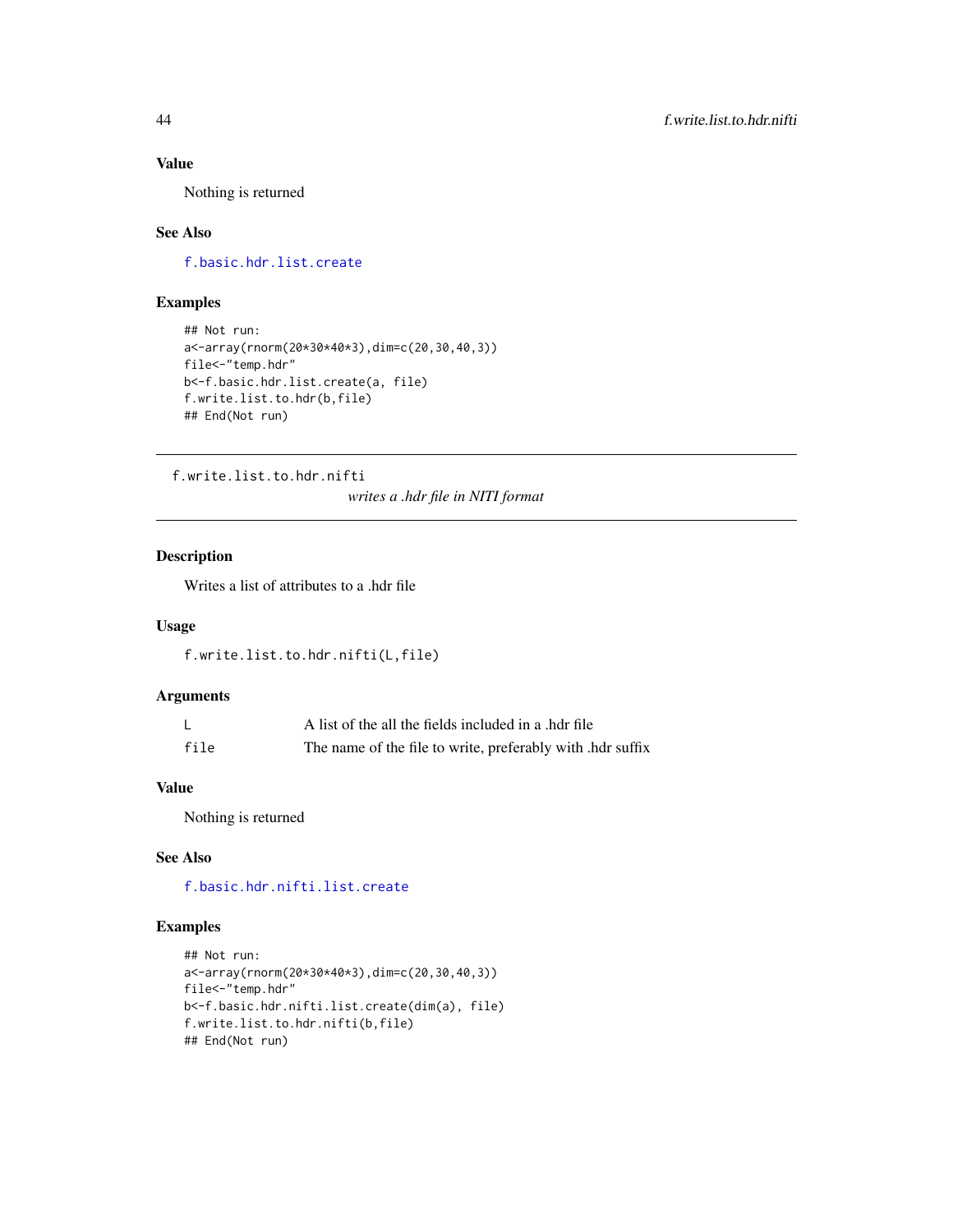# Value

Nothing is returned

# See Also

[f.basic.hdr.list.create](#page-11-0)

# Examples

```
## Not run:
a<-array(rnorm(20*30*40*3),dim=c(20,30,40,3))
file<-"temp.hdr"
b<-f.basic.hdr.list.create(a, file)
f.write.list.to.hdr(b,file)
## End(Not run)
```
f.write.list.to.hdr.nifti

*writes a .hdr file in NITI format*

# Description

Writes a list of attributes to a .hdr file

# Usage

f.write.list.to.hdr.nifti(L,file)

# Arguments

|      | A list of the all the fields included in a .hdr file       |
|------|------------------------------------------------------------|
| file | The name of the file to write, preferably with .hdr suffix |

# Value

Nothing is returned

# See Also

[f.basic.hdr.nifti.list.create](#page-11-1)

## Examples

```
## Not run:
a<-array(rnorm(20*30*40*3),dim=c(20,30,40,3))
file<-"temp.hdr"
b<-f.basic.hdr.nifti.list.create(dim(a), file)
f.write.list.to.hdr.nifti(b,file)
## End(Not run)
```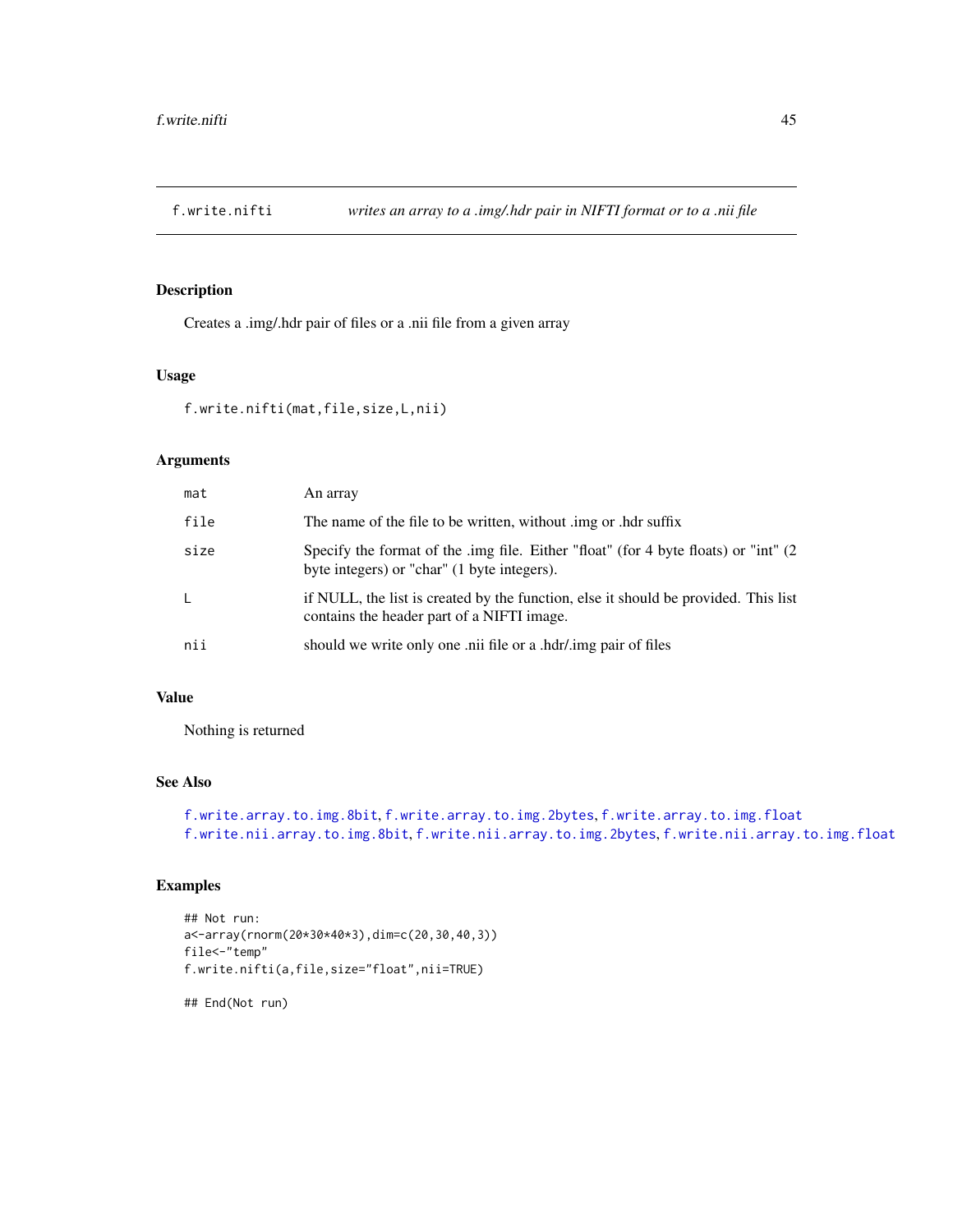<span id="page-44-0"></span>

# Description

Creates a .img/.hdr pair of files or a .nii file from a given array

#### Usage

```
f.write.nifti(mat,file,size,L,nii)
```
# Arguments

| mat  | An array                                                                                                                            |
|------|-------------------------------------------------------------------------------------------------------------------------------------|
| file | The name of the file to be written, without limg or hdr suffix                                                                      |
| size | Specify the format of the .img file. Either "float" (for 4 byte floats) or "int" (2)<br>byte integers) or "char" (1 byte integers). |
| -L   | if NULL, the list is created by the function, else it should be provided. This list<br>contains the header part of a NIFTI image.   |
| nii  | should we write only one .nii file or a .hdr/.img pair of files                                                                     |

# Value

Nothing is returned

# See Also

```
f.write.array.to.img.8bit, f.write.array.to.img.2bytes, f.write.array.to.img.float
f.write.nii.array.to.img.8bit, f.write.nii.array.to.img.2bytes, f.write.nii.array.to.img.float
```
# Examples

```
## Not run:
a<-array(rnorm(20*30*40*3),dim=c(20,30,40,3))
file<-"temp"
f.write.nifti(a,file,size="float",nii=TRUE)
```
## End(Not run)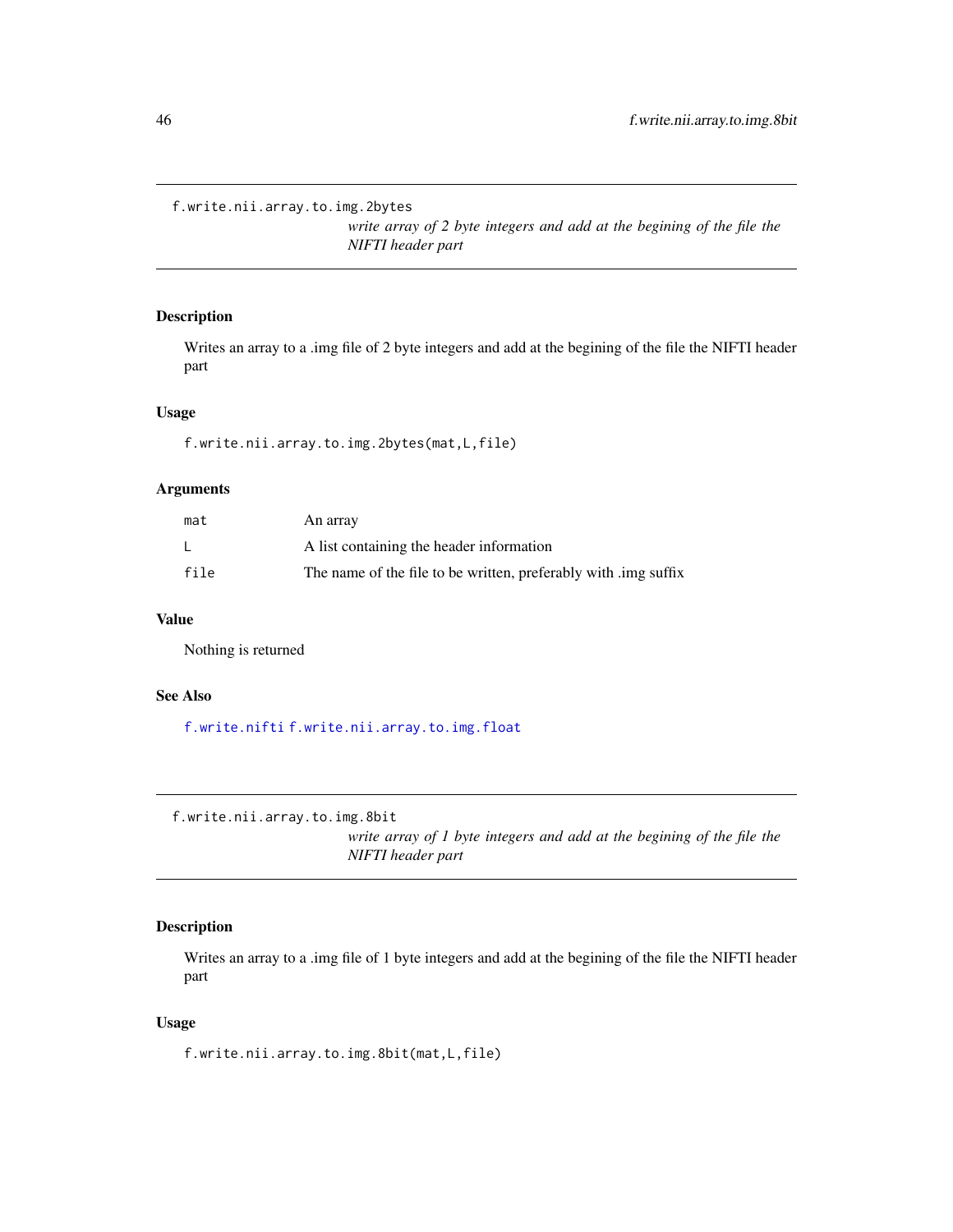```
f.write.nii.array.to.img.2bytes
```
*write array of 2 byte integers and add at the begining of the file the NIFTI header part*

# Description

Writes an array to a .img file of 2 byte integers and add at the begining of the file the NIFTI header part

# Usage

f.write.nii.array.to.img.2bytes(mat,L,file)

# Arguments

| mat  | An array                                                        |
|------|-----------------------------------------------------------------|
|      | A list containing the header information                        |
| file | The name of the file to be written, preferably with limg suffix |

#### Value

Nothing is returned

# See Also

[f.write.nifti](#page-44-0) [f.write.nii.array.to.img.float](#page-46-0)

<span id="page-45-0"></span>f.write.nii.array.to.img.8bit

*write array of 1 byte integers and add at the begining of the file the NIFTI header part*

# Description

Writes an array to a .img file of 1 byte integers and add at the begining of the file the NIFTI header part

## Usage

f.write.nii.array.to.img.8bit(mat,L,file)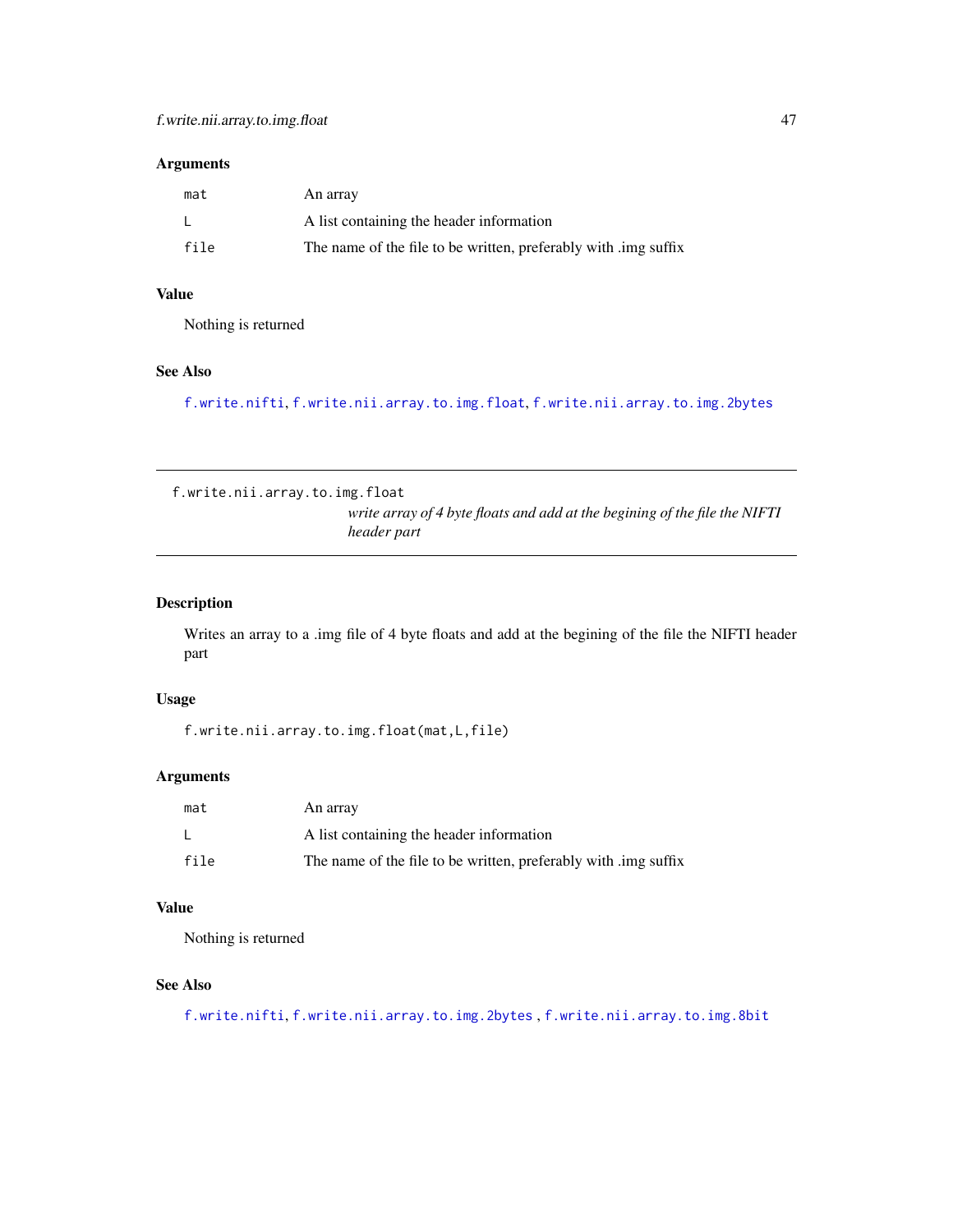# Arguments

| mat  | An array                                                        |
|------|-----------------------------------------------------------------|
|      | A list containing the header information                        |
| file | The name of the file to be written, preferably with limg suffix |

# Value

Nothing is returned

# See Also

[f.write.nifti](#page-44-0), [f.write.nii.array.to.img.float](#page-46-0), [f.write.nii.array.to.img.2bytes](#page-45-1)

<span id="page-46-0"></span>f.write.nii.array.to.img.float *write array of 4 byte floats and add at the begining of the file the NIFTI header part*

# Description

Writes an array to a .img file of 4 byte floats and add at the begining of the file the NIFTI header part

# Usage

f.write.nii.array.to.img.float(mat,L,file)

# Arguments

| mat  | An array                                                        |
|------|-----------------------------------------------------------------|
|      | A list containing the header information                        |
| file | The name of the file to be written, preferably with limg suffix |

# Value

Nothing is returned

# See Also

[f.write.nifti](#page-44-0), [f.write.nii.array.to.img.2bytes](#page-45-1) , [f.write.nii.array.to.img.8bit](#page-45-0)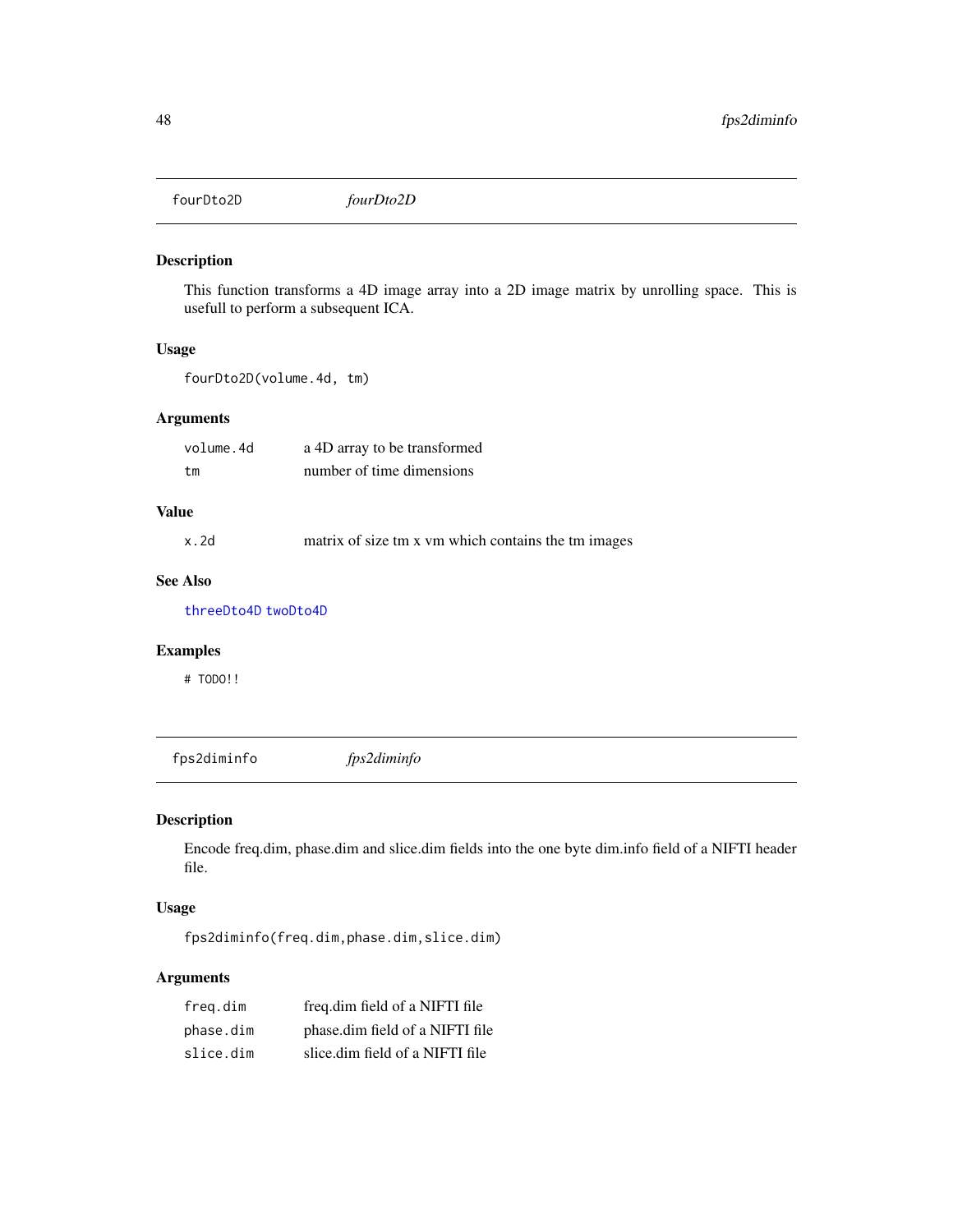fourDto2D *fourDto2D*

# Description

This function transforms a 4D image array into a 2D image matrix by unrolling space. This is usefull to perform a subsequent ICA.

# Usage

fourDto2D(volume.4d, tm)

# Arguments

| volume.4d | a 4D array to be transformed |
|-----------|------------------------------|
| tm        | number of time dimensions    |

# Value

x.2d matrix of size tm x vm which contains the tm images

# See Also

[threeDto4D](#page-80-0) [twoDto4D](#page-83-0)

# Examples

# TODO!!

fps2diminfo *fps2diminfo*

# Description

Encode freq.dim, phase.dim and slice.dim fields into the one byte dim.info field of a NIFTI header file.

# Usage

fps2diminfo(freq.dim,phase.dim,slice.dim)

# Arguments

| freg.dim  | freq.dim field of a NIFTI file  |
|-----------|---------------------------------|
| phase.dim | phase.dim field of a NIFTI file |
| slice.dim | slice.dim field of a NIFTI file |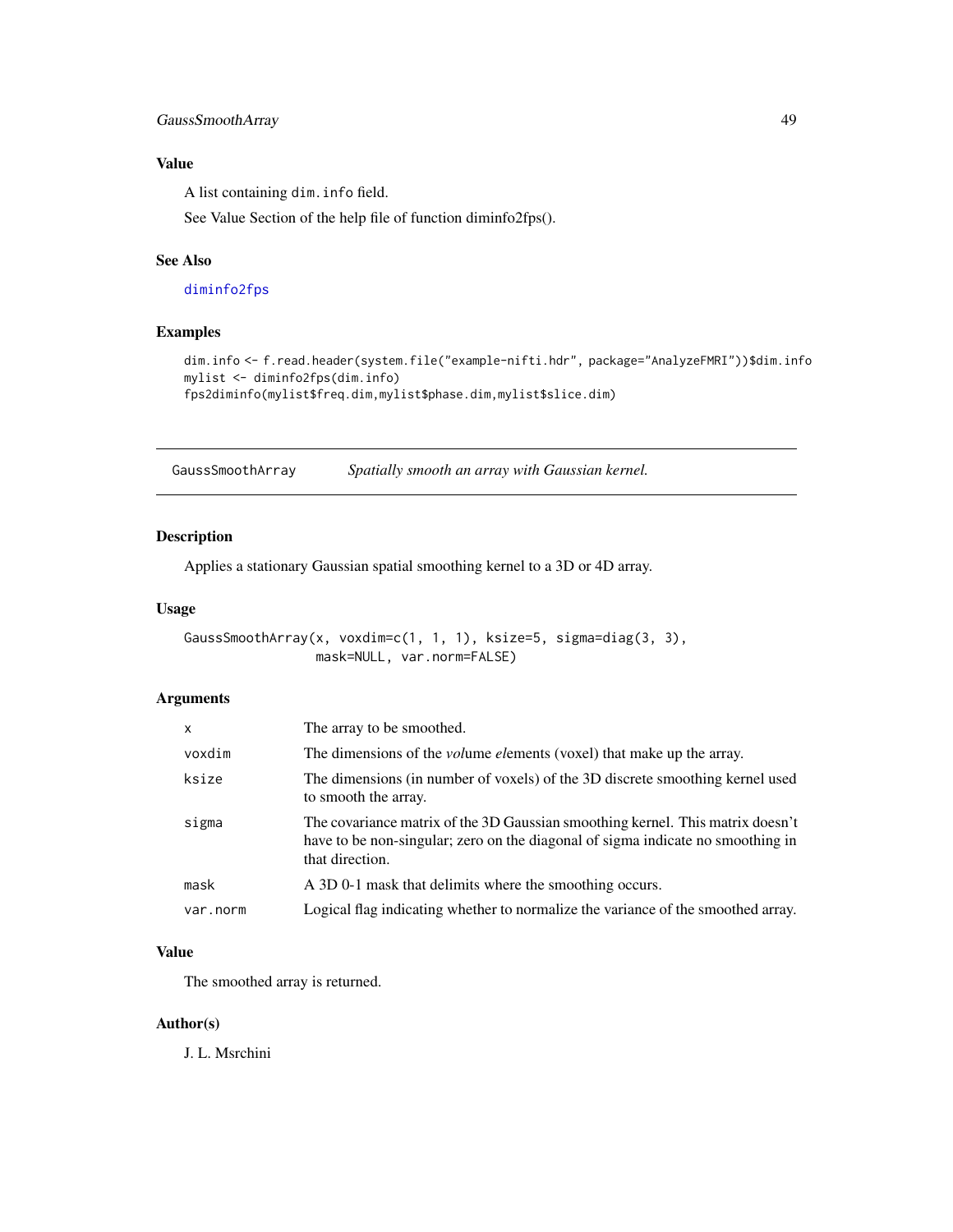# GaussSmoothArray 49

# Value

A list containing dim.info field.

See Value Section of the help file of function diminfo2fps().

# See Also

## [diminfo2fps](#page-7-0)

# Examples

```
dim.info <- f.read.header(system.file("example-nifti.hdr", package="AnalyzeFMRI"))$dim.info
mylist <- diminfo2fps(dim.info)
fps2diminfo(mylist$freq.dim,mylist$phase.dim,mylist$slice.dim)
```
<span id="page-48-0"></span>GaussSmoothArray *Spatially smooth an array with Gaussian kernel.*

# Description

Applies a stationary Gaussian spatial smoothing kernel to a 3D or 4D array.

#### Usage

```
GaussSmoothArray(x, voxdim=c(1, 1, 1), ksize=5, sigma=diag(3, 3),
                 mask=NULL, var.norm=FALSE)
```
#### Arguments

| $\mathsf{x}$ | The array to be smoothed.                                                                                                                                                            |
|--------------|--------------------------------------------------------------------------------------------------------------------------------------------------------------------------------------|
| voxdim       | The dimensions of the <i>volume elements</i> (voxel) that make up the array.                                                                                                         |
| ksize        | The dimensions (in number of voxels) of the 3D discrete smoothing kernel used<br>to smooth the array.                                                                                |
| sigma        | The covariance matrix of the 3D Gaussian smoothing kernel. This matrix doesn't<br>have to be non-singular; zero on the diagonal of sigma indicate no smoothing in<br>that direction. |
| mask         | A 3D 0-1 mask that delimits where the smoothing occurs.                                                                                                                              |
| var.norm     | Logical flag indicating whether to normalize the variance of the smoothed array.                                                                                                     |

# Value

The smoothed array is returned.

## Author(s)

J. L. Msrchini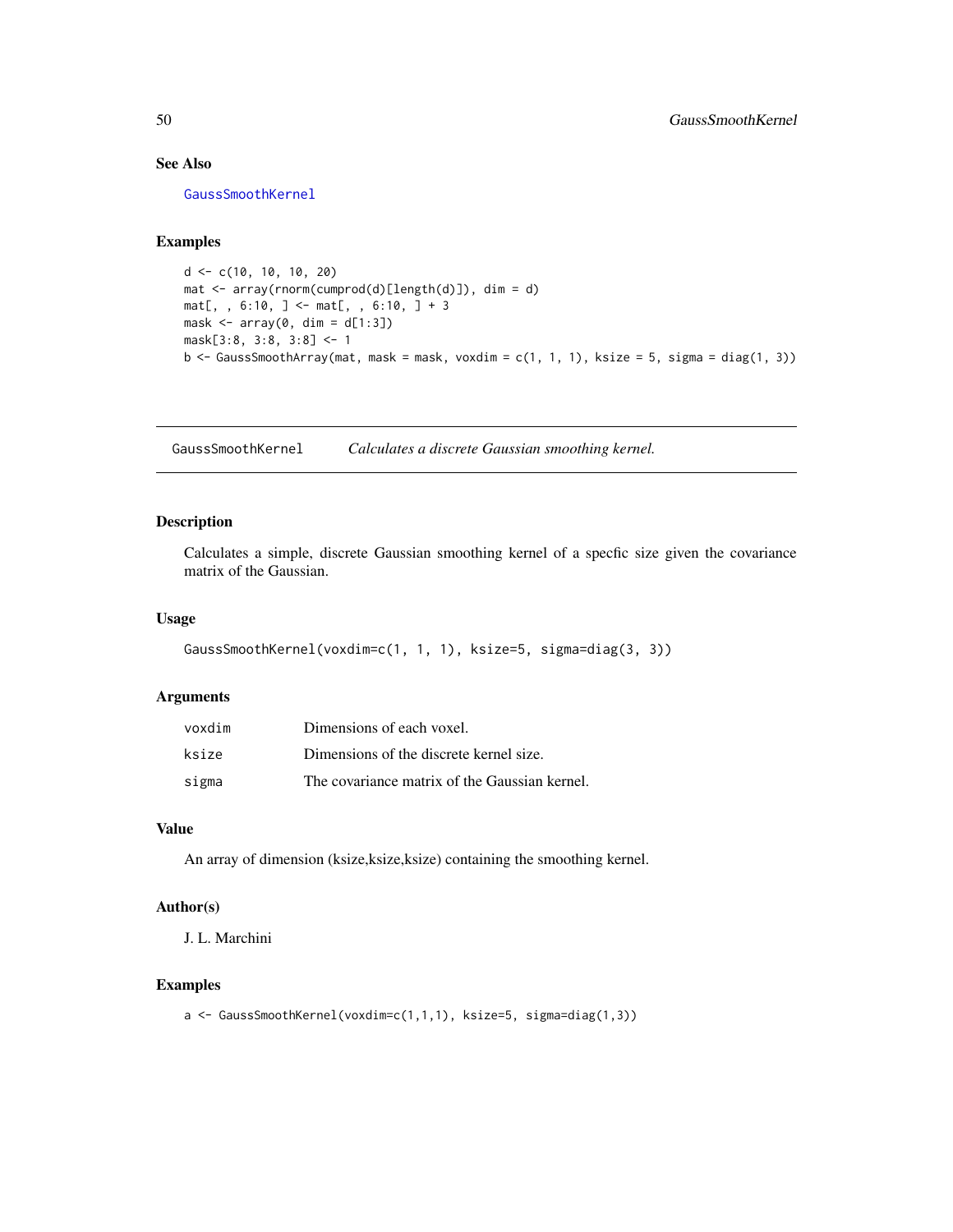# See Also

[GaussSmoothKernel](#page-49-0)

# Examples

```
d <- c(10, 10, 10, 20)
mat <- array(rnorm(cumprod(d)[length(d)]), dim = d)
mat[, , 6:10, ] < - mat[, , 6:10, ] + 3mask \leq array(0, dim = d[1:3])
mask[3:8, 3:8, 3:8] <- 1
b \leq GaussSmoothArray(mat, mask = mask, voxdim = c(1, 1, 1), ksize = 5, sigma = diag(1, 3))
```
<span id="page-49-0"></span>GaussSmoothKernel *Calculates a discrete Gaussian smoothing kernel.*

# Description

Calculates a simple, discrete Gaussian smoothing kernel of a specfic size given the covariance matrix of the Gaussian.

# Usage

```
GaussSmoothKernel(voxdim=c(1, 1, 1), ksize=5, sigma=diag(3, 3))
```
#### Arguments

| voxdim | Dimensions of each voxel.                     |
|--------|-----------------------------------------------|
| ksize  | Dimensions of the discrete kernel size.       |
| sigma  | The covariance matrix of the Gaussian kernel. |

## Value

An array of dimension (ksize,ksize,ksize) containing the smoothing kernel.

## Author(s)

J. L. Marchini

#### Examples

a <- GaussSmoothKernel(voxdim=c(1,1,1), ksize=5, sigma=diag(1,3))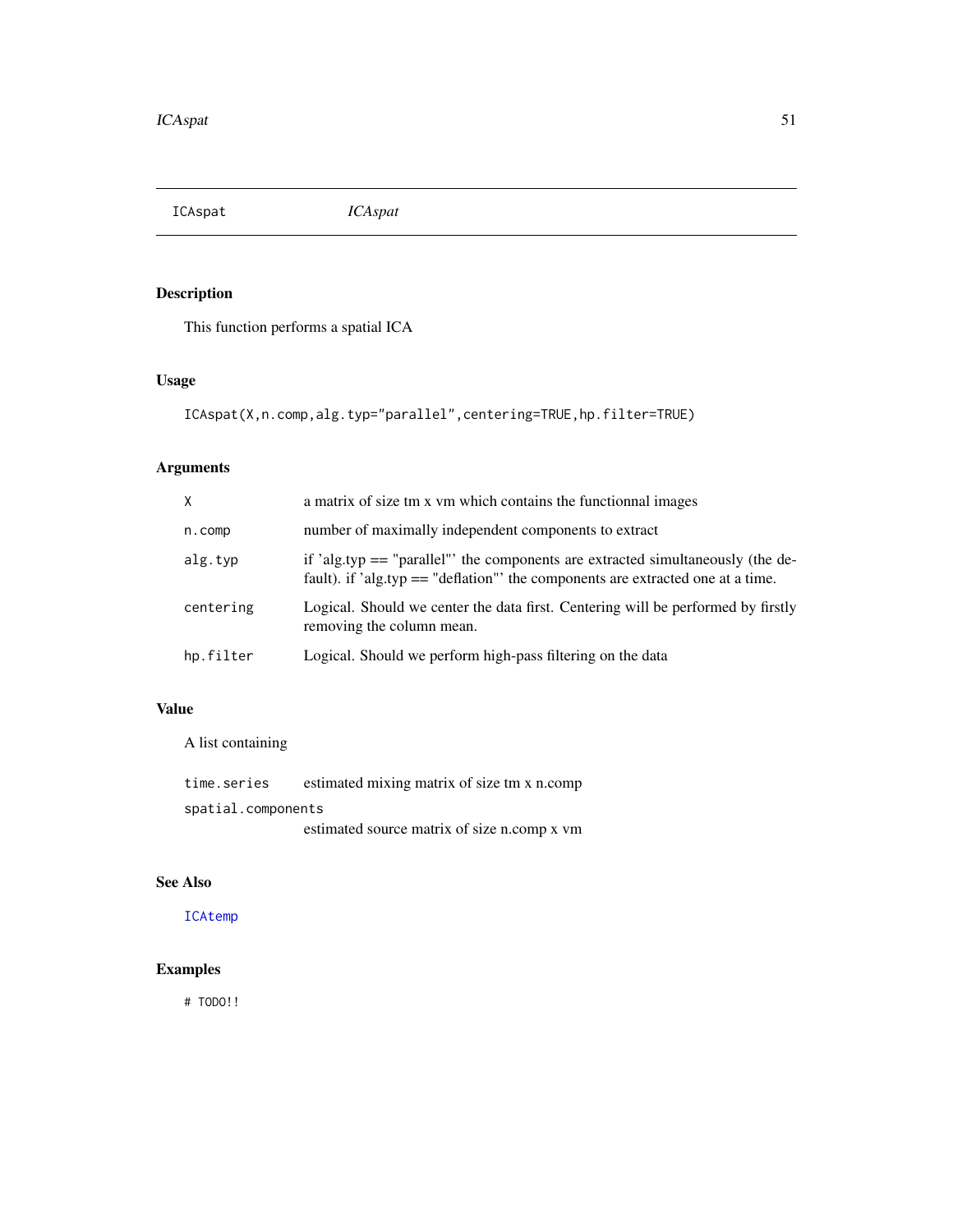<span id="page-50-0"></span>ICAspat *ICAspat*

# Description

This function performs a spatial ICA

# Usage

```
ICAspat(X,n.comp,alg.typ="parallel",centering=TRUE,hp.filter=TRUE)
```
# Arguments

| X          | a matrix of size tm x vm which contains the functional images                                                                                                      |
|------------|--------------------------------------------------------------------------------------------------------------------------------------------------------------------|
| $n$ . comp | number of maximally independent components to extract                                                                                                              |
| alg.typ    | if 'alg.typ $==$ "parallel" the components are extracted simultaneously (the de-<br>fault). if 'alg.typ == "deflation" the components are extracted one at a time. |
| centering  | Logical. Should we center the data first. Centering will be performed by firstly<br>removing the column mean.                                                      |
| hp.filter  | Logical. Should we perform high-pass filtering on the data                                                                                                         |

# Value

A list containing

| time.series        | estimated mixing matrix of size tm x n.comp |
|--------------------|---------------------------------------------|
| spatial.components |                                             |
|                    | estimated source matrix of size n.comp x vm |

# See Also

[ICAtemp](#page-51-0)

# Examples

# TODO!!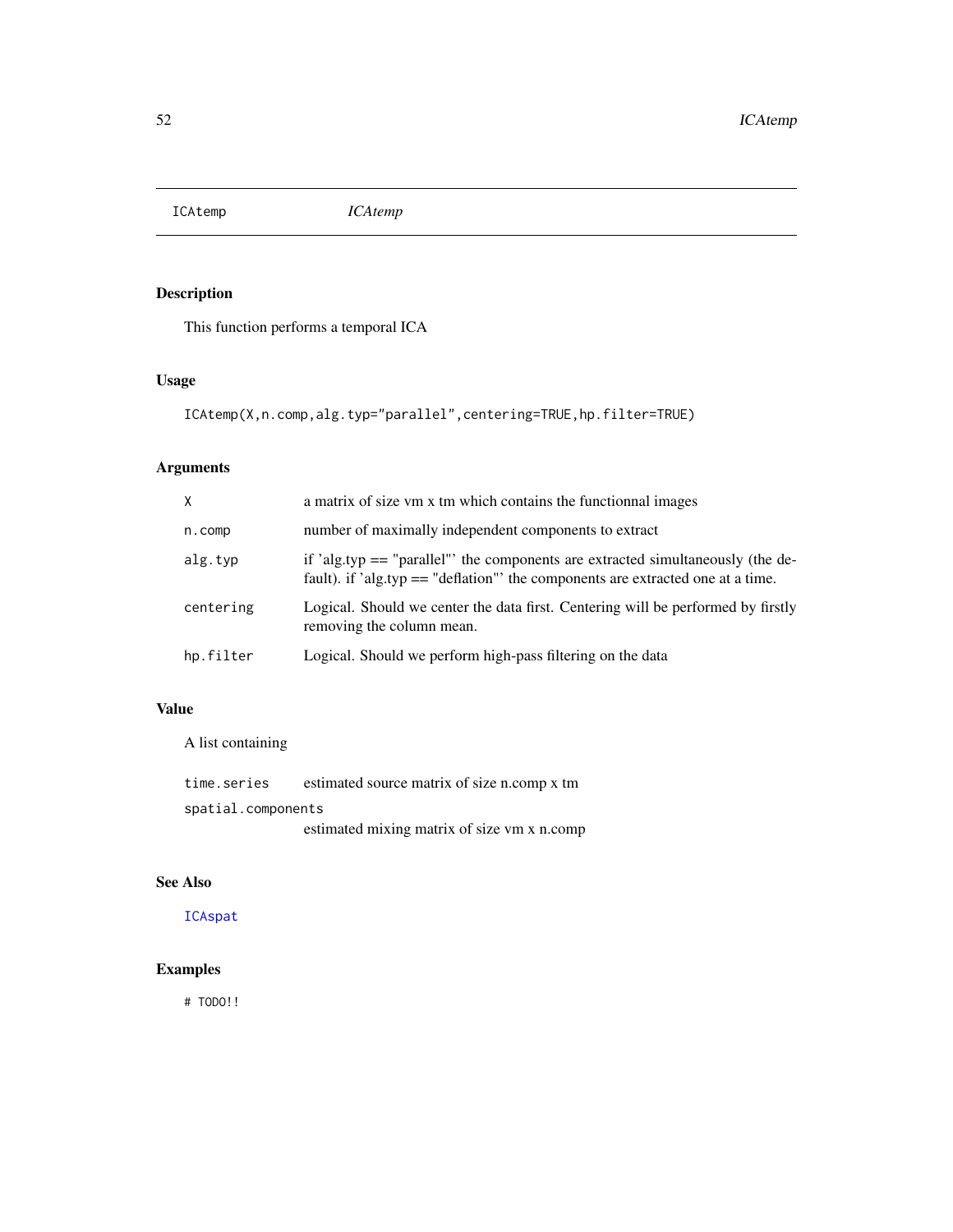<span id="page-51-0"></span>ICAtemp *ICAtemp*

# Description

This function performs a temporal ICA

# Usage

```
ICAtemp(X,n.comp,alg.typ="parallel",centering=TRUE,hp.filter=TRUE)
```
# Arguments

| X         | a matrix of size vm x tm which contains the functional images                                                                                                        |
|-----------|----------------------------------------------------------------------------------------------------------------------------------------------------------------------|
| $n.$ comp | number of maximally independent components to extract                                                                                                                |
| alg.typ   | if 'alg.typ $==$ "parallel" the components are extracted simultaneously (the de-<br>fault). if 'alg.typ $==$ "deflation" the components are extracted one at a time. |
| centering | Logical. Should we center the data first. Centering will be performed by firstly<br>removing the column mean.                                                        |
| hp.filter | Logical. Should we perform high-pass filtering on the data                                                                                                           |

# Value

A list containing

| time.series        | estimated source matrix of size n.comp x tm |  |  |
|--------------------|---------------------------------------------|--|--|
| spatial.components |                                             |  |  |
|                    | estimated mixing matrix of size vm x n.comp |  |  |

# See Also

[ICAspat](#page-50-0)

# Examples

# TODO!!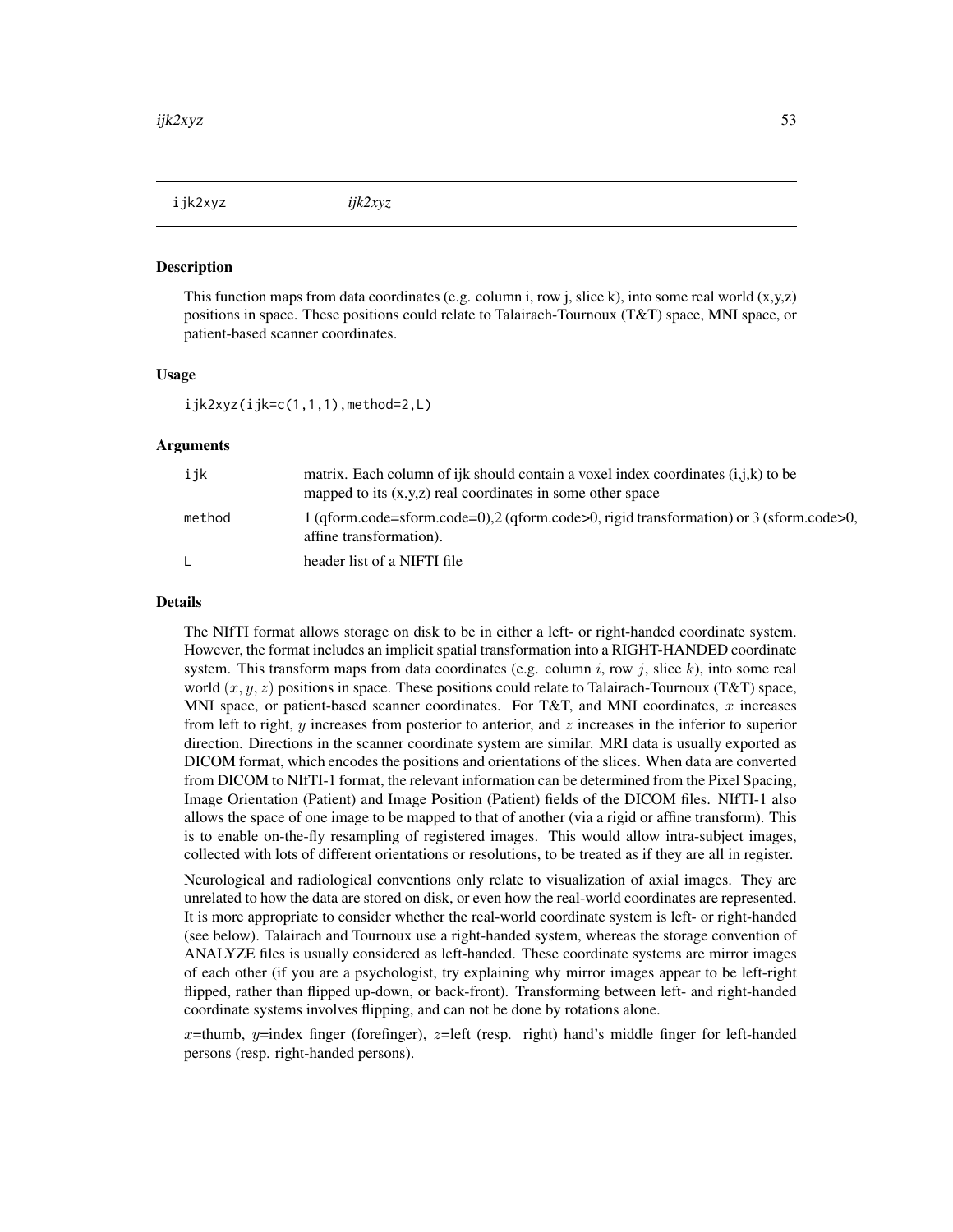ijk2xyz *ijk2xyz*

#### Description

This function maps from data coordinates (e.g. column i, row j, slice k), into some real world  $(x,y,z)$ positions in space. These positions could relate to Talairach-Tournoux (T&T) space, MNI space, or patient-based scanner coordinates.

# Usage

 $ijk2xyz(ijk=c(1,1,1),\text{method=2,L})$ 

#### Arguments

| ijk    | matrix. Each column of ijk should contain a voxel index coordinates $(i,j,k)$ to be<br>mapped to its $(x,y,z)$ real coordinates in some other space |
|--------|-----------------------------------------------------------------------------------------------------------------------------------------------------|
| method | 1 (qform.code=sform.code=0),2 (qform.code>0, rigid transformation) or 3 (sform.code>0,<br>affine transformation).                                   |
| L.     | header list of a NIFTI file                                                                                                                         |

## Details

The NIfTI format allows storage on disk to be in either a left- or right-handed coordinate system. However, the format includes an implicit spatial transformation into a RIGHT-HANDED coordinate system. This transform maps from data coordinates (e.g. column i, row j, slice k), into some real world  $(x, y, z)$  positions in space. These positions could relate to Talairach-Tournoux (T&T) space, MNI space, or patient-based scanner coordinates. For T&T, and MNI coordinates,  $x$  increases from left to right, y increases from posterior to anterior, and z increases in the inferior to superior direction. Directions in the scanner coordinate system are similar. MRI data is usually exported as DICOM format, which encodes the positions and orientations of the slices. When data are converted from DICOM to NIfTI-1 format, the relevant information can be determined from the Pixel Spacing, Image Orientation (Patient) and Image Position (Patient) fields of the DICOM files. NIfTI-1 also allows the space of one image to be mapped to that of another (via a rigid or affine transform). This is to enable on-the-fly resampling of registered images. This would allow intra-subject images, collected with lots of different orientations or resolutions, to be treated as if they are all in register.

Neurological and radiological conventions only relate to visualization of axial images. They are unrelated to how the data are stored on disk, or even how the real-world coordinates are represented. It is more appropriate to consider whether the real-world coordinate system is left- or right-handed (see below). Talairach and Tournoux use a right-handed system, whereas the storage convention of ANALYZE files is usually considered as left-handed. These coordinate systems are mirror images of each other (if you are a psychologist, try explaining why mirror images appear to be left-right flipped, rather than flipped up-down, or back-front). Transforming between left- and right-handed coordinate systems involves flipping, and can not be done by rotations alone.

x=thumb, y=index finger (forefinger), z=left (resp. right) hand's middle finger for left-handed persons (resp. right-handed persons).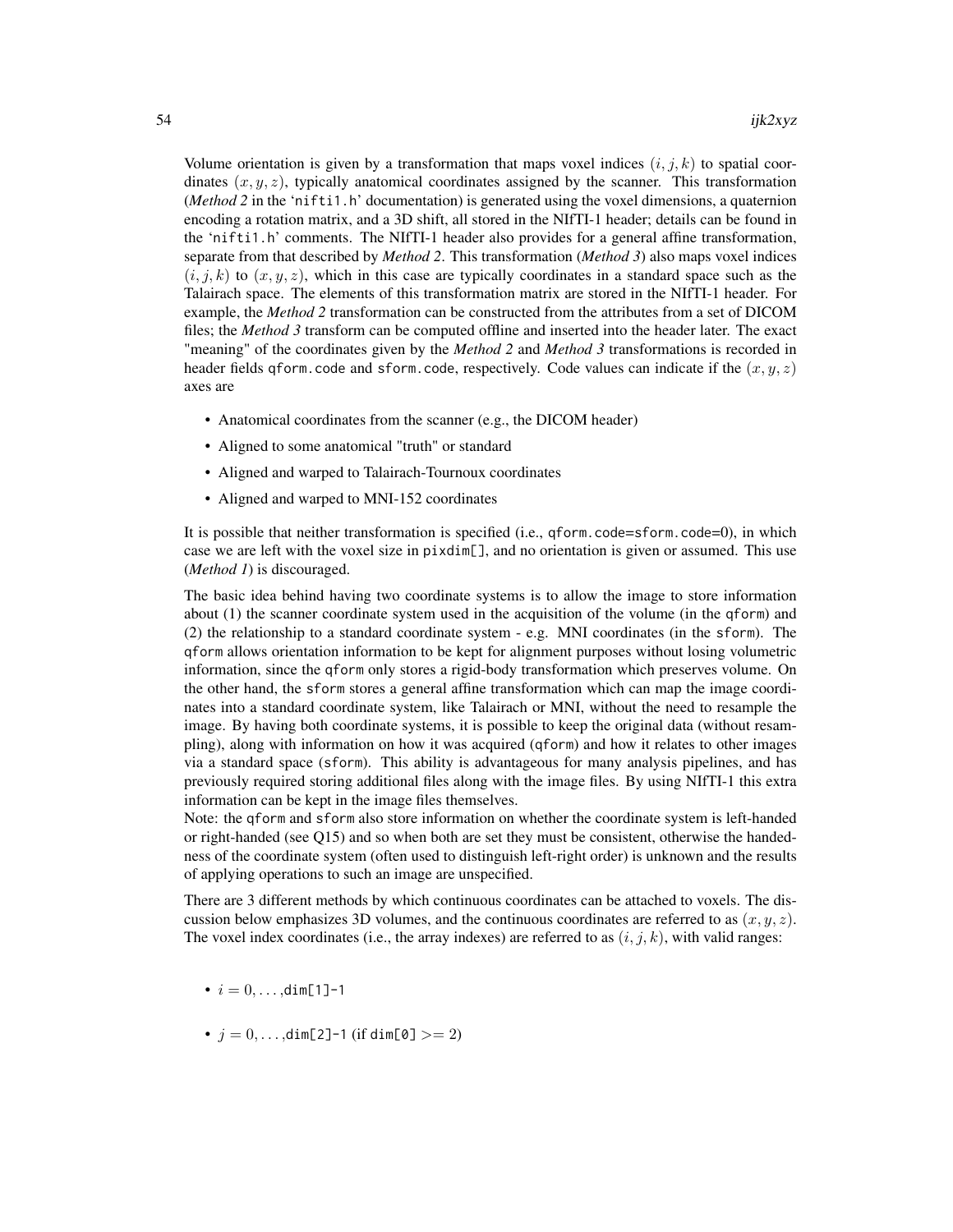Volume orientation is given by a transformation that maps voxel indices  $(i, j, k)$  to spatial coordinates  $(x, y, z)$ , typically anatomical coordinates assigned by the scanner. This transformation (*Method 2* in the 'nifti1.h' documentation) is generated using the voxel dimensions, a quaternion encoding a rotation matrix, and a 3D shift, all stored in the NIfTI-1 header; details can be found in the 'nifti1.h' comments. The NIfTI-1 header also provides for a general affine transformation, separate from that described by *Method 2*. This transformation (*Method 3*) also maps voxel indices  $(i, j, k)$  to  $(x, y, z)$ , which in this case are typically coordinates in a standard space such as the Talairach space. The elements of this transformation matrix are stored in the NIfTI-1 header. For example, the *Method 2* transformation can be constructed from the attributes from a set of DICOM files; the *Method 3* transform can be computed offline and inserted into the header later. The exact "meaning" of the coordinates given by the *Method 2* and *Method 3* transformations is recorded in header fields qform.code and sform.code, respectively. Code values can indicate if the  $(x, y, z)$ axes are

- Anatomical coordinates from the scanner (e.g., the DICOM header)
- Aligned to some anatomical "truth" or standard
- Aligned and warped to Talairach-Tournoux coordinates
- Aligned and warped to MNI-152 coordinates

It is possible that neither transformation is specified (i.e., qform.code=sform.code=0), in which case we are left with the voxel size in pixdim[], and no orientation is given or assumed. This use (*Method 1*) is discouraged.

The basic idea behind having two coordinate systems is to allow the image to store information about (1) the scanner coordinate system used in the acquisition of the volume (in the qform) and (2) the relationship to a standard coordinate system - e.g. MNI coordinates (in the sform). The qform allows orientation information to be kept for alignment purposes without losing volumetric information, since the qform only stores a rigid-body transformation which preserves volume. On the other hand, the sform stores a general affine transformation which can map the image coordinates into a standard coordinate system, like Talairach or MNI, without the need to resample the image. By having both coordinate systems, it is possible to keep the original data (without resampling), along with information on how it was acquired (qform) and how it relates to other images via a standard space (sform). This ability is advantageous for many analysis pipelines, and has previously required storing additional files along with the image files. By using NIfTI-1 this extra information can be kept in the image files themselves.

Note: the qform and sform also store information on whether the coordinate system is left-handed or right-handed (see Q15) and so when both are set they must be consistent, otherwise the handedness of the coordinate system (often used to distinguish left-right order) is unknown and the results of applying operations to such an image are unspecified.

There are 3 different methods by which continuous coordinates can be attached to voxels. The discussion below emphasizes 3D volumes, and the continuous coordinates are referred to as  $(x, y, z)$ . The voxel index coordinates (i.e., the array indexes) are referred to as  $(i, j, k)$ , with valid ranges:

- $i = 0, \ldots, \text{dim}[1]-1$
- $j = 0, ..., dim[2]$ -1 (if dim[0]  $>= 2$ )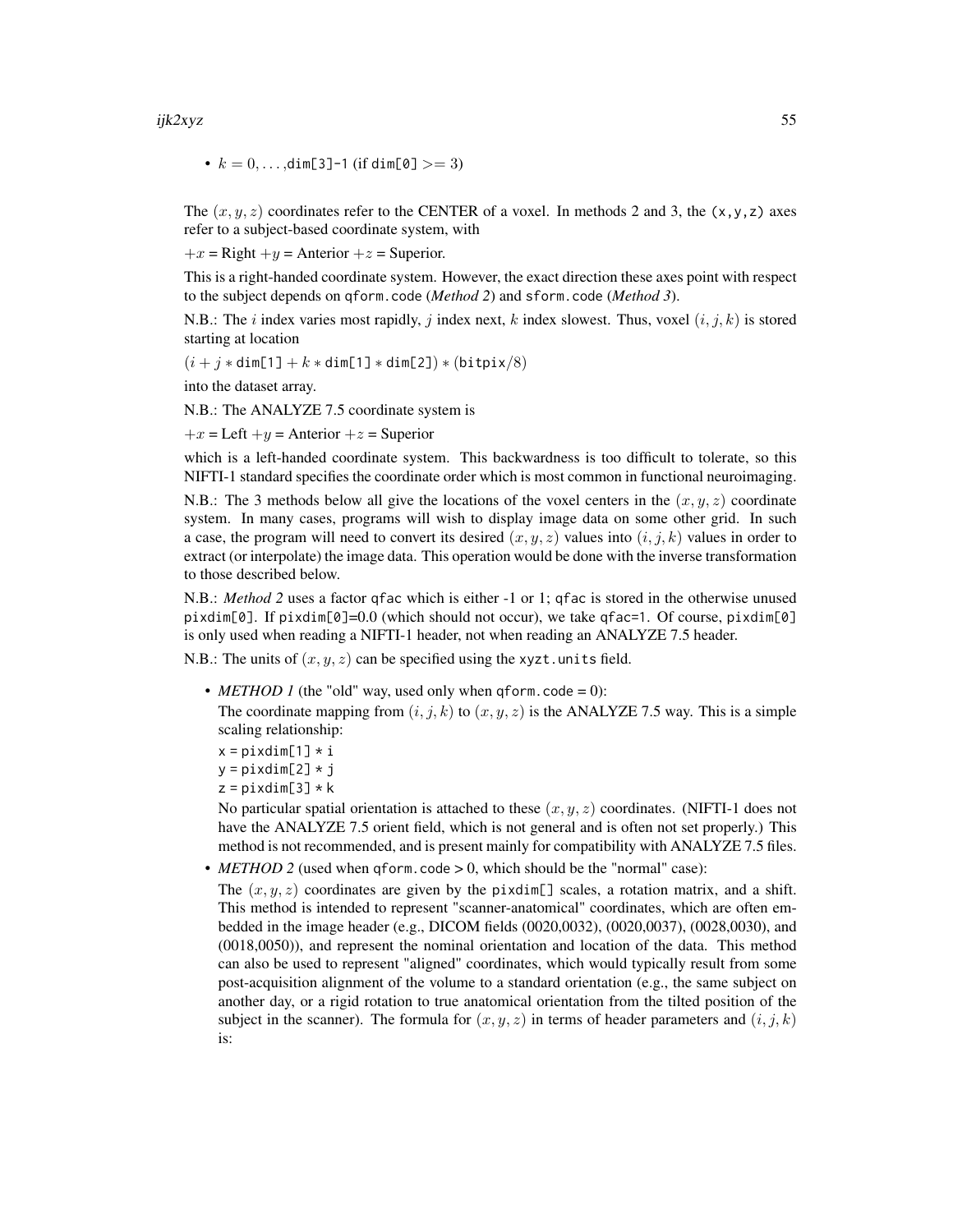#### ijk2xyz 55

•  $k = 0, \ldots, \text{dim}[3]$ -1 (if  $\text{dim}[0] > = 3$ )

The  $(x, y, z)$  coordinates refer to the CENTER of a voxel. In methods 2 and 3, the  $(x, y, z)$  axes refer to a subject-based coordinate system, with

 $+x =$  Right  $+y =$  Anterior  $+z =$  Superior.

This is a right-handed coordinate system. However, the exact direction these axes point with respect to the subject depends on qform.code (*Method 2*) and sform.code (*Method 3*).

N.B.: The i index varies most rapidly, j index next, k index slowest. Thus, voxel  $(i, j, k)$  is stored starting at location

 $(i + j * dim[1] + k * dim[1] * dim[2]) * (bitpix/8)$ 

into the dataset array.

N.B.: The ANALYZE 7.5 coordinate system is

 $+x =$  Left  $+y =$  Anterior  $+z =$  Superior

which is a left-handed coordinate system. This backwardness is too difficult to tolerate, so this NIFTI-1 standard specifies the coordinate order which is most common in functional neuroimaging.

N.B.: The 3 methods below all give the locations of the voxel centers in the  $(x, y, z)$  coordinate system. In many cases, programs will wish to display image data on some other grid. In such a case, the program will need to convert its desired  $(x, y, z)$  values into  $(i, j, k)$  values in order to extract (or interpolate) the image data. This operation would be done with the inverse transformation to those described below.

N.B.: *Method 2* uses a factor qfac which is either -1 or 1; qfac is stored in the otherwise unused pixdim[0]. If pixdim[0]=0.0 (which should not occur), we take qfac=1. Of course, pixdim[0] is only used when reading a NIFTI-1 header, not when reading an ANALYZE 7.5 header.

N.B.: The units of  $(x, y, z)$  can be specified using the xyzt.units field.

• *METHOD 1* (the "old" way, used only when qform.code = 0):

The coordinate mapping from  $(i, j, k)$  to  $(x, y, z)$  is the ANALYZE 7.5 way. This is a simple scaling relationship:

```
x = pixdim[1] * i
y = pixdim[2] * j
```
 $z = pi$ xdim[3] \* k

No particular spatial orientation is attached to these  $(x, y, z)$  coordinates. (NIFTI-1 does not have the ANALYZE 7.5 orient field, which is not general and is often not set properly.) This method is not recommended, and is present mainly for compatibility with ANALYZE 7.5 files.

• *METHOD* 2 (used when qform.code > 0, which should be the "normal" case):

The  $(x, y, z)$  coordinates are given by the pixdim[] scales, a rotation matrix, and a shift. This method is intended to represent "scanner-anatomical" coordinates, which are often embedded in the image header (e.g., DICOM fields (0020,0032), (0020,0037), (0028,0030), and (0018,0050)), and represent the nominal orientation and location of the data. This method can also be used to represent "aligned" coordinates, which would typically result from some post-acquisition alignment of the volume to a standard orientation (e.g., the same subject on another day, or a rigid rotation to true anatomical orientation from the tilted position of the subject in the scanner). The formula for  $(x, y, z)$  in terms of header parameters and  $(i, j, k)$ is: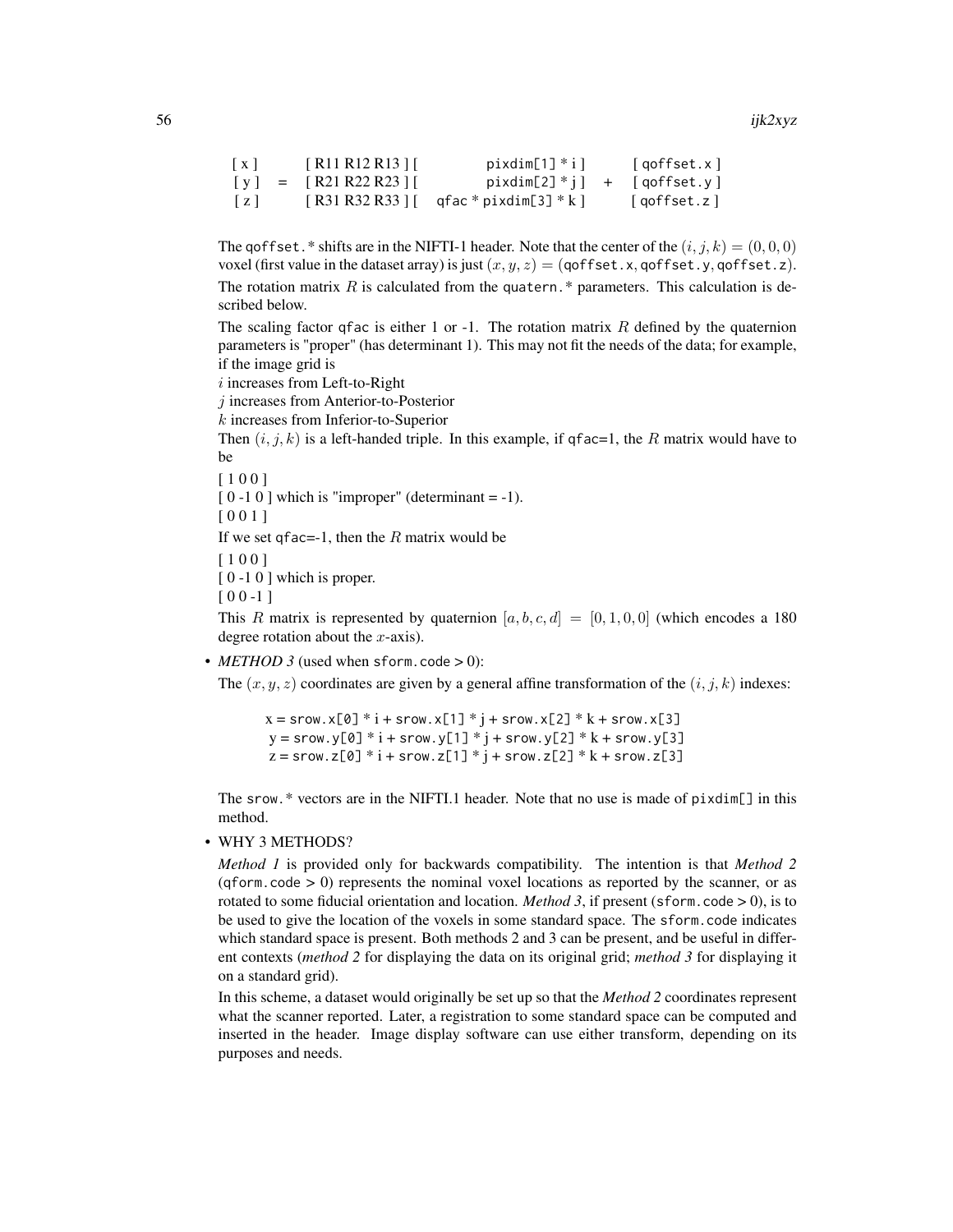56 ijk $2xyz$ 

```
[x] [R11 R12 R13] pixelim[1] * i qoffset.x[y] = [R21 R22 R23][ pixdim[2]^*i] + [qoffset.y][z] [ R31 R32 R33 ] [ qfac * pixdim[3] * k ] [ qoffset.z ]
```
The goffset. \* shifts are in the NIFTI-1 header. Note that the center of the  $(i, j, k) = (0, 0, 0)$ voxel (first value in the dataset array) is just  $(x, y, z) = (q \cdot \text{offset.x}, q \cdot \text{offset.y}, q \cdot \text{offset.z})$ . The rotation matrix  $R$  is calculated from the quatern.\* parameters. This calculation is described below.

The scaling factor qfac is either 1 or -1. The rotation matrix  $R$  defined by the quaternion parameters is "proper" (has determinant 1). This may not fit the needs of the data; for example, if the image grid is

i increases from Left-to-Right

j increases from Anterior-to-Posterior

k increases from Inferior-to-Superior

Then  $(i, j, k)$  is a left-handed triple. In this example, if qfac=1, the R matrix would have to be

[ 1 0 0 ]

 $[0 -1 0]$  which is "improper" (determinant = -1).

[ 0 0 1 ]

If we set qfac=-1, then the  $R$  matrix would be

[ 1 0 0 ]

 $[0 -1 0]$  which is proper.

 $[00 -1]$ 

This R matrix is represented by quaternion  $[a, b, c, d] = [0, 1, 0, 0]$  (which encodes a 180 degree rotation about the  $x$ -axis).

•  $METHOD 3$  (used when sform.code  $> 0$ ):

The  $(x, y, z)$  coordinates are given by a general affine transformation of the  $(i, j, k)$  indexes:

 $x =$ srow.x[0] \*  $i +$ srow.x[1] \*  $j +$ srow.x[2] \*  $k +$ srow.x[3]  $y =$ srow.y[0] \*  $i +$ srow.y[1] \*  $j +$ srow.y[2] \*  $k +$ srow.y[3]  $z =$  srow.z[0] \*  $i +$  srow.z[1] \*  $j +$  srow.z[2] \*  $k +$  srow.z[3]

The srow.\* vectors are in the NIFTI.1 header. Note that no use is made of pixdim[] in this method.

• WHY 3 METHODS?

*Method 1* is provided only for backwards compatibility. The intention is that *Method 2*  $(qform, code > 0)$  represents the nominal voxel locations as reported by the scanner, or as rotated to some fiducial orientation and location. *Method 3*, if present (sform.code  $> 0$ ), is to be used to give the location of the voxels in some standard space. The sform.code indicates which standard space is present. Both methods 2 and 3 can be present, and be useful in different contexts (*method 2* for displaying the data on its original grid; *method 3* for displaying it on a standard grid).

In this scheme, a dataset would originally be set up so that the *Method 2* coordinates represent what the scanner reported. Later, a registration to some standard space can be computed and inserted in the header. Image display software can use either transform, depending on its purposes and needs.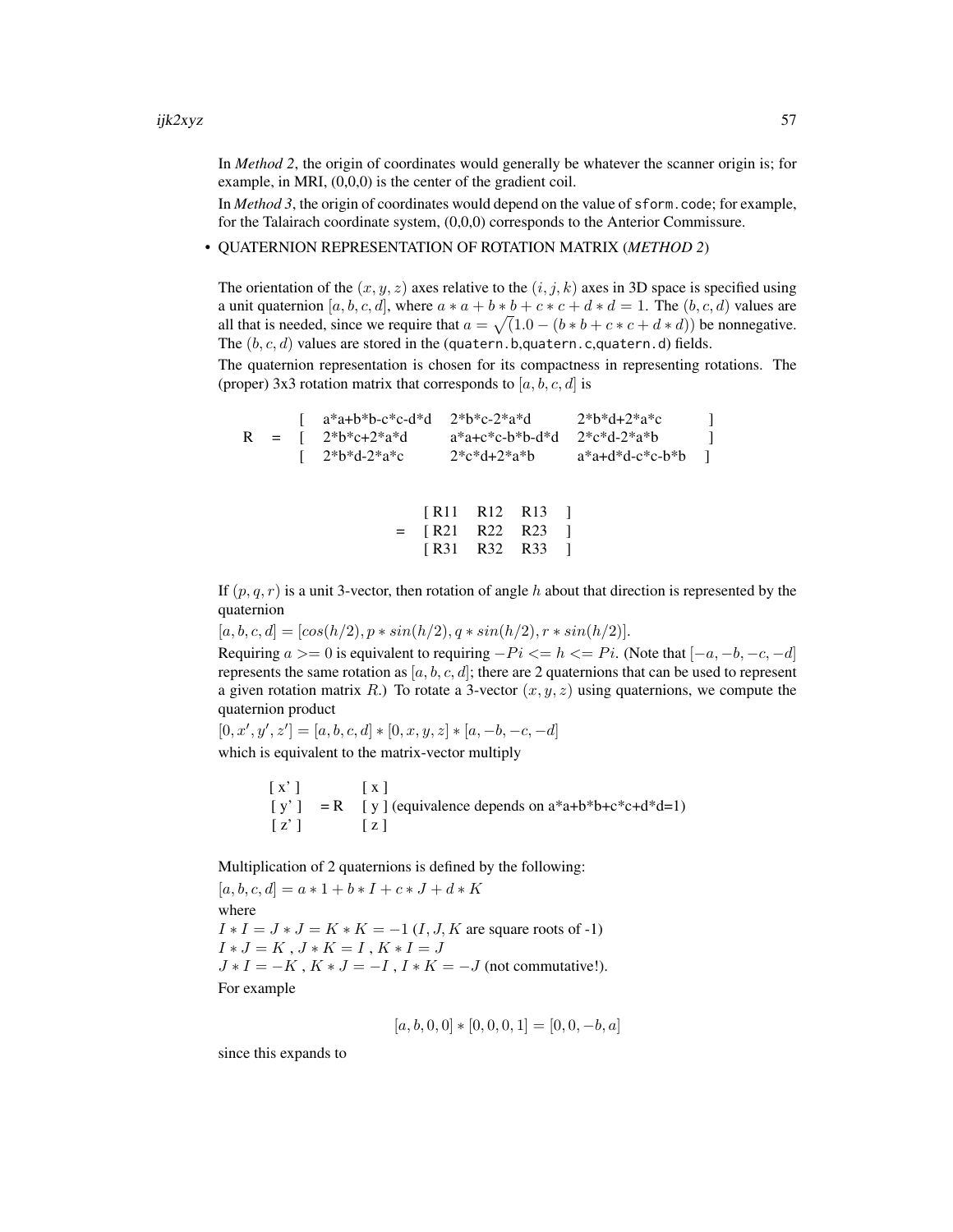In *Method 2*, the origin of coordinates would generally be whatever the scanner origin is; for example, in MRI, (0,0,0) is the center of the gradient coil.

In *Method 3*, the origin of coordinates would depend on the value of sform.code; for example, for the Talairach coordinate system, (0,0,0) corresponds to the Anterior Commissure.

• QUATERNION REPRESENTATION OF ROTATION MATRIX (*METHOD 2*)

The orientation of the  $(x, y, z)$  axes relative to the  $(i, j, k)$  axes in 3D space is specified using a unit quaternion [a, b, c, d], where  $a * a + b * b + c * c + d * d = 1$ . The  $(b, c, d)$  values are all that is needed, since we require that  $a = \sqrt{(1.0 - (b * b + c * c + d * d))}$  be nonnegative. The  $(b, c, d)$  values are stored in the (quatern.b,quatern.c,quatern.d) fields.

The quaternion representation is chosen for its compactness in representing rotations. The (proper) 3x3 rotation matrix that corresponds to  $[a, b, c, d]$  is

 $[a^*a+b^*b-c^*c-d^*d \t 2^*b^*c-2^*a^*d \t 2^*b^*d+2^*a^*c \t ]$  $R = [ 2*b*c+2*a*d a*a+c*c-b*b-d*d 2*c*d-2*a*b ]$  $\left[ \right. 2^{*}b^{*}d-2^{*}a^{*}c \qquad 2^{*}c^{*}d+2^{*}a^{*}b \qquad a^{*}a+d^{*}d-c^{*}c-b^{*}b \qquad \right]$ 

|     |  | [R11 R12 R13 ] |  |
|-----|--|----------------|--|
| $=$ |  | [R21 R22 R23 ] |  |
|     |  | [R31 R32 R33 ] |  |

If  $(p, q, r)$  is a unit 3-vector, then rotation of angle h about that direction is represented by the quaternion

 $[a, b, c, d] = [\cos(h/2), p * \sin(h/2), q * \sin(h/2), r * \sin(h/2)].$ 

Requiring  $a >= 0$  is equivalent to requiring  $-Pi \leq h \leq Pi$ . (Note that  $[-a, -b, -c, -d]$ ) represents the same rotation as  $[a, b, c, d]$ ; there are 2 quaternions that can be used to represent a given rotation matrix R.) To rotate a 3-vector  $(x, y, z)$  using quaternions, we compute the quaternion product

 $[0, x', y', z'] = [a, b, c, d] * [0, x, y, z] * [a, -b, -c, -d]$ which is equivalent to the matrix-vector multiply

> $[X']$   $[X]$  $[y'] = R$  [ y ] (equivalence depends on  $a^*a+b^*b+c^*c+d^*d=1$ )  $\lceil z' \rceil$   $\lceil z \rceil$

Multiplication of 2 quaternions is defined by the following:

 $[a, b, c, d] = a * 1 + b * I + c * J + d * K$ where  $I * I = J * J = K * K = -1 (I, J, K$  are square roots of -1)  $I * J = K, J * K = I, K * I = J$  $J * I = -K$ ,  $K * J = -I$ ,  $I * K = -J$  (not commutative!). For example

$$
[a, b, 0, 0] * [0, 0, 0, 1] = [0, 0, -b, a]
$$

since this expands to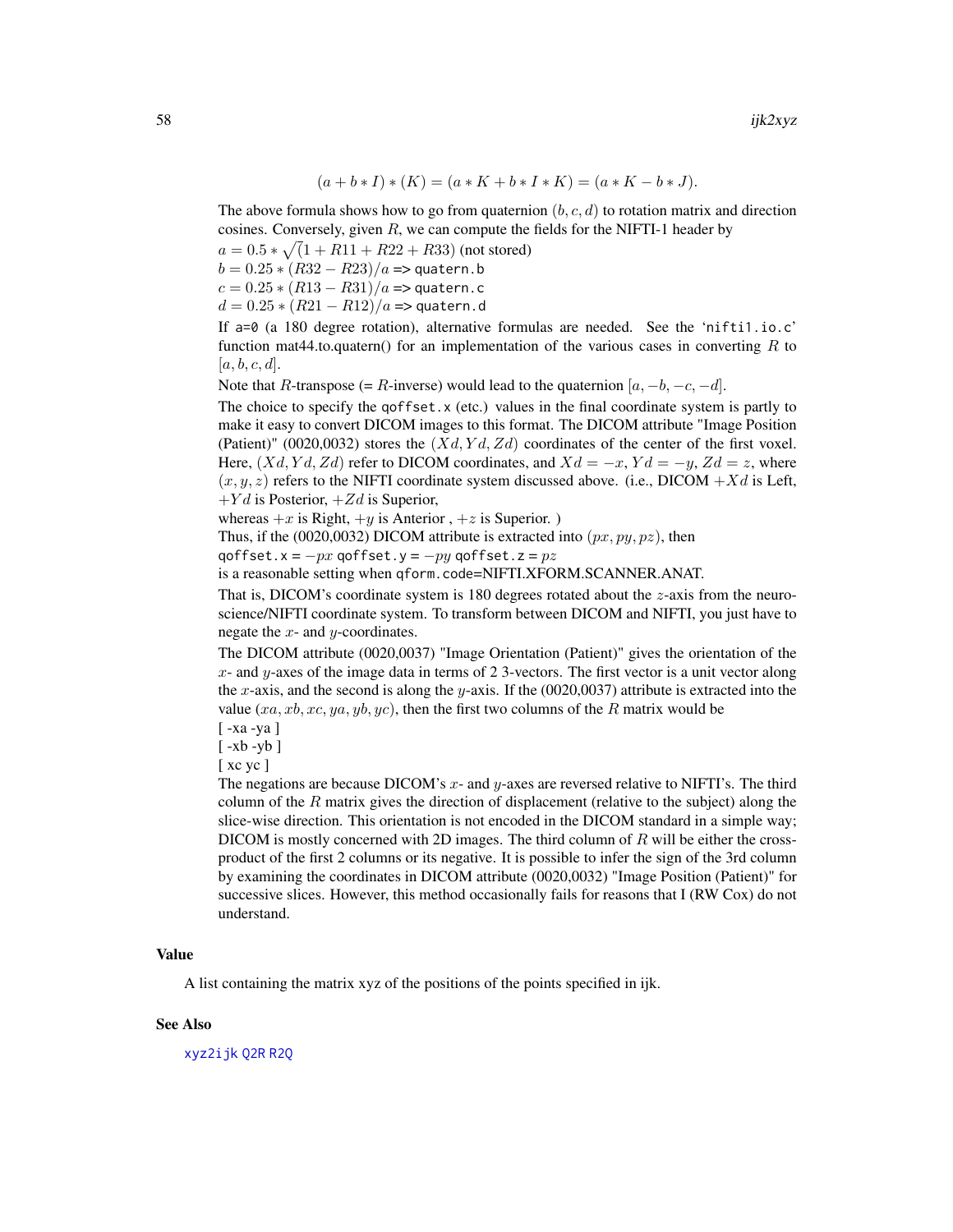$$
(a + b * I) * (K) = (a * K + b * I * K) = (a * K - b * J).
$$

The above formula shows how to go from quaternion  $(b, c, d)$  to rotation matrix and direction cosines. Conversely, given  $R$ , we can compute the fields for the NIFTI-1 header by

 $a = 0.5 * \sqrt{(1 + R11 + R22 + R33)}$  (not stored)

 $b = 0.25 * (R32 - R23)/a \Rightarrow$  quatern.b

 $c = 0.25 * (R13 - R31)/a \Rightarrow$  quatern.c

$$
d = 0.25 * (R21 - R12)/a \Rightarrow
$$
 quatern.d

If a=0 (a 180 degree rotation), alternative formulas are needed. See the 'nifti1.io.c' function mat44.to.quatern() for an implementation of the various cases in converting  $R$  to  $[a, b, c, d]$ .

Note that R-transpose (= R-inverse) would lead to the quaternion  $[a, -b, -c, -d]$ .

The choice to specify the qoffset.x (etc.) values in the final coordinate system is partly to make it easy to convert DICOM images to this format. The DICOM attribute "Image Position (Patient)" (0020,0032) stores the  $(Xd, Yd, Zd)$  coordinates of the center of the first voxel. Here,  $(Xd, Yd, Zd)$  refer to DICOM coordinates, and  $Xd = -x$ ,  $Yd = -y$ ,  $Zd = z$ , where  $(x, y, z)$  refers to the NIFTI coordinate system discussed above. (i.e., DICOM  $+Xd$  is Left,  $+Yd$  is Posterior,  $+Zd$  is Superior,

whereas  $+x$  is Right,  $+y$  is Anterior,  $+z$  is Superior.)

Thus, if the (0020,0032) DICOM attribute is extracted into  $(px, py, pz)$ , then

qoffset.x =  $-px$  qoffset.y =  $-py$  qoffset.z =  $pz$ 

is a reasonable setting when qform.code=NIFTI.XFORM.SCANNER.ANAT.

That is, DICOM's coordinate system is 180 degrees rotated about the  $z$ -axis from the neuroscience/NIFTI coordinate system. To transform between DICOM and NIFTI, you just have to negate the  $x$ - and  $y$ -coordinates.

The DICOM attribute (0020,0037) "Image Orientation (Patient)" gives the orientation of the  $x$ - and  $y$ -axes of the image data in terms of 2 3-vectors. The first vector is a unit vector along the x-axis, and the second is along the y-axis. If the  $(0020,0037)$  attribute is extracted into the value  $(xa, xb, xc, ya, yb, yc)$ , then the first two columns of the R matrix would be

[ -xa -ya ]

 $\lceil -xb -yb \rceil$ 

[ xc yc ]

The negations are because DICOM's  $x$ - and  $y$ -axes are reversed relative to NIFTI's. The third column of the  $R$  matrix gives the direction of displacement (relative to the subject) along the slice-wise direction. This orientation is not encoded in the DICOM standard in a simple way; DICOM is mostly concerned with 2D images. The third column of  $R$  will be either the crossproduct of the first 2 columns or its negative. It is possible to infer the sign of the 3rd column by examining the coordinates in DICOM attribute (0020,0032) "Image Position (Patient)" for successive slices. However, this method occasionally fails for reasons that I (RW Cox) do not understand.

# Value

A list containing the matrix xyz of the positions of the points specified in ijk.

## See Also

[xyz2ijk](#page-84-0) [Q2R](#page-73-0) [R2Q](#page-73-1)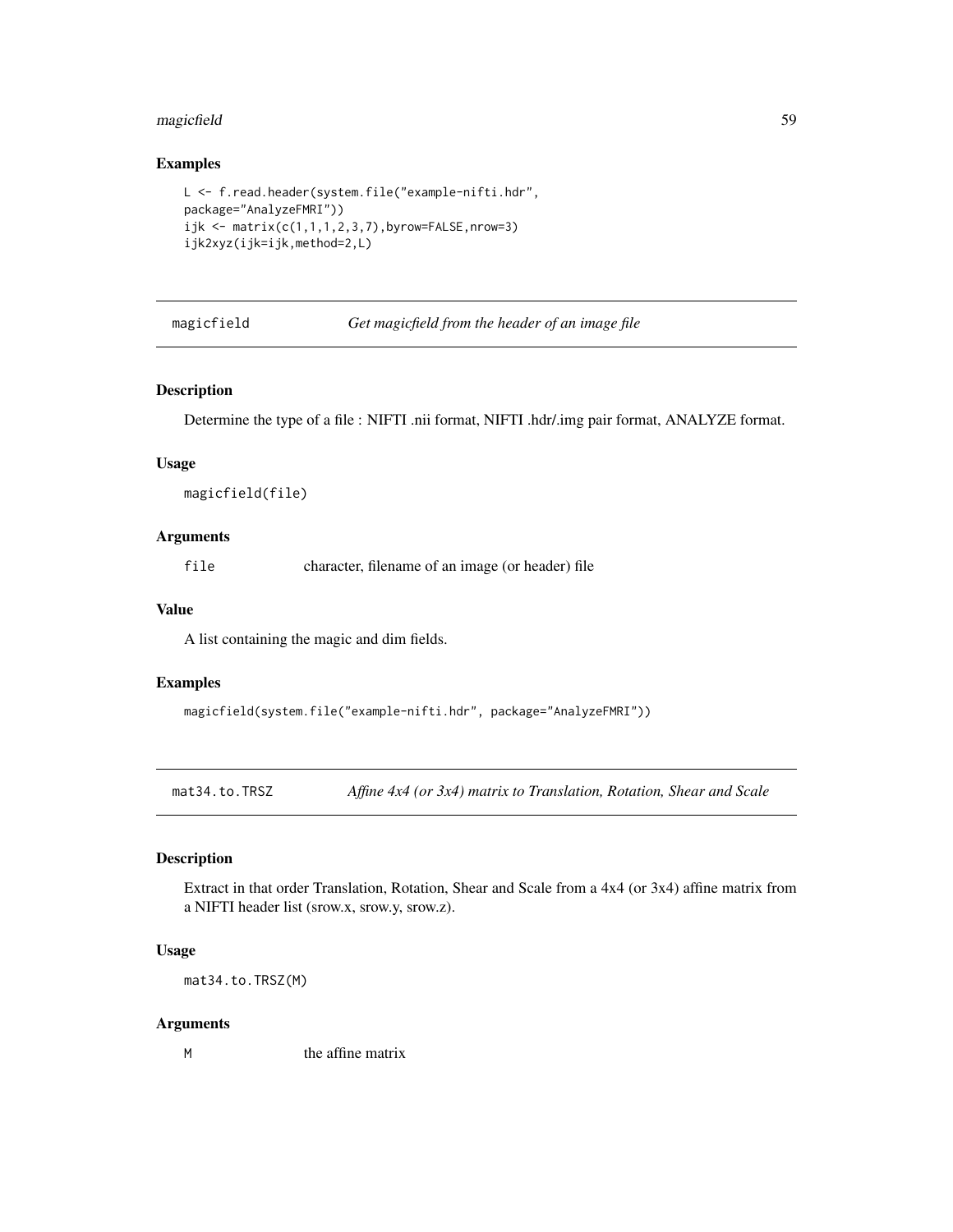# magicfield 59

# Examples

```
L <- f.read.header(system.file("example-nifti.hdr",
package="AnalyzeFMRI"))
ijk <- matrix(c(1,1,1,2,3,7),byrow=FALSE,nrow=3)
ijk2xyz(ijk=ijk,method=2,L)
```
#### magicfield *Get magicfield from the header of an image file*

#### Description

Determine the type of a file : NIFTI .nii format, NIFTI .hdr/.img pair format, ANALYZE format.

#### Usage

magicfield(file)

# Arguments

file character, filename of an image (or header) file

# Value

A list containing the magic and dim fields.

#### Examples

```
magicfield(system.file("example-nifti.hdr", package="AnalyzeFMRI"))
```
<span id="page-58-0"></span>mat34.to.TRSZ *Affine 4x4 (or 3x4) matrix to Translation, Rotation, Shear and Scale*

#### Description

Extract in that order Translation, Rotation, Shear and Scale from a 4x4 (or 3x4) affine matrix from a NIFTI header list (srow.x, srow.y, srow.z).

## Usage

mat34.to.TRSZ(M)

#### Arguments

M the affine matrix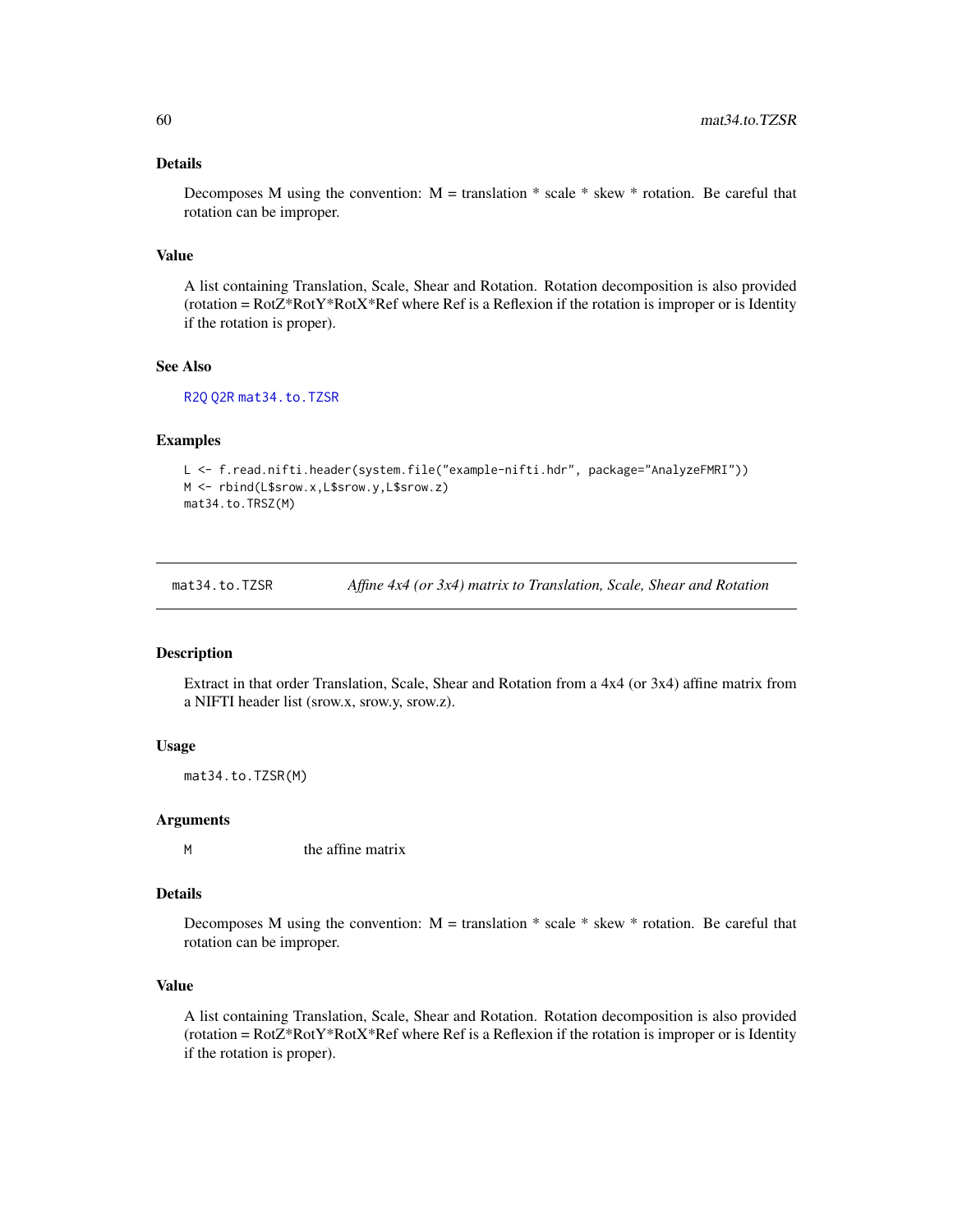# Details

Decomposes M using the convention:  $M =$  translation  $*$  scale  $*$  skew  $*$  rotation. Be careful that rotation can be improper.

## Value

A list containing Translation, Scale, Shear and Rotation. Rotation decomposition is also provided (rotation =  $Rot2*RotY*RotX*Ref$  where Ref is a Reflexion if the rotation is improper or is Identity if the rotation is proper).

# See Also

[R2Q](#page-73-1) [Q2R](#page-73-0) [mat34.to.TZSR](#page-59-0)

#### Examples

```
L <- f.read.nifti.header(system.file("example-nifti.hdr", package="AnalyzeFMRI"))
M <- rbind(L$srow.x,L$srow.y,L$srow.z)
mat34.to.TRSZ(M)
```
<span id="page-59-0"></span>mat34.to.TZSR *Affine 4x4 (or 3x4) matrix to Translation, Scale, Shear and Rotation*

#### Description

Extract in that order Translation, Scale, Shear and Rotation from a 4x4 (or 3x4) affine matrix from a NIFTI header list (srow.x, srow.y, srow.z).

#### Usage

mat34.to.TZSR(M)

#### Arguments

M the affine matrix

#### Details

Decomposes M using the convention:  $M =$  translation  $*$  scale  $*$  skew  $*$  rotation. Be careful that rotation can be improper.

#### Value

A list containing Translation, Scale, Shear and Rotation. Rotation decomposition is also provided (rotation =  $Rot2*RotY*RotX*Ref$  where Ref is a Reflexion if the rotation is improper or is Identity if the rotation is proper).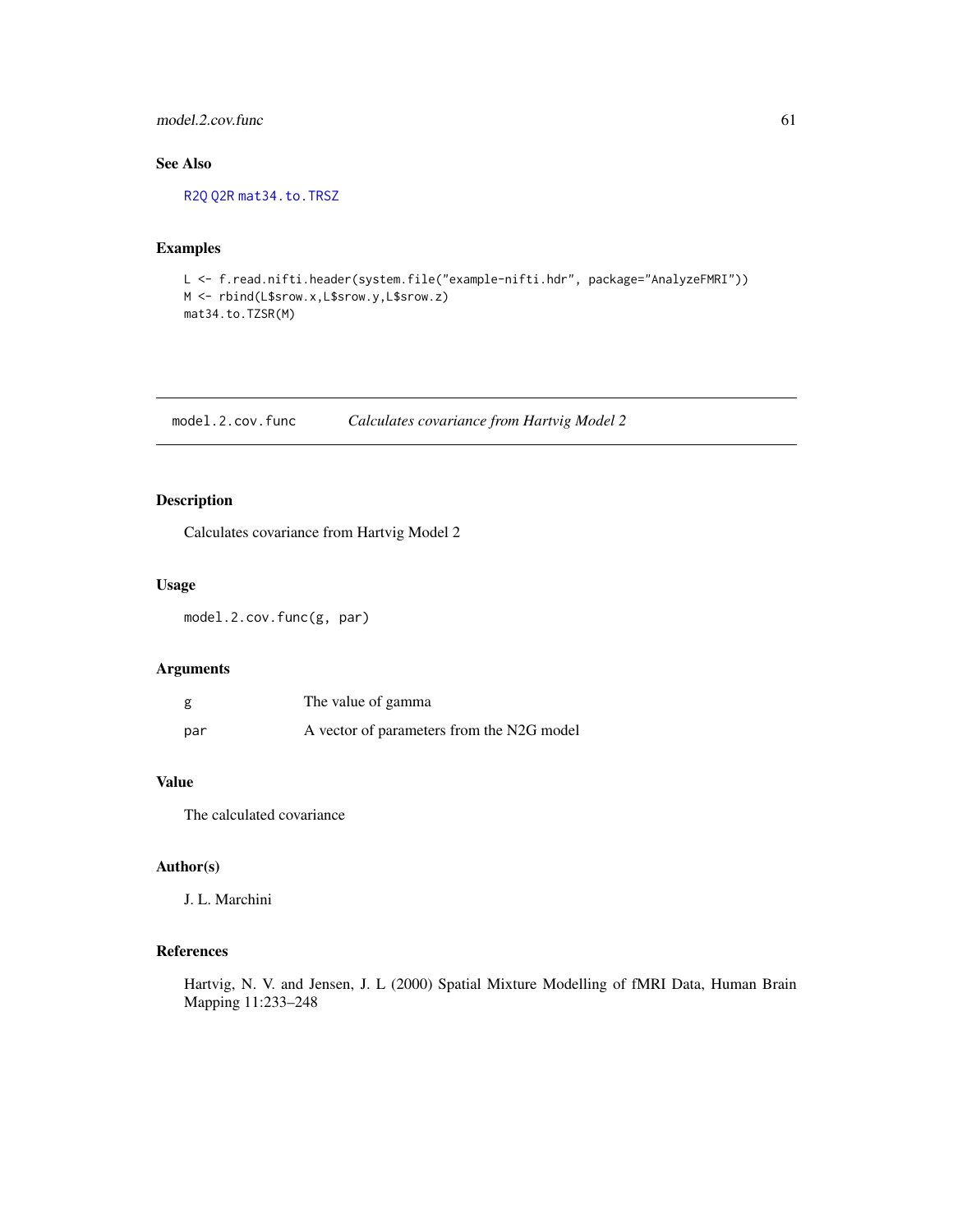## model.2.cov.func 61

# See Also

[R2Q](#page-73-1) [Q2R](#page-73-0) [mat34.to.TRSZ](#page-58-0)

# Examples

```
L <- f.read.nifti.header(system.file("example-nifti.hdr", package="AnalyzeFMRI"))
M <- rbind(L$srow.x,L$srow.y,L$srow.z)
mat34.to.TZSR(M)
```
model.2.cov.func *Calculates covariance from Hartvig Model 2*

# Description

Calculates covariance from Hartvig Model 2

# Usage

model.2.cov.func(g, par)

#### Arguments

| g   | The value of gamma                        |
|-----|-------------------------------------------|
| par | A vector of parameters from the N2G model |

# Value

The calculated covariance

# Author(s)

J. L. Marchini

# References

Hartvig, N. V. and Jensen, J. L (2000) Spatial Mixture Modelling of fMRI Data, Human Brain Mapping 11:233–248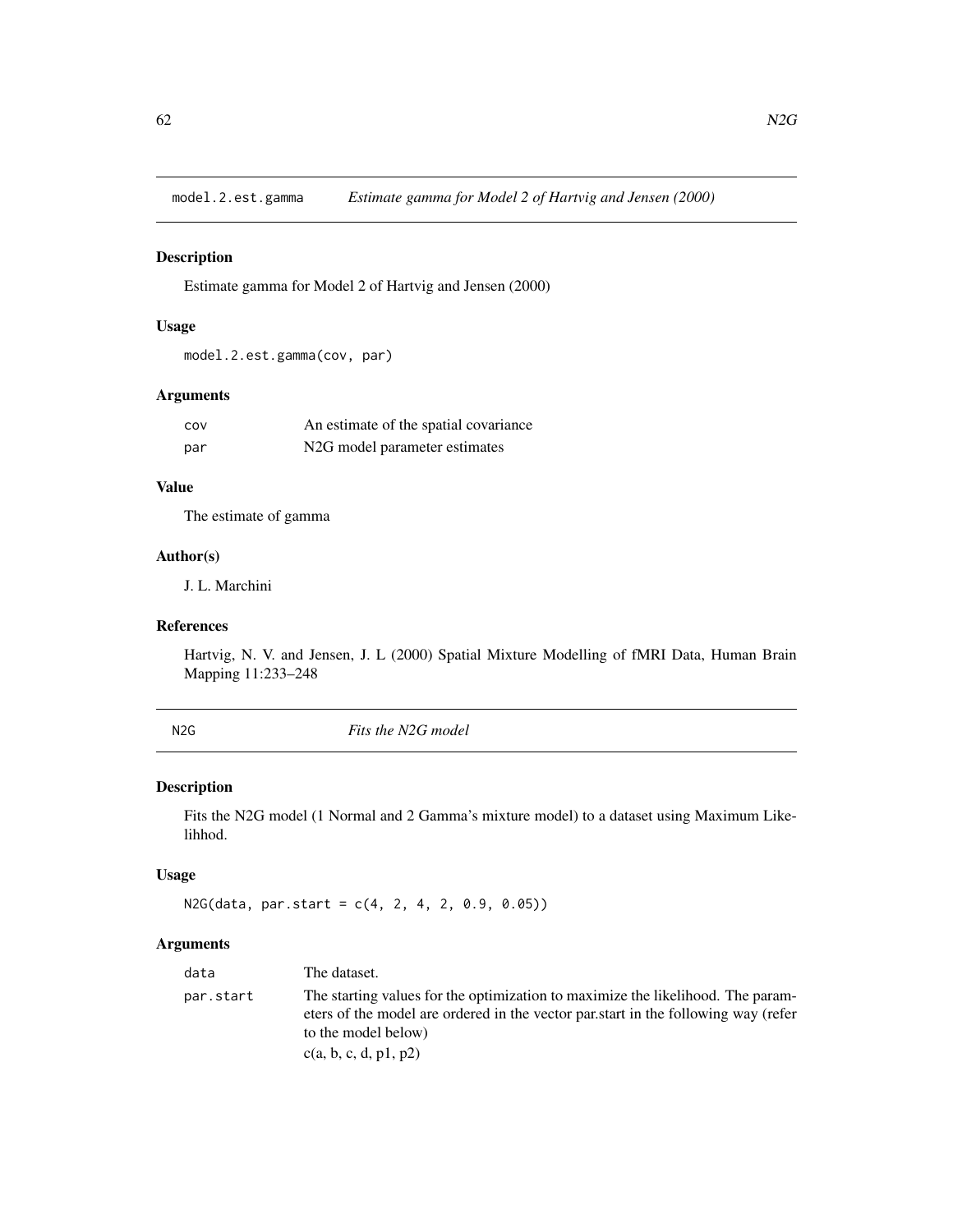model.2.est.gamma *Estimate gamma for Model 2 of Hartvig and Jensen (2000)*

## Description

Estimate gamma for Model 2 of Hartvig and Jensen (2000)

# Usage

model.2.est.gamma(cov, par)

# Arguments

| COV | An estimate of the spatial covariance      |
|-----|--------------------------------------------|
| par | N <sub>2</sub> G model parameter estimates |

# Value

The estimate of gamma

# Author(s)

J. L. Marchini

# References

Hartvig, N. V. and Jensen, J. L (2000) Spatial Mixture Modelling of fMRI Data, Human Brain Mapping 11:233–248

<span id="page-61-0"></span>N2G *Fits the N2G model*

# Description

Fits the N2G model (1 Normal and 2 Gamma's mixture model) to a dataset using Maximum Likelihhod.

# Usage

 $N2G(data, par.start = c(4, 2, 4, 2, 0.9, 0.05))$ 

# Arguments

| data      | The dataset.                                                                                                                                                                                                          |
|-----------|-----------------------------------------------------------------------------------------------------------------------------------------------------------------------------------------------------------------------|
| par.start | The starting values for the optimization to maximize the likelihood. The param-<br>eters of the model are ordered in the vector partstart in the following way (refer<br>to the model below)<br>c(a, b, c, d, p1, p2) |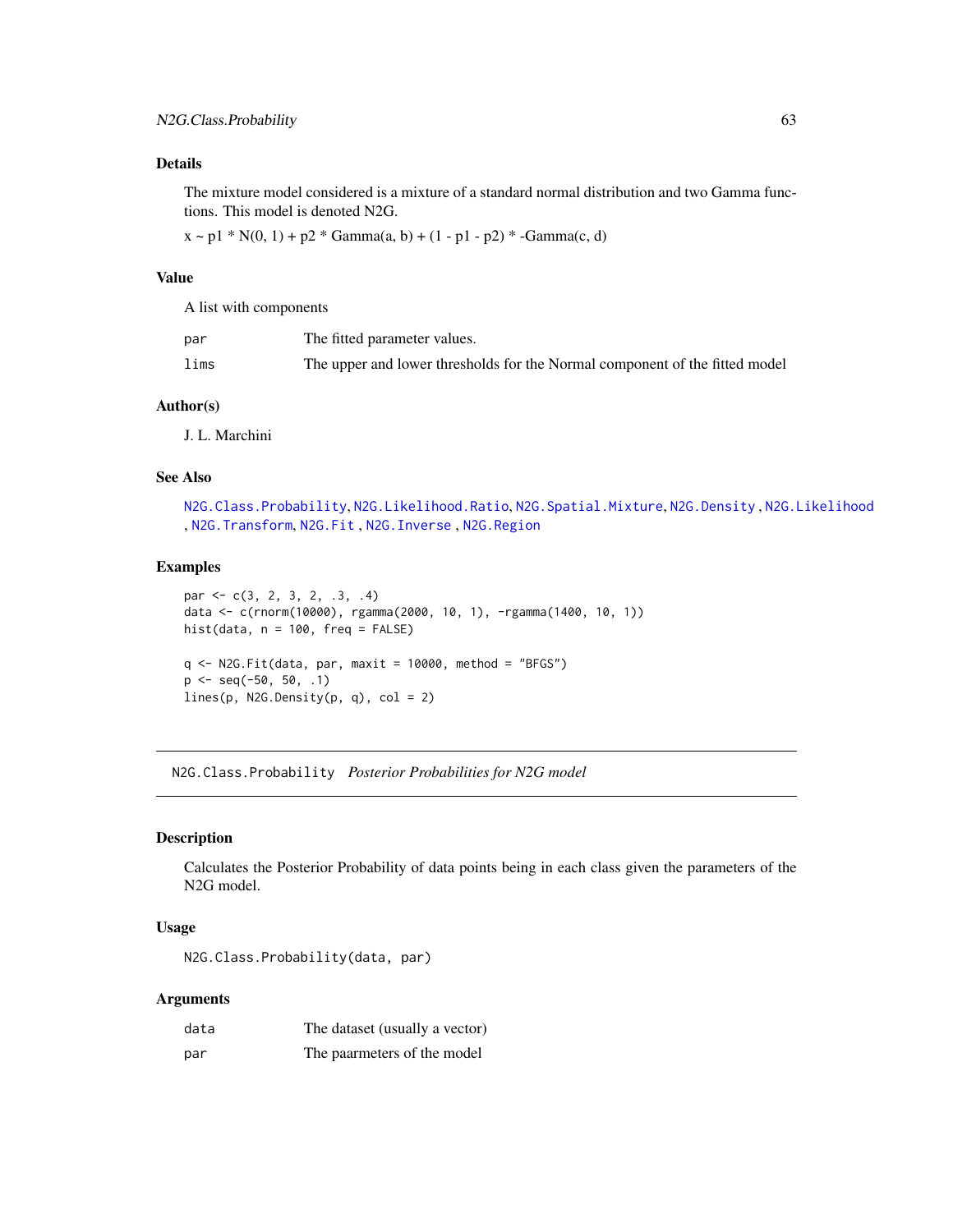# Details

The mixture model considered is a mixture of a standard normal distribution and two Gamma functions. This model is denoted N2G.

 $x \sim p1 * N(0, 1) + p2 * Gamma(a, b) + (1 - p1 - p2) * -Gamma(c, d)$ 

#### Value

A list with components

| par  | The fitted parameter values.                                                |
|------|-----------------------------------------------------------------------------|
| lims | The upper and lower thresholds for the Normal component of the fitted model |

#### Author(s)

J. L. Marchini

### See Also

```
N2G.Class.Probability, N2G.Likelihood.Ratio, N2G.Spatial.Mixture, N2G.Density , N2G.Likelihood
, N2G.Transform, N2G.Fit , N2G.Inverse , N2G.Region
```
# Examples

```
par \leq c(3, 2, 3, 2, .3, .4)
data <- c(rnorm(10000), rgamma(2000, 10, 1), -rgamma(1400, 10, 1))
hist(data, n = 100, freq = FALSE)
q \leq N2G.Fit(data, par, maxit = 10000, method = "BFGS")p \leq - seq(-50, 50, .1)
lines(p, N2G.Density(p, q), col = 2)
```
<span id="page-62-0"></span>N2G.Class.Probability *Posterior Probabilities for N2G model*

# Description

Calculates the Posterior Probability of data points being in each class given the parameters of the N2G model.

#### Usage

N2G.Class.Probability(data, par)

# Arguments

| data | The dataset (usually a vector) |
|------|--------------------------------|
| par  | The paarmeters of the model    |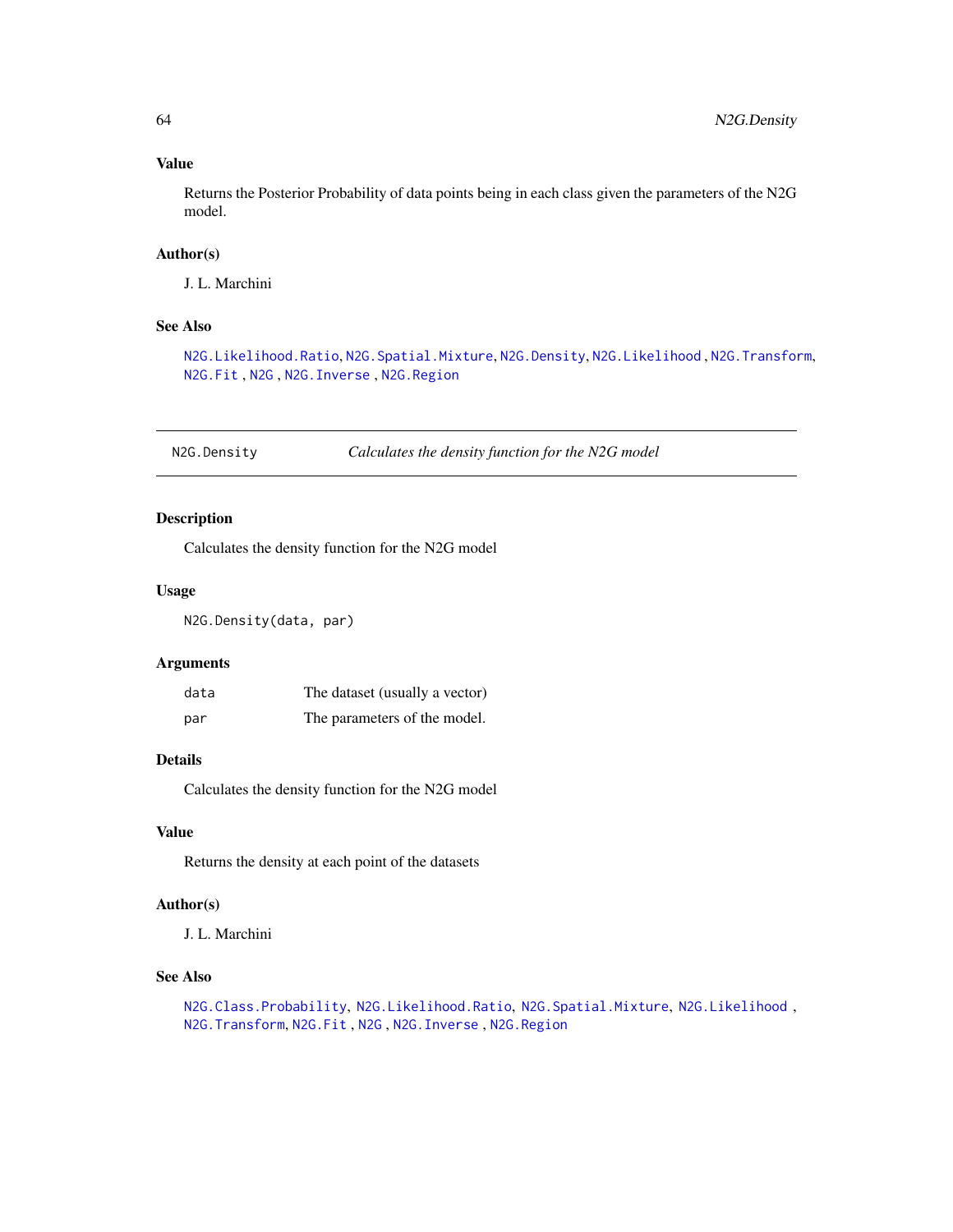# Value

Returns the Posterior Probability of data points being in each class given the parameters of the N2G model.

## Author(s)

J. L. Marchini

# See Also

[N2G.Likelihood.Ratio](#page-66-0), [N2G.Spatial.Mixture](#page-67-0), [N2G.Density](#page-63-0), [N2G.Likelihood](#page-65-0) , [N2G.Transform](#page-69-0), [N2G.Fit](#page-64-0) , [N2G](#page-61-0) , [N2G.Inverse](#page-65-1) , [N2G.Region](#page-67-1)

<span id="page-63-0"></span>N2G.Density *Calculates the density function for the N2G model*

# Description

Calculates the density function for the N2G model

#### Usage

N2G.Density(data, par)

#### Arguments

| data | The dataset (usually a vector) |
|------|--------------------------------|
| par  | The parameters of the model.   |

# Details

Calculates the density function for the N2G model

# Value

Returns the density at each point of the datasets

#### Author(s)

J. L. Marchini

# See Also

```
N2G.Class.Probability, N2G.Likelihood.Ratio, N2G.Spatial.Mixture, N2G.Likelihood ,
N2G.Transform, N2G.Fit , N2G , N2G.Inverse , N2G.Region
```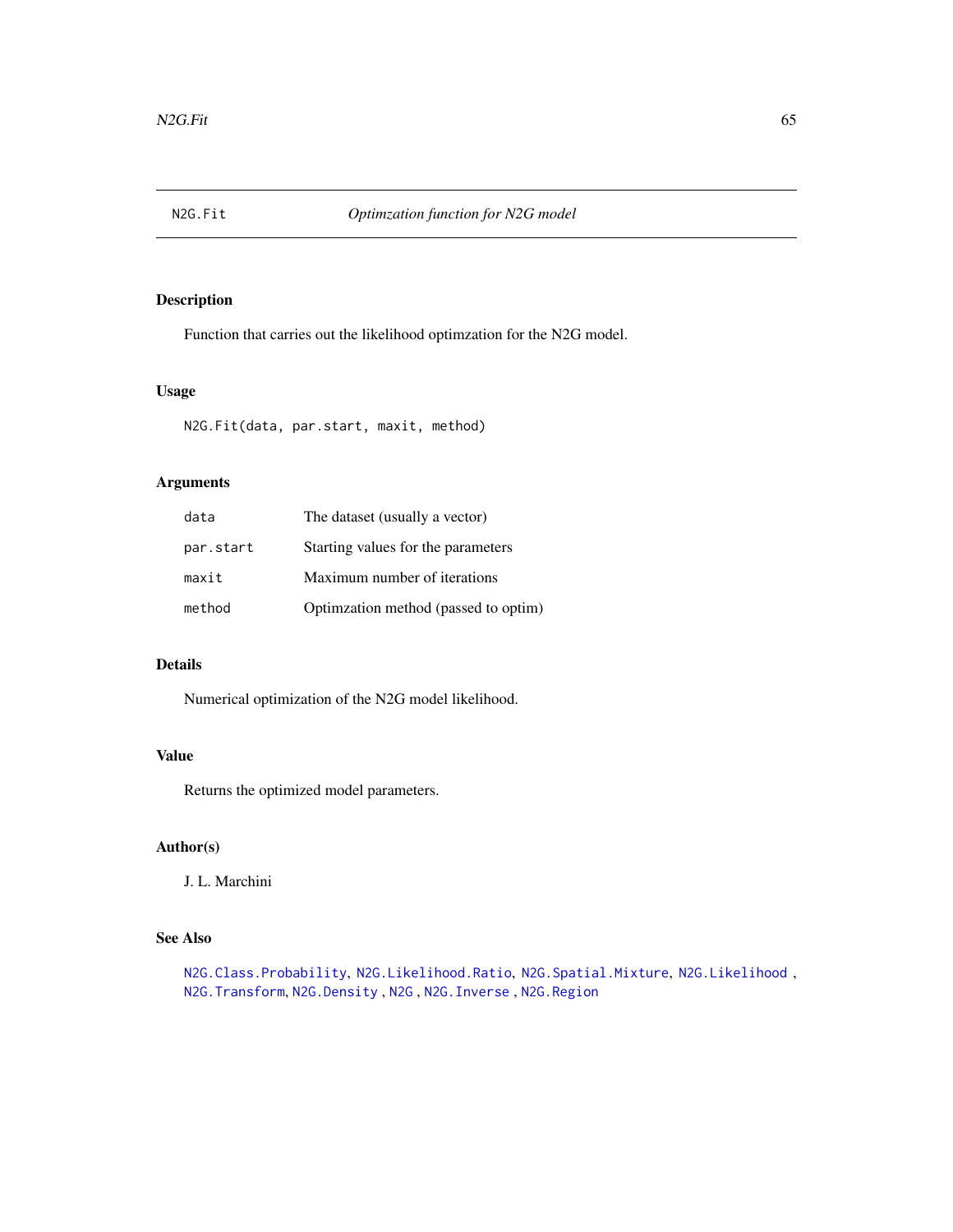<span id="page-64-0"></span>

# Description

Function that carries out the likelihood optimzation for the N2G model.

# Usage

N2G.Fit(data, par.start, maxit, method)

# Arguments

| data      | The dataset (usually a vector)       |
|-----------|--------------------------------------|
| par.start | Starting values for the parameters   |
| maxit     | Maximum number of iterations         |
| method    | Optimzation method (passed to optim) |

# Details

Numerical optimization of the N2G model likelihood.

# Value

Returns the optimized model parameters.

# Author(s)

J. L. Marchini

# See Also

[N2G.Class.Probability](#page-62-0), [N2G.Likelihood.Ratio](#page-66-0), [N2G.Spatial.Mixture](#page-67-0), [N2G.Likelihood](#page-65-0) , [N2G.Transform](#page-69-0), [N2G.Density](#page-63-0) , [N2G](#page-61-0) , [N2G.Inverse](#page-65-1) , [N2G.Region](#page-67-1)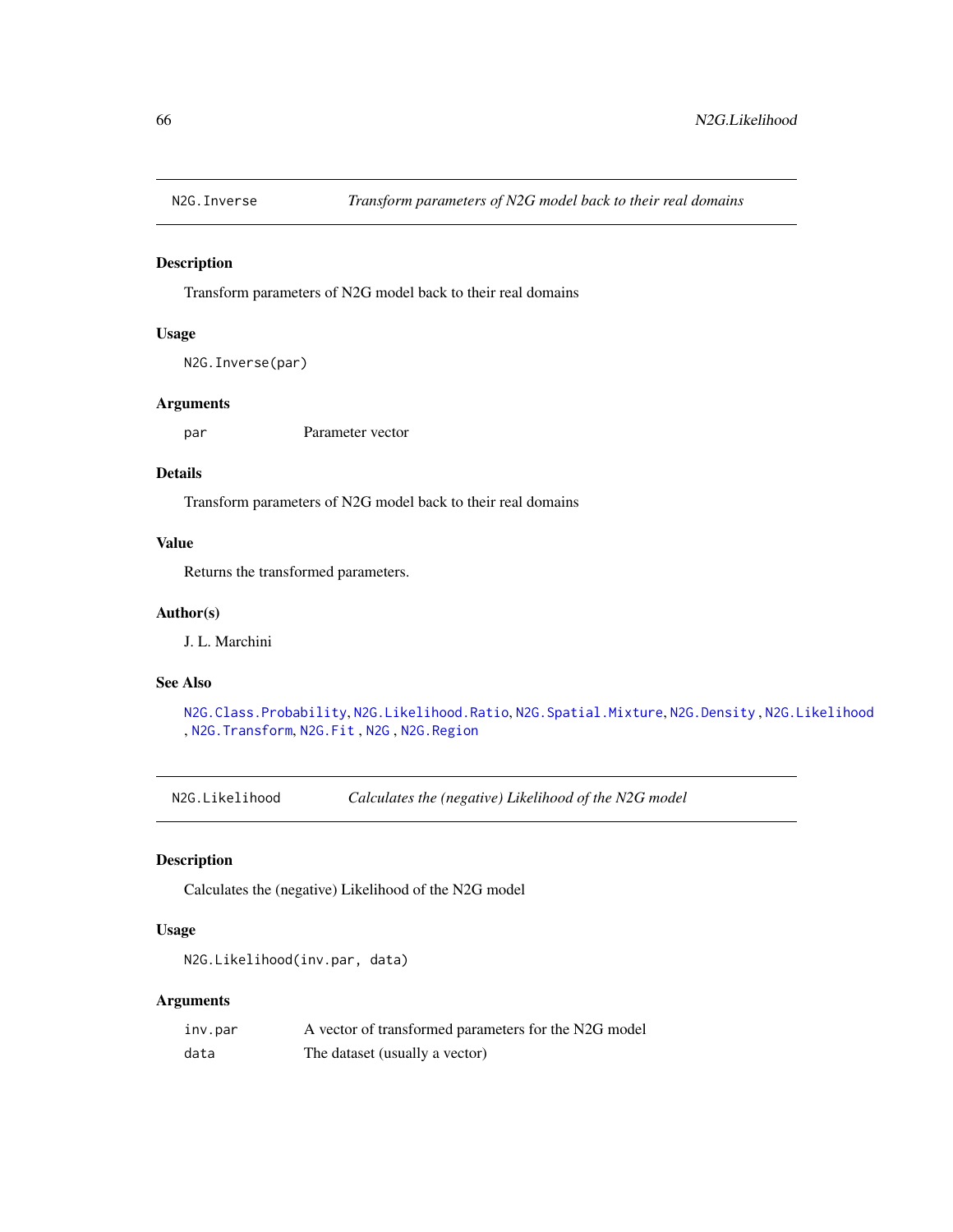<span id="page-65-1"></span>

#### Description

Transform parameters of N2G model back to their real domains

# Usage

```
N2G.Inverse(par)
```
# Arguments

par Parameter vector

## Details

Transform parameters of N2G model back to their real domains

## Value

Returns the transformed parameters.

# Author(s)

J. L. Marchini

# See Also

[N2G.Class.Probability](#page-62-0), [N2G.Likelihood.Ratio](#page-66-0), [N2G.Spatial.Mixture](#page-67-0), [N2G.Density](#page-63-0) , [N2G.Likelihood](#page-65-0) , [N2G.Transform](#page-69-0), [N2G.Fit](#page-64-0) , [N2G](#page-61-0) , [N2G.Region](#page-67-1)

<span id="page-65-0"></span>N2G.Likelihood *Calculates the (negative) Likelihood of the N2G model*

# Description

Calculates the (negative) Likelihood of the N2G model

## Usage

```
N2G.Likelihood(inv.par, data)
```
# Arguments

| inv.par | A vector of transformed parameters for the N2G model |
|---------|------------------------------------------------------|
| data    | The dataset (usually a vector)                       |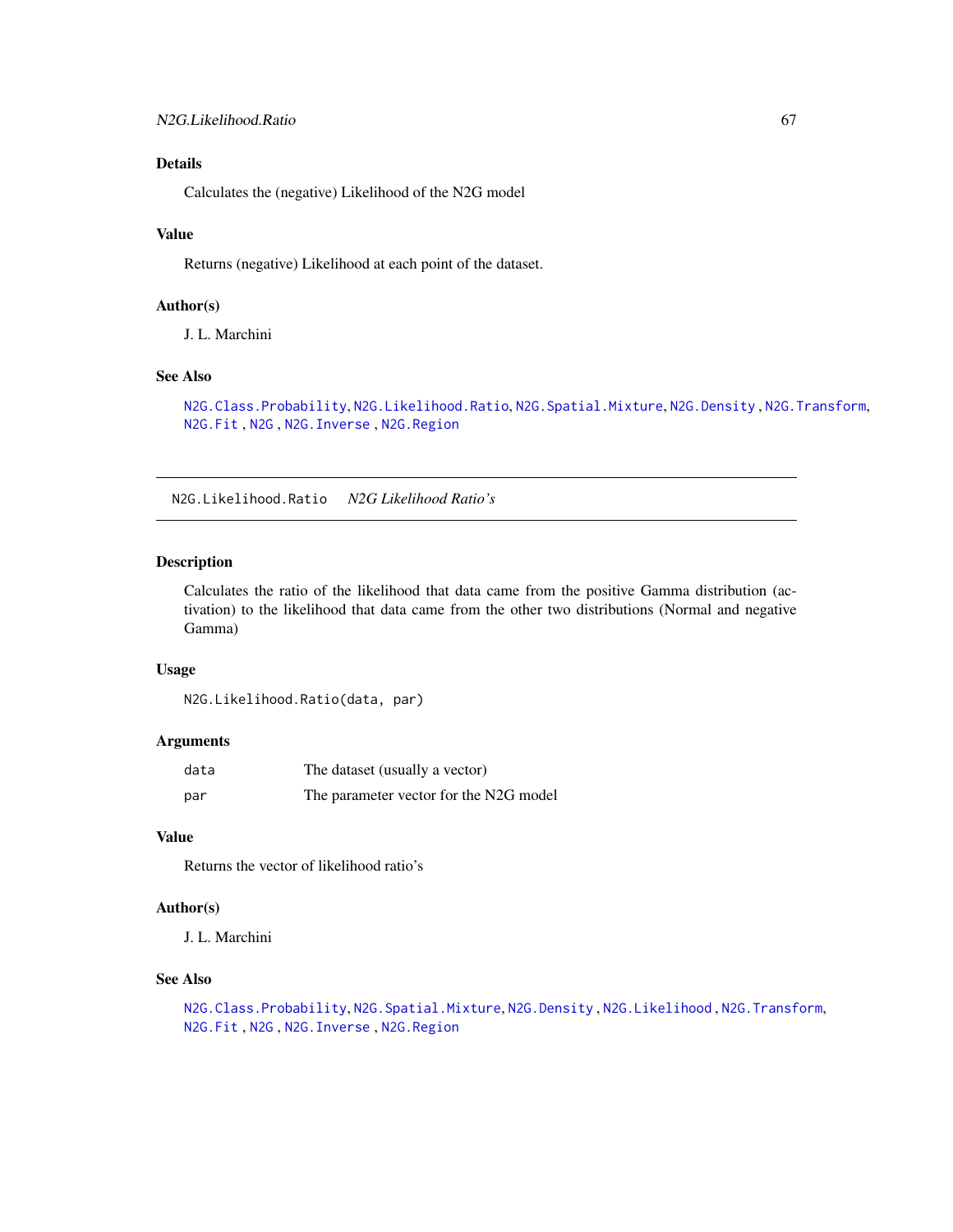# Details

Calculates the (negative) Likelihood of the N2G model

#### Value

Returns (negative) Likelihood at each point of the dataset.

# Author(s)

J. L. Marchini

# See Also

[N2G.Class.Probability](#page-62-0), [N2G.Likelihood.Ratio](#page-66-0), [N2G.Spatial.Mixture](#page-67-0), [N2G.Density](#page-63-0) , [N2G.Transform](#page-69-0), [N2G.Fit](#page-64-0) , [N2G](#page-61-0) , [N2G.Inverse](#page-65-1) , [N2G.Region](#page-67-1)

<span id="page-66-0"></span>N2G.Likelihood.Ratio *N2G Likelihood Ratio's*

## Description

Calculates the ratio of the likelihood that data came from the positive Gamma distribution (activation) to the likelihood that data came from the other two distributions (Normal and negative Gamma)

# Usage

```
N2G.Likelihood.Ratio(data, par)
```
#### Arguments

| data | The dataset (usually a vector)         |
|------|----------------------------------------|
| par  | The parameter vector for the N2G model |

# Value

Returns the vector of likelihood ratio's

# Author(s)

J. L. Marchini

# See Also

```
N2G.Class.Probability, N2G.Spatial.Mixture, N2G.Density , N2G.Likelihood , N2G.Transform,
N2G.Fit , N2G , N2G.Inverse , N2G.Region
```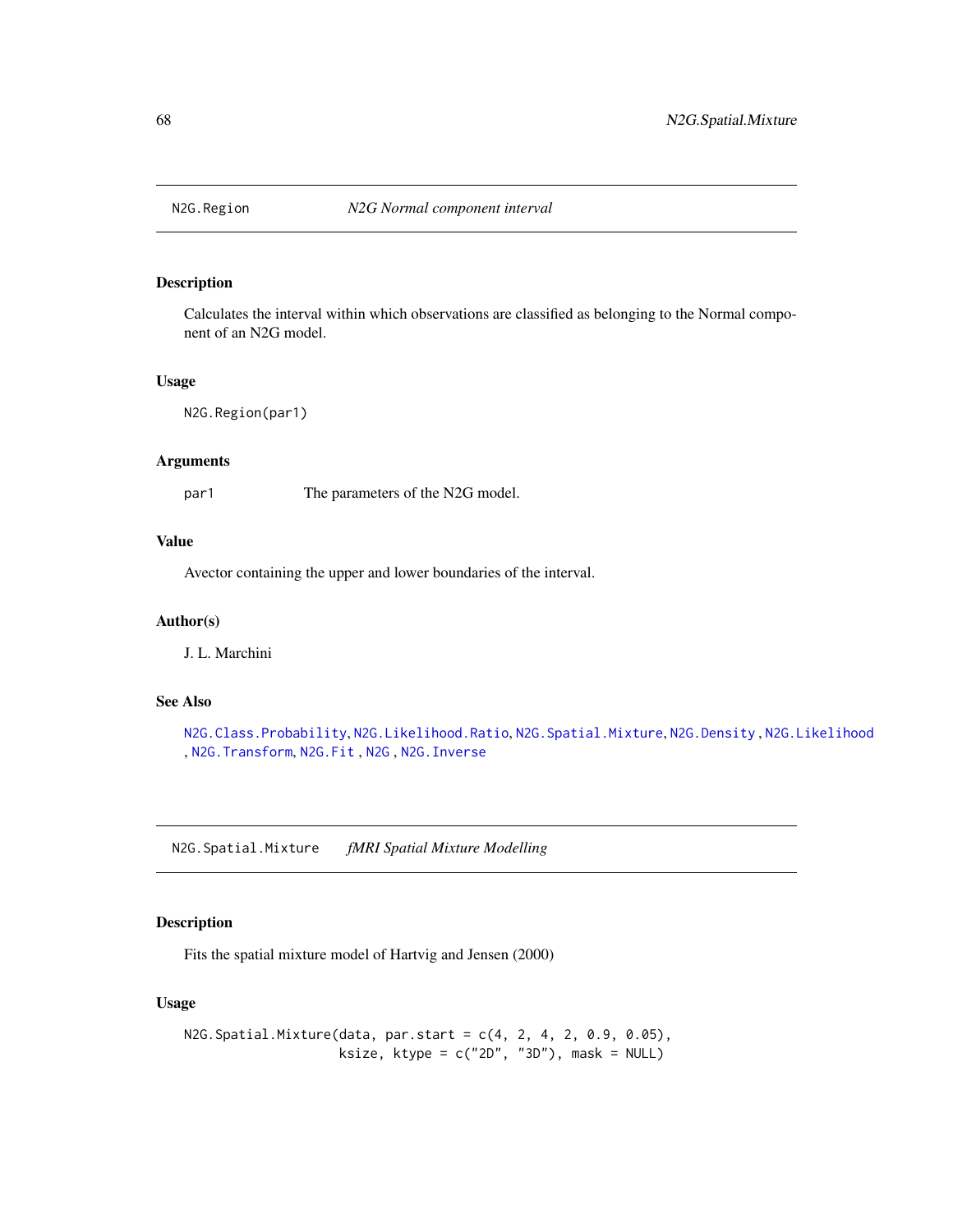<span id="page-67-1"></span>

# Description

Calculates the interval within which observations are classified as belonging to the Normal component of an N2G model.

#### Usage

N2G.Region(par1)

# Arguments

par1 The parameters of the N2G model.

# Value

Avector containing the upper and lower boundaries of the interval.

#### Author(s)

J. L. Marchini

## See Also

```
N2G.Class.Probability, N2G.Likelihood.Ratio, N2G.Spatial.Mixture, N2G.Density , N2G.Likelihood
, N2G.Transform, N2G.Fit , N2G , N2G.Inverse
```
<span id="page-67-0"></span>N2G.Spatial.Mixture *fMRI Spatial Mixture Modelling*

# Description

Fits the spatial mixture model of Hartvig and Jensen (2000)

# Usage

```
N2G.Spatial.Mixture(data, par.start = c(4, 2, 4, 2, 0.9, 0.05),
                   ksize, ktype = c("2D", "3D"), mask = NULL)
```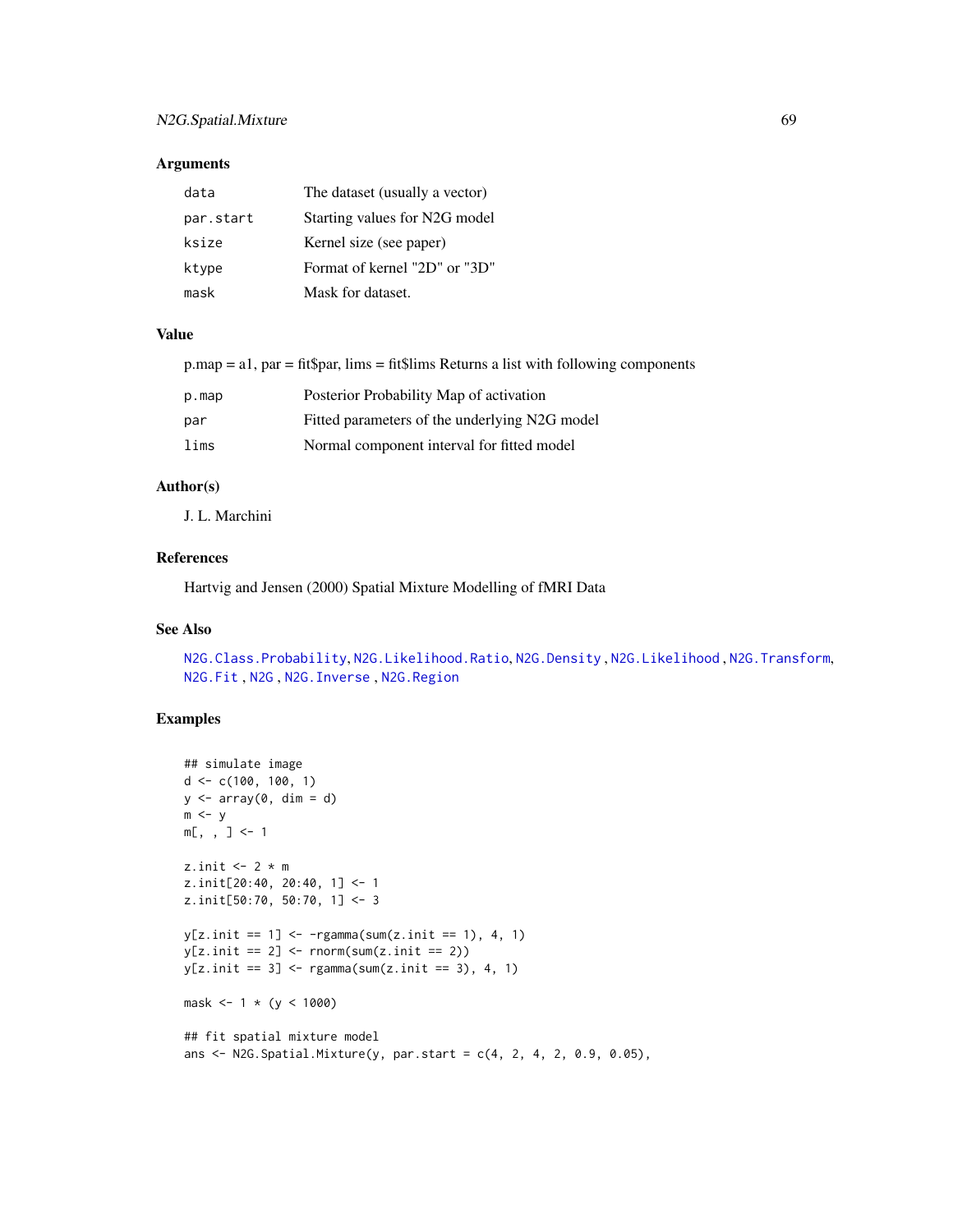# N2G.Spatial.Mixture 69

## Arguments

| data      | The dataset (usually a vector) |
|-----------|--------------------------------|
| par.start | Starting values for N2G model  |
| ksize     | Kernel size (see paper)        |
| ktype     | Format of kernel "2D" or "3D"  |
| mask      | Mask for dataset.              |

## Value

 $pmap = a1$ ,  $par = fit$par, lims = fit$lims Returns a list with following components$ 

| p.map | Posterior Probability Map of activation       |
|-------|-----------------------------------------------|
| par   | Fitted parameters of the underlying N2G model |
| lims  | Normal component interval for fitted model    |

# Author(s)

J. L. Marchini

# References

Hartvig and Jensen (2000) Spatial Mixture Modelling of fMRI Data

#### See Also

[N2G.Class.Probability](#page-62-0), [N2G.Likelihood.Ratio](#page-66-0), [N2G.Density](#page-63-0) , [N2G.Likelihood](#page-65-0) , [N2G.Transform](#page-69-0), [N2G.Fit](#page-64-0) , [N2G](#page-61-0) , [N2G.Inverse](#page-65-1) , [N2G.Region](#page-67-1)

# Examples

```
## simulate image
d \leq -c(100, 100, 1)y \leftarrow \text{array}(0, \text{ dim} = d)m \le ym[,, ] <- 1
z.init <-2 * m
z.init[20:40, 20:40, 1] <- 1
z.init[50:70, 50:70, 1] <- 3
y[z.init == 1] < -rgamma(sum(z.init == 1), 4, 1)y[z.init == 2] \leftarrow \text{norm}(\text{sum}(z.init == 2))y[z.init == 3] < - \text{rgamma}(\text{sum}(z.init == 3), 4, 1)mask <-1 * (y < 1000)## fit spatial mixture model
ans \leq N2G. Spatial. Mixture(y, par. start = c(4, 2, 4, 2, 0.9, 0.05),
```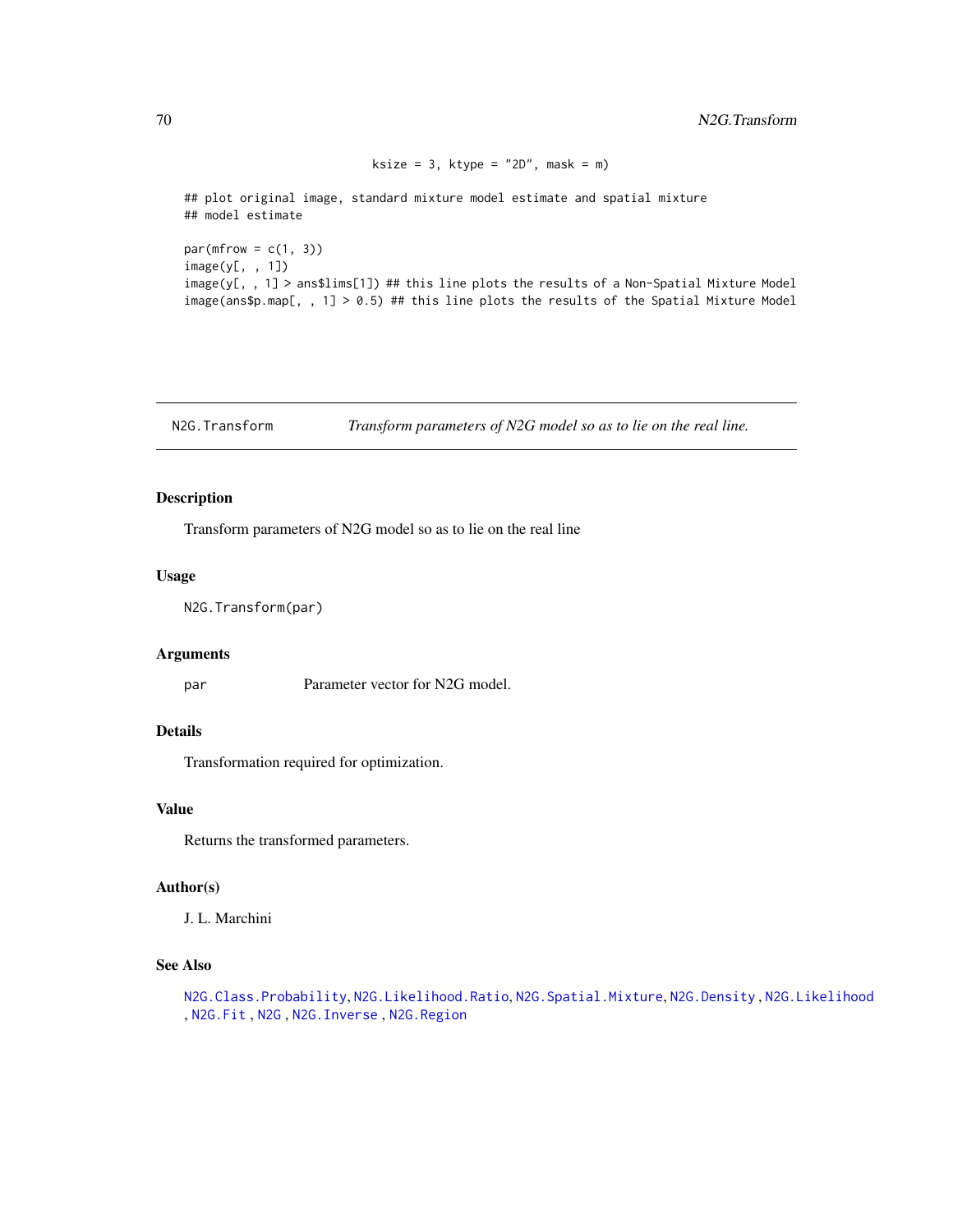```
ksize = 3, ktype = "2D", mask = m)
```
## plot original image, standard mixture model estimate and spatial mixture ## model estimate

 $par(mfrow = c(1, 3))$ image(y[, , 1]) image(y[, , 1] > ans\$lims[1]) ## this line plots the results of a Non-Spatial Mixture Model image(ans\$p.map[, , 1] > 0.5) ## this line plots the results of the Spatial Mixture Model

<span id="page-69-0"></span>N2G.Transform *Transform parameters of N2G model so as to lie on the real line.*

# Description

Transform parameters of N2G model so as to lie on the real line

## Usage

N2G.Transform(par)

#### Arguments

par Parameter vector for N2G model.

#### Details

Transformation required for optimization.

#### Value

Returns the transformed parameters.

#### Author(s)

J. L. Marchini

# See Also

[N2G.Class.Probability](#page-62-0), [N2G.Likelihood.Ratio](#page-66-0), [N2G.Spatial.Mixture](#page-67-0), [N2G.Density](#page-63-0) , [N2G.Likelihood](#page-65-0) , [N2G.Fit](#page-64-0) , [N2G](#page-61-0) , [N2G.Inverse](#page-65-1) , [N2G.Region](#page-67-1)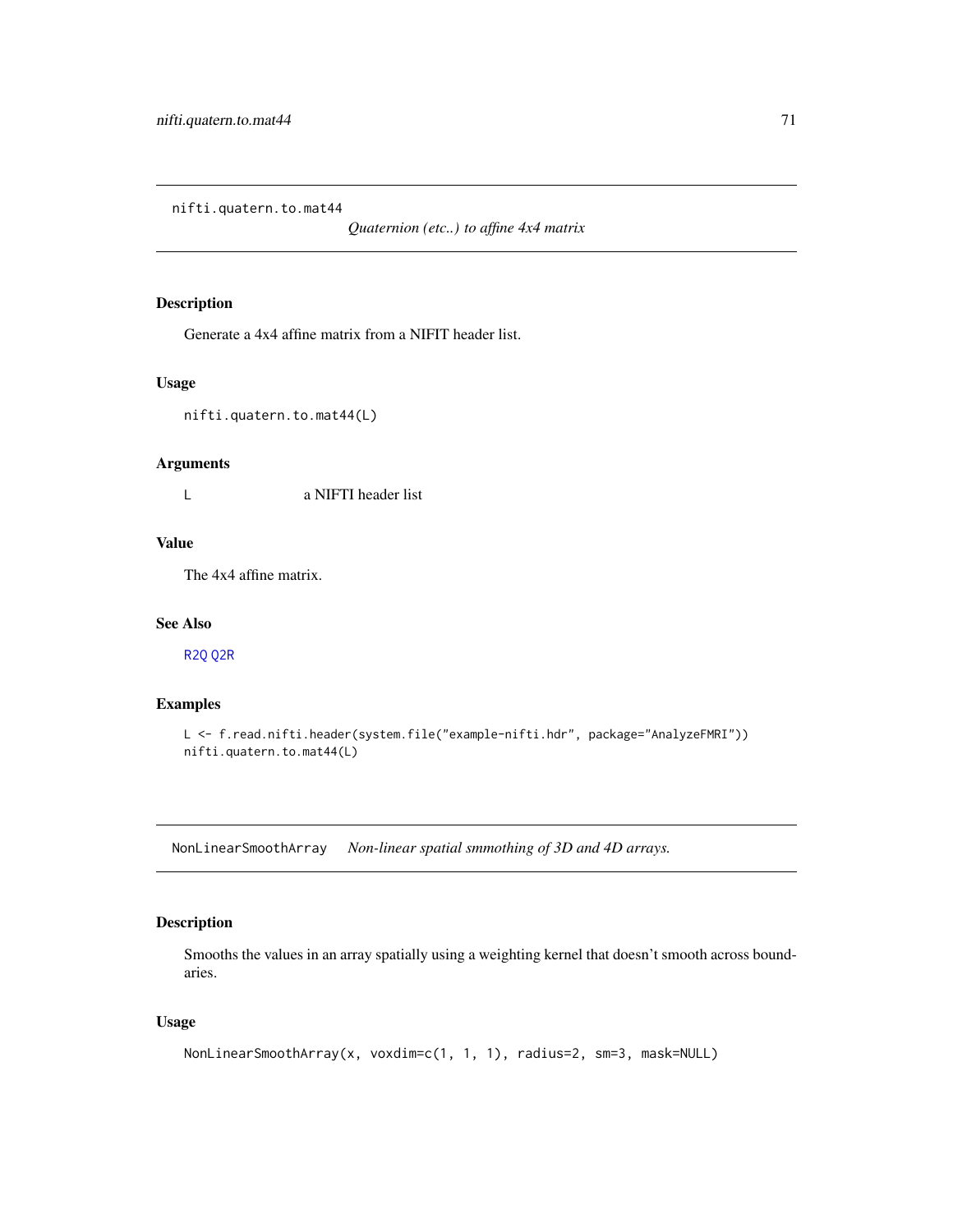nifti.quatern.to.mat44

*Quaternion (etc..) to affine 4x4 matrix*

# Description

Generate a 4x4 affine matrix from a NIFIT header list.

# Usage

nifti.quatern.to.mat44(L)

# Arguments

L a NIFTI header list

#### Value

The 4x4 affine matrix.

#### See Also

[R2Q](#page-73-1) [Q2R](#page-73-0)

# Examples

```
L <- f.read.nifti.header(system.file("example-nifti.hdr", package="AnalyzeFMRI"))
nifti.quatern.to.mat44(L)
```
NonLinearSmoothArray *Non-linear spatial smmothing of 3D and 4D arrays.*

# Description

Smooths the values in an array spatially using a weighting kernel that doesn't smooth across boundaries.

# Usage

```
NonLinearSmoothArray(x, voxdim=c(1, 1, 1), radius=2, sm=3, mask=NULL)
```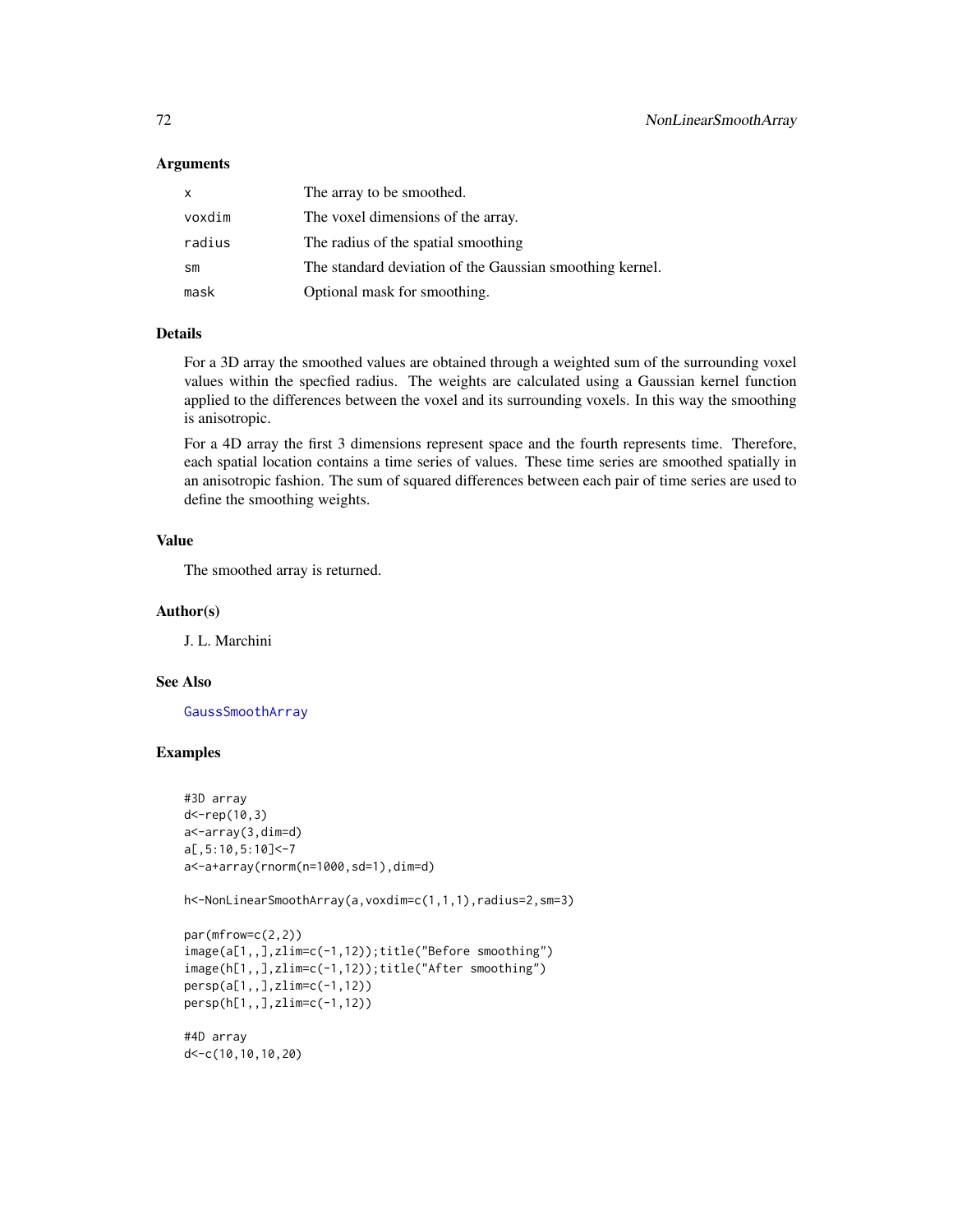#### Arguments

| X      | The array to be smoothed.                                |
|--------|----------------------------------------------------------|
| voxdim | The voxel dimensions of the array.                       |
| radius | The radius of the spatial smoothing                      |
| sm     | The standard deviation of the Gaussian smoothing kernel. |
| mask   | Optional mask for smoothing.                             |

## Details

For a 3D array the smoothed values are obtained through a weighted sum of the surrounding voxel values within the specfied radius. The weights are calculated using a Gaussian kernel function applied to the differences between the voxel and its surrounding voxels. In this way the smoothing is anisotropic.

For a 4D array the first 3 dimensions represent space and the fourth represents time. Therefore, each spatial location contains a time series of values. These time series are smoothed spatially in an anisotropic fashion. The sum of squared differences between each pair of time series are used to define the smoothing weights.

# Value

The smoothed array is returned.

#### Author(s)

J. L. Marchini

#### See Also

[GaussSmoothArray](#page-48-0)

# Examples

```
#3D array
d<-rep(10,3)
a<-array(3,dim=d)
a[,5:10,5:10]<-7
a<-a+array(rnorm(n=1000,sd=1),dim=d)
```
h<-NonLinearSmoothArray(a,voxdim=c(1,1,1),radius=2,sm=3)

```
par(mfrow=c(2,2))
image(a[1,,],zlim=c(-1,12));title("Before smoothing")
image(h[1,,],zlim=c(-1,12));title("After smoothing")
persp(a[1,,],zlim=c(-1,12))
persp(h[1,,],zlim=c(-1,12))
```
#4D array d<-c(10,10,10,20)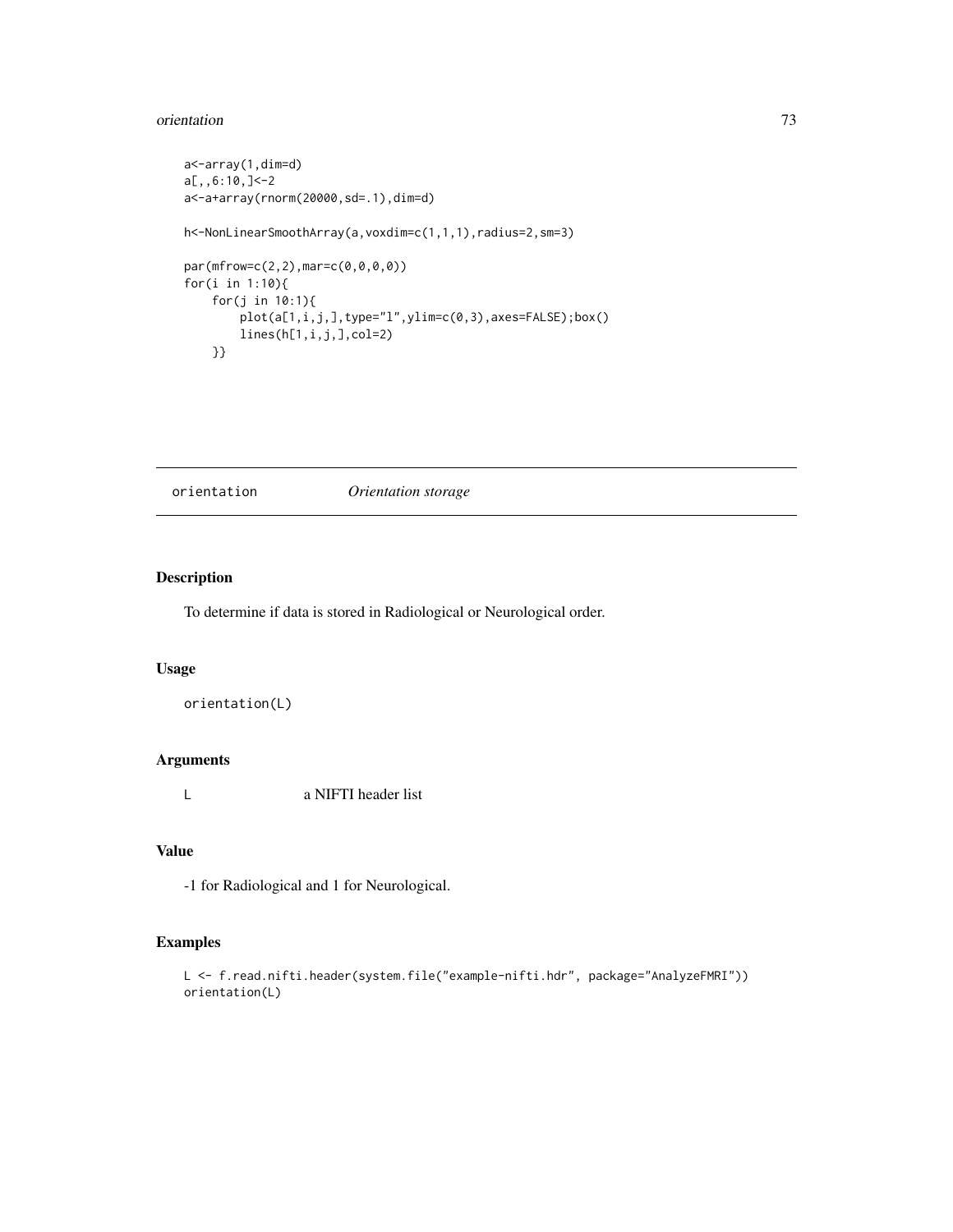#### <span id="page-72-0"></span>orientation 73

```
a<-array(1,dim=d)
a[,,6:10,]<-2
a<-a+array(rnorm(20000,sd=.1),dim=d)
h<-NonLinearSmoothArray(a,voxdim=c(1,1,1),radius=2,sm=3)
par(mfrow=c(2,2),mar=c(0,0,0,0))
for(i in 1:10){
    for(j in 10:1){
       plot(a[1,i,j,],type="l",ylim=c(0,3),axes=FALSE);box()
       lines(h[1,i,j,],col=2)
    }}
```
orientation *Orientation storage*

# Description

To determine if data is stored in Radiological or Neurological order.

#### Usage

```
orientation(L)
```
# Arguments

L a NIFTI header list

# Value

-1 for Radiological and 1 for Neurological.

```
L <- f.read.nifti.header(system.file("example-nifti.hdr", package="AnalyzeFMRI"))
orientation(L)
```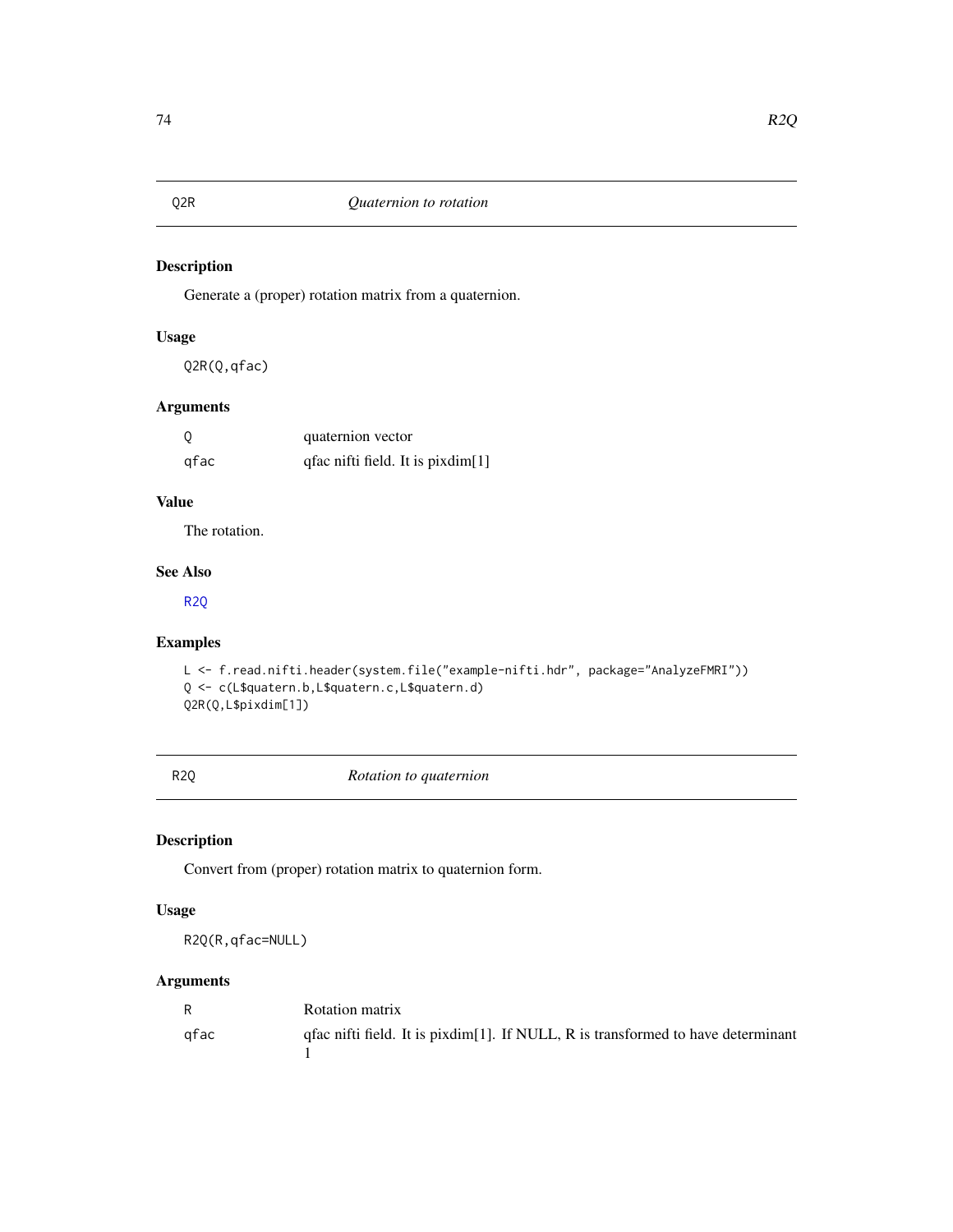<span id="page-73-2"></span><span id="page-73-1"></span>Generate a (proper) rotation matrix from a quaternion.

# Usage

Q2R(Q,qfac)

# Arguments

| 0    | quaternion vector                 |
|------|-----------------------------------|
| qfac | qfac nifti field. It is pixdim[1] |

# Value

The rotation.

# See Also

[R2Q](#page-73-0)

# Examples

```
L <- f.read.nifti.header(system.file("example-nifti.hdr", package="AnalyzeFMRI"))
Q <- c(L$quatern.b,L$quatern.c,L$quatern.d)
Q2R(Q,L$pixdim[1])
```
R2Q *Rotation to quaternion*

# Description

Convert from (proper) rotation matrix to quaternion form.

### Usage

R2Q(R,qfac=NULL)

# Arguments

| R    | Rotation matrix                                                                  |
|------|----------------------------------------------------------------------------------|
| afac | qfac nifti field. It is pixdim[1]. If NULL, R is transformed to have determinant |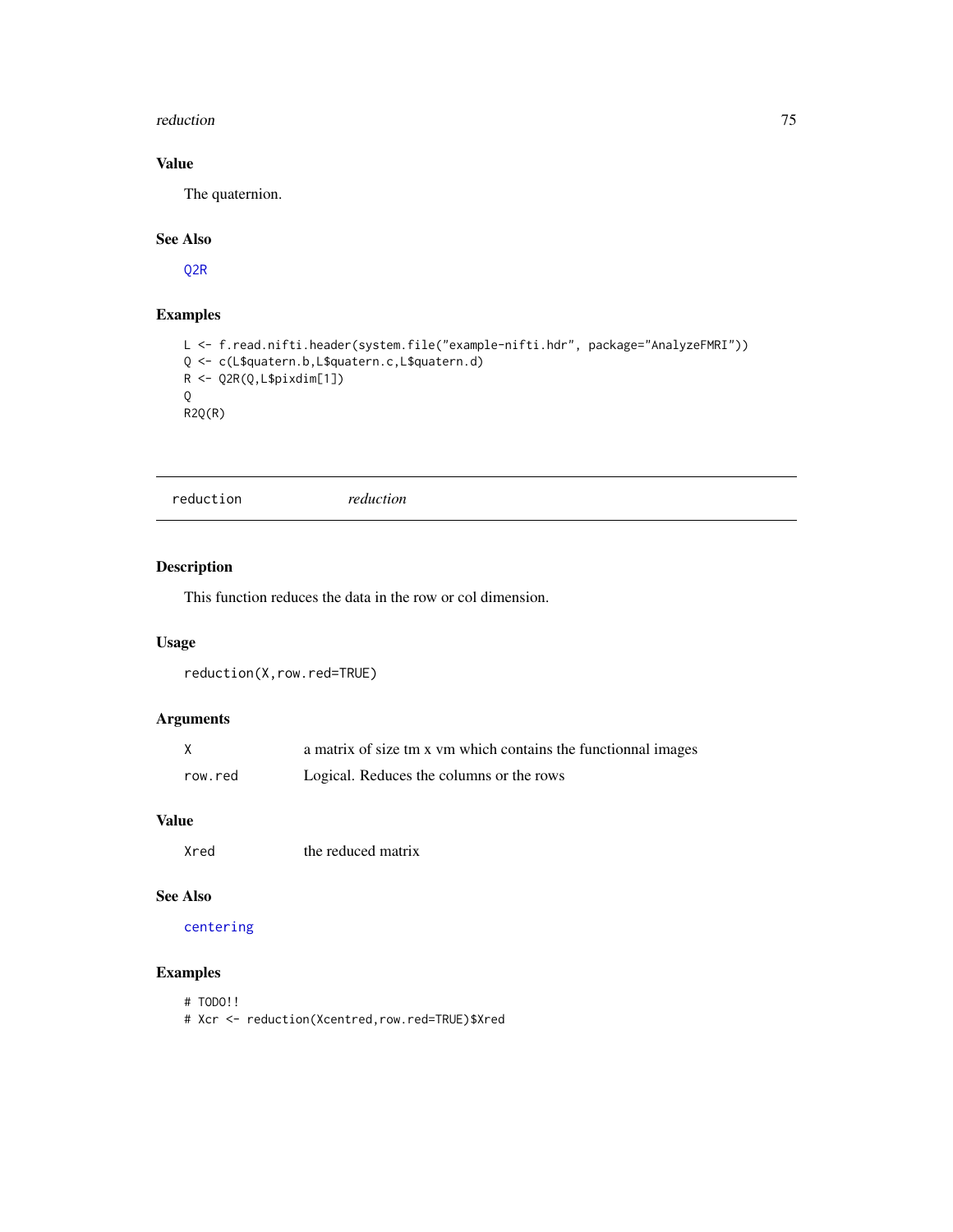#### <span id="page-74-0"></span>reduction 75

# Value

The quaternion.

# See Also

[Q2R](#page-73-1)

# Examples

```
L <- f.read.nifti.header(system.file("example-nifti.hdr", package="AnalyzeFMRI"))
Q <- c(L$quatern.b,L$quatern.c,L$quatern.d)
R <- Q2R(Q,L$pixdim[1])
Q
R2Q(R)
```

```
reduction reduction
```
### Description

This function reduces the data in the row or col dimension.

### Usage

reduction(X,row.red=TRUE)

# Arguments

|         | a matrix of size tm x vm which contains the functionnal images |
|---------|----------------------------------------------------------------|
| row.red | Logical. Reduces the columns or the rows                       |

# Value

Xred the reduced matrix

# See Also

#### [centering](#page-4-0)

- # TODO!!
- # Xcr <- reduction(Xcentred,row.red=TRUE)\$Xred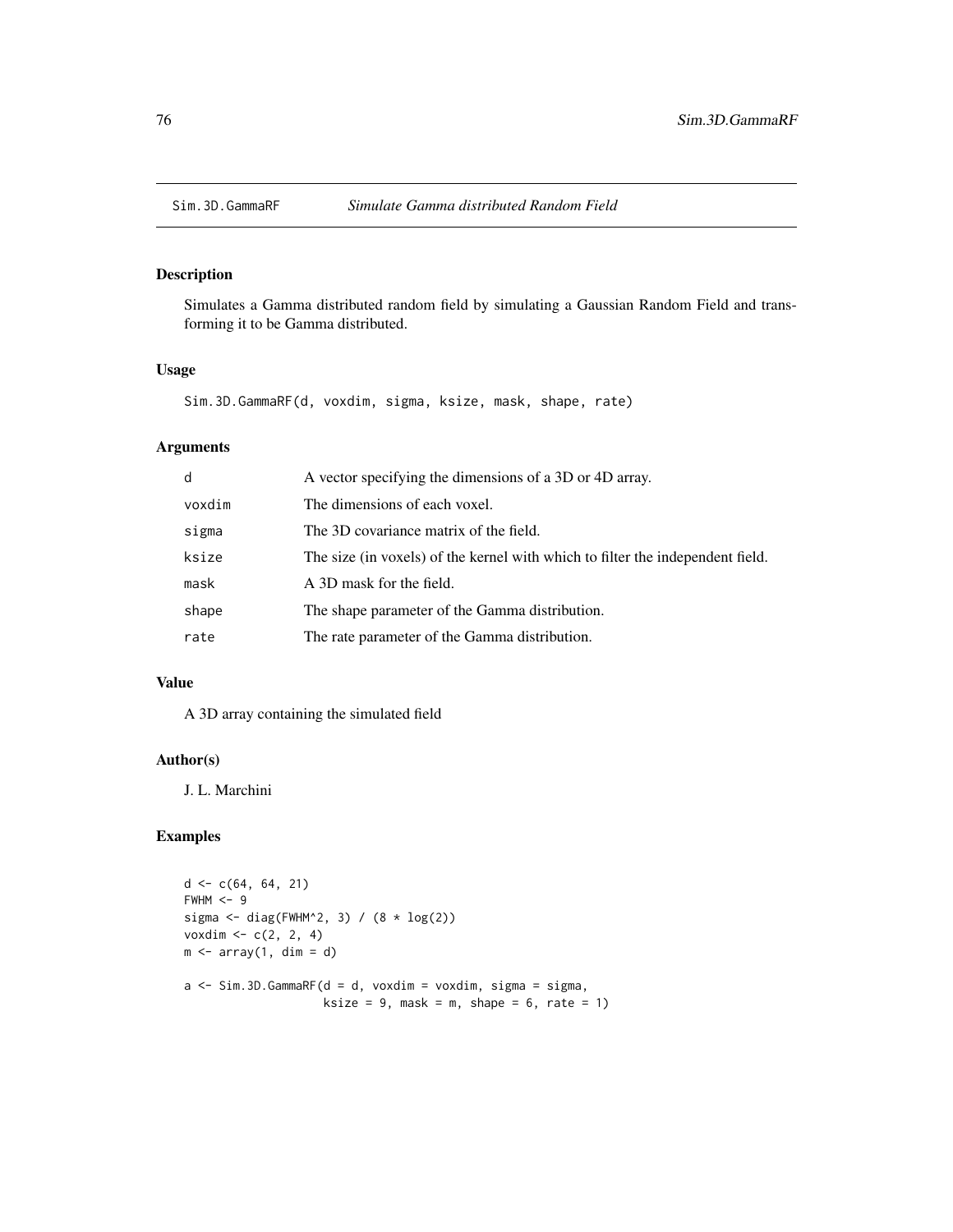<span id="page-75-0"></span>

Simulates a Gamma distributed random field by simulating a Gaussian Random Field and transforming it to be Gamma distributed.

# Usage

Sim.3D.GammaRF(d, voxdim, sigma, ksize, mask, shape, rate)

# Arguments

| d      | A vector specifying the dimensions of a 3D or 4D array.                        |
|--------|--------------------------------------------------------------------------------|
| voxdim | The dimensions of each voxel.                                                  |
| sigma  | The 3D covariance matrix of the field.                                         |
| ksize  | The size (in voxels) of the kernel with which to filter the independent field. |
| mask   | A 3D mask for the field.                                                       |
| shape  | The shape parameter of the Gamma distribution.                                 |
| rate   | The rate parameter of the Gamma distribution.                                  |

## Value

A 3D array containing the simulated field

#### Author(s)

J. L. Marchini

```
d \leq c(64, 64, 21)FWHM < -9sigma <- diag(FWHM^2, 3) / (8 * log(2))voxdim \, < -c(2, 2, 4)m \le - array(1, dim = d)
a \leftarrow \text{Sim.3D.GammaF(d = d, voxdim = voxdim, sigma = sigma, }ksize = 9, mask = m, shape = 6, rate = 1)
```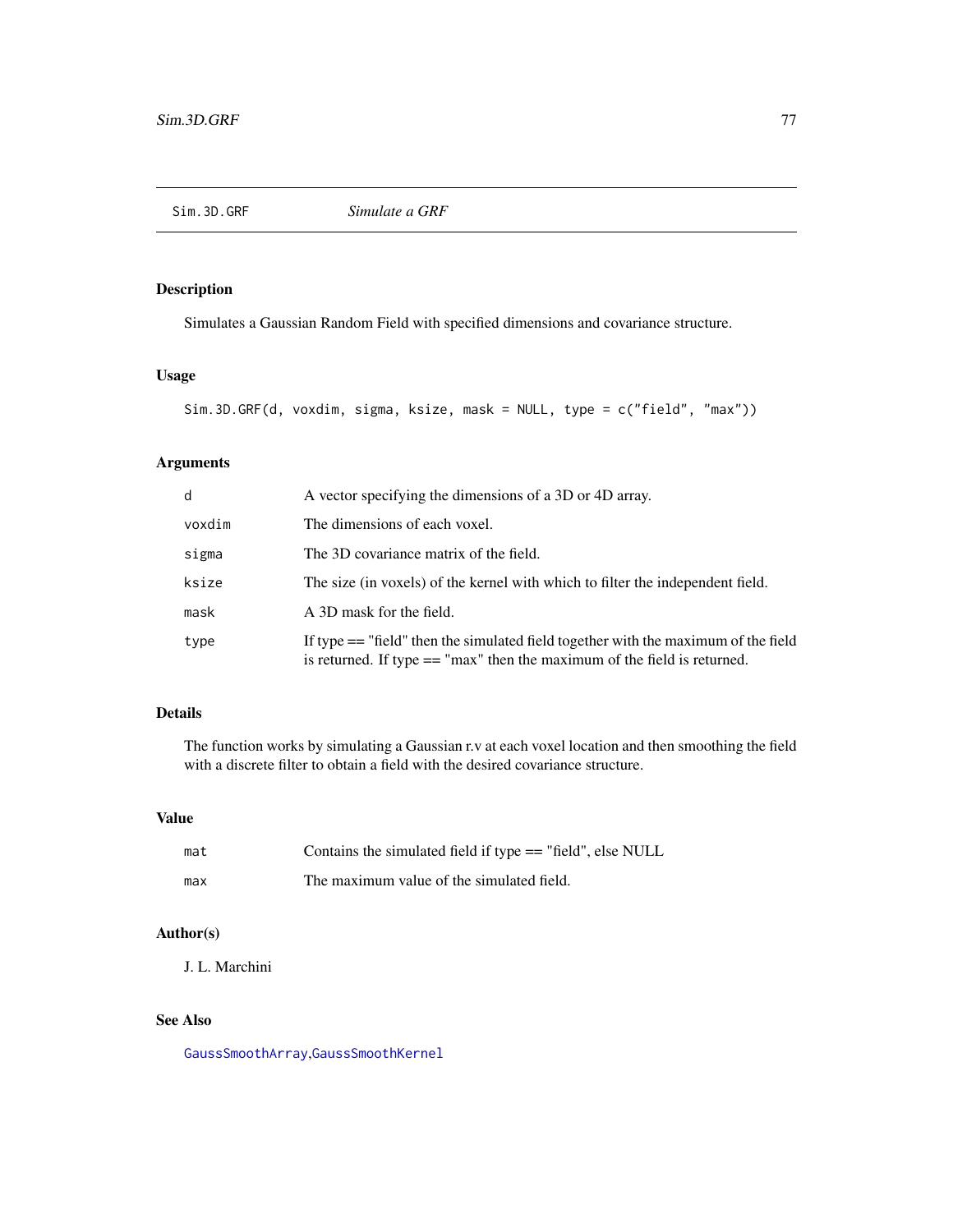<span id="page-76-0"></span>

Simulates a Gaussian Random Field with specified dimensions and covariance structure.

# Usage

```
Sim.3D.GRF(d, voxdim, sigma, ksize, mask = NULL, type = c("field", "max"))
```
# Arguments

| $\mathsf{d}$ | A vector specifying the dimensions of a 3D or 4D array.                                                                                                            |
|--------------|--------------------------------------------------------------------------------------------------------------------------------------------------------------------|
| voxdim       | The dimensions of each voxel.                                                                                                                                      |
| sigma        | The 3D covariance matrix of the field.                                                                                                                             |
| ksize        | The size (in voxels) of the kernel with which to filter the independent field.                                                                                     |
| mask         | A 3D mask for the field.                                                                                                                                           |
| type         | If type $==$ "field" then the simulated field together with the maximum of the field<br>is returned. If type $==$ "max" then the maximum of the field is returned. |

# Details

The function works by simulating a Gaussian r.v at each voxel location and then smoothing the field with a discrete filter to obtain a field with the desired covariance structure.

#### Value

| mat | Contains the simulated field if type $==$ "field", else NULL |
|-----|--------------------------------------------------------------|
| max | The maximum value of the simulated field.                    |

# Author(s)

J. L. Marchini

# See Also

[GaussSmoothArray](#page-48-0),[GaussSmoothKernel](#page-49-0)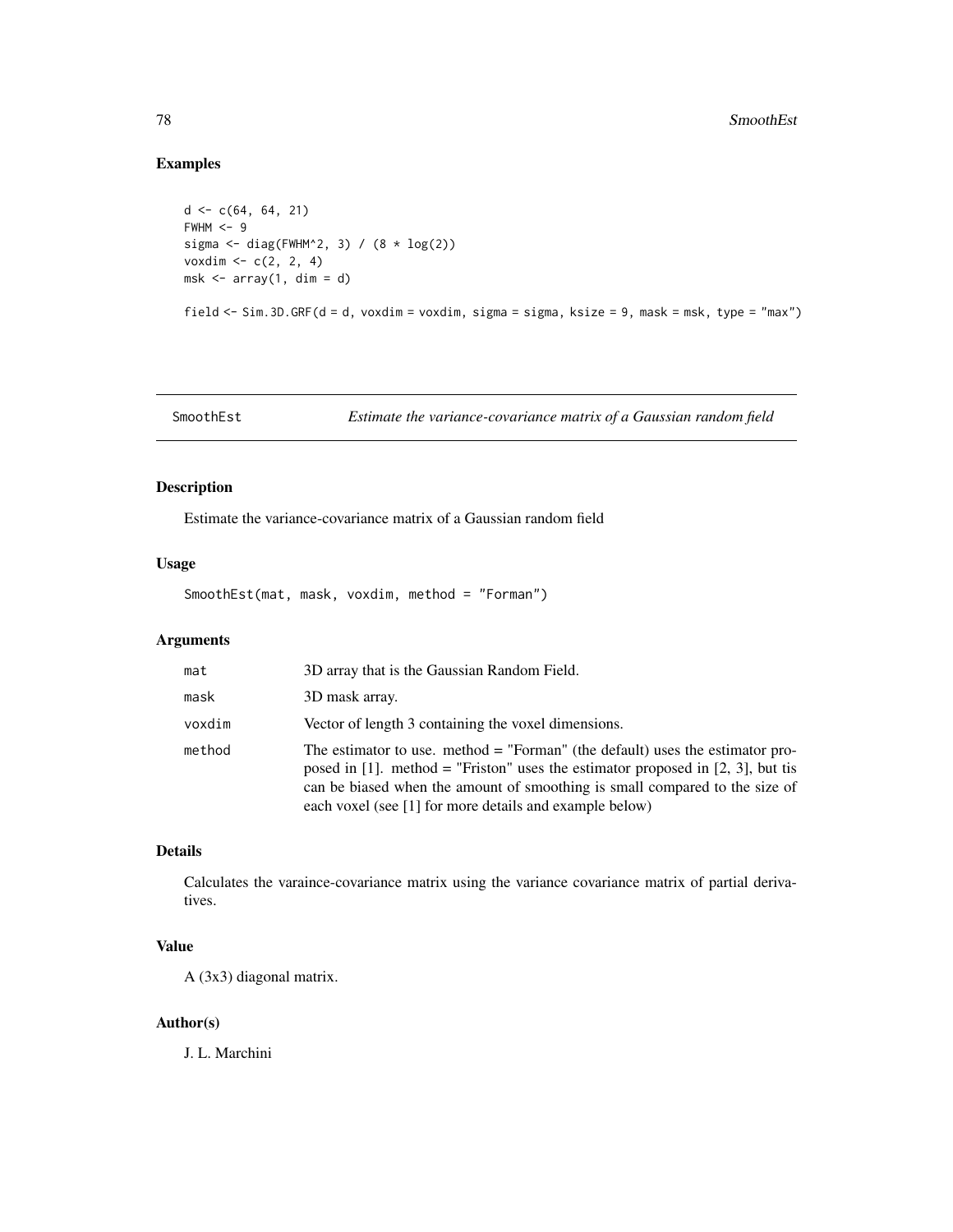# Examples

```
d \leq c(64, 64, 21)FWHM < -9sigma <- diag(FWHM^2, 3) / (8 * log(2))voxdim <- c(2, 2, 4)
msk \leq array(1, dim = d)
```
field <- Sim.3D.GRF(d = d, voxdim = voxdim, sigma = sigma, ksize = 9, mask = msk, type = "max")

SmoothEst *Estimate the variance-covariance matrix of a Gaussian random field*

# Description

Estimate the variance-covariance matrix of a Gaussian random field

# Usage

SmoothEst(mat, mask, voxdim, method = "Forman")

# Arguments

| mat    | 3D array that is the Gaussian Random Field.                                                                                                                                                                                                                                                                  |
|--------|--------------------------------------------------------------------------------------------------------------------------------------------------------------------------------------------------------------------------------------------------------------------------------------------------------------|
| mask   | 3D mask array.                                                                                                                                                                                                                                                                                               |
| voxdim | Vector of length 3 containing the voxel dimensions.                                                                                                                                                                                                                                                          |
| method | The estimator to use. method $=$ "Forman" (the default) uses the estimator pro-<br>posed in [1]. method = "Friston" uses the estimator proposed in [2, 3], but tis<br>can be biased when the amount of smoothing is small compared to the size of<br>each voxel (see [1] for more details and example below) |

# Details

Calculates the varaince-covariance matrix using the variance covariance matrix of partial derivatives.

# Value

A (3x3) diagonal matrix.

#### Author(s)

J. L. Marchini

<span id="page-77-0"></span>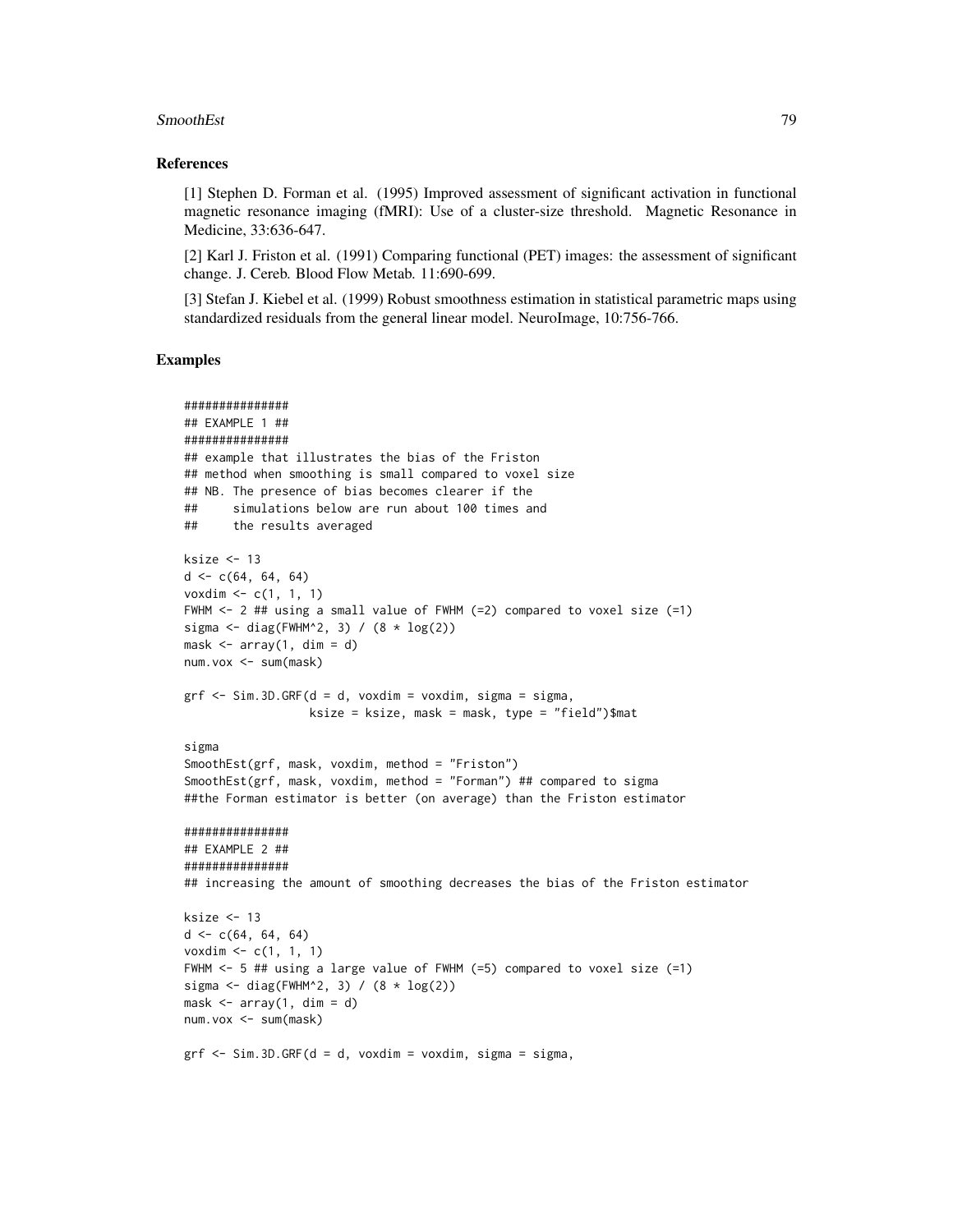#### SmoothEst 79

#### References

[1] Stephen D. Forman et al. (1995) Improved assessment of significant activation in functional magnetic resonance imaging (fMRI): Use of a cluster-size threshold. Magnetic Resonance in Medicine, 33:636-647.

[2] Karl J. Friston et al. (1991) Comparing functional (PET) images: the assessment of significant change. J. Cereb. Blood Flow Metab. 11:690-699.

[3] Stefan J. Kiebel et al. (1999) Robust smoothness estimation in statistical parametric maps using standardized residuals from the general linear model. NeuroImage, 10:756-766.

```
###############
## EXAMPLE 1 ##
###############
## example that illustrates the bias of the Friston
## method when smoothing is small compared to voxel size
## NB. The presence of bias becomes clearer if the
## simulations below are run about 100 times and
## the results averaged
ksize <-13d \leq c(64, 64, 64)voxdim \leq -c(1, 1, 1)FWHM <- 2 ## using a small value of FWHM (=2) compared to voxel size (=1)
sigma \le diag(FWHM^2, 3) / (8 \star log(2))
mask \leq array(1, dim = d)
num.vox <- sum(mask)
grf \le -\, Sim.3D.GRF(d = d, voxdim = voxdim, sigma = sigma,ksize = ksize, mask = mask, type = "field")$mat
sigma
SmoothEst(grf, mask, voxdim, method = "Friston")
SmoothEst(grf, mask, voxdim, method = "Forman") ## compared to sigma
##the Forman estimator is better (on average) than the Friston estimator
###############
## EXAMPLE 2 ##
###############
## increasing the amount of smoothing decreases the bias of the Friston estimator
ksize <- 13
d \leq c(64, 64, 64)voxdim \leq c(1, 1, 1)FWHM <- 5 ## using a large value of FWHM (=5) compared to voxel size (=1)
sigma \le diag(FWHM^2, 3) / (8 \star log(2))
mask \leq array(1, dim = d)
num.vox <- sum(mask)
grf \le -\text{Sim. 3D.GRF}(d = d, \text{voxdim} = \text{voxdim}, \text{sigma} = \text{sigma},
```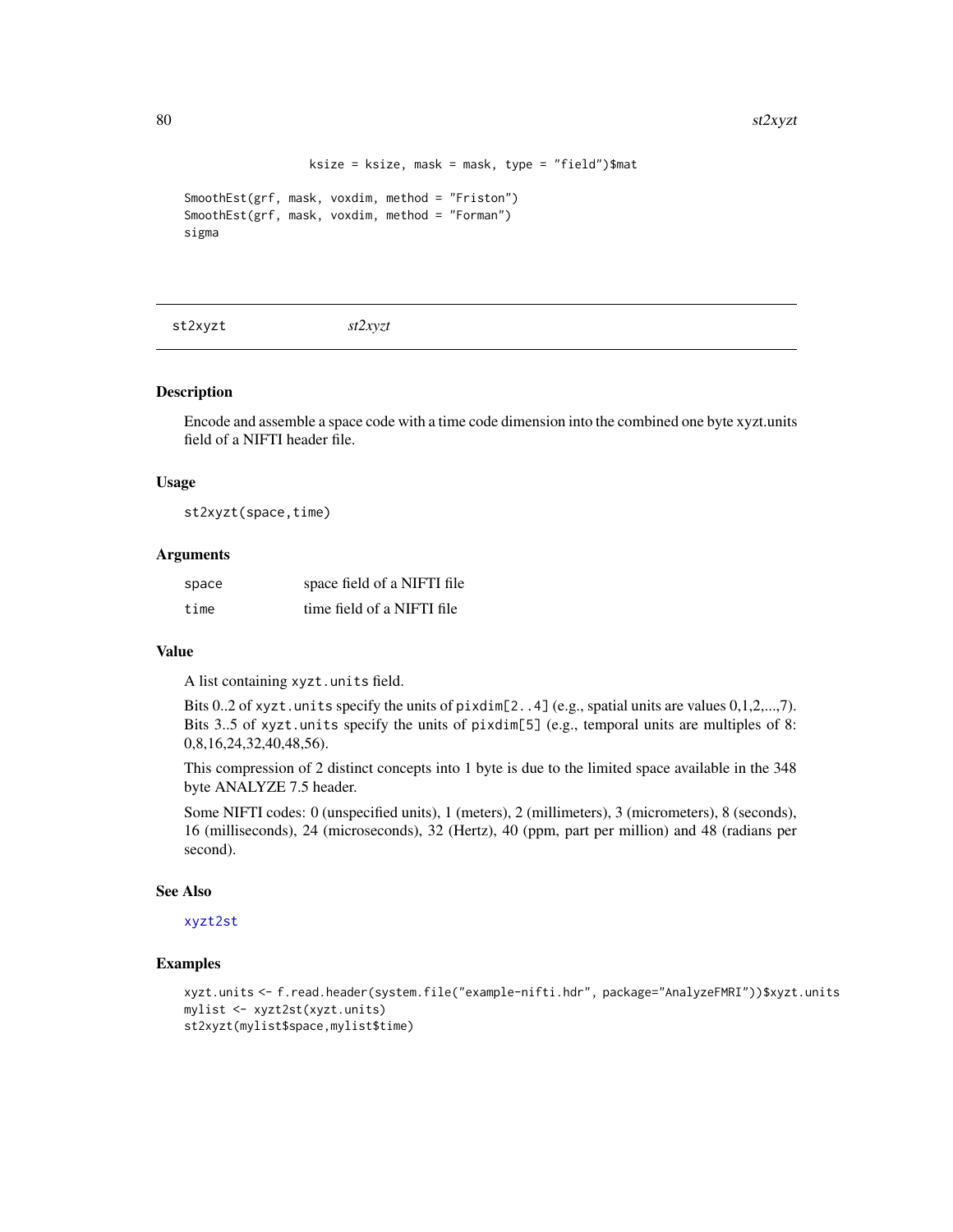```
ksize = ksize, mask = mask, type = "field")$mat
```

```
SmoothEst(grf, mask, voxdim, method = "Friston")
SmoothEst(grf, mask, voxdim, method = "Forman")
sigma
```
<span id="page-79-0"></span>st2xyzt *st2xyzt*

# Description

Encode and assemble a space code with a time code dimension into the combined one byte xyzt.units field of a NIFTI header file.

#### Usage

st2xyzt(space,time)

#### **Arguments**

| space | space field of a NIFTI file |
|-------|-----------------------------|
| time  | time field of a NIFTI file  |

#### Value

A list containing xyzt.units field.

Bits 0..2 of xyzt.units specify the units of pixdim[2..4] (e.g., spatial units are values 0,1,2,...,7). Bits 3..5 of xyzt.units specify the units of pixdim[5] (e.g., temporal units are multiples of 8: 0,8,16,24,32,40,48,56).

This compression of 2 distinct concepts into 1 byte is due to the limited space available in the 348 byte ANALYZE 7.5 header.

Some NIFTI codes: 0 (unspecified units), 1 (meters), 2 (millimeters), 3 (micrometers), 8 (seconds), 16 (milliseconds), 24 (microseconds), 32 (Hertz), 40 (ppm, part per million) and 48 (radians per second).

# See Also

# [xyzt2st](#page-85-0)

```
xyzt.units <- f.read.header(system.file("example-nifti.hdr", package="AnalyzeFMRI"))$xyzt.units
mylist <- xyzt2st(xyzt.units)
st2xyzt(mylist$space,mylist$time)
```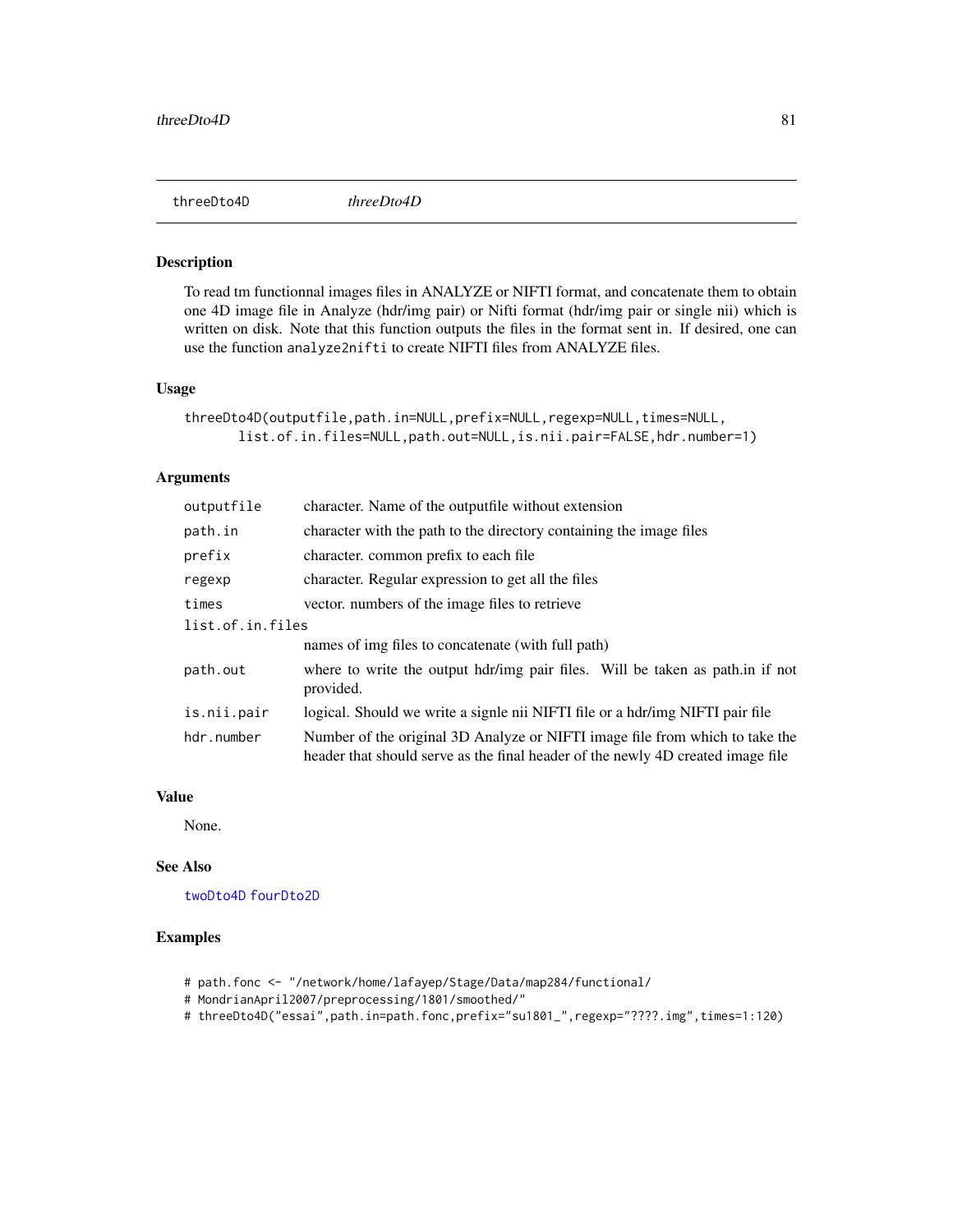<span id="page-80-1"></span><span id="page-80-0"></span>

To read tm functionnal images files in ANALYZE or NIFTI format, and concatenate them to obtain one 4D image file in Analyze (hdr/img pair) or Nifti format (hdr/img pair or single nii) which is written on disk. Note that this function outputs the files in the format sent in. If desired, one can use the function analyze2nifti to create NIFTI files from ANALYZE files.

#### Usage

```
threeDto4D(outputfile,path.in=NULL,prefix=NULL,regexp=NULL,times=NULL,
       list.of.in.files=NULL,path.out=NULL,is.nii.pair=FALSE,hdr.number=1)
```
#### Arguments

| outputfile       | character. Name of the outputfile without extension                                                                                                             |  |
|------------------|-----------------------------------------------------------------------------------------------------------------------------------------------------------------|--|
| path.in          | character with the path to the directory containing the image files                                                                                             |  |
| prefix           | character, common prefix to each file                                                                                                                           |  |
| regexp           | character. Regular expression to get all the files                                                                                                              |  |
| times            | vector, numbers of the image files to retrieve                                                                                                                  |  |
| list.of.in.files |                                                                                                                                                                 |  |
|                  | names of img files to concatenate (with full path)                                                                                                              |  |
| path.out         | where to write the output hdr/img pair files. Will be taken as path in if not<br>provided.                                                                      |  |
| is.nii.pair      | logical. Should we write a signle nii NIFTI file or a hdr/img NIFTI pair file                                                                                   |  |
| hdr.number       | Number of the original 3D Analyze or NIFTI image file from which to take the<br>header that should serve as the final header of the newly 4D created image file |  |

### Value

None.

# See Also

[twoDto4D](#page-83-0) [fourDto2D](#page-47-0)

- # path.fonc <- "/network/home/lafayep/Stage/Data/map284/functional/
- # MondrianApril2007/preprocessing/1801/smoothed/"
- # threeDto4D("essai",path.in=path.fonc,prefix="su1801\_",regexp="????.img",times=1:120)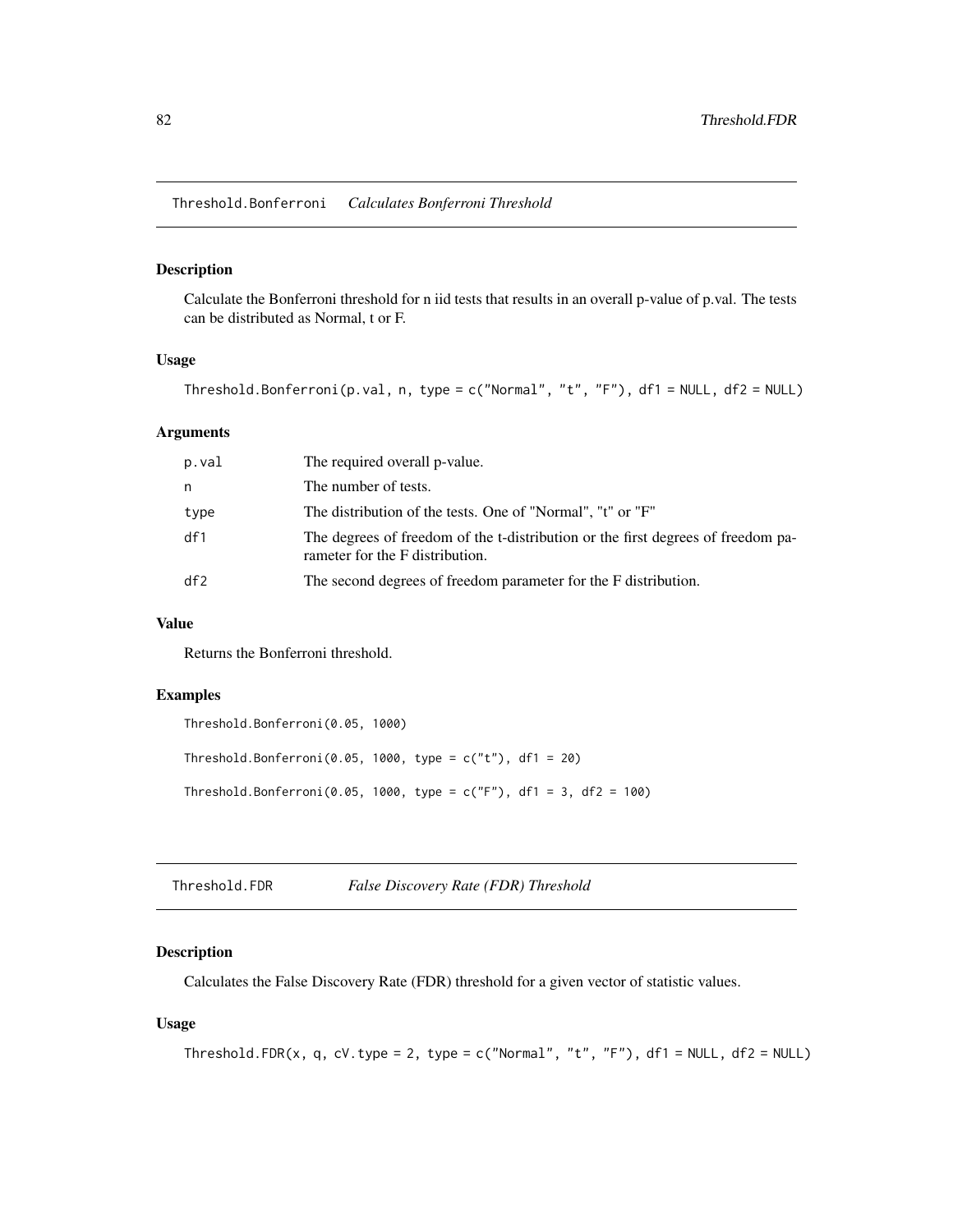<span id="page-81-0"></span>Threshold.Bonferroni *Calculates Bonferroni Threshold*

#### Description

Calculate the Bonferroni threshold for n iid tests that results in an overall p-value of p.val. The tests can be distributed as Normal, t or F.

#### Usage

Threshold.Bonferroni(p.val, n, type =  $c("Normal", "t", "F")$ , df1 = NULL, df2 = NULL)

# Arguments

| p.val | The required overall p-value.                                                                                       |
|-------|---------------------------------------------------------------------------------------------------------------------|
| n     | The number of tests.                                                                                                |
| type  | The distribution of the tests. One of "Normal", "t" or "F"                                                          |
| df1   | The degrees of freedom of the t-distribution or the first degrees of freedom pa-<br>rameter for the F distribution. |
| df2   | The second degrees of freedom parameter for the F distribution.                                                     |

### Value

Returns the Bonferroni threshold.

# Examples

```
Threshold.Bonferroni(0.05, 1000)
Threshold.Bonferroni(0.05, 1000, type = c("t"), df1 = 20)
Threshold.Bonferroni(0.05, 1000, type = c("F"), df1 = 3, df2 = 100)
```
Threshold.FDR *False Discovery Rate (FDR) Threshold*

#### Description

Calculates the False Discovery Rate (FDR) threshold for a given vector of statistic values.

# Usage

```
Threshold.FDR(x, q, cV.type = 2, type = c("Normal", "t", "F"), df1 = NULL, df2 = NULL)
```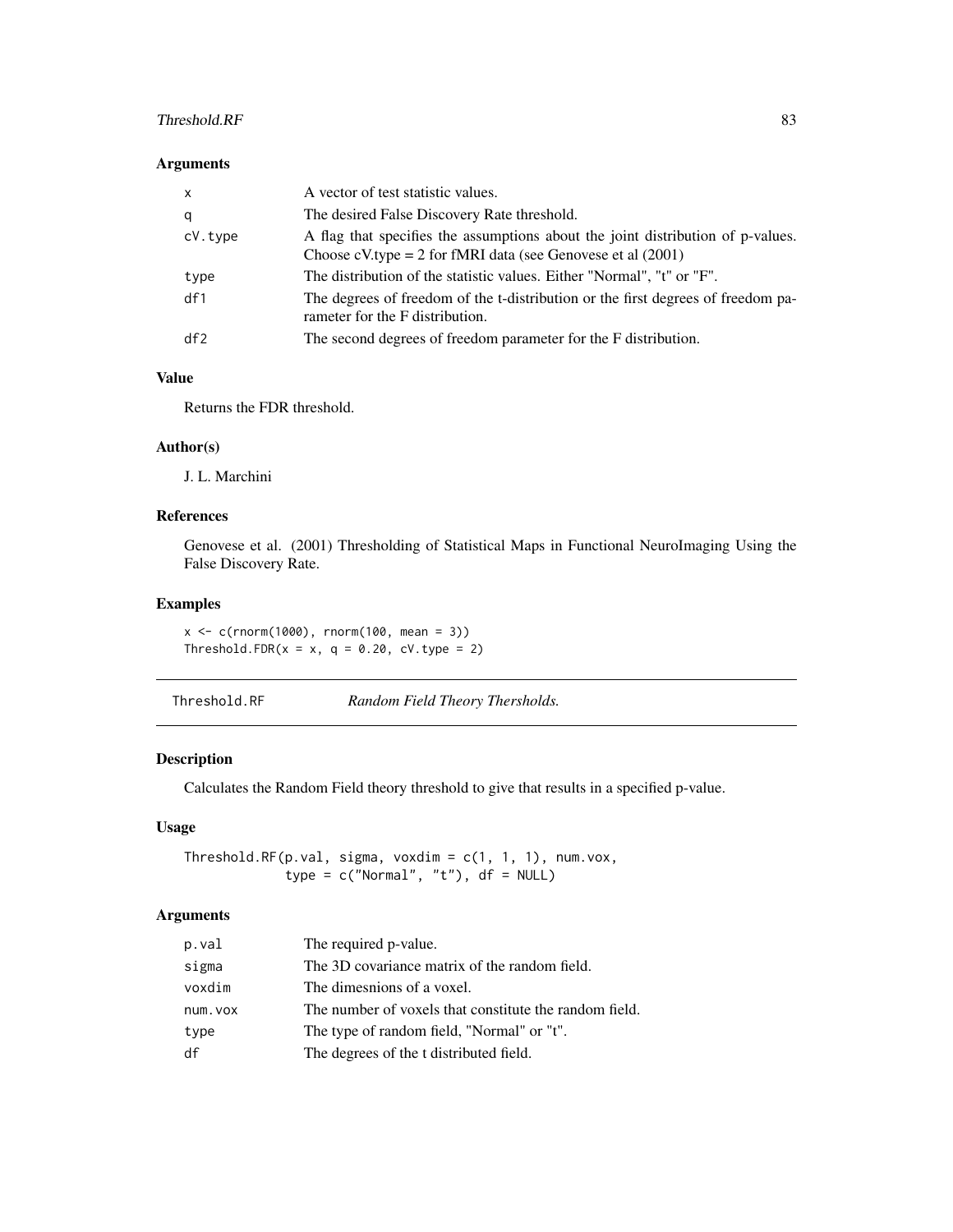#### <span id="page-82-0"></span>Threshold.RF 83

#### Arguments

| $\mathsf{x}$ | A vector of test statistic values.                                                                                                                 |
|--------------|----------------------------------------------------------------------------------------------------------------------------------------------------|
| q            | The desired False Discovery Rate threshold.                                                                                                        |
| cV.type      | A flag that specifies the assumptions about the joint distribution of p-values.<br>Choose cV.type = 2 for fMRI data (see Genovese et al $(2001)$ ) |
| type         | The distribution of the statistic values. Either "Normal", "t" or "F".                                                                             |
| df1          | The degrees of freedom of the t-distribution or the first degrees of freedom pa-<br>rameter for the F distribution.                                |
| df2          | The second degrees of freedom parameter for the F distribution.                                                                                    |

# Value

Returns the FDR threshold.

# Author(s)

J. L. Marchini

# References

Genovese et al. (2001) Thresholding of Statistical Maps in Functional NeuroImaging Using the False Discovery Rate.

# Examples

x <- c(rnorm(1000), rnorm(100, mean = 3)) Threshold.FDR( $x = x$ ,  $q = 0.20$ , cV.type = 2)

Threshold.RF *Random Field Theory Thersholds.*

## Description

Calculates the Random Field theory threshold to give that results in a specified p-value.

# Usage

Threshold.RF(p.val, sigma, voxdim = c(1, 1, 1), num.vox, type =  $c("Normal", "t"), df = NULL)$ 

# Arguments

| p.val    | The required p-value.                                  |
|----------|--------------------------------------------------------|
| sigma    | The 3D covariance matrix of the random field.          |
| voxdim   | The dimesnions of a voxel.                             |
| num. vox | The number of voxels that constitute the random field. |
| type     | The type of random field, "Normal" or "t".             |
| df       | The degrees of the t distributed field.                |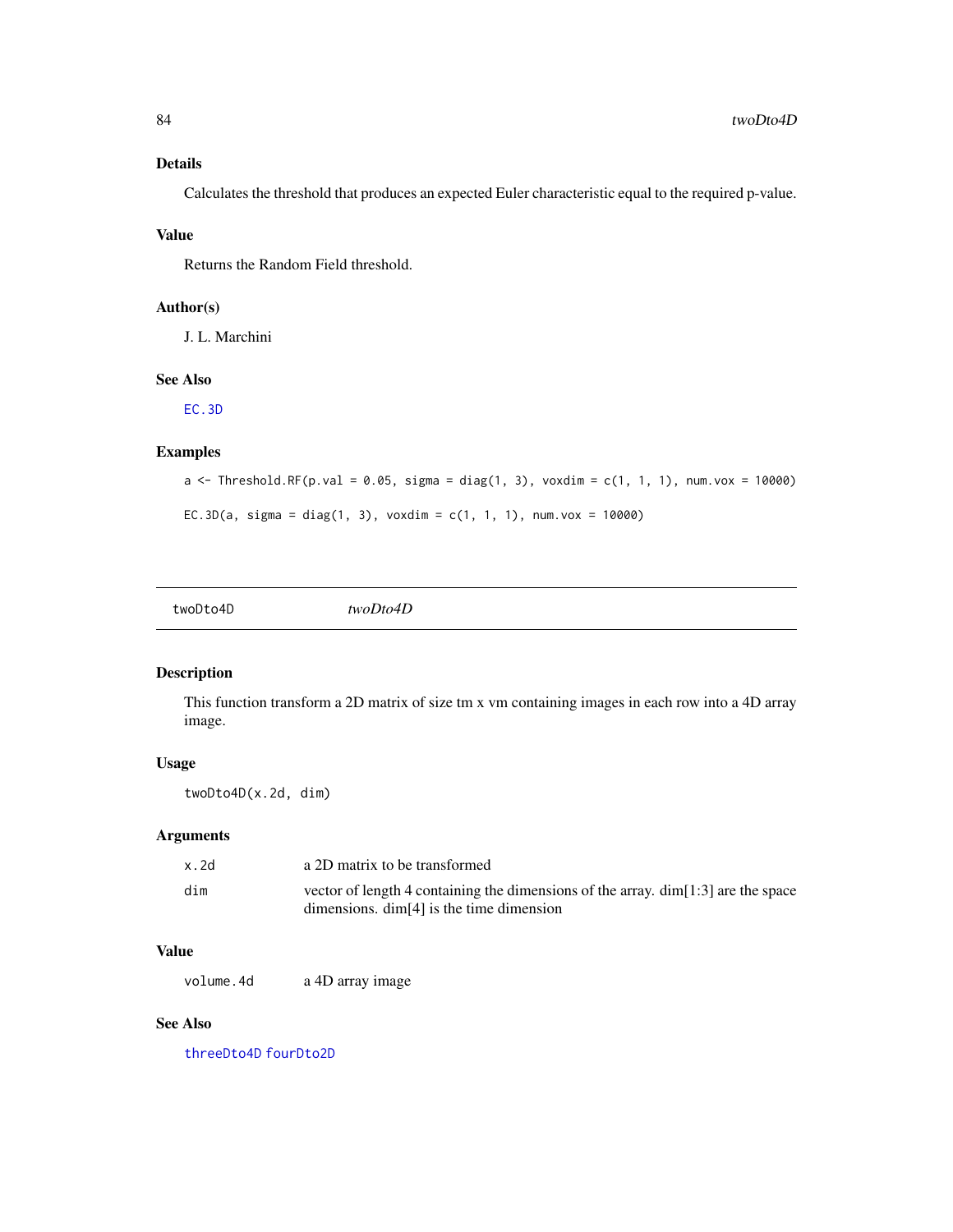# <span id="page-83-1"></span>Details

Calculates the threshold that produces an expected Euler characteristic equal to the required p-value.

# Value

Returns the Random Field threshold.

# Author(s)

J. L. Marchini

# See Also

[EC.3D](#page-8-0)

# Examples

```
a <- Threshold.RF(p.val = 0.05, sigma = diag(1, 3), voxdim = c(1, 1, 1), num.vox = 10000)
EC.3D(a, sigma = diag(1, 3), voxdim = c(1, 1, 1), num.vox = 10000)
```
<span id="page-83-0"></span>

# Description

This function transform a 2D matrix of size tm x vm containing images in each row into a 4D array image.

# Usage

twoDto4D(x.2d, dim)

# Arguments

| x.2d | a 2D matrix to be transformed                                                                                                       |
|------|-------------------------------------------------------------------------------------------------------------------------------------|
| dim  | vector of length 4 containing the dimensions of the array. $\dim[1:3]$ are the space<br>dimensions. $\dim[4]$ is the time dimension |

# Value

volume. 4d a 4D array image

# See Also

[threeDto4D](#page-80-0) [fourDto2D](#page-47-0)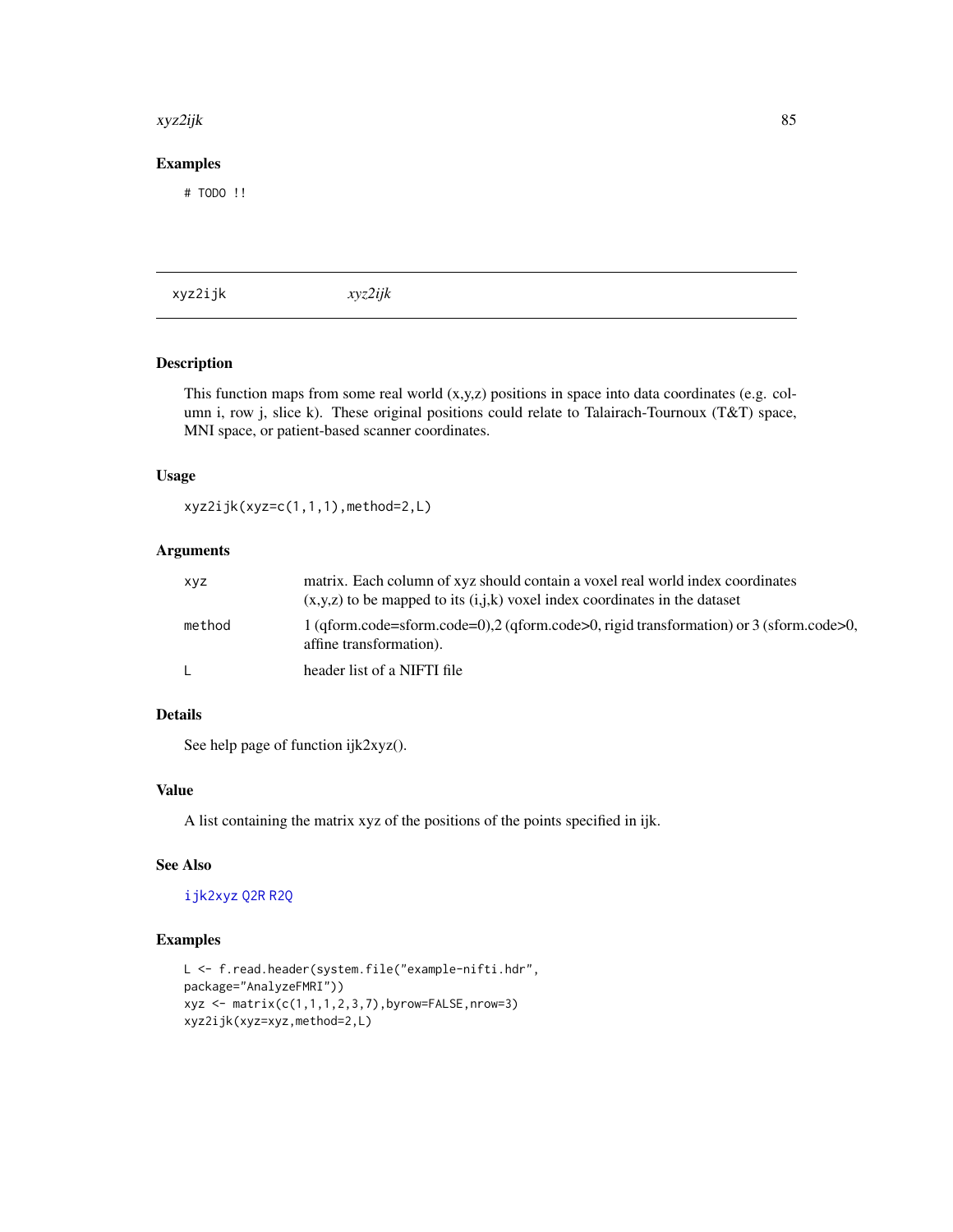#### <span id="page-84-0"></span>xyz2ijk 85

# Examples

# TODO !!

xyz2ijk *xyz2ijk*

# Description

This function maps from some real world  $(x,y,z)$  positions in space into data coordinates (e.g. column i, row j, slice k). These original positions could relate to Talairach-Tournoux (T&T) space, MNI space, or patient-based scanner coordinates.

#### Usage

xyz2ijk(xyz=c(1,1,1),method=2,L)

# Arguments

| xyz    | matrix. Each column of xyz should contain a voxel real world index coordinates<br>$(x,y,z)$ to be mapped to its $(i,j,k)$ voxel index coordinates in the dataset |
|--------|------------------------------------------------------------------------------------------------------------------------------------------------------------------|
| method | 1 (gform.code=sform.code=0),2 (gform.code>0, rigid transformation) or 3 (sform.code>0,<br>affine transformation).                                                |
|        | header list of a NIFTI file                                                                                                                                      |

#### Details

See help page of function ijk2xyz().

#### Value

A list containing the matrix xyz of the positions of the points specified in ijk.

# See Also

# [ijk2xyz](#page-52-0) [Q2R](#page-73-1) [R2Q](#page-73-0)

```
L <- f.read.header(system.file("example-nifti.hdr",
package="AnalyzeFMRI"))
xyz <- matrix(c(1,1,1,2,3,7),byrow=FALSE,nrow=3)
xyz2ijk(xyz=xyz,method=2,L)
```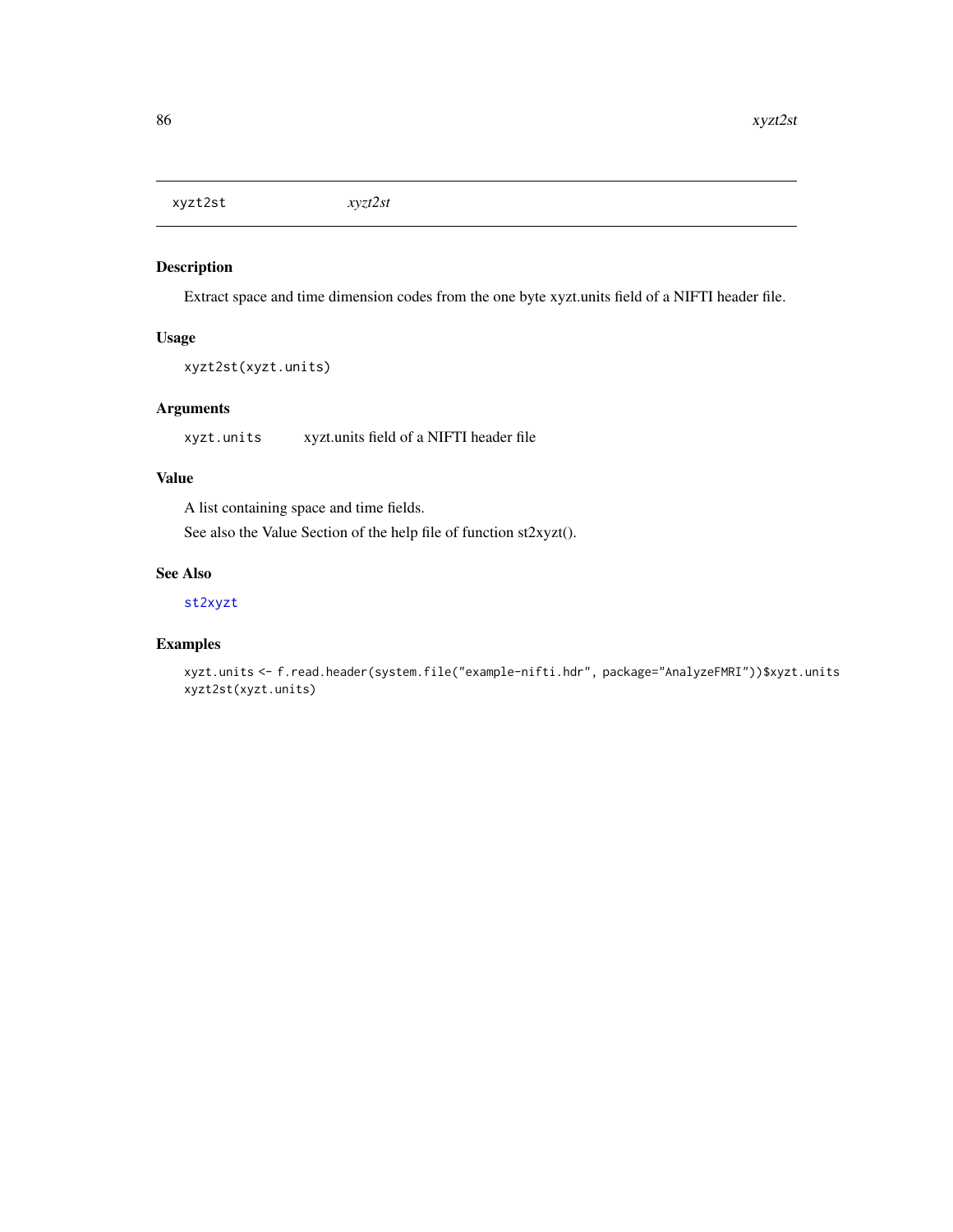<span id="page-85-1"></span><span id="page-85-0"></span>xyzt2st *xyzt2st*

# Description

Extract space and time dimension codes from the one byte xyzt.units field of a NIFTI header file.

# Usage

```
xyzt2st(xyzt.units)
```
# Arguments

xyzt.units xyzt.units field of a NIFTI header file

### Value

A list containing space and time fields.

See also the Value Section of the help file of function st2xyzt().

# See Also

### [st2xyzt](#page-79-0)

```
xyzt.units <- f.read.header(system.file("example-nifti.hdr", package="AnalyzeFMRI"))$xyzt.units
xyzt2st(xyzt.units)
```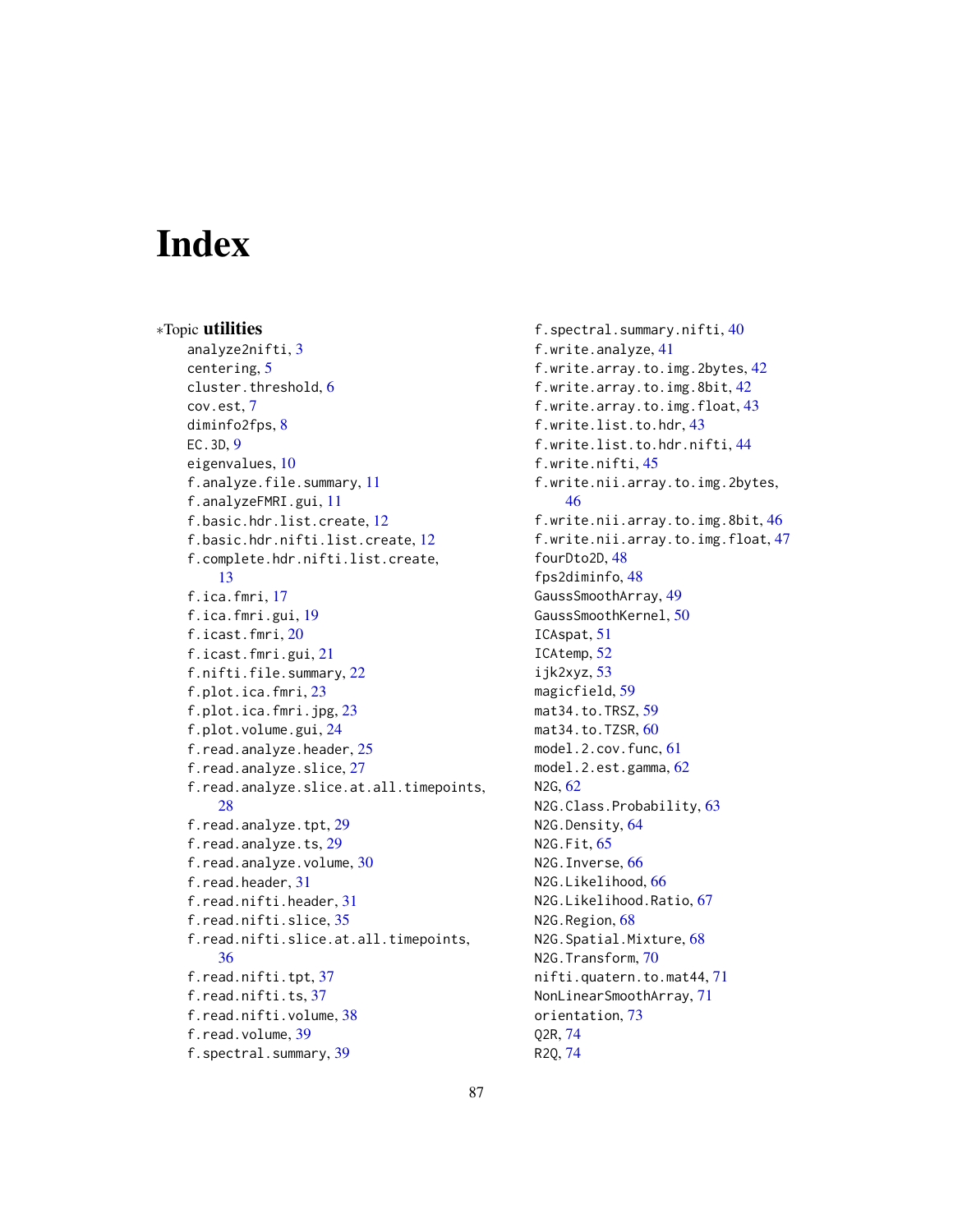# **Index**

∗Topic utilities analyze2nifti, [3](#page-2-0) centering, [5](#page-4-1) cluster.threshold, [6](#page-5-0) cov.est, [7](#page-6-0) diminfo2fps, [8](#page-7-0) EC.3D, [9](#page-8-1) eigenvalues, [10](#page-9-0) f.analyze.file.summary, [11](#page-10-0) f.analyzeFMRI.gui, [11](#page-10-0) f.basic.hdr.list.create, [12](#page-11-0) f.basic.hdr.nifti.list.create, [12](#page-11-0) f.complete.hdr.nifti.list.create, [13](#page-12-0) f.ica.fmri, [17](#page-16-0) f.ica.fmri.gui, [19](#page-18-0) f.icast.fmri, [20](#page-19-0) f.icast.fmri.gui, [21](#page-20-0) f.nifti.file.summary, [22](#page-21-0) f.plot.ica.fmri, [23](#page-22-0) f.plot.ica.fmri.jpg, [23](#page-22-0) f.plot.volume.gui, [24](#page-23-0) f.read.analyze.header, [25](#page-24-0) f.read.analyze.slice, [27](#page-26-0) f.read.analyze.slice.at.all.timepoints, [28](#page-27-0) f.read.analyze.tpt, [29](#page-28-0) f.read.analyze.ts, [29](#page-28-0) f.read.analyze.volume, [30](#page-29-0) f.read.header, [31](#page-30-0) f.read.nifti.header, [31](#page-30-0) f.read.nifti.slice, [35](#page-34-0) f.read.nifti.slice.at.all.timepoints, [36](#page-35-0) f.read.nifti.tpt, [37](#page-36-0) f.read.nifti.ts, [37](#page-36-0) f.read.nifti.volume, [38](#page-37-0) f.read.volume, [39](#page-38-0) f.spectral.summary, [39](#page-38-0)

f.spectral.summary.nifti, [40](#page-39-0) f.write.analyze, [41](#page-40-0) f.write.array.to.img.2bytes, [42](#page-41-0) f.write.array.to.img.8bit, [42](#page-41-0) f.write.array.to.img.float, [43](#page-42-0) f.write.list.to.hdr, [43](#page-42-0) f.write.list.to.hdr.nifti, [44](#page-43-0) f.write.nifti, [45](#page-44-0) f.write.nii.array.to.img.2bytes, [46](#page-45-0) f.write.nii.array.to.img.8bit, [46](#page-45-0) f.write.nii.array.to.img.float, [47](#page-46-0) fourDto2D, [48](#page-47-1) fps2diminfo, [48](#page-47-1) GaussSmoothArray, [49](#page-48-1) GaussSmoothKernel, [50](#page-49-1) ICAspat, [51](#page-50-0) ICAtemp, [52](#page-51-0) ijk2xyz, [53](#page-52-1) magicfield, [59](#page-58-0) mat34.to.TRSZ, [59](#page-58-0) mat34.to.TZSR, [60](#page-59-0) model.2.cov.func, [61](#page-60-0) model.2.est.gamma, [62](#page-61-0) N2G, [62](#page-61-0) N2G.Class.Probability, [63](#page-62-0) N2G.Density, [64](#page-63-0) N2G.Fit, [65](#page-64-0) N2G.Inverse, [66](#page-65-0) N2G.Likelihood, [66](#page-65-0) N2G.Likelihood.Ratio, [67](#page-66-0) N2G.Region, [68](#page-67-0) N2G.Spatial.Mixture, [68](#page-67-0) N2G.Transform, [70](#page-69-0) nifti.quatern.to.mat44, [71](#page-70-0) NonLinearSmoothArray, [71](#page-70-0) orientation, [73](#page-72-0) Q2R, [74](#page-73-2) R2Q, [74](#page-73-2)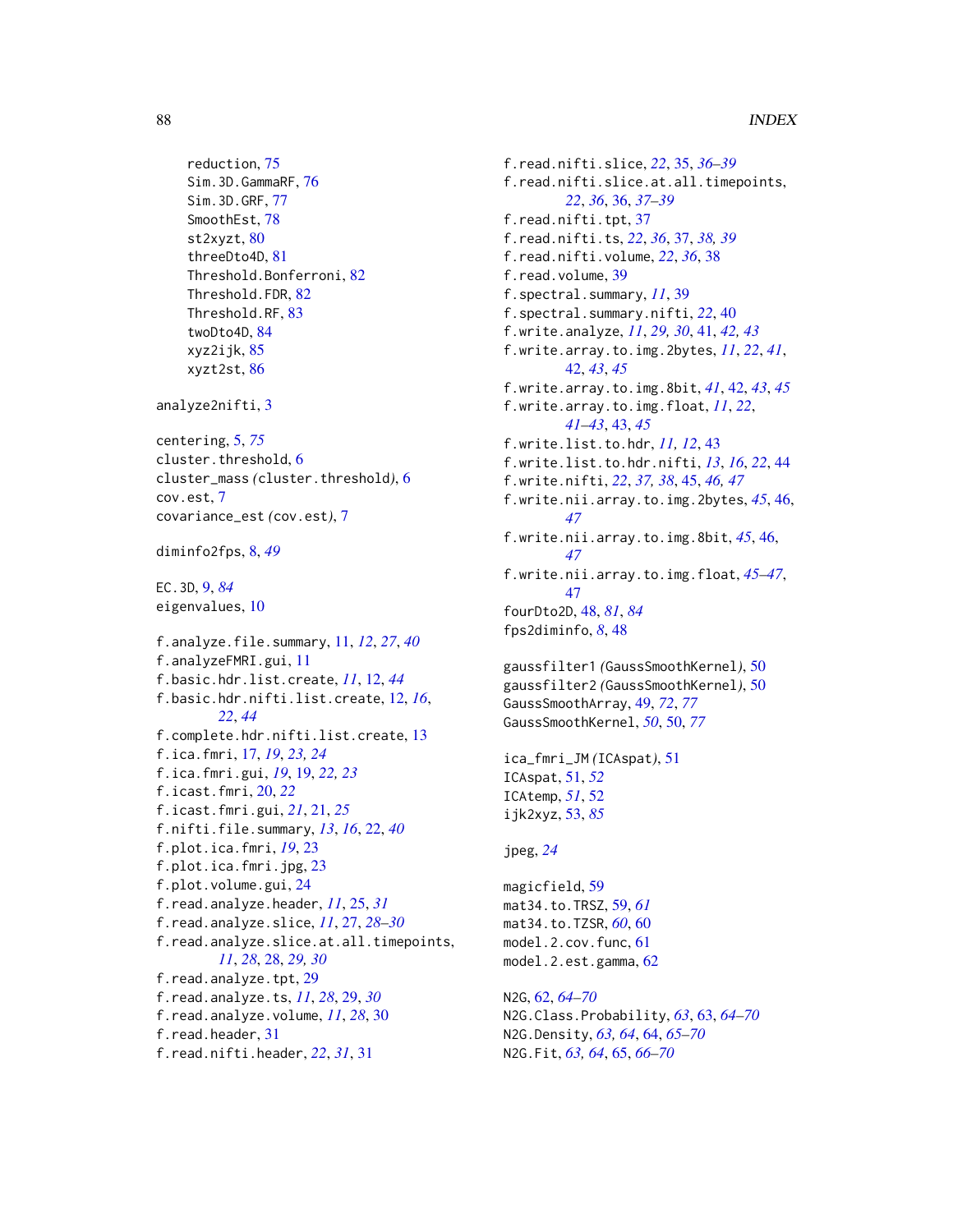```
reduction, 75
    Sim.3D.GammaRF, 76
    Sim.3D.GRF, 77
    SmoothEst, 78
    st2xyzt, 80
    threeDto4D, 81
    Threshold.Bonferroni, 82
    Threshold.FDR, 82
    Threshold.RF, 83
    twoDto4D, 84
    xyz2ijk, 85
    xyzt2st, 86
analyze2nifti, 3
centering, 5, 75
cluster.threshold, 6
cluster_mass (cluster.threshold), 6
cov.est, 7
covariance_est (cov.est), 7
diminfo2fps, 8, 49
EC.3D, 9, 84
eigenvalues, 10
f.analyze.file.summary, 11, 12, 27, 40
f.analyzeFMRI.gui, 11
f.basic.hdr.list.create, 11, 12, 44
f.basic.hdr.nifti.list.create, 12, 16,
         22, 44
f.complete.hdr.nifti.list.create, 13
f.ica.fmri, 17, 19, 23, 24
f.ica.fmri.gui, 19, 19, 22, 23
f.icast.fmri, 20, 22
f.icast.fmri.gui, 21, 21, 25
f.nifti.file.summary, 13, 16, 22, 40
f.plot.ica.fmri, 19, 23
f.plot.ica.fmri.jpg, 23
f.plot.volume.gui, 24
f.read.analyze.header, 11, 25, 31
f.read.analyze.slice, 11, 27, 28–30
f.read.analyze.slice.at.all.timepoints,
         11, 28, 28, 29, 30
f.read.analyze.tpt, 29
f.read.analyze.ts, 11, 28, 29, 30
f.read.analyze.volume, 11, 28, 30
f.read.header, 31
f.read.nifti.header, 22, 31, 31
```
f.read.nifti.slice, *[22](#page-21-0)*, [35,](#page-34-0) *[36](#page-35-0)[–39](#page-38-0)* f.read.nifti.slice.at.all.timepoints, *[22](#page-21-0)*, *[36](#page-35-0)*, [36,](#page-35-0) *[37](#page-36-0)[–39](#page-38-0)* f.read.nifti.tpt, [37](#page-36-0) f.read.nifti.ts, *[22](#page-21-0)*, *[36](#page-35-0)*, [37,](#page-36-0) *[38,](#page-37-0) [39](#page-38-0)* f.read.nifti.volume, *[22](#page-21-0)*, *[36](#page-35-0)*, [38](#page-37-0) f.read.volume, [39](#page-38-0) f.spectral.summary, *[11](#page-10-0)*, [39](#page-38-0) f.spectral.summary.nifti, *[22](#page-21-0)*, [40](#page-39-0) f.write.analyze, *[11](#page-10-0)*, *[29,](#page-28-0) [30](#page-29-0)*, [41,](#page-40-0) *[42,](#page-41-0) [43](#page-42-0)* f.write.array.to.img.2bytes, *[11](#page-10-0)*, *[22](#page-21-0)*, *[41](#page-40-0)*, [42,](#page-41-0) *[43](#page-42-0)*, *[45](#page-44-0)* f.write.array.to.img.8bit, *[41](#page-40-0)*, [42,](#page-41-0) *[43](#page-42-0)*, *[45](#page-44-0)* f.write.array.to.img.float, *[11](#page-10-0)*, *[22](#page-21-0)*, *[41](#page-40-0)[–43](#page-42-0)*, [43,](#page-42-0) *[45](#page-44-0)* f.write.list.to.hdr, *[11,](#page-10-0) [12](#page-11-0)*, [43](#page-42-0) f.write.list.to.hdr.nifti, *[13](#page-12-0)*, *[16](#page-15-0)*, *[22](#page-21-0)*, [44](#page-43-0) f.write.nifti, *[22](#page-21-0)*, *[37,](#page-36-0) [38](#page-37-0)*, [45,](#page-44-0) *[46,](#page-45-0) [47](#page-46-0)* f.write.nii.array.to.img.2bytes, *[45](#page-44-0)*, [46,](#page-45-0) *[47](#page-46-0)* f.write.nii.array.to.img.8bit, *[45](#page-44-0)*, [46,](#page-45-0) *[47](#page-46-0)* f.write.nii.array.to.img.float, *[45](#page-44-0)[–47](#page-46-0)*, [47](#page-46-0) fourDto2D, [48,](#page-47-1) *[81](#page-80-1)*, *[84](#page-83-1)* fps2diminfo, *[8](#page-7-0)*, [48](#page-47-1) gaussfilter1 *(*GaussSmoothKernel*)*, [50](#page-49-1) gaussfilter2 *(*GaussSmoothKernel*)*, [50](#page-49-1) GaussSmoothArray, [49,](#page-48-1) *[72](#page-71-0)*, *[77](#page-76-0)* GaussSmoothKernel, *[50](#page-49-1)*, [50,](#page-49-1) *[77](#page-76-0)* ica\_fmri\_JM *(*ICAspat*)*, [51](#page-50-0) ICAspat, [51,](#page-50-0) *[52](#page-51-0)* ICAtemp, *[51](#page-50-0)*, [52](#page-51-0) ijk2xyz, [53,](#page-52-1) *[85](#page-84-0)* jpeg, *[24](#page-23-0)* magicfield, [59](#page-58-0) mat34.to.TRSZ, [59,](#page-58-0) *[61](#page-60-0)* mat34.to.TZSR, *[60](#page-59-0)*, [60](#page-59-0) model.2.cov.func, [61](#page-60-0) model.2.est.gamma, [62](#page-61-0) N2G, [62,](#page-61-0) *[64](#page-63-0)[–70](#page-69-0)* N2G.Class.Probability, *[63](#page-62-0)*, [63,](#page-62-0) *[64](#page-63-0)[–70](#page-69-0)* N2G.Density, *[63,](#page-62-0) [64](#page-63-0)*, [64,](#page-63-0) *[65](#page-64-0)[–70](#page-69-0)*

N2G.Fit, *[63,](#page-62-0) [64](#page-63-0)*, [65,](#page-64-0) *[66](#page-65-0)[–70](#page-69-0)*